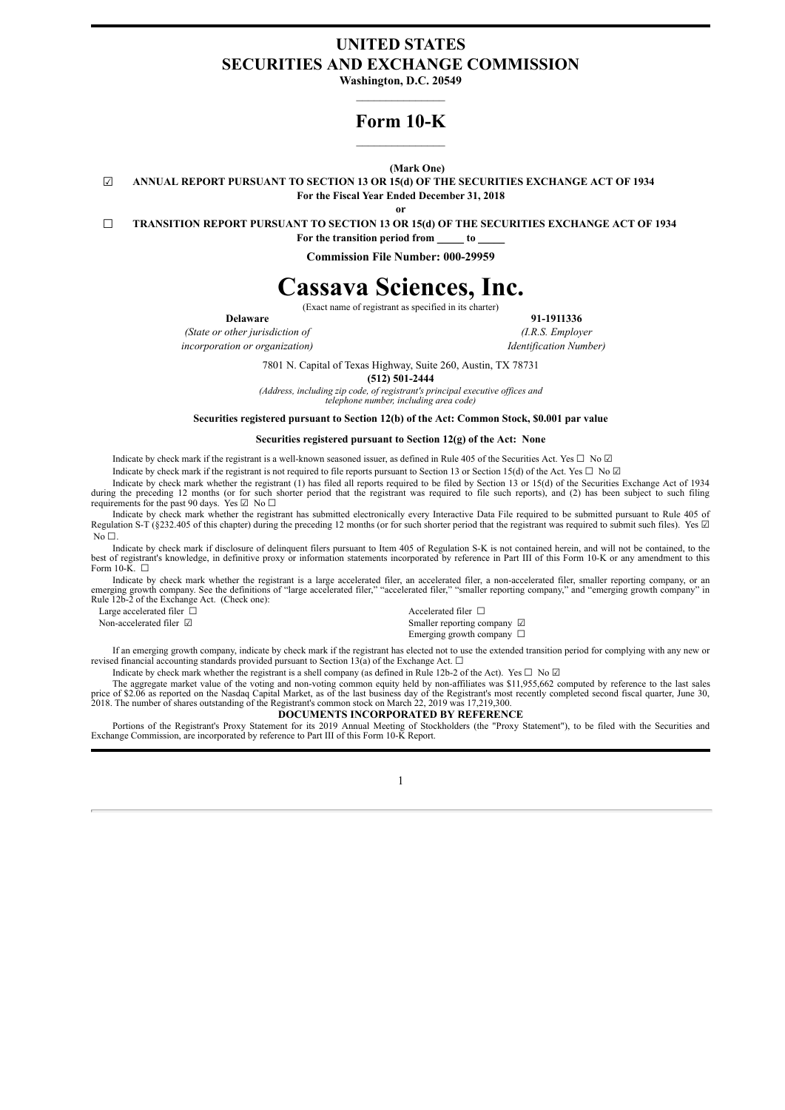# **UNITED STATES SECURITIES AND EXCHANGE COMMISSION**

**Washington, D.C. 20549**  $\mathcal{L}_\text{max}$ 

# **Form 10-K**  $\mathcal{L}_\text{max}$

**(Mark One)**

☑ **ANNUAL REPORT PURSUANT TO SECTION 13 OR 15(d) OF THE SECURITIES EXCHANGE ACT OF 1934**

**For the Fiscal Year Ended December 31, 2018**

**or**

☐ **TRANSITION REPORT PURSUANT TO SECTION 13 OR 15(d) OF THE SECURITIES EXCHANGE ACT OF 1934**

For the transition period from \_\_\_\_\_\_\_ to

**Commission File Number: 000-29959**

# **Cassava Sciences, Inc.**

(Exact name of registrant as specified in its charter)

**Delaware 91-1911336**

*(State or other jurisdiction of (I.R.S. Employer*

*incorporation or organization) Identification Number)*

7801 N. Capital of Texas Highway, Suite 260, Austin, TX 78731

**(512) 501-2444**

(Address, including zip code, of registrant's principal executive offices and<br>telephone number, including area code)

**Securities registered pursuant to Section 12(b) of the Act: Common Stock, \$0.001 par value**

#### **Securities registered pursuant to Section 12(g) of the Act: None**

Indicate by check mark if the registrant is a well-known seasoned issuer, as defined in Rule 405 of the Securities Act. Yes  $\Box$  No  $\Box$ 

Indicate by check mark if the registrant is not required to file reports pursuant to Section 13 or Section 15(d) of the Act. Yes  $\Box$  No  $\Box$ 

Indicate by check mark whether the registrant (1) has filed all reports required to be filed by Section 13 or 15(d) of the Securities Exchange Act of 1934 during the preceding 12 months (or for such shorter period that the requirements for the past 90 days. Yes  $\Box$  No  $\Box$ 

Indicate by check mark whether the registrant has submitted electronically every Interactive Data File required to be submitted pursuant to Rule 405 of Regulation S-T (§232.405 of this chapter) during the preceding 12 months (or for such shorter period that the registrant was required to submit such files). Yes ☑  $No<sub>1</sub>$ 

Indicate by check mark if disclosure of delinquent filers pursuant to Item 405 of Regulation S-K is not contained herein, and will not be contained, to the best of registrant's knowledge, in definitive proxy or information statements incorporated by reference in Part III of this Form 10-K or any amendment to this Form 10-K.  $\square$ 

Indicate by check mark whether the registrant is a large accelerated filer, an accelerated filer, a non-accelerated filer, smaller reporting company, or an emerging growth company. See the definitions of "large accelerated

Large accelerated filer <del>□</del> accelerated filer □

Non-accelerated filer ☑ Smaller reporting company ☑ Smaller reporting company ☑ Emerging growth company  $\Box$ 

If an emerging growth company, indicate by check mark if the registrant has elected not to use the extended transition period for complying with any new or revised financial accounting standards provided pursuant to Section 13(a) of the Exchange Act.  $\Box$ 

Indicate by check mark whether the registrant is a shell company (as defined in Rule 12b-2 of the Act). Yes  $\Box$  No  $\Box$ 

The aggregate market value of the voting and non-voting common equity held by non-affiliates was \$11,955,662 computed by reference to the last sales price of \$2.06 as reported on the Nasdaq Capital Market, as of the last business day of the Registrant's most recently completed second fiscal quarter, June 30,<br>2018. The number of shares outstanding of the Registrant's co

# **DOCUMENTS INCORPORATED BY REFERENCE**

Portions of the Registrant's Proxy Statement for its 2019 Annual Meeting of Stockholders (the "Proxy Statement"), to be filed with the Securities and Exchange Commission, are incorporated by reference to Part III of this F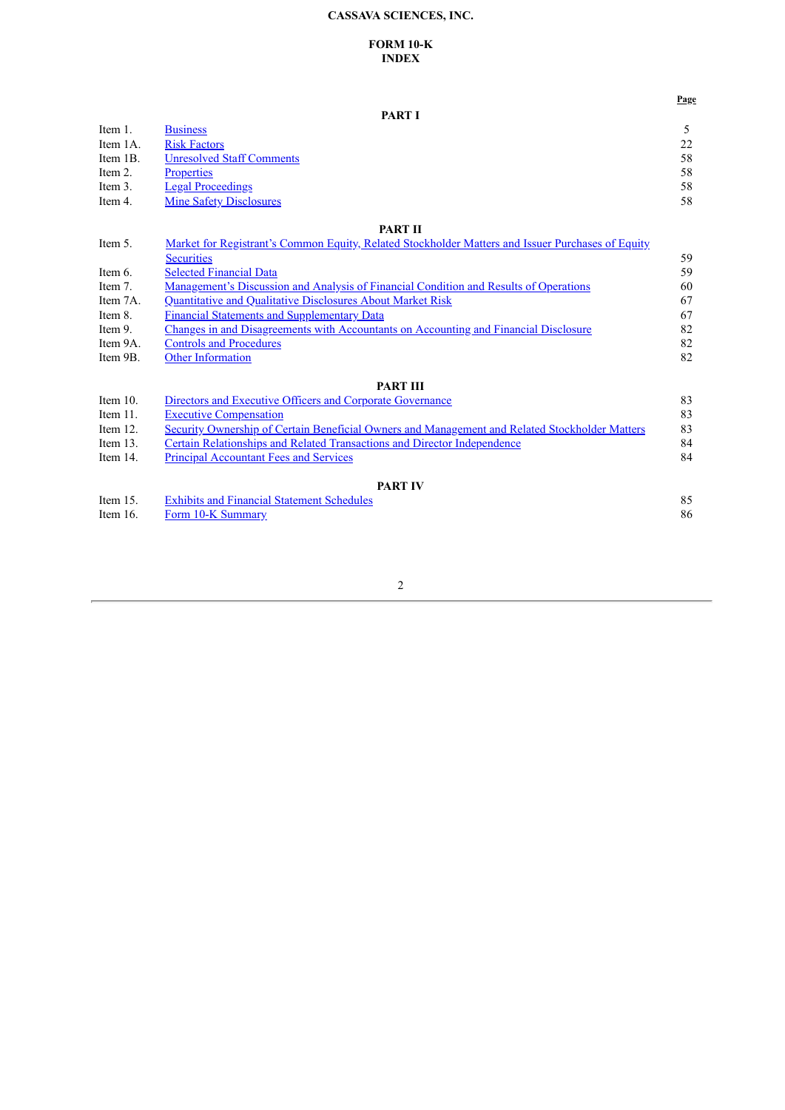# **CASSAVA SCIENCES, INC.**

# **FORM 10-K INDEX**

**Page**

|             | <b>PART I</b>                                                                                     |        |
|-------------|---------------------------------------------------------------------------------------------------|--------|
| Item 1.     | <b>Business</b>                                                                                   | 5      |
| Item 1A.    | <b>Risk Factors</b>                                                                               | $22\,$ |
| Item 1B.    | <b>Unresolved Staff Comments</b>                                                                  | 58     |
| Item 2.     | <b>Properties</b>                                                                                 | 58     |
| Item 3.     | <b>Legal Proceedings</b>                                                                          | 58     |
| Item 4.     | <b>Mine Safety Disclosures</b>                                                                    | 58     |
|             | <b>PART II</b>                                                                                    |        |
| Item 5.     | Market for Registrant's Common Equity, Related Stockholder Matters and Issuer Purchases of Equity |        |
|             | <b>Securities</b>                                                                                 | 59     |
| Item 6.     | <b>Selected Financial Data</b>                                                                    | 59     |
| Item 7.     | <u>Management's Discussion and Analysis of Financial Condition and Results of Operations</u>      | 60     |
| Item 7A.    | Quantitative and Qualitative Disclosures About Market Risk                                        | 67     |
| Item 8.     | <b>Financial Statements and Supplementary Data</b>                                                | 67     |
| Item 9.     | Changes in and Disagreements with Accountants on Accounting and Financial Disclosure              | 82     |
| Item 9A.    | <b>Controls and Procedures</b>                                                                    | 82     |
| Item 9B.    | Other Information                                                                                 | 82     |
|             | <b>PART III</b>                                                                                   |        |
| Item $10$ . | Directors and Executive Officers and Corporate Governance                                         | 83     |
| Item 11.    | <b>Executive Compensation</b>                                                                     | 83     |
| Item 12.    | Security Ownership of Certain Beneficial Owners and Management and Related Stockholder Matters    | 83     |
| Item 13.    | <b>Certain Relationships and Related Transactions and Director Independence</b>                   | 84     |
| Item 14.    | <b>Principal Accountant Fees and Services</b>                                                     | 84     |
|             | <b>PART IV</b>                                                                                    |        |
| Item 15.    | <b>Exhibits and Financial Statement Schedules</b>                                                 | 85     |
| Item 16.    | Form 10-K Summary                                                                                 | 86     |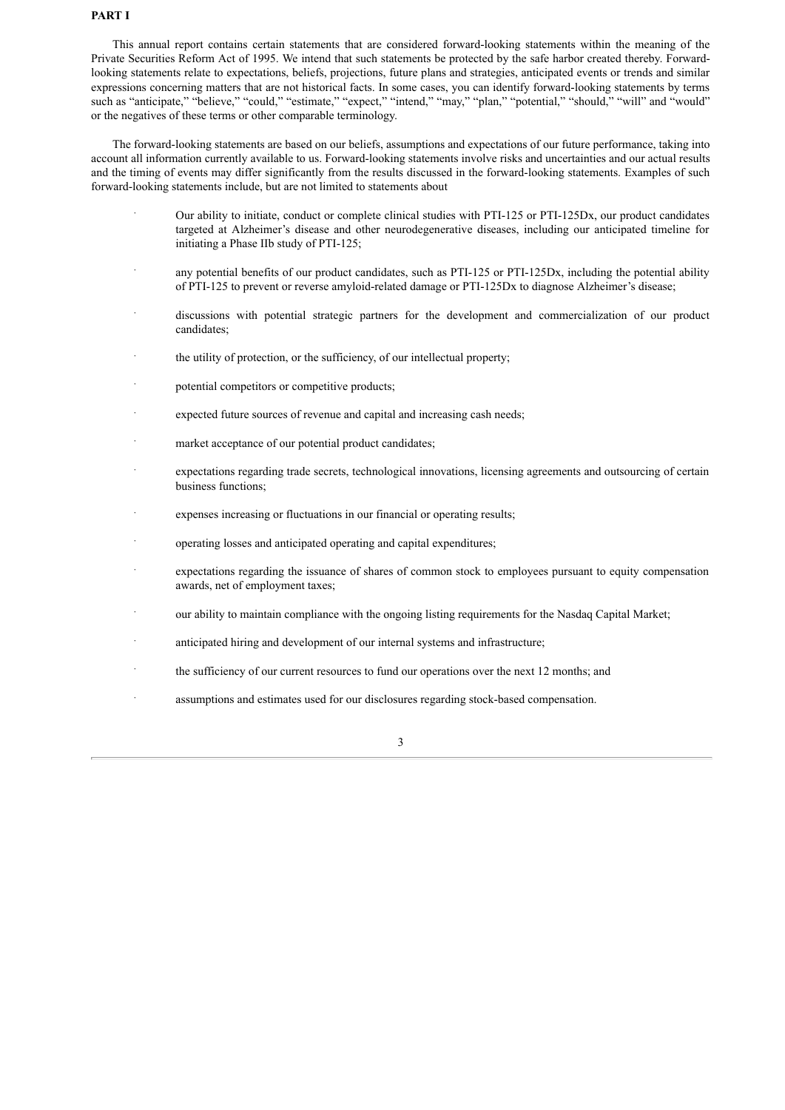#### **PART I**

This annual report contains certain statements that are considered forward-looking statements within the meaning of the Private Securities Reform Act of 1995. We intend that such statements be protected by the safe harbor created thereby. Forwardlooking statements relate to expectations, beliefs, projections, future plans and strategies, anticipated events or trends and similar expressions concerning matters that are not historical facts. In some cases, you can identify forward-looking statements by terms such as "anticipate," "believe," "could," "estimate," "expect," "intend," "may," "plan," "potential," "should," "will" and "would" or the negatives of these terms or other comparable terminology.

The forward-looking statements are based on our beliefs, assumptions and expectations of our future performance, taking into account all information currently available to us. Forward-looking statements involve risks and uncertainties and our actual results and the timing of events may differ significantly from the results discussed in the forward-looking statements. Examples of such forward-looking statements include, but are not limited to statements about

- · Our ability to initiate, conduct or complete clinical studies with PTI-125 or PTI-125Dx, our product candidates targeted at Alzheimer's disease and other neurodegenerative diseases, including our anticipated timeline for initiating a Phase IIb study of PTI-125;
- any potential benefits of our product candidates, such as PTI-125 or PTI-125Dx, including the potential ability of PTI-125 to prevent or reverse amyloid-related damage or PTI-125Dx to diagnose Alzheimer's disease;
- · discussions with potential strategic partners for the development and commercialization of our product candidates;
- the utility of protection, or the sufficiency, of our intellectual property;
- · potential competitors or competitive products;
- expected future sources of revenue and capital and increasing cash needs;
- · market acceptance of our potential product candidates;
- expectations regarding trade secrets, technological innovations, licensing agreements and outsourcing of certain business functions;
- expenses increasing or fluctuations in our financial or operating results;
- · operating losses and anticipated operating and capital expenditures;
- expectations regarding the issuance of shares of common stock to employees pursuant to equity compensation awards, net of employment taxes;
- · our ability to maintain compliance with the ongoing listing requirements for the Nasdaq Capital Market;
- anticipated hiring and development of our internal systems and infrastructure;
- · the sufficiency of our current resources to fund our operations over the next 12 months; and
- · assumptions and estimates used for our disclosures regarding stock-based compensation.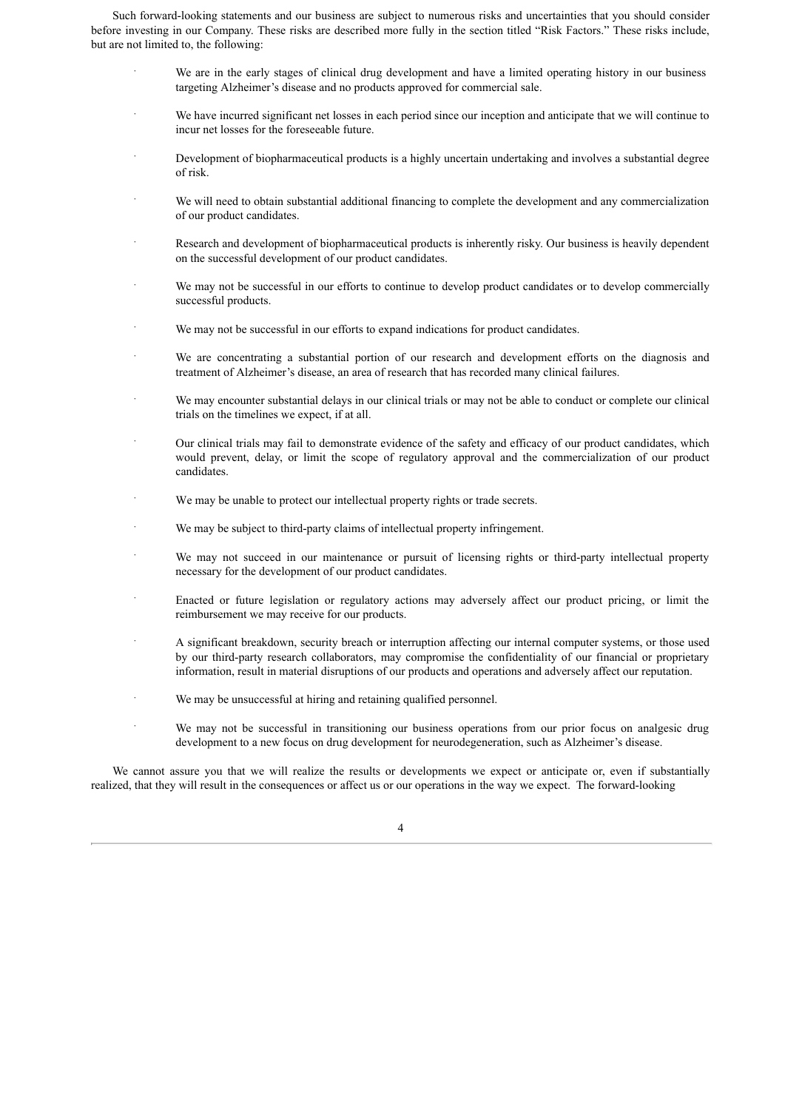Such forward-looking statements and our business are subject to numerous risks and uncertainties that you should consider before investing in our Company. These risks are described more fully in the section titled "Risk Factors." These risks include, but are not limited to, the following:

- We are in the early stages of clinical drug development and have a limited operating history in our business targeting Alzheimer's disease and no products approved for commercial sale.
- We have incurred significant net losses in each period since our inception and anticipate that we will continue to incur net losses for the foreseeable future.
- Development of biopharmaceutical products is a highly uncertain undertaking and involves a substantial degree of risk.
- We will need to obtain substantial additional financing to complete the development and any commercialization of our product candidates.
- Research and development of biopharmaceutical products is inherently risky. Our business is heavily dependent on the successful development of our product candidates.
- We may not be successful in our efforts to continue to develop product candidates or to develop commercially successful products.
- We may not be successful in our efforts to expand indications for product candidates.
- We are concentrating a substantial portion of our research and development efforts on the diagnosis and treatment of Alzheimer's disease, an area of research that has recorded many clinical failures.
- We may encounter substantial delays in our clinical trials or may not be able to conduct or complete our clinical trials on the timelines we expect, if at all.
- Our clinical trials may fail to demonstrate evidence of the safety and efficacy of our product candidates, which would prevent, delay, or limit the scope of regulatory approval and the commercialization of our product candidates.
- We may be unable to protect our intellectual property rights or trade secrets.
- We may be subject to third-party claims of intellectual property infringement.
- We may not succeed in our maintenance or pursuit of licensing rights or third-party intellectual property necessary for the development of our product candidates.
- Enacted or future legislation or regulatory actions may adversely affect our product pricing, or limit the reimbursement we may receive for our products.
- · A significant breakdown, security breach or interruption affecting our internal computer systems, or those used by our third-party research collaborators, may compromise the confidentiality of our financial or proprietary information, result in material disruptions of our products and operations and adversely affect our reputation.
- · We may be unsuccessful at hiring and retaining qualified personnel.
- We may not be successful in transitioning our business operations from our prior focus on analgesic drug development to a new focus on drug development for neurodegeneration, such as Alzheimer's disease.

We cannot assure you that we will realize the results or developments we expect or anticipate or, even if substantially realized, that they will result in the consequences or affect us or our operations in the way we expect. The forward-looking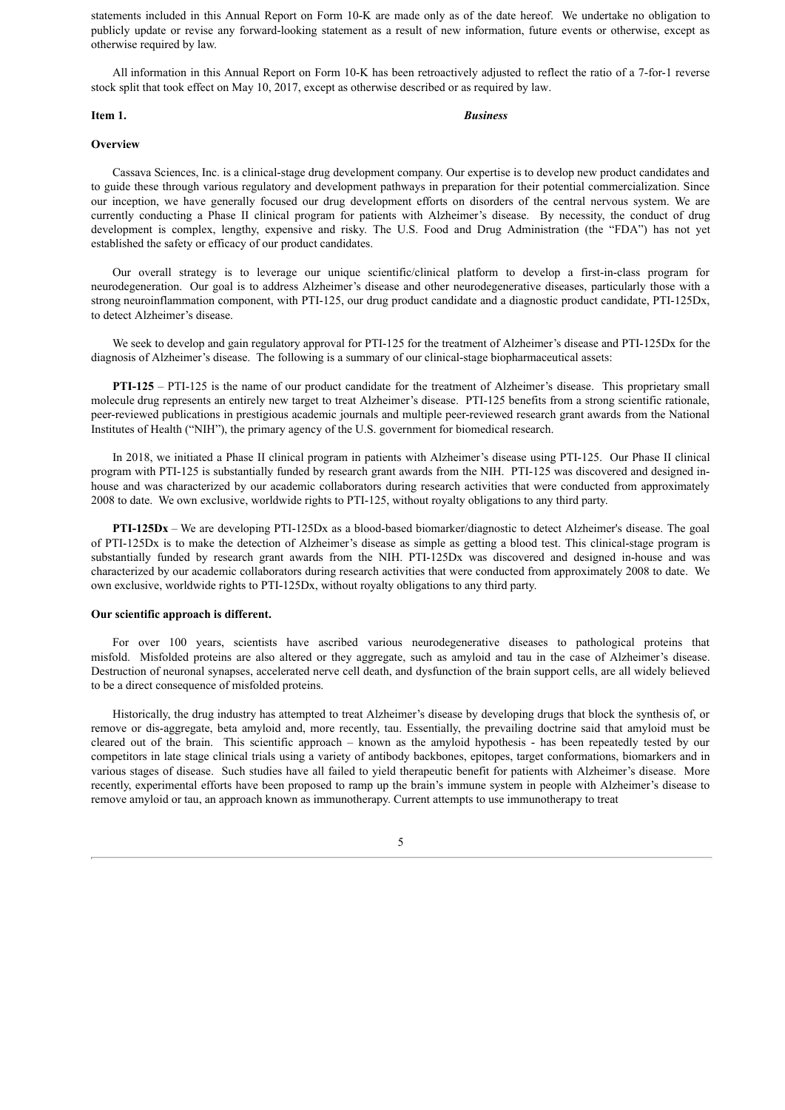statements included in this Annual Report on Form 10-K are made only as of the date hereof. We undertake no obligation to publicly update or revise any forward-looking statement as a result of new information, future events or otherwise, except as otherwise required by law.

All information in this Annual Report on Form 10-K has been retroactively adjusted to reflect the ratio of a 7-for-1 reverse stock split that took effect on May 10, 2017, except as otherwise described or as required by law.

#### <span id="page-4-0"></span>**Item 1.** *Business*

#### **Overview**

Cassava Sciences, Inc. is a clinical-stage drug development company. Our expertise is to develop new product candidates and to guide these through various regulatory and development pathways in preparation for their potential commercialization. Since our inception, we have generally focused our drug development efforts on disorders of the central nervous system. We are currently conducting a Phase II clinical program for patients with Alzheimer's disease. By necessity, the conduct of drug development is complex, lengthy, expensive and risky. The U.S. Food and Drug Administration (the "FDA") has not yet established the safety or efficacy of our product candidates.

Our overall strategy is to leverage our unique scientific/clinical platform to develop a first-in-class program for neurodegeneration. Our goal is to address Alzheimer's disease and other neurodegenerative diseases, particularly those with a strong neuroinflammation component, with PTI-125, our drug product candidate and a diagnostic product candidate, PTI-125Dx, to detect Alzheimer's disease.

We seek to develop and gain regulatory approval for PTI-125 for the treatment of Alzheimer's disease and PTI-125Dx for the diagnosis of Alzheimer's disease. The following is a summary of our clinical-stage biopharmaceutical assets:

**PTI-125** – PTI-125 is the name of our product candidate for the treatment of Alzheimer's disease. This proprietary small molecule drug represents an entirely new target to treat Alzheimer's disease. PTI-125 benefits from a strong scientific rationale, peer-reviewed publications in prestigious academic journals and multiple peer-reviewed research grant awards from the National Institutes of Health ("NIH"), the primary agency of the U.S. government for biomedical research.

In 2018, we initiated a Phase II clinical program in patients with Alzheimer's disease using PTI-125. Our Phase II clinical program with PTI-125 is substantially funded by research grant awards from the NIH. PTI-125 was discovered and designed inhouse and was characterized by our academic collaborators during research activities that were conducted from approximately 2008 to date. We own exclusive, worldwide rights to PTI-125, without royalty obligations to any third party.

**PTI-125Dx** – We are developing PTI-125Dx as a blood-based biomarker/diagnostic to detect Alzheimer's disease. The goal of PTI-125Dx is to make the detection of Alzheimer's disease as simple as getting a blood test. This clinical-stage program is substantially funded by research grant awards from the NIH. PTI-125Dx was discovered and designed in-house and was characterized by our academic collaborators during research activities that were conducted from approximately 2008 to date. We own exclusive, worldwide rights to PTI-125Dx, without royalty obligations to any third party.

#### **Our scientific approach is different.**

For over 100 years, scientists have ascribed various neurodegenerative diseases to pathological proteins that misfold. Misfolded proteins are also altered or they aggregate, such as amyloid and tau in the case of Alzheimer's disease. Destruction of neuronal synapses, accelerated nerve cell death, and dysfunction of the brain support cells, are all widely believed to be a direct consequence of misfolded proteins.

Historically, the drug industry has attempted to treat Alzheimer's disease by developing drugs that block the synthesis of, or remove or dis-aggregate, beta amyloid and, more recently, tau. Essentially, the prevailing doctrine said that amyloid must be cleared out of the brain. This scientific approach – known as the amyloid hypothesis - has been repeatedly tested by our competitors in late stage clinical trials using a variety of antibody backbones, epitopes, target conformations, biomarkers and in various stages of disease. Such studies have all failed to yield therapeutic benefit for patients with Alzheimer's disease. More recently, experimental efforts have been proposed to ramp up the brain's immune system in people with Alzheimer's disease to remove amyloid or tau, an approach known as immunotherapy. Current attempts to use immunotherapy to treat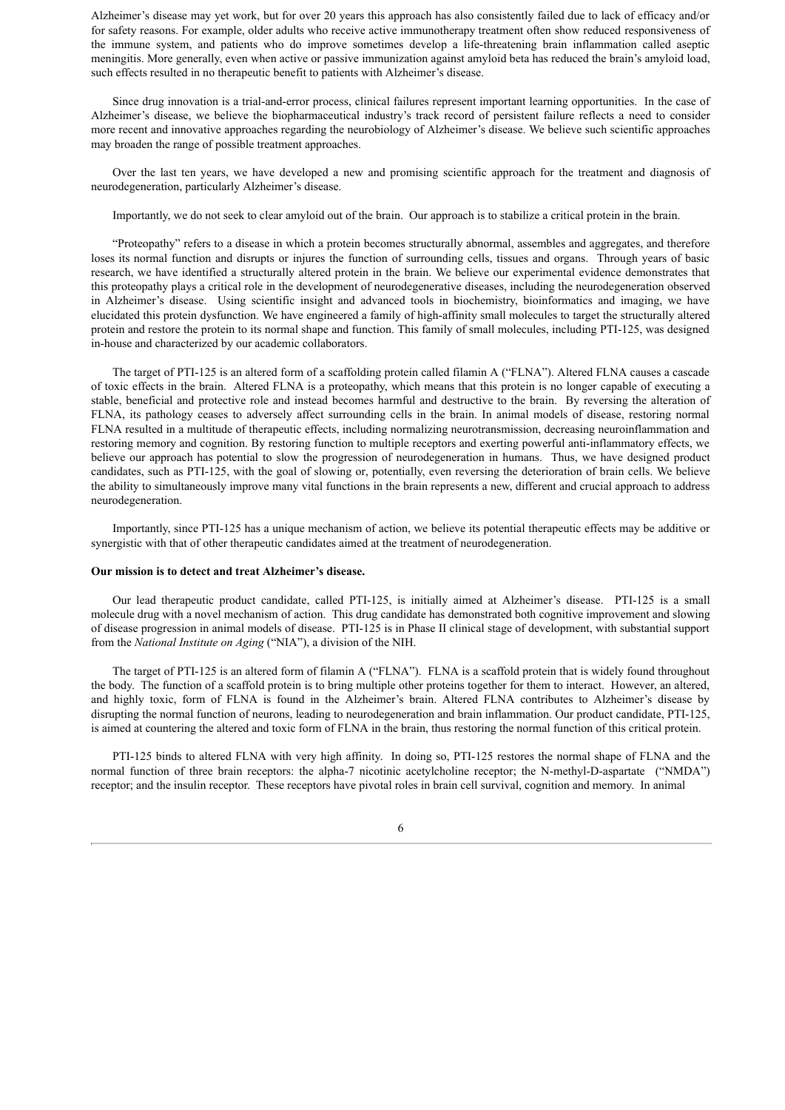Alzheimer's disease may yet work, but for over 20 years this approach has also consistently failed due to lack of efficacy and/or for safety reasons. For example, older adults who receive active immunotherapy treatment often show reduced responsiveness of the immune system, and patients who do improve sometimes develop a life-threatening brain inflammation called aseptic meningitis. More generally, even when active or passive immunization against amyloid beta has reduced the brain's amyloid load, such effects resulted in no therapeutic benefit to patients with Alzheimer's disease.

Since drug innovation is a trial-and-error process, clinical failures represent important learning opportunities. In the case of Alzheimer's disease, we believe the biopharmaceutical industry's track record of persistent failure reflects a need to consider more recent and innovative approaches regarding the neurobiology of Alzheimer's disease. We believe such scientific approaches may broaden the range of possible treatment approaches.

Over the last ten years, we have developed a new and promising scientific approach for the treatment and diagnosis of neurodegeneration, particularly Alzheimer's disease.

Importantly, we do not seek to clear amyloid out of the brain. Our approach is to stabilize a critical protein in the brain.

"Proteopathy" refers to a disease in which a protein becomes structurally abnormal, assembles and aggregates, and therefore loses its normal function and disrupts or injures the function of surrounding cells, tissues and organs. Through years of basic research, we have identified a structurally altered protein in the brain. We believe our experimental evidence demonstrates that this proteopathy plays a critical role in the development of neurodegenerative diseases, including the neurodegeneration observed in Alzheimer's disease. Using scientific insight and advanced tools in biochemistry, bioinformatics and imaging, we have elucidated this protein dysfunction. We have engineered a family of high-affinity small molecules to target the structurally altered protein and restore the protein to its normal shape and function. This family of small molecules, including PTI-125, was designed in-house and characterized by our academic collaborators.

The target of PTI-125 is an altered form of a scaffolding protein called filamin A ("FLNA"). Altered FLNA causes a cascade of toxic effects in the brain. Altered FLNA is a proteopathy, which means that this protein is no longer capable of executing a stable, beneficial and protective role and instead becomes harmful and destructive to the brain. By reversing the alteration of FLNA, its pathology ceases to adversely affect surrounding cells in the brain. In animal models of disease, restoring normal FLNA resulted in a multitude of therapeutic effects, including normalizing neurotransmission, decreasing neuroinflammation and restoring memory and cognition. By restoring function to multiple receptors and exerting powerful anti-inflammatory effects, we believe our approach has potential to slow the progression of neurodegeneration in humans. Thus, we have designed product candidates, such as PTI-125, with the goal of slowing or, potentially, even reversing the deterioration of brain cells. We believe the ability to simultaneously improve many vital functions in the brain represents a new, different and crucial approach to address neurodegeneration.

Importantly, since PTI-125 has a unique mechanism of action, we believe its potential therapeutic effects may be additive or synergistic with that of other therapeutic candidates aimed at the treatment of neurodegeneration.

#### **Our mission is to detect and treat Alzheimer's disease.**

Our lead therapeutic product candidate, called PTI-125, is initially aimed at Alzheimer's disease. PTI-125 is a small molecule drug with a novel mechanism of action. This drug candidate has demonstrated both cognitive improvement and slowing of disease progression in animal models of disease. PTI-125 is in Phase II clinical stage of development, with substantial support from the *National Institute on Aging* ("NIA"), a division of the NIH.

The target of PTI-125 is an altered form of filamin A ("FLNA"). FLNA is a scaffold protein that is widely found throughout the body. The function of a scaffold protein is to bring multiple other proteins together for them to interact. However, an altered, and highly toxic, form of FLNA is found in the Alzheimer's brain. Altered FLNA contributes to Alzheimer's disease by disrupting the normal function of neurons, leading to neurodegeneration and brain inflammation. Our product candidate, PTI-125, is aimed at countering the altered and toxic form of FLNA in the brain, thus restoring the normal function of this critical protein.

PTI-125 binds to altered FLNA with very high affinity. In doing so, PTI-125 restores the normal shape of FLNA and the normal function of three brain receptors: the alpha-7 nicotinic acetylcholine receptor; the N-methyl-D-aspartate ("NMDA") receptor; and the insulin receptor. These receptors have pivotal roles in brain cell survival, cognition and memory. In animal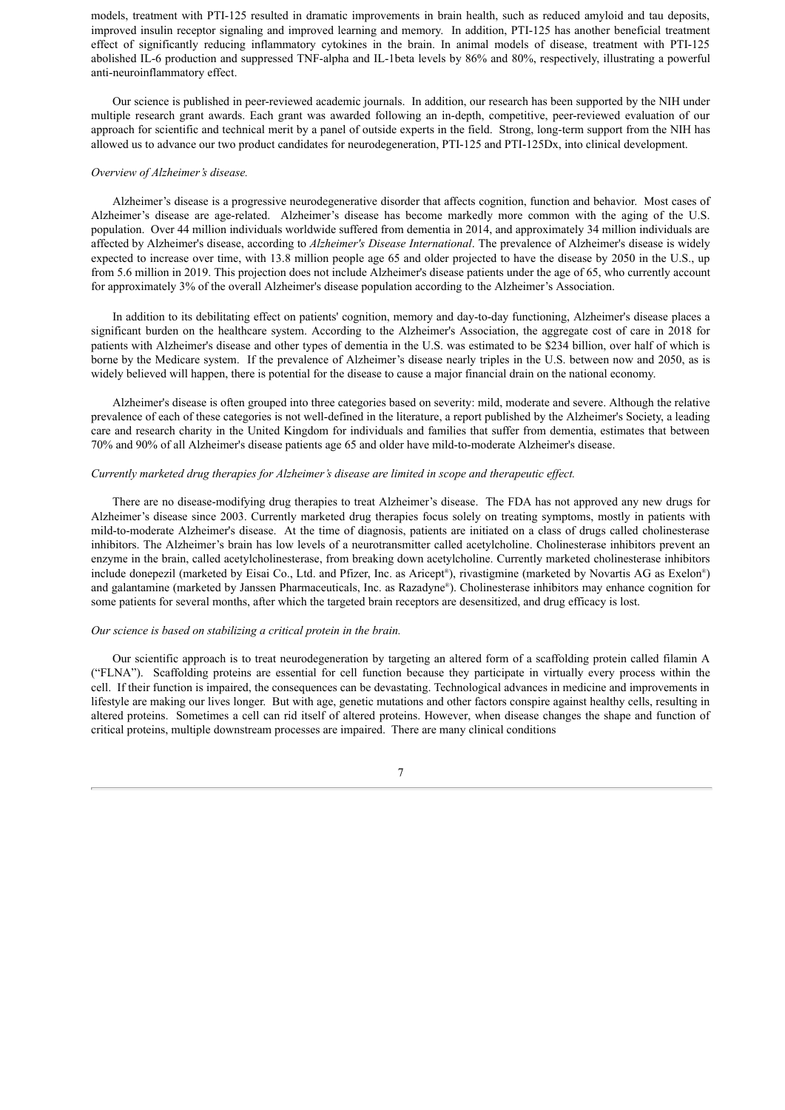models, treatment with PTI-125 resulted in dramatic improvements in brain health, such as reduced amyloid and tau deposits, improved insulin receptor signaling and improved learning and memory. In addition, PTI-125 has another beneficial treatment effect of significantly reducing inflammatory cytokines in the brain. In animal models of disease, treatment with PTI-125 abolished IL-6 production and suppressed TNF-alpha and IL-1beta levels by 86% and 80%, respectively, illustrating a powerful anti-neuroinflammatory effect.

Our science is published in peer-reviewed academic journals. In addition, our research has been supported by the NIH under multiple research grant awards. Each grant was awarded following an in-depth, competitive, peer-reviewed evaluation of our approach for scientific and technical merit by a panel of outside experts in the field. Strong, long-term support from the NIH has allowed us to advance our two product candidates for neurodegeneration, PTI-125 and PTI-125Dx, into clinical development.

#### *Overview of Alzheimer's disease.*

Alzheimer's disease is a progressive neurodegenerative disorder that affects cognition, function and behavior. Most cases of Alzheimer's disease are age-related. Alzheimer's disease has become markedly more common with the aging of the U.S. population. Over 44 million individuals worldwide suffered from dementia in 2014, and approximately 34 million individuals are affected by Alzheimer's disease, according to *Alzheimer's Disease International*. The prevalence of Alzheimer's disease is widely expected to increase over time, with 13.8 million people age 65 and older projected to have the disease by 2050 in the U.S., up from 5.6 million in 2019. This projection does not include Alzheimer's disease patients under the age of 65, who currently account for approximately 3% of the overall Alzheimer's disease population according to the Alzheimer's Association.

In addition to its debilitating effect on patients' cognition, memory and day-to-day functioning, Alzheimer's disease places a significant burden on the healthcare system. According to the Alzheimer's Association, the aggregate cost of care in 2018 for patients with Alzheimer's disease and other types of dementia in the U.S. was estimated to be \$234 billion, over half of which is borne by the Medicare system. If the prevalence of Alzheimer's disease nearly triples in the U.S. between now and 2050, as is widely believed will happen, there is potential for the disease to cause a major financial drain on the national economy.

Alzheimer's disease is often grouped into three categories based on severity: mild, moderate and severe. Although the relative prevalence of each of these categories is not well-defined in the literature, a report published by the Alzheimer's Society, a leading care and research charity in the United Kingdom for individuals and families that suffer from dementia, estimates that between 70% and 90% of all Alzheimer's disease patients age 65 and older have mild-to-moderate Alzheimer's disease.

#### *Currently marketed drug therapies for Alzheimer's disease are limited in scope and therapeutic ef ect.*

There are no disease-modifying drug therapies to treat Alzheimer's disease. The FDA has not approved any new drugs for Alzheimer's disease since 2003. Currently marketed drug therapies focus solely on treating symptoms, mostly in patients with mild-to-moderate Alzheimer's disease. At the time of diagnosis, patients are initiated on a class of drugs called cholinesterase inhibitors. The Alzheimer's brain has low levels of a neurotransmitter called acetylcholine. Cholinesterase inhibitors prevent an enzyme in the brain, called acetylcholinesterase, from breaking down acetylcholine. Currently marketed cholinesterase inhibitors include donepezil (marketed by Eisai Co., Ltd. and Pfizer, Inc. as Aricept®), rivastigmine (marketed by Novartis AG as Exelon®) and galantamine (marketed by Janssen Pharmaceuticals, Inc. as Razadyne ® ). Cholinesterase inhibitors may enhance cognition for some patients for several months, after which the targeted brain receptors are desensitized, and drug efficacy is lost.

#### *Our science is based on stabilizing a critical protein in the brain.*

Our scientific approach is to treat neurodegeneration by targeting an altered form of a scaffolding protein called filamin A ("FLNA"). Scaffolding proteins are essential for cell function because they participate in virtually every process within the cell. If their function is impaired, the consequences can be devastating. Technological advances in medicine and improvements in lifestyle are making our lives longer. But with age, genetic mutations and other factors conspire against healthy cells, resulting in altered proteins. Sometimes a cell can rid itself of altered proteins. However, when disease changes the shape and function of critical proteins, multiple downstream processes are impaired. There are many clinical conditions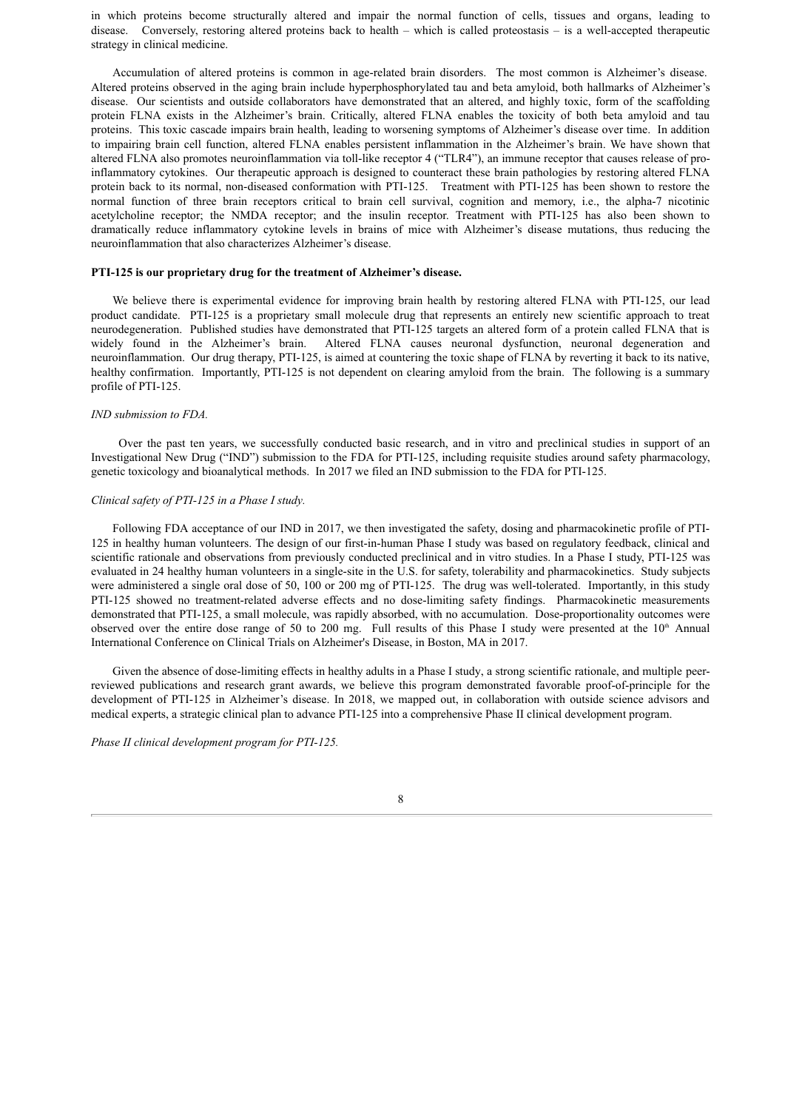in which proteins become structurally altered and impair the normal function of cells, tissues and organs, leading to disease. Conversely, restoring altered proteins back to health – which is called proteostasis – is a well-accepted therapeutic strategy in clinical medicine.

Accumulation of altered proteins is common in age-related brain disorders. The most common is Alzheimer's disease. Altered proteins observed in the aging brain include hyperphosphorylated tau and beta amyloid, both hallmarks of Alzheimer's disease. Our scientists and outside collaborators have demonstrated that an altered, and highly toxic, form of the scaffolding protein FLNA exists in the Alzheimer's brain. Critically, altered FLNA enables the toxicity of both beta amyloid and tau proteins. This toxic cascade impairs brain health, leading to worsening symptoms of Alzheimer's disease over time. In addition to impairing brain cell function, altered FLNA enables persistent inflammation in the Alzheimer's brain. We have shown that altered FLNA also promotes neuroinflammation via toll-like receptor 4 ("TLR4"), an immune receptor that causes release of proinflammatory cytokines. Our therapeutic approach is designed to counteract these brain pathologies by restoring altered FLNA protein back to its normal, non-diseased conformation with PTI-125. Treatment with PTI-125 has been shown to restore the normal function of three brain receptors critical to brain cell survival, cognition and memory, i.e., the alpha-7 nicotinic acetylcholine receptor; the NMDA receptor; and the insulin receptor. Treatment with PTI-125 has also been shown to dramatically reduce inflammatory cytokine levels in brains of mice with Alzheimer's disease mutations, thus reducing the neuroinflammation that also characterizes Alzheimer's disease.

#### **PTI-125 is our proprietary drug for the treatment of Alzheimer's disease.**

We believe there is experimental evidence for improving brain health by restoring altered FLNA with PTI-125, our lead product candidate. PTI-125 is a proprietary small molecule drug that represents an entirely new scientific approach to treat neurodegeneration. Published studies have demonstrated that PTI-125 targets an altered form of a protein called FLNA that is widely found in the Alzheimer's brain. Altered FLNA causes neuronal dysfunction, neuronal degeneration and neuroinflammation. Our drug therapy, PTI-125, is aimed at countering the toxic shape of FLNA by reverting it back to its native, healthy confirmation. Importantly, PTI-125 is not dependent on clearing amyloid from the brain. The following is a summary profile of PTI-125.

#### *IND submission to FDA.*

Over the past ten years, we successfully conducted basic research, and in vitro and preclinical studies in support of an Investigational New Drug ("IND") submission to the FDA for PTI-125, including requisite studies around safety pharmacology, genetic toxicology and bioanalytical methods. In 2017 we filed an IND submission to the FDA for PTI-125.

#### *Clinical safety of PTI-125 in a Phase I study.*

Following FDA acceptance of our IND in 2017, we then investigated the safety, dosing and pharmacokinetic profile of PTI-125 in healthy human volunteers. The design of our first-in-human Phase I study was based on regulatory feedback, clinical and scientific rationale and observations from previously conducted preclinical and in vitro studies. In a Phase I study, PTI-125 was evaluated in 24 healthy human volunteers in a single-site in the U.S. for safety, tolerability and pharmacokinetics. Study subjects were administered a single oral dose of 50, 100 or 200 mg of PTI-125. The drug was well-tolerated. Importantly, in this study PTI-125 showed no treatment-related adverse effects and no dose-limiting safety findings. Pharmacokinetic measurements demonstrated that PTI-125, a small molecule, was rapidly absorbed, with no accumulation. Dose-proportionality outcomes were observed over the entire dose range of 50 to 200 mg. Full results of this Phase I study were presented at the  $10<sup>th</sup>$  Annual International Conference on Clinical Trials on Alzheimer's Disease, in Boston, MA in 2017.

Given the absence of dose-limiting effects in healthy adults in a Phase I study, a strong scientific rationale, and multiple peerreviewed publications and research grant awards, we believe this program demonstrated favorable proof-of-principle for the development of PTI-125 in Alzheimer's disease. In 2018, we mapped out, in collaboration with outside science advisors and medical experts, a strategic clinical plan to advance PTI-125 into a comprehensive Phase II clinical development program.

*Phase II clinical development program for PTI-125.*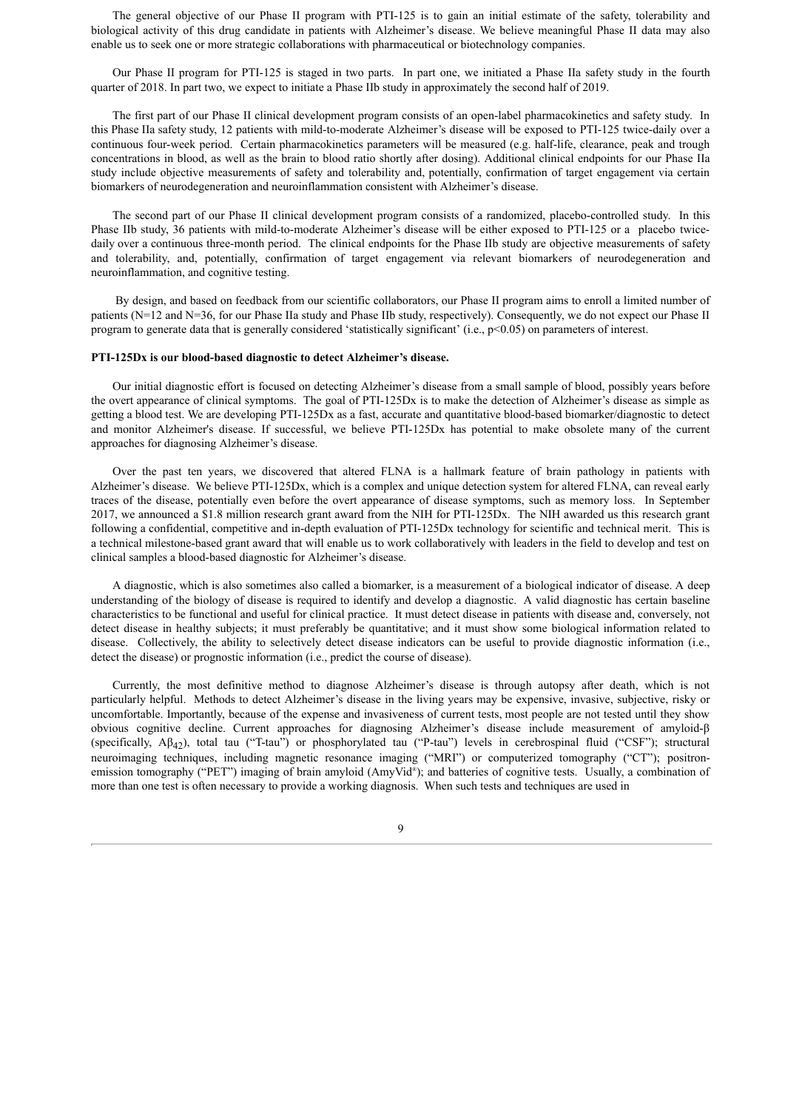The general objective of our Phase II program with PTI-125 is to gain an initial estimate of the safety, tolerability and biological activity of this drug candidate in patients with Alzheimer's disease. We believe meaningful Phase II data may also enable us to seek one or more strategic collaborations with pharmaceutical or biotechnology companies.

Our Phase II program for PTI-125 is staged in two parts. In part one, we initiated a Phase IIa safety study in the fourth quarter of 2018. In part two, we expect to initiate a Phase IIb study in approximately the second half of 2019.

The first part of our Phase II clinical development program consists of an open-label pharmacokinetics and safety study. In this Phase IIa safety study, 12 patients with mild-to-moderate Alzheimer's disease will be exposed to PTI-125 twice-daily over a continuous four-week period. Certain pharmacokinetics parameters will be measured (e.g. half-life, clearance, peak and trough concentrations in blood, as well as the brain to blood ratio shortly after dosing). Additional clinical endpoints for our Phase IIa study include objective measurements of safety and tolerability and, potentially, confirmation of target engagement via certain biomarkers of neurodegeneration and neuroinflammation consistent with Alzheimer's disease.

The second part of our Phase II clinical development program consists of a randomized, placebo-controlled study. In this Phase IIb study, 36 patients with mild-to-moderate Alzheimer's disease will be either exposed to PTI-125 or a placebo twicedaily over a continuous three-month period. The clinical endpoints for the Phase IIb study are objective measurements of safety and tolerability, and, potentially, confirmation of target engagement via relevant biomarkers of neurodegeneration and neuroinflammation, and cognitive testing.

By design, and based on feedback from our scientific collaborators, our Phase II program aims to enroll a limited number of patients (N=12 and N=36, for our Phase IIa study and Phase IIb study, respectively). Consequently, we do not expect our Phase II program to generate data that is generally considered 'statistically significant' (i.e., p<0.05) on parameters of interest.

#### **PTI-125Dx is our blood-based diagnostic to detect Alzheimer's disease.**

Our initial diagnostic effort is focused on detecting Alzheimer's disease from a small sample of blood, possibly years before the overt appearance of clinical symptoms. The goal of PTI-125Dx is to make the detection of Alzheimer's disease as simple as getting a blood test. We are developing PTI-125Dx as a fast, accurate and quantitative blood-based biomarker/diagnostic to detect and monitor Alzheimer's disease. If successful, we believe PTI-125Dx has potential to make obsolete many of the current approaches for diagnosing Alzheimer's disease.

Over the past ten years, we discovered that altered FLNA is a hallmark feature of brain pathology in patients with Alzheimer's disease. We believe PTI-125Dx, which is a complex and unique detection system for altered FLNA, can reveal early traces of the disease, potentially even before the overt appearance of disease symptoms, such as memory loss. In September 2017, we announced a \$1.8 million research grant award from the NIH for PTI-125Dx. The NIH awarded us this research grant following a confidential, competitive and in-depth evaluation of PTI-125Dx technology for scientific and technical merit. This is a technical milestone-based grant award that will enable us to work collaboratively with leaders in the field to develop and test on clinical samples a blood-based diagnostic for Alzheimer's disease.

A diagnostic, which is also sometimes also called a biomarker, is a measurement of a biological indicator of disease. A deep understanding of the biology of disease is required to identify and develop a diagnostic. A valid diagnostic has certain baseline characteristics to be functional and useful for clinical practice. It must detect disease in patients with disease and, conversely, not detect disease in healthy subjects; it must preferably be quantitative; and it must show some biological information related to disease. Collectively, the ability to selectively detect disease indicators can be useful to provide diagnostic information (i.e., detect the disease) or prognostic information (i.e., predict the course of disease).

Currently, the most definitive method to diagnose Alzheimer's disease is through autopsy after death, which is not particularly helpful. Methods to detect Alzheimer's disease in the living years may be expensive, invasive, subjective, risky or uncomfortable. Importantly, because of the expense and invasiveness of current tests, most people are not tested until they show obvious cognitive decline. Current approaches for diagnosing Alzheimer's disease include measurement of amyloid-β (specifically, Aβ<sup>42</sup> ), total tau ("T-tau") or phosphorylated tau ("P-tau") levels in cerebrospinal fluid ("CSF"); structural neuroimaging techniques, including magnetic resonance imaging ("MRI") or computerized tomography ("CT"); positronemission tomography ("PET") imaging of brain amyloid (AmyVid<sup>®</sup>); and batteries of cognitive tests. Usually, a combination of more than one test is often necessary to provide a working diagnosis. When such tests and techniques are used in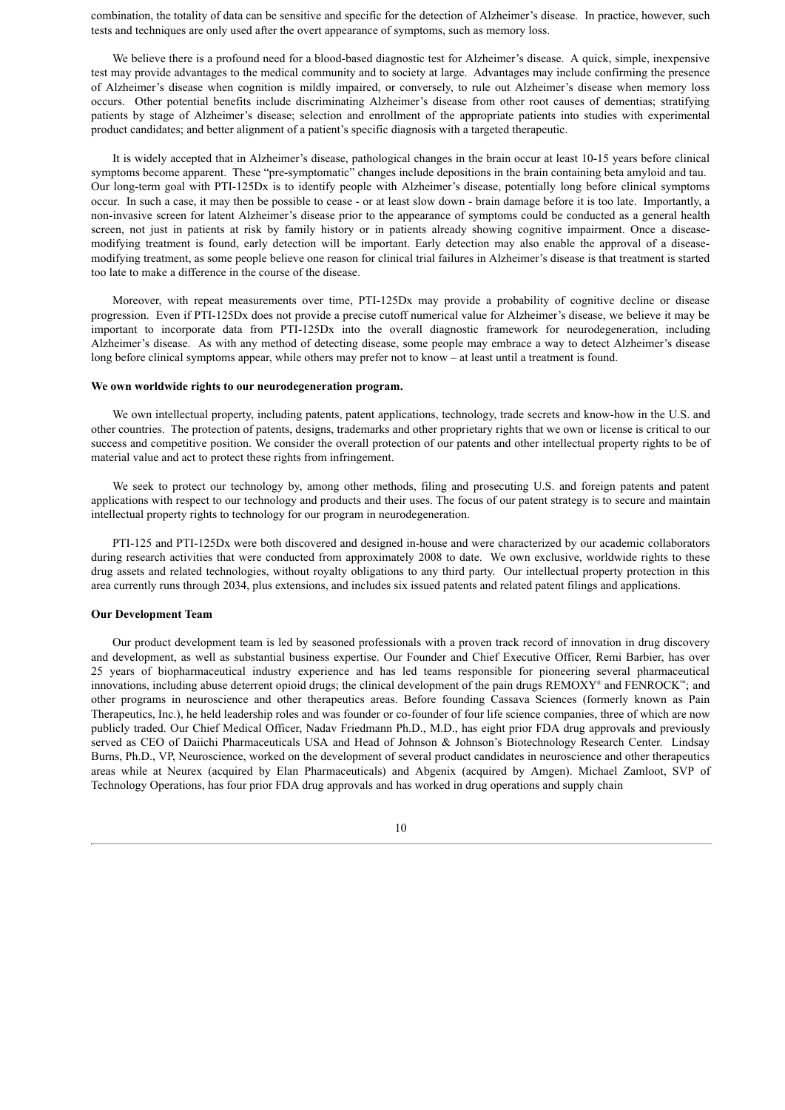combination, the totality of data can be sensitive and specific for the detection of Alzheimer's disease. In practice, however, such tests and techniques are only used after the overt appearance of symptoms, such as memory loss.

We believe there is a profound need for a blood-based diagnostic test for Alzheimer's disease. A quick, simple, inexpensive test may provide advantages to the medical community and to society at large. Advantages may include confirming the presence of Alzheimer's disease when cognition is mildly impaired, or conversely, to rule out Alzheimer's disease when memory loss occurs. Other potential benefits include discriminating Alzheimer's disease from other root causes of dementias; stratifying patients by stage of Alzheimer's disease; selection and enrollment of the appropriate patients into studies with experimental product candidates; and better alignment of a patient's specific diagnosis with a targeted therapeutic.

It is widely accepted that in Alzheimer's disease, pathological changes in the brain occur at least 10-15 years before clinical symptoms become apparent. These "pre-symptomatic" changes include depositions in the brain containing beta amyloid and tau. Our long-term goal with PTI-125Dx is to identify people with Alzheimer's disease, potentially long before clinical symptoms occur. In such a case, it may then be possible to cease - or at least slow down - brain damage before it is too late. Importantly, a non-invasive screen for latent Alzheimer's disease prior to the appearance of symptoms could be conducted as a general health screen, not just in patients at risk by family history or in patients already showing cognitive impairment. Once a diseasemodifying treatment is found, early detection will be important. Early detection may also enable the approval of a diseasemodifying treatment, as some people believe one reason for clinical trial failures in Alzheimer's disease is that treatment is started too late to make a difference in the course of the disease.

Moreover, with repeat measurements over time, PTI-125Dx may provide a probability of cognitive decline or disease progression. Even if PTI-125Dx does not provide a precise cutoff numerical value for Alzheimer's disease, we believe it may be important to incorporate data from PTI-125Dx into the overall diagnostic framework for neurodegeneration, including Alzheimer's disease. As with any method of detecting disease, some people may embrace a way to detect Alzheimer's disease long before clinical symptoms appear, while others may prefer not to know – at least until a treatment is found.

# **We own worldwide rights to our neurodegeneration program.**

We own intellectual property, including patents, patent applications, technology, trade secrets and know-how in the U.S. and other countries. The protection of patents, designs, trademarks and other proprietary rights that we own or license is critical to our success and competitive position. We consider the overall protection of our patents and other intellectual property rights to be of material value and act to protect these rights from infringement.

We seek to protect our technology by, among other methods, filing and prosecuting U.S. and foreign patents and patent applications with respect to our technology and products and their uses. The focus of our patent strategy is to secure and maintain intellectual property rights to technology for our program in neurodegeneration.

PTI-125 and PTI-125Dx were both discovered and designed in-house and were characterized by our academic collaborators during research activities that were conducted from approximately 2008 to date. We own exclusive, worldwide rights to these drug assets and related technologies, without royalty obligations to any third party. Our intellectual property protection in this area currently runs through 2034, plus extensions, and includes six issued patents and related patent filings and applications.

#### **Our Development Team**

Our product development team is led by seasoned professionals with a proven track record of innovation in drug discovery and development, as well as substantial business expertise. Our Founder and Chief Executive Officer, Remi Barbier, has over 25 years of biopharmaceutical industry experience and has led teams responsible for pioneering several pharmaceutical innovations, including abuse deterrent opioid drugs; the clinical development of the pain drugs  $REMOXY<sup>®</sup> and  $FENROCK^{\omega}$ ; and$ other programs in neuroscience and other therapeutics areas. Before founding Cassava Sciences (formerly known as Pain Therapeutics, Inc.), he held leadership roles and was founder or co-founder of four life science companies, three of which are now publicly traded. Our Chief Medical Officer, Nadav Friedmann Ph.D., M.D., has eight prior FDA drug approvals and previously served as CEO of Daiichi Pharmaceuticals USA and Head of Johnson & Johnson's Biotechnology Research Center. Lindsay Burns, Ph.D., VP, Neuroscience, worked on the development of several product candidates in neuroscience and other therapeutics areas while at Neurex (acquired by Elan Pharmaceuticals) and Abgenix (acquired by Amgen). Michael Zamloot, SVP of Technology Operations, has four prior FDA drug approvals and has worked in drug operations and supply chain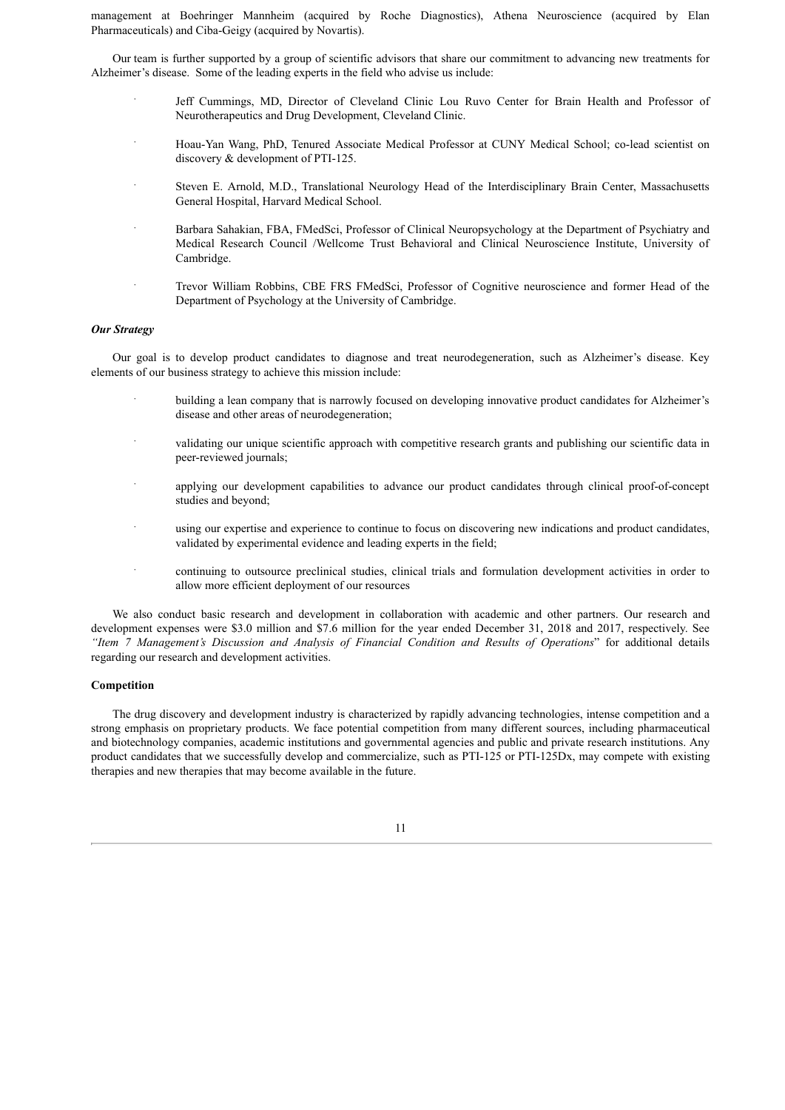management at Boehringer Mannheim (acquired by Roche Diagnostics), Athena Neuroscience (acquired by Elan Pharmaceuticals) and Ciba-Geigy (acquired by Novartis).

Our team is further supported by a group of scientific advisors that share our commitment to advancing new treatments for Alzheimer's disease. Some of the leading experts in the field who advise us include:

- Jeff Cummings, MD, Director of Cleveland Clinic Lou Ruvo Center for Brain Health and Professor of Neurotherapeutics and Drug Development, Cleveland Clinic.
- · Hoau-Yan Wang, PhD, Tenured Associate Medical Professor at CUNY Medical School; co-lead scientist on discovery & development of PTI-125.
- Steven E. Arnold, M.D., Translational Neurology Head of the Interdisciplinary Brain Center, Massachusetts General Hospital, Harvard Medical School.
- · Barbara Sahakian, FBA, FMedSci, Professor of Clinical Neuropsychology at the Department of Psychiatry and Medical Research Council /Wellcome Trust Behavioral and Clinical Neuroscience Institute, University of Cambridge.
- · Trevor William Robbins, CBE FRS FMedSci, Professor of Cognitive neuroscience and former Head of the Department of Psychology at the University of Cambridge.

# *Our Strategy*

Our goal is to develop product candidates to diagnose and treat neurodegeneration, such as Alzheimer's disease. Key elements of our business strategy to achieve this mission include:

- · building a lean company that is narrowly focused on developing innovative product candidates for Alzheimer's disease and other areas of neurodegeneration;
- · validating our unique scientific approach with competitive research grants and publishing our scientific data in peer-reviewed journals;
- applying our development capabilities to advance our product candidates through clinical proof-of-concept studies and beyond;
- using our expertise and experience to continue to focus on discovering new indications and product candidates, validated by experimental evidence and leading experts in the field;
- · continuing to outsource preclinical studies, clinical trials and formulation development activities in order to allow more efficient deployment of our resources

We also conduct basic research and development in collaboration with academic and other partners. Our research and development expenses were \$3.0 million and \$7.6 million for the year ended December 31, 2018 and 2017, respectively. See *"Item 7 Management's Discussion and Analysis of Financial Condition and Results of Operations*" for additional details regarding our research and development activities.

#### **Competition**

The drug discovery and development industry is characterized by rapidly advancing technologies, intense competition and a strong emphasis on proprietary products. We face potential competition from many different sources, including pharmaceutical and biotechnology companies, academic institutions and governmental agencies and public and private research institutions. Any product candidates that we successfully develop and commercialize, such as PTI-125 or PTI-125Dx, may compete with existing therapies and new therapies that may become available in the future.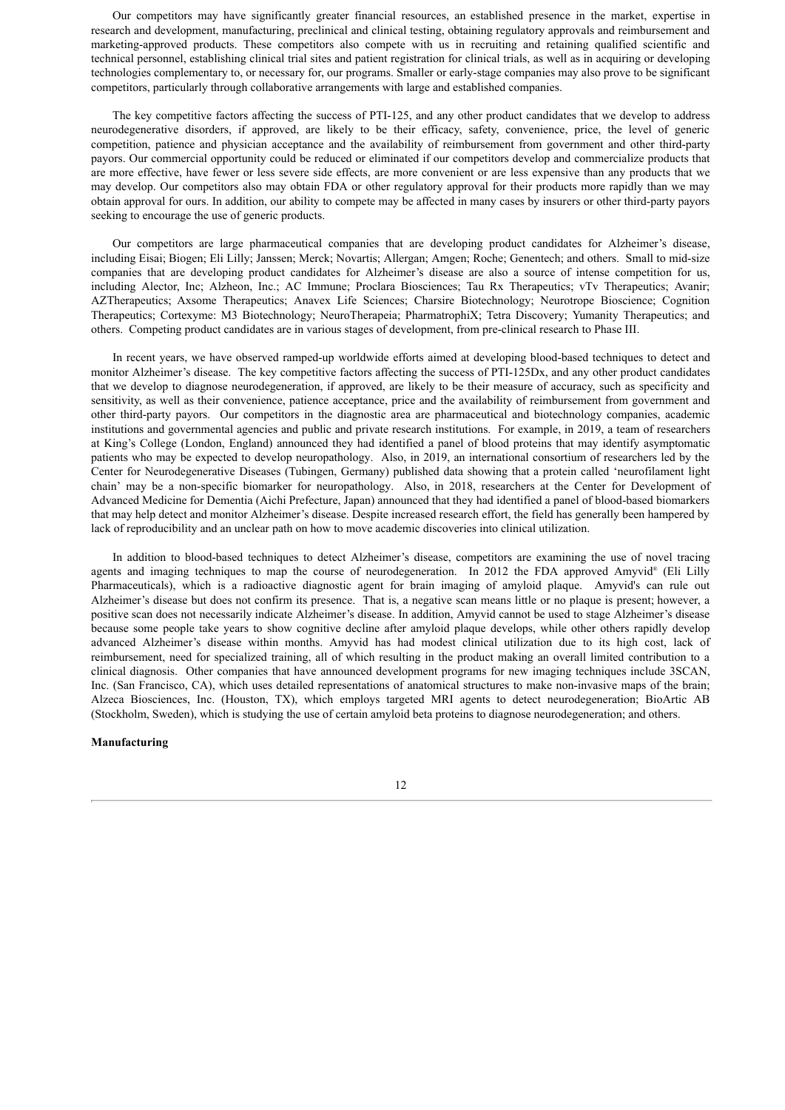Our competitors may have significantly greater financial resources, an established presence in the market, expertise in research and development, manufacturing, preclinical and clinical testing, obtaining regulatory approvals and reimbursement and marketing-approved products. These competitors also compete with us in recruiting and retaining qualified scientific and technical personnel, establishing clinical trial sites and patient registration for clinical trials, as well as in acquiring or developing technologies complementary to, or necessary for, our programs. Smaller or early-stage companies may also prove to be significant competitors, particularly through collaborative arrangements with large and established companies.

The key competitive factors affecting the success of PTI-125, and any other product candidates that we develop to address neurodegenerative disorders, if approved, are likely to be their efficacy, safety, convenience, price, the level of generic competition, patience and physician acceptance and the availability of reimbursement from government and other third-party payors. Our commercial opportunity could be reduced or eliminated if our competitors develop and commercialize products that are more effective, have fewer or less severe side effects, are more convenient or are less expensive than any products that we may develop. Our competitors also may obtain FDA or other regulatory approval for their products more rapidly than we may obtain approval for ours. In addition, our ability to compete may be affected in many cases by insurers or other third-party payors seeking to encourage the use of generic products.

Our competitors are large pharmaceutical companies that are developing product candidates for Alzheimer's disease, including Eisai; Biogen; Eli Lilly; Janssen; Merck; Novartis; Allergan; Amgen; Roche; Genentech; and others. Small to mid-size companies that are developing product candidates for Alzheimer's disease are also a source of intense competition for us, including Alector, Inc; Alzheon, Inc.; AC Immune; Proclara Biosciences; Tau Rx Therapeutics; vTv Therapeutics; Avanir; AZTherapeutics; Axsome Therapeutics; Anavex Life Sciences; Charsire Biotechnology; Neurotrope Bioscience; Cognition Therapeutics; Cortexyme: M3 Biotechnology; NeuroTherapeia; PharmatrophiX; Tetra Discovery; Yumanity Therapeutics; and others. Competing product candidates are in various stages of development, from pre-clinical research to Phase III.

In recent years, we have observed ramped-up worldwide efforts aimed at developing blood-based techniques to detect and monitor Alzheimer's disease. The key competitive factors affecting the success of PTI-125Dx, and any other product candidates that we develop to diagnose neurodegeneration, if approved, are likely to be their measure of accuracy, such as specificity and sensitivity, as well as their convenience, patience acceptance, price and the availability of reimbursement from government and other third-party payors. Our competitors in the diagnostic area are pharmaceutical and biotechnology companies, academic institutions and governmental agencies and public and private research institutions. For example, in 2019, a team of researchers at King's College (London, England) announced they had identified a panel of blood proteins that may identify asymptomatic patients who may be expected to develop neuropathology. Also, in 2019, an international consortium of researchers led by the Center for Neurodegenerative Diseases (Tubingen, Germany) published data showing that a protein called 'neurofilament light chain' may be a non-specific biomarker for neuropathology. Also, in 2018, researchers at the Center for Development of Advanced Medicine for Dementia (Aichi Prefecture, Japan) announced that they had identified a panel of blood-based biomarkers that may help detect and monitor Alzheimer's disease. Despite increased research effort, the field has generally been hampered by lack of reproducibility and an unclear path on how to move academic discoveries into clinical utilization.

In addition to blood-based techniques to detect Alzheimer's disease, competitors are examining the use of novel tracing agents and imaging techniques to map the course of neurodegeneration. In 2012 the FDA approved Amyvid<sup>®</sup> (Eli Lilly Pharmaceuticals), which is a radioactive diagnostic agent for brain imaging of amyloid plaque. Amyvid's can rule out Alzheimer's disease but does not confirm its presence. That is, a negative scan means little or no plaque is present; however, a positive scan does not necessarily indicate Alzheimer's disease. In addition, Amyvid cannot be used to stage Alzheimer's disease because some people take years to show cognitive decline after amyloid plaque develops, while other others rapidly develop advanced Alzheimer's disease within months. Amyvid has had modest clinical utilization due to its high cost, lack of reimbursement, need for specialized training, all of which resulting in the product making an overall limited contribution to a clinical diagnosis. Other companies that have announced development programs for new imaging techniques include 3SCAN, Inc. (San Francisco, CA), which uses detailed representations of anatomical structures to make non-invasive maps of the brain; Alzeca Biosciences, Inc. (Houston, TX), which employs targeted MRI agents to detect neurodegeneration; BioArtic AB (Stockholm, Sweden), which is studying the use of certain amyloid beta proteins to diagnose neurodegeneration; and others.

#### **Manufacturing**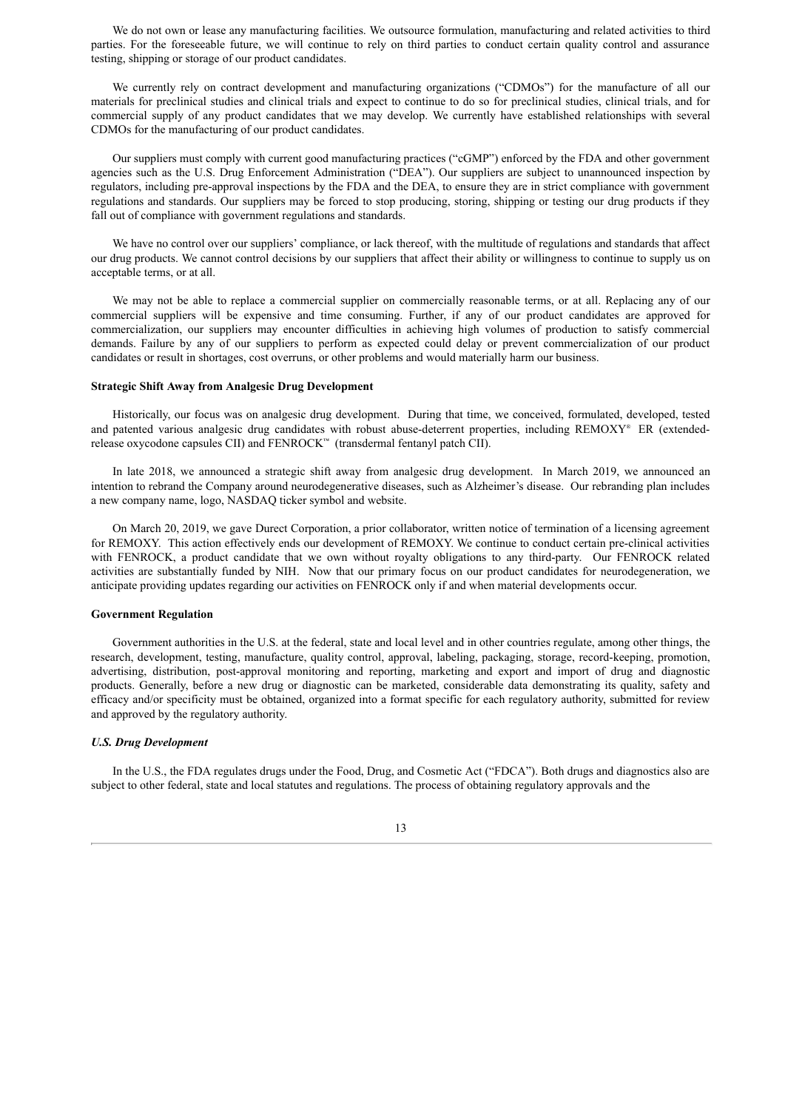We do not own or lease any manufacturing facilities. We outsource formulation, manufacturing and related activities to third parties. For the foreseeable future, we will continue to rely on third parties to conduct certain quality control and assurance testing, shipping or storage of our product candidates.

We currently rely on contract development and manufacturing organizations ("CDMOs") for the manufacture of all our materials for preclinical studies and clinical trials and expect to continue to do so for preclinical studies, clinical trials, and for commercial supply of any product candidates that we may develop. We currently have established relationships with several CDMOs for the manufacturing of our product candidates.

Our suppliers must comply with current good manufacturing practices ("cGMP") enforced by the FDA and other government agencies such as the U.S. Drug Enforcement Administration ("DEA"). Our suppliers are subject to unannounced inspection by regulators, including pre-approval inspections by the FDA and the DEA, to ensure they are in strict compliance with government regulations and standards. Our suppliers may be forced to stop producing, storing, shipping or testing our drug products if they fall out of compliance with government regulations and standards.

We have no control over our suppliers' compliance, or lack thereof, with the multitude of regulations and standards that affect our drug products. We cannot control decisions by our suppliers that affect their ability or willingness to continue to supply us on acceptable terms, or at all.

We may not be able to replace a commercial supplier on commercially reasonable terms, or at all. Replacing any of our commercial suppliers will be expensive and time consuming. Further, if any of our product candidates are approved for commercialization, our suppliers may encounter difficulties in achieving high volumes of production to satisfy commercial demands. Failure by any of our suppliers to perform as expected could delay or prevent commercialization of our product candidates or result in shortages, cost overruns, or other problems and would materially harm our business.

#### **Strategic Shift Away from Analgesic Drug Development**

Historically, our focus was on analgesic drug development. During that time, we conceived, formulated, developed, tested and patented various analgesic drug candidates with robust abuse-deterrent properties, including REMOXY® ER (extendedrelease oxycodone capsules CII) and FENROCK ™ (transdermal fentanyl patch CII).

In late 2018, we announced a strategic shift away from analgesic drug development. In March 2019, we announced an intention to rebrand the Company around neurodegenerative diseases, such as Alzheimer's disease. Our rebranding plan includes a new company name, logo, NASDAQ ticker symbol and website.

On March 20, 2019, we gave Durect Corporation, a prior collaborator, written notice of termination of a licensing agreement for REMOXY. This action effectively ends our development of REMOXY. We continue to conduct certain pre-clinical activities with FENROCK, a product candidate that we own without royalty obligations to any third-party. Our FENROCK related activities are substantially funded by NIH. Now that our primary focus on our product candidates for neurodegeneration, we anticipate providing updates regarding our activities on FENROCK only if and when material developments occur.

#### **Government Regulation**

Government authorities in the U.S. at the federal, state and local level and in other countries regulate, among other things, the research, development, testing, manufacture, quality control, approval, labeling, packaging, storage, record-keeping, promotion, advertising, distribution, post-approval monitoring and reporting, marketing and export and import of drug and diagnostic products. Generally, before a new drug or diagnostic can be marketed, considerable data demonstrating its quality, safety and efficacy and/or specificity must be obtained, organized into a format specific for each regulatory authority, submitted for review and approved by the regulatory authority.

#### *U.S. Drug Development*

In the U.S., the FDA regulates drugs under the Food, Drug, and Cosmetic Act ("FDCA"). Both drugs and diagnostics also are subject to other federal, state and local statutes and regulations. The process of obtaining regulatory approvals and the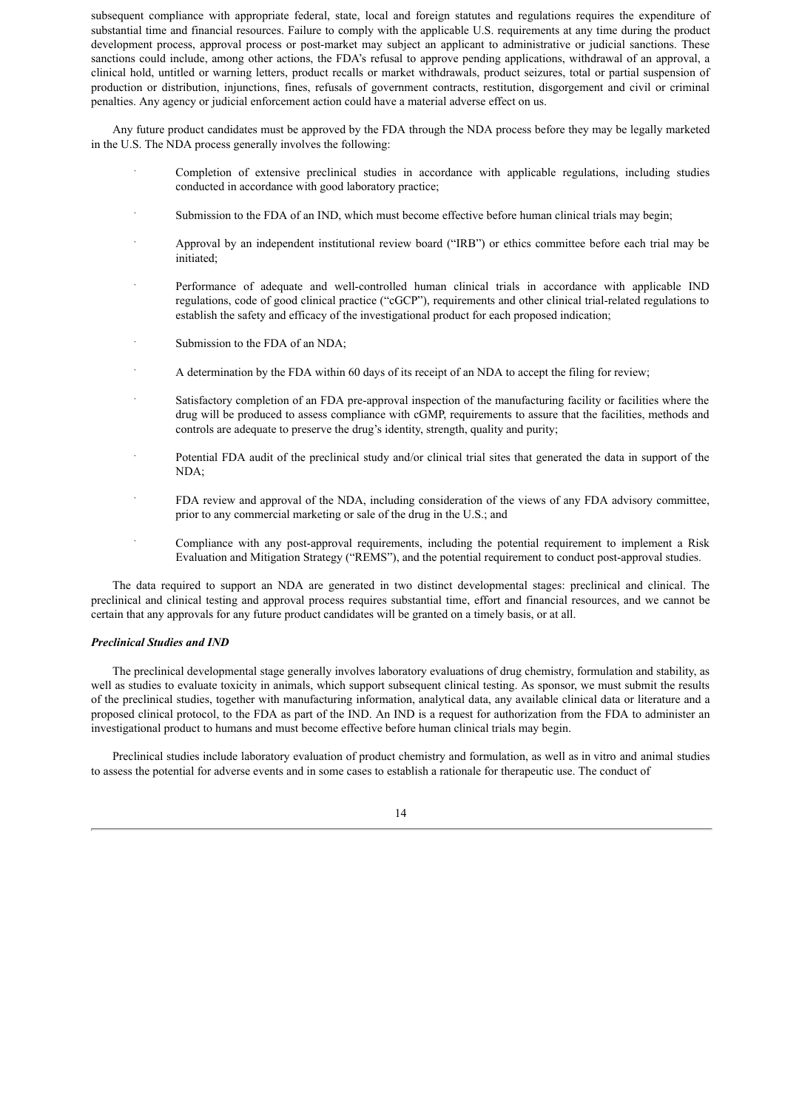subsequent compliance with appropriate federal, state, local and foreign statutes and regulations requires the expenditure of substantial time and financial resources. Failure to comply with the applicable U.S. requirements at any time during the product development process, approval process or post-market may subject an applicant to administrative or judicial sanctions. These sanctions could include, among other actions, the FDA's refusal to approve pending applications, withdrawal of an approval, a clinical hold, untitled or warning letters, product recalls or market withdrawals, product seizures, total or partial suspension of production or distribution, injunctions, fines, refusals of government contracts, restitution, disgorgement and civil or criminal penalties. Any agency or judicial enforcement action could have a material adverse effect on us.

Any future product candidates must be approved by the FDA through the NDA process before they may be legally marketed in the U.S. The NDA process generally involves the following:

- Completion of extensive preclinical studies in accordance with applicable regulations, including studies conducted in accordance with good laboratory practice;
- Submission to the FDA of an IND, which must become effective before human clinical trials may begin;
- · Approval by an independent institutional review board ("IRB") or ethics committee before each trial may be initiated<sup>.</sup>
- Performance of adequate and well-controlled human clinical trials in accordance with applicable IND regulations, code of good clinical practice ("cGCP"), requirements and other clinical trial-related regulations to establish the safety and efficacy of the investigational product for each proposed indication;
- Submission to the FDA of an NDA;
- A determination by the FDA within 60 days of its receipt of an NDA to accept the filing for review;
- Satisfactory completion of an FDA pre-approval inspection of the manufacturing facility or facilities where the drug will be produced to assess compliance with cGMP, requirements to assure that the facilities, methods and controls are adequate to preserve the drug's identity, strength, quality and purity;
- Potential FDA audit of the preclinical study and/or clinical trial sites that generated the data in support of the NDA;
- · FDA review and approval of the NDA, including consideration of the views of any FDA advisory committee, prior to any commercial marketing or sale of the drug in the U.S.; and
- · Compliance with any post-approval requirements, including the potential requirement to implement a Risk Evaluation and Mitigation Strategy ("REMS"), and the potential requirement to conduct post-approval studies.

The data required to support an NDA are generated in two distinct developmental stages: preclinical and clinical. The preclinical and clinical testing and approval process requires substantial time, effort and financial resources, and we cannot be certain that any approvals for any future product candidates will be granted on a timely basis, or at all.

#### *Preclinical Studies and IND*

The preclinical developmental stage generally involves laboratory evaluations of drug chemistry, formulation and stability, as well as studies to evaluate toxicity in animals, which support subsequent clinical testing. As sponsor, we must submit the results of the preclinical studies, together with manufacturing information, analytical data, any available clinical data or literature and a proposed clinical protocol, to the FDA as part of the IND. An IND is a request for authorization from the FDA to administer an investigational product to humans and must become effective before human clinical trials may begin.

Preclinical studies include laboratory evaluation of product chemistry and formulation, as well as in vitro and animal studies to assess the potential for adverse events and in some cases to establish a rationale for therapeutic use. The conduct of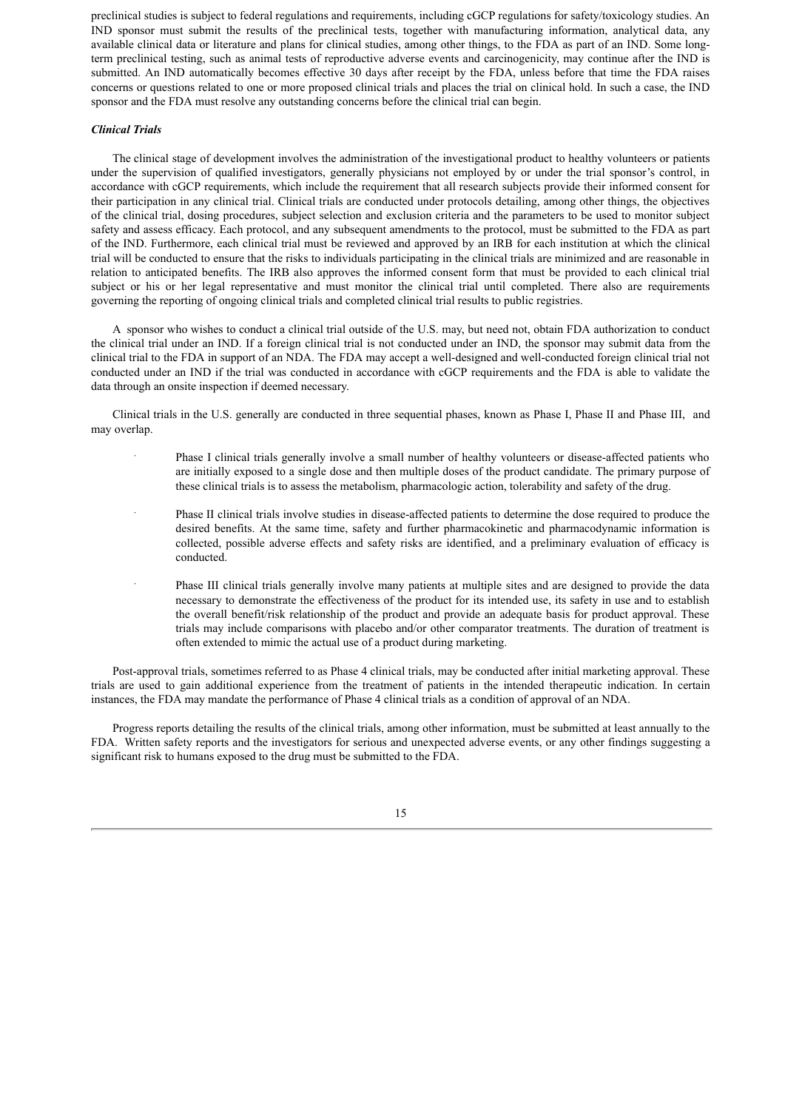preclinical studies is subject to federal regulations and requirements, including cGCP regulations for safety/toxicology studies. An IND sponsor must submit the results of the preclinical tests, together with manufacturing information, analytical data, any available clinical data or literature and plans for clinical studies, among other things, to the FDA as part of an IND. Some longterm preclinical testing, such as animal tests of reproductive adverse events and carcinogenicity, may continue after the IND is submitted. An IND automatically becomes effective 30 days after receipt by the FDA, unless before that time the FDA raises concerns or questions related to one or more proposed clinical trials and places the trial on clinical hold. In such a case, the IND sponsor and the FDA must resolve any outstanding concerns before the clinical trial can begin.

## *Clinical Trials*

The clinical stage of development involves the administration of the investigational product to healthy volunteers or patients under the supervision of qualified investigators, generally physicians not employed by or under the trial sponsor's control, in accordance with cGCP requirements, which include the requirement that all research subjects provide their informed consent for their participation in any clinical trial. Clinical trials are conducted under protocols detailing, among other things, the objectives of the clinical trial, dosing procedures, subject selection and exclusion criteria and the parameters to be used to monitor subject safety and assess efficacy. Each protocol, and any subsequent amendments to the protocol, must be submitted to the FDA as part of the IND. Furthermore, each clinical trial must be reviewed and approved by an IRB for each institution at which the clinical trial will be conducted to ensure that the risks to individuals participating in the clinical trials are minimized and are reasonable in relation to anticipated benefits. The IRB also approves the informed consent form that must be provided to each clinical trial subject or his or her legal representative and must monitor the clinical trial until completed. There also are requirements governing the reporting of ongoing clinical trials and completed clinical trial results to public registries.

A sponsor who wishes to conduct a clinical trial outside of the U.S. may, but need not, obtain FDA authorization to conduct the clinical trial under an IND. If a foreign clinical trial is not conducted under an IND, the sponsor may submit data from the clinical trial to the FDA in support of an NDA. The FDA may accept a well-designed and well-conducted foreign clinical trial not conducted under an IND if the trial was conducted in accordance with cGCP requirements and the FDA is able to validate the data through an onsite inspection if deemed necessary.

Clinical trials in the U.S. generally are conducted in three sequential phases, known as Phase I, Phase II and Phase III, and may overlap.

- Phase I clinical trials generally involve a small number of healthy volunteers or disease-affected patients who are initially exposed to a single dose and then multiple doses of the product candidate. The primary purpose of these clinical trials is to assess the metabolism, pharmacologic action, tolerability and safety of the drug.
- Phase II clinical trials involve studies in disease-affected patients to determine the dose required to produce the desired benefits. At the same time, safety and further pharmacokinetic and pharmacodynamic information is collected, possible adverse effects and safety risks are identified, and a preliminary evaluation of efficacy is conducted.
- Phase III clinical trials generally involve many patients at multiple sites and are designed to provide the data necessary to demonstrate the effectiveness of the product for its intended use, its safety in use and to establish the overall benefit/risk relationship of the product and provide an adequate basis for product approval. These trials may include comparisons with placebo and/or other comparator treatments. The duration of treatment is often extended to mimic the actual use of a product during marketing.

Post-approval trials, sometimes referred to as Phase 4 clinical trials, may be conducted after initial marketing approval. These trials are used to gain additional experience from the treatment of patients in the intended therapeutic indication. In certain instances, the FDA may mandate the performance of Phase 4 clinical trials as a condition of approval of an NDA.

Progress reports detailing the results of the clinical trials, among other information, must be submitted at least annually to the FDA. Written safety reports and the investigators for serious and unexpected adverse events, or any other findings suggesting a significant risk to humans exposed to the drug must be submitted to the FDA.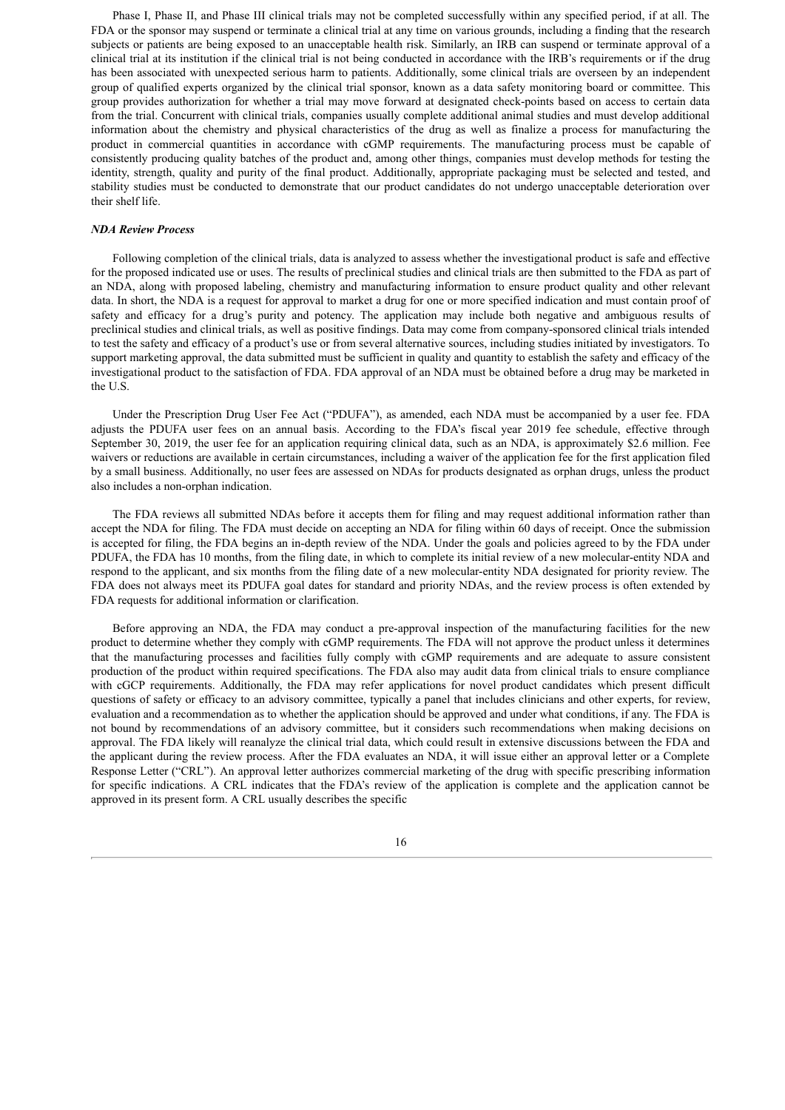Phase I, Phase II, and Phase III clinical trials may not be completed successfully within any specified period, if at all. The FDA or the sponsor may suspend or terminate a clinical trial at any time on various grounds, including a finding that the research subjects or patients are being exposed to an unacceptable health risk. Similarly, an IRB can suspend or terminate approval of a clinical trial at its institution if the clinical trial is not being conducted in accordance with the IRB's requirements or if the drug has been associated with unexpected serious harm to patients. Additionally, some clinical trials are overseen by an independent group of qualified experts organized by the clinical trial sponsor, known as a data safety monitoring board or committee. This group provides authorization for whether a trial may move forward at designated check-points based on access to certain data from the trial. Concurrent with clinical trials, companies usually complete additional animal studies and must develop additional information about the chemistry and physical characteristics of the drug as well as finalize a process for manufacturing the product in commercial quantities in accordance with cGMP requirements. The manufacturing process must be capable of consistently producing quality batches of the product and, among other things, companies must develop methods for testing the identity, strength, quality and purity of the final product. Additionally, appropriate packaging must be selected and tested, and stability studies must be conducted to demonstrate that our product candidates do not undergo unacceptable deterioration over their shelf life.

#### *NDA Review Process*

Following completion of the clinical trials, data is analyzed to assess whether the investigational product is safe and effective for the proposed indicated use or uses. The results of preclinical studies and clinical trials are then submitted to the FDA as part of an NDA, along with proposed labeling, chemistry and manufacturing information to ensure product quality and other relevant data. In short, the NDA is a request for approval to market a drug for one or more specified indication and must contain proof of safety and efficacy for a drug's purity and potency. The application may include both negative and ambiguous results of preclinical studies and clinical trials, as well as positive findings. Data may come from company-sponsored clinical trials intended to test the safety and efficacy of a product's use or from several alternative sources, including studies initiated by investigators. To support marketing approval, the data submitted must be sufficient in quality and quantity to establish the safety and efficacy of the investigational product to the satisfaction of FDA. FDA approval of an NDA must be obtained before a drug may be marketed in the U.S.

Under the Prescription Drug User Fee Act ("PDUFA"), as amended, each NDA must be accompanied by a user fee. FDA adjusts the PDUFA user fees on an annual basis. According to the FDA's fiscal year 2019 fee schedule, effective through September 30, 2019, the user fee for an application requiring clinical data, such as an NDA, is approximately \$2.6 million. Fee waivers or reductions are available in certain circumstances, including a waiver of the application fee for the first application filed by a small business. Additionally, no user fees are assessed on NDAs for products designated as orphan drugs, unless the product also includes a non-orphan indication.

The FDA reviews all submitted NDAs before it accepts them for filing and may request additional information rather than accept the NDA for filing. The FDA must decide on accepting an NDA for filing within 60 days of receipt. Once the submission is accepted for filing, the FDA begins an in-depth review of the NDA. Under the goals and policies agreed to by the FDA under PDUFA, the FDA has 10 months, from the filing date, in which to complete its initial review of a new molecular-entity NDA and respond to the applicant, and six months from the filing date of a new molecular-entity NDA designated for priority review. The FDA does not always meet its PDUFA goal dates for standard and priority NDAs, and the review process is often extended by FDA requests for additional information or clarification.

Before approving an NDA, the FDA may conduct a pre-approval inspection of the manufacturing facilities for the new product to determine whether they comply with cGMP requirements. The FDA will not approve the product unless it determines that the manufacturing processes and facilities fully comply with cGMP requirements and are adequate to assure consistent production of the product within required specifications. The FDA also may audit data from clinical trials to ensure compliance with cGCP requirements. Additionally, the FDA may refer applications for novel product candidates which present difficult questions of safety or efficacy to an advisory committee, typically a panel that includes clinicians and other experts, for review, evaluation and a recommendation as to whether the application should be approved and under what conditions, if any. The FDA is not bound by recommendations of an advisory committee, but it considers such recommendations when making decisions on approval. The FDA likely will reanalyze the clinical trial data, which could result in extensive discussions between the FDA and the applicant during the review process. After the FDA evaluates an NDA, it will issue either an approval letter or a Complete Response Letter ("CRL"). An approval letter authorizes commercial marketing of the drug with specific prescribing information for specific indications. A CRL indicates that the FDA's review of the application is complete and the application cannot be approved in its present form. A CRL usually describes the specific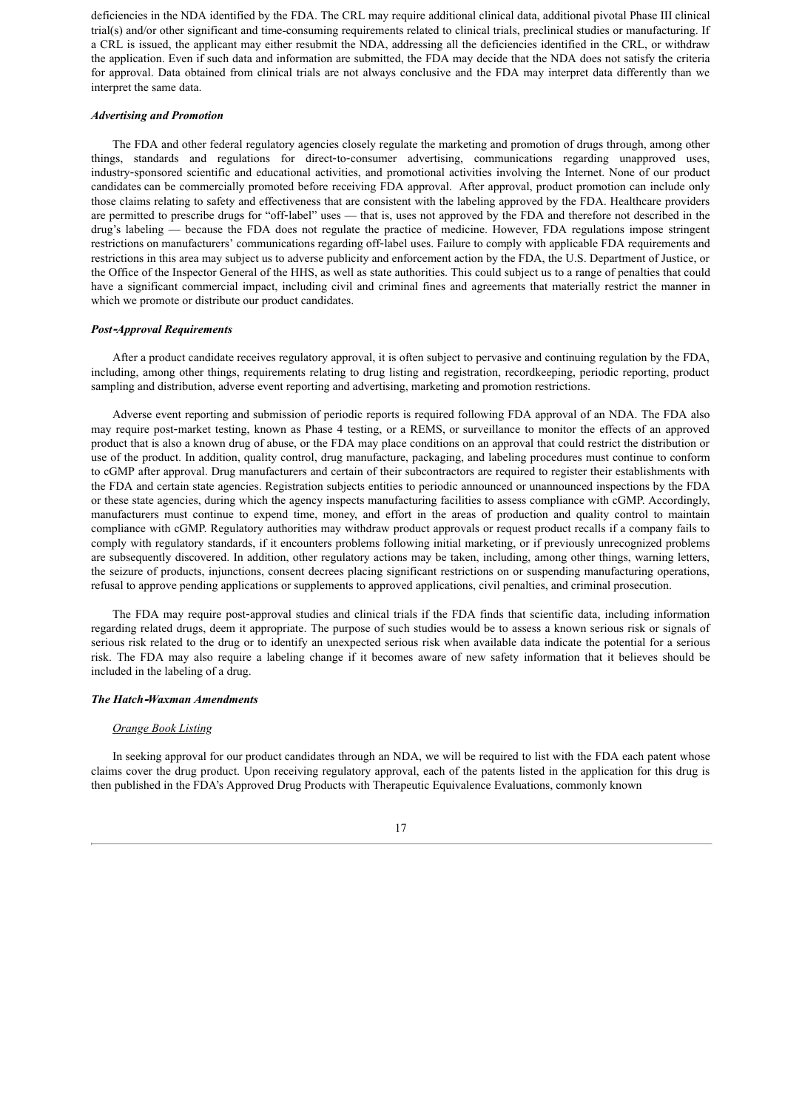deficiencies in the NDA identified by the FDA. The CRL may require additional clinical data, additional pivotal Phase III clinical trial(s) and/or other significant and time-consuming requirements related to clinical trials, preclinical studies or manufacturing. If a CRL is issued, the applicant may either resubmit the NDA, addressing all the deficiencies identified in the CRL, or withdraw the application. Even if such data and information are submitted, the FDA may decide that the NDA does not satisfy the criteria for approval. Data obtained from clinical trials are not always conclusive and the FDA may interpret data differently than we interpret the same data.

#### *Advertising and Promotion*

The FDA and other federal regulatory agencies closely regulate the marketing and promotion of drugs through, among other things, standards and regulations for direct-to-consumer advertising, communications regarding unapproved uses, industry‑sponsored scientific and educational activities, and promotional activities involving the Internet. None of our product candidates can be commercially promoted before receiving FDA approval. After approval, product promotion can include only those claims relating to safety and effectiveness that are consistent with the labeling approved by the FDA. Healthcare providers are permitted to prescribe drugs for "off-label" uses — that is, uses not approved by the FDA and therefore not described in the drug's labeling — because the FDA does not regulate the practice of medicine. However, FDA regulations impose stringent restrictions on manufacturers' communications regarding off‑label uses. Failure to comply with applicable FDA requirements and restrictions in this area may subject us to adverse publicity and enforcement action by the FDA, the U.S. Department of Justice, or the Office of the Inspector General of the HHS, as well as state authorities. This could subject us to a range of penalties that could have a significant commercial impact, including civil and criminal fines and agreements that materially restrict the manner in which we promote or distribute our product candidates.

#### *Post*‑*Approval Requirements*

After a product candidate receives regulatory approval, it is often subject to pervasive and continuing regulation by the FDA, including, among other things, requirements relating to drug listing and registration, recordkeeping, periodic reporting, product sampling and distribution, adverse event reporting and advertising, marketing and promotion restrictions.

Adverse event reporting and submission of periodic reports is required following FDA approval of an NDA. The FDA also may require post-market testing, known as Phase 4 testing, or a REMS, or surveillance to monitor the effects of an approved product that is also a known drug of abuse, or the FDA may place conditions on an approval that could restrict the distribution or use of the product. In addition, quality control, drug manufacture, packaging, and labeling procedures must continue to conform to cGMP after approval. Drug manufacturers and certain of their subcontractors are required to register their establishments with the FDA and certain state agencies. Registration subjects entities to periodic announced or unannounced inspections by the FDA or these state agencies, during which the agency inspects manufacturing facilities to assess compliance with cGMP. Accordingly, manufacturers must continue to expend time, money, and effort in the areas of production and quality control to maintain compliance with cGMP. Regulatory authorities may withdraw product approvals or request product recalls if a company fails to comply with regulatory standards, if it encounters problems following initial marketing, or if previously unrecognized problems are subsequently discovered. In addition, other regulatory actions may be taken, including, among other things, warning letters, the seizure of products, injunctions, consent decrees placing significant restrictions on or suspending manufacturing operations, refusal to approve pending applications or supplements to approved applications, civil penalties, and criminal prosecution.

The FDA may require post-approval studies and clinical trials if the FDA finds that scientific data, including information regarding related drugs, deem it appropriate. The purpose of such studies would be to assess a known serious risk or signals of serious risk related to the drug or to identify an unexpected serious risk when available data indicate the potential for a serious risk. The FDA may also require a labeling change if it becomes aware of new safety information that it believes should be included in the labeling of a drug.

#### *The Hatch*‑*Waxman Amendments*

#### *Orange Book Listing*

In seeking approval for our product candidates through an NDA, we will be required to list with the FDA each patent whose claims cover the drug product. Upon receiving regulatory approval, each of the patents listed in the application for this drug is then published in the FDA's Approved Drug Products with Therapeutic Equivalence Evaluations, commonly known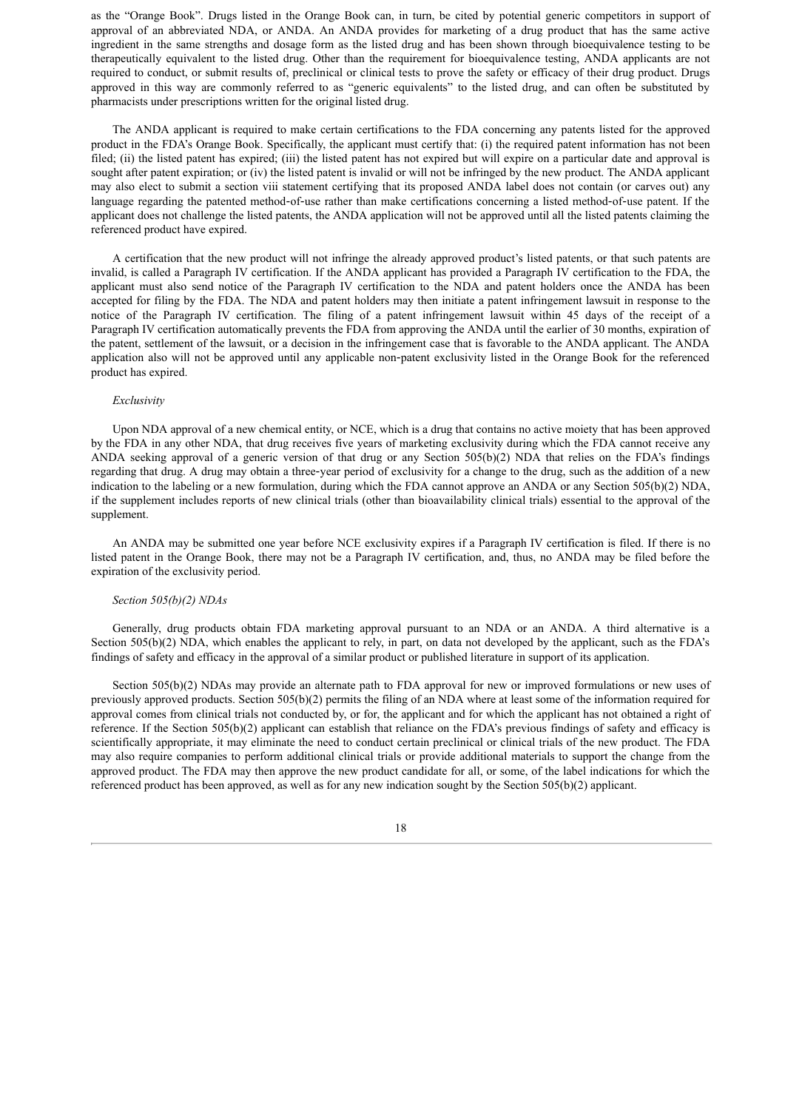as the "Orange Book". Drugs listed in the Orange Book can, in turn, be cited by potential generic competitors in support of approval of an abbreviated NDA, or ANDA. An ANDA provides for marketing of a drug product that has the same active ingredient in the same strengths and dosage form as the listed drug and has been shown through bioequivalence testing to be therapeutically equivalent to the listed drug. Other than the requirement for bioequivalence testing, ANDA applicants are not required to conduct, or submit results of, preclinical or clinical tests to prove the safety or efficacy of their drug product. Drugs approved in this way are commonly referred to as "generic equivalents" to the listed drug, and can often be substituted by pharmacists under prescriptions written for the original listed drug.

The ANDA applicant is required to make certain certifications to the FDA concerning any patents listed for the approved product in the FDA's Orange Book. Specifically, the applicant must certify that: (i) the required patent information has not been filed; (ii) the listed patent has expired; (iii) the listed patent has not expired but will expire on a particular date and approval is sought after patent expiration; or (iv) the listed patent is invalid or will not be infringed by the new product. The ANDA applicant may also elect to submit a section viii statement certifying that its proposed ANDA label does not contain (or carves out) any language regarding the patented method-of-use rather than make certifications concerning a listed method-of-use patent. If the applicant does not challenge the listed patents, the ANDA application will not be approved until all the listed patents claiming the referenced product have expired.

A certification that the new product will not infringe the already approved product's listed patents, or that such patents are invalid, is called a Paragraph IV certification. If the ANDA applicant has provided a Paragraph IV certification to the FDA, the applicant must also send notice of the Paragraph IV certification to the NDA and patent holders once the ANDA has been accepted for filing by the FDA. The NDA and patent holders may then initiate a patent infringement lawsuit in response to the notice of the Paragraph IV certification. The filing of a patent infringement lawsuit within 45 days of the receipt of a Paragraph IV certification automatically prevents the FDA from approving the ANDA until the earlier of 30 months, expiration of the patent, settlement of the lawsuit, or a decision in the infringement case that is favorable to the ANDA applicant. The ANDA application also will not be approved until any applicable non-patent exclusivity listed in the Orange Book for the referenced product has expired.

#### *Exclusivity*

Upon NDA approval of a new chemical entity, or NCE, which is a drug that contains no active moiety that has been approved by the FDA in any other NDA, that drug receives five years of marketing exclusivity during which the FDA cannot receive any ANDA seeking approval of a generic version of that drug or any Section 505(b)(2) NDA that relies on the FDA's findings regarding that drug. A drug may obtain a three‑year period of exclusivity for a change to the drug, such as the addition of a new indication to the labeling or a new formulation, during which the FDA cannot approve an ANDA or any Section 505(b)(2) NDA, if the supplement includes reports of new clinical trials (other than bioavailability clinical trials) essential to the approval of the supplement.

An ANDA may be submitted one year before NCE exclusivity expires if a Paragraph IV certification is filed. If there is no listed patent in the Orange Book, there may not be a Paragraph IV certification, and, thus, no ANDA may be filed before the expiration of the exclusivity period.

#### *Section 505(b)(2) NDAs*

Generally, drug products obtain FDA marketing approval pursuant to an NDA or an ANDA. A third alternative is a Section 505(b)(2) NDA, which enables the applicant to rely, in part, on data not developed by the applicant, such as the FDA's findings of safety and efficacy in the approval of a similar product or published literature in support of its application.

Section 505(b)(2) NDAs may provide an alternate path to FDA approval for new or improved formulations or new uses of previously approved products. Section 505(b)(2) permits the filing of an NDA where at least some of the information required for approval comes from clinical trials not conducted by, or for, the applicant and for which the applicant has not obtained a right of reference. If the Section 505(b)(2) applicant can establish that reliance on the FDA's previous findings of safety and efficacy is scientifically appropriate, it may eliminate the need to conduct certain preclinical or clinical trials of the new product. The FDA may also require companies to perform additional clinical trials or provide additional materials to support the change from the approved product. The FDA may then approve the new product candidate for all, or some, of the label indications for which the referenced product has been approved, as well as for any new indication sought by the Section 505(b)(2) applicant.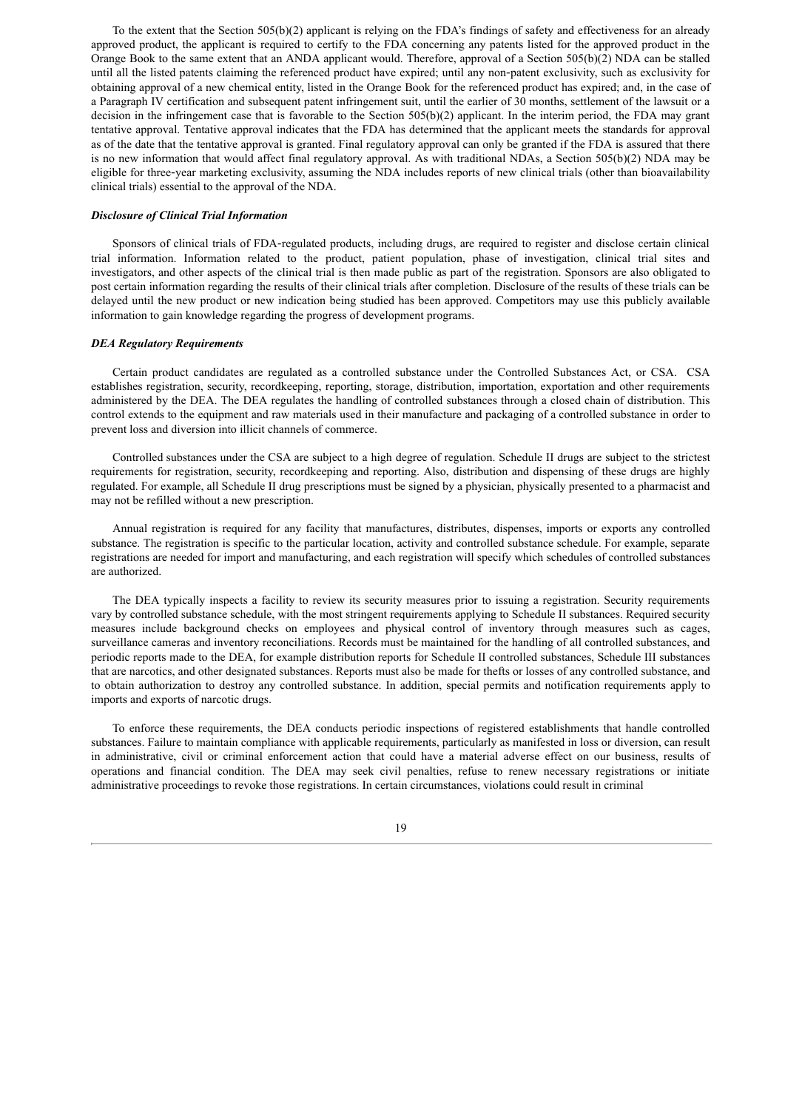To the extent that the Section 505(b)(2) applicant is relying on the FDA's findings of safety and effectiveness for an already approved product, the applicant is required to certify to the FDA concerning any patents listed for the approved product in the Orange Book to the same extent that an ANDA applicant would. Therefore, approval of a Section 505(b)(2) NDA can be stalled until all the listed patents claiming the referenced product have expired; until any non-patent exclusivity, such as exclusivity for obtaining approval of a new chemical entity, listed in the Orange Book for the referenced product has expired; and, in the case of a Paragraph IV certification and subsequent patent infringement suit, until the earlier of 30 months, settlement of the lawsuit or a decision in the infringement case that is favorable to the Section 505(b)(2) applicant. In the interim period, the FDA may grant tentative approval. Tentative approval indicates that the FDA has determined that the applicant meets the standards for approval as of the date that the tentative approval is granted. Final regulatory approval can only be granted if the FDA is assured that there is no new information that would affect final regulatory approval. As with traditional NDAs, a Section 505(b)(2) NDA may be eligible for three‑year marketing exclusivity, assuming the NDA includes reports of new clinical trials (other than bioavailability clinical trials) essential to the approval of the NDA.

#### *Disclosure of Clinical Trial Information*

Sponsors of clinical trials of FDA-regulated products, including drugs, are required to register and disclose certain clinical trial information. Information related to the product, patient population, phase of investigation, clinical trial sites and investigators, and other aspects of the clinical trial is then made public as part of the registration. Sponsors are also obligated to post certain information regarding the results of their clinical trials after completion. Disclosure of the results of these trials can be delayed until the new product or new indication being studied has been approved. Competitors may use this publicly available information to gain knowledge regarding the progress of development programs.

#### *DEA Regulatory Requirements*

Certain product candidates are regulated as a controlled substance under the Controlled Substances Act, or CSA. CSA establishes registration, security, recordkeeping, reporting, storage, distribution, importation, exportation and other requirements administered by the DEA. The DEA regulates the handling of controlled substances through a closed chain of distribution. This control extends to the equipment and raw materials used in their manufacture and packaging of a controlled substance in order to prevent loss and diversion into illicit channels of commerce.

Controlled substances under the CSA are subject to a high degree of regulation. Schedule II drugs are subject to the strictest requirements for registration, security, recordkeeping and reporting. Also, distribution and dispensing of these drugs are highly regulated. For example, all Schedule II drug prescriptions must be signed by a physician, physically presented to a pharmacist and may not be refilled without a new prescription.

Annual registration is required for any facility that manufactures, distributes, dispenses, imports or exports any controlled substance. The registration is specific to the particular location, activity and controlled substance schedule. For example, separate registrations are needed for import and manufacturing, and each registration will specify which schedules of controlled substances are authorized.

The DEA typically inspects a facility to review its security measures prior to issuing a registration. Security requirements vary by controlled substance schedule, with the most stringent requirements applying to Schedule II substances. Required security measures include background checks on employees and physical control of inventory through measures such as cages, surveillance cameras and inventory reconciliations. Records must be maintained for the handling of all controlled substances, and periodic reports made to the DEA, for example distribution reports for Schedule II controlled substances, Schedule III substances that are narcotics, and other designated substances. Reports must also be made for thefts or losses of any controlled substance, and to obtain authorization to destroy any controlled substance. In addition, special permits and notification requirements apply to imports and exports of narcotic drugs.

To enforce these requirements, the DEA conducts periodic inspections of registered establishments that handle controlled substances. Failure to maintain compliance with applicable requirements, particularly as manifested in loss or diversion, can result in administrative, civil or criminal enforcement action that could have a material adverse effect on our business, results of operations and financial condition. The DEA may seek civil penalties, refuse to renew necessary registrations or initiate administrative proceedings to revoke those registrations. In certain circumstances, violations could result in criminal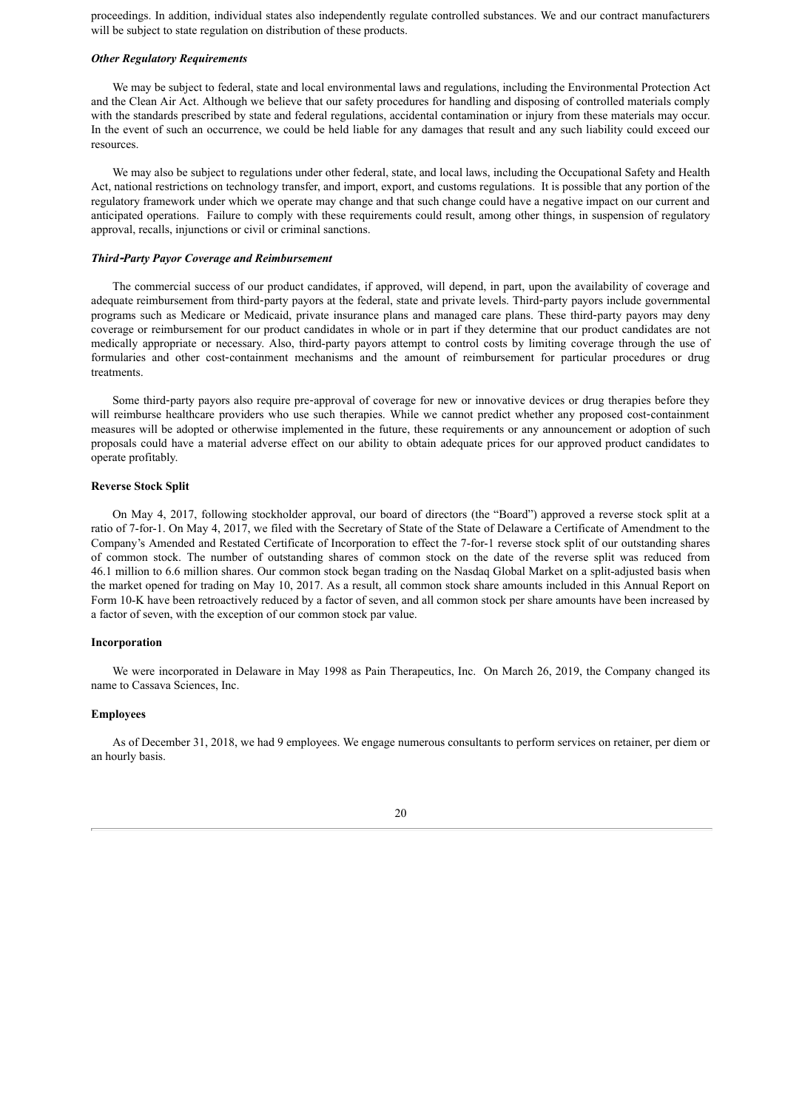proceedings. In addition, individual states also independently regulate controlled substances. We and our contract manufacturers will be subject to state regulation on distribution of these products.

#### *Other Regulatory Requirements*

We may be subject to federal, state and local environmental laws and regulations, including the Environmental Protection Act and the Clean Air Act. Although we believe that our safety procedures for handling and disposing of controlled materials comply with the standards prescribed by state and federal regulations, accidental contamination or injury from these materials may occur. In the event of such an occurrence, we could be held liable for any damages that result and any such liability could exceed our resources.

We may also be subject to regulations under other federal, state, and local laws, including the Occupational Safety and Health Act, national restrictions on technology transfer, and import, export, and customs regulations. It is possible that any portion of the regulatory framework under which we operate may change and that such change could have a negative impact on our current and anticipated operations. Failure to comply with these requirements could result, among other things, in suspension of regulatory approval, recalls, injunctions or civil or criminal sanctions.

#### *Third*‑*Party Payor Coverage and Reimbursement*

The commercial success of our product candidates, if approved, will depend, in part, upon the availability of coverage and adequate reimbursement from third-party payors at the federal, state and private levels. Third-party payors include governmental programs such as Medicare or Medicaid, private insurance plans and managed care plans. These third-party payors may deny coverage or reimbursement for our product candidates in whole or in part if they determine that our product candidates are not medically appropriate or necessary. Also, third-party payors attempt to control costs by limiting coverage through the use of formularies and other cost-containment mechanisms and the amount of reimbursement for particular procedures or drug treatments.

Some third-party payors also require pre-approval of coverage for new or innovative devices or drug therapies before they will reimburse healthcare providers who use such therapies. While we cannot predict whether any proposed cost-containment measures will be adopted or otherwise implemented in the future, these requirements or any announcement or adoption of such proposals could have a material adverse effect on our ability to obtain adequate prices for our approved product candidates to operate profitably.

#### **Reverse Stock Split**

On May 4, 2017, following stockholder approval, our board of directors (the "Board") approved a reverse stock split at a ratio of 7-for-1. On May 4, 2017, we filed with the Secretary of State of the State of Delaware a Certificate of Amendment to the Company's Amended and Restated Certificate of Incorporation to effect the 7-for-1 reverse stock split of our outstanding shares of common stock. The number of outstanding shares of common stock on the date of the reverse split was reduced from 46.1 million to 6.6 million shares. Our common stock began trading on the Nasdaq Global Market on a split-adjusted basis when the market opened for trading on May 10, 2017. As a result, all common stock share amounts included in this Annual Report on Form 10-K have been retroactively reduced by a factor of seven, and all common stock per share amounts have been increased by a factor of seven, with the exception of our common stock par value.

#### **Incorporation**

We were incorporated in Delaware in May 1998 as Pain Therapeutics, Inc. On March 26, 2019, the Company changed its name to Cassava Sciences, Inc.

# **Employees**

As of December 31, 2018, we had 9 employees. We engage numerous consultants to perform services on retainer, per diem or an hourly basis.

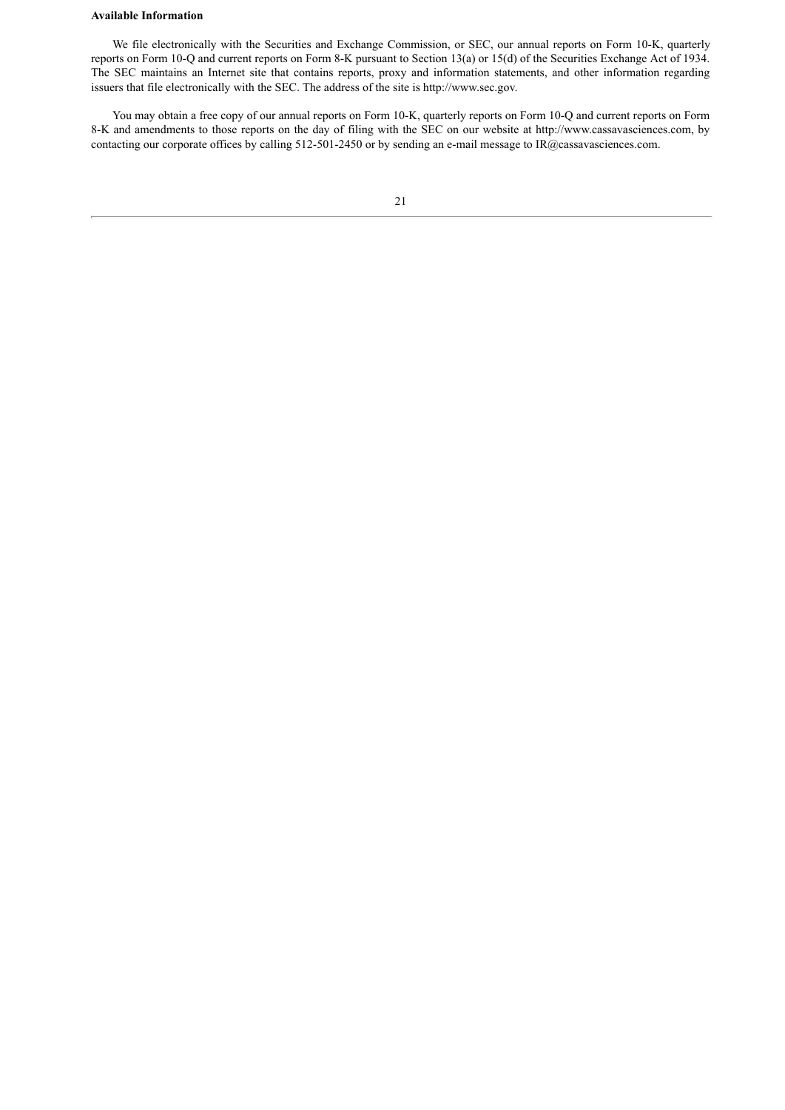#### **Available Information**

We file electronically with the Securities and Exchange Commission, or SEC, our annual reports on Form 10-K, quarterly reports on Form 10-Q and current reports on Form 8-K pursuant to Section 13(a) or 15(d) of the Securities Exchange Act of 1934. The SEC maintains an Internet site that contains reports, proxy and information statements, and other information regarding issuers that file electronically with the SEC. The address of the site is http://www.sec.gov.

You may obtain a free copy of our annual reports on Form 10-K, quarterly reports on Form 10-Q and current reports on Form 8-K and amendments to those reports on the day of filing with the SEC on our website at http://www.cassavasciences.com, by contacting our corporate offices by calling 512-501-2450 or by sending an e-mail message to IR@cassavasciences.com.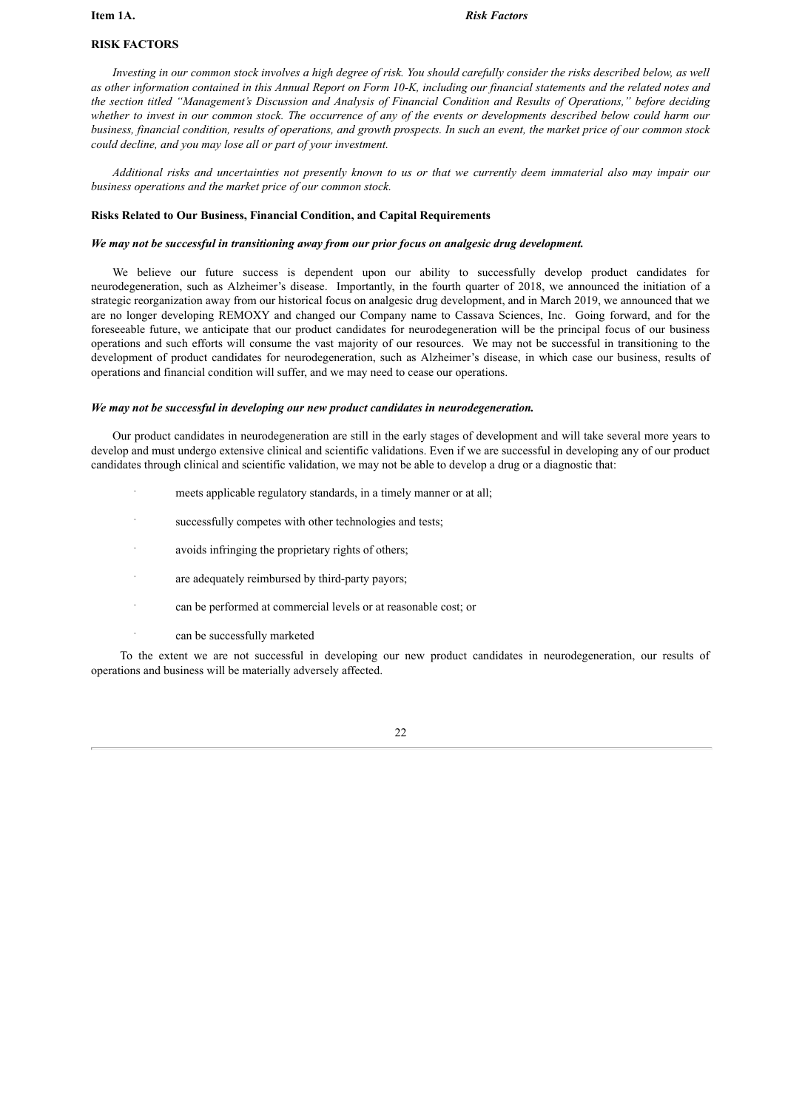### <span id="page-21-0"></span>**Item 1A.** *Risk Factors*

### **RISK FACTORS**

Investing in our common stock involves a high degree of risk. You should carefully consider the risks described below, as well as other information contained in this Annual Report on Form 10-K, including our financial statements and the related notes and the section titled "Management's Discussion and Analysis of Financial Condition and Results of Operations," before deciding whether to invest in our common stock. The occurrence of any of the events or developments described below could harm our business, financial condition, results of operations, and growth prospects. In such an event, the market price of our common stock *could decline, and you may lose all or part of your investment.*

Additional risks and uncertainties not presently known to us or that we currently deem immaterial also may impair our *business operations and the market price of our common stock.*

#### **Risks Related to Our Business, Financial Condition, and Capital Requirements**

### *We may not be successful in transitioning away from our prior focus on analgesic drug development.*

We believe our future success is dependent upon our ability to successfully develop product candidates for neurodegeneration, such as Alzheimer's disease. Importantly, in the fourth quarter of 2018, we announced the initiation of a strategic reorganization away from our historical focus on analgesic drug development, and in March 2019, we announced that we are no longer developing REMOXY and changed our Company name to Cassava Sciences, Inc. Going forward, and for the foreseeable future, we anticipate that our product candidates for neurodegeneration will be the principal focus of our business operations and such efforts will consume the vast majority of our resources. We may not be successful in transitioning to the development of product candidates for neurodegeneration, such as Alzheimer's disease, in which case our business, results of operations and financial condition will suffer, and we may need to cease our operations.

#### *We may not be successful in developing our new product candidates in neurodegeneration.*

Our product candidates in neurodegeneration are still in the early stages of development and will take several more years to develop and must undergo extensive clinical and scientific validations. Even if we are successful in developing any of our product candidates through clinical and scientific validation, we may not be able to develop a drug or a diagnostic that:

- meets applicable regulatory standards, in a timely manner or at all;
- successfully competes with other technologies and tests;
- avoids infringing the proprietary rights of others;
- are adequately reimbursed by third-party payors;
- can be performed at commercial levels or at reasonable cost; or
- can be successfully marketed

To the extent we are not successful in developing our new product candidates in neurodegeneration, our results of operations and business will be materially adversely affected.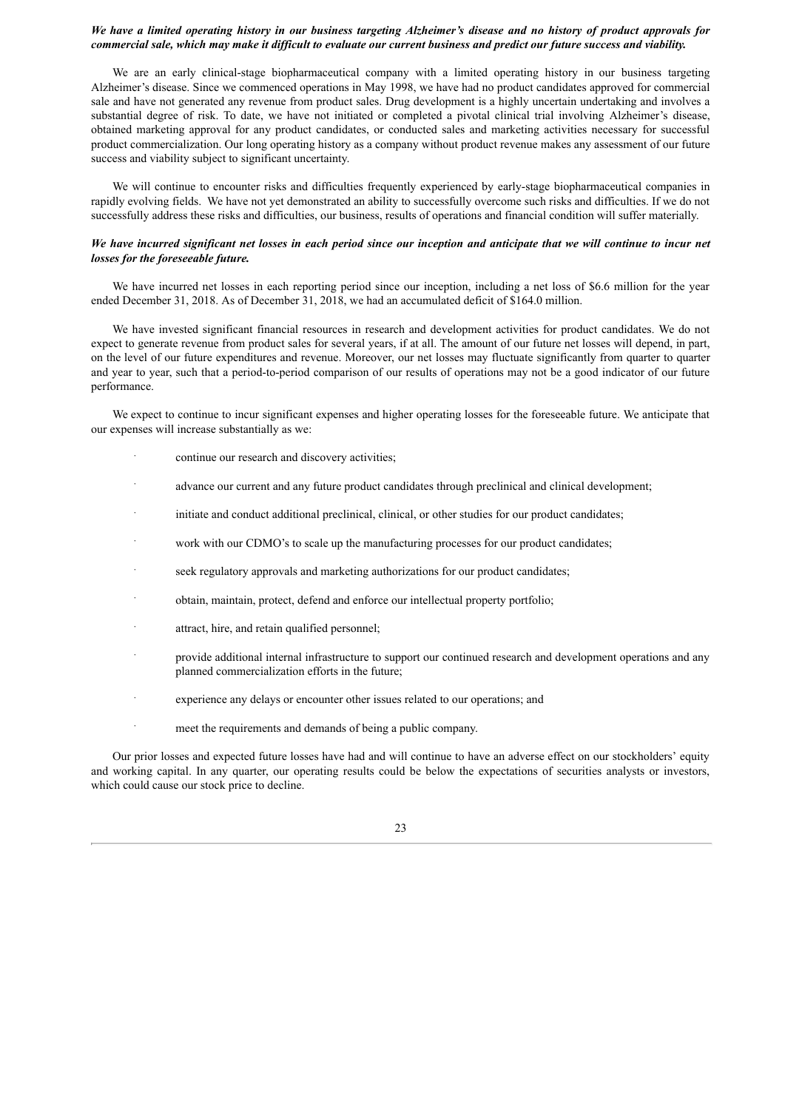#### We have a limited operating history in our business targeting Alzheimer's disease and no history of product approvals for commercial sale, which may make it difficult to evaluate our current business and predict our future success and viability.

We are an early clinical-stage biopharmaceutical company with a limited operating history in our business targeting Alzheimer's disease. Since we commenced operations in May 1998, we have had no product candidates approved for commercial sale and have not generated any revenue from product sales. Drug development is a highly uncertain undertaking and involves a substantial degree of risk. To date, we have not initiated or completed a pivotal clinical trial involving Alzheimer's disease, obtained marketing approval for any product candidates, or conducted sales and marketing activities necessary for successful product commercialization. Our long operating history as a company without product revenue makes any assessment of our future success and viability subject to significant uncertainty.

We will continue to encounter risks and difficulties frequently experienced by early-stage biopharmaceutical companies in rapidly evolving fields. We have not yet demonstrated an ability to successfully overcome such risks and difficulties. If we do not successfully address these risks and difficulties, our business, results of operations and financial condition will suffer materially.

#### We have incurred significant net losses in each period since our inception and anticipate that we will continue to incur net *losses for the foreseeable future.*

We have incurred net losses in each reporting period since our inception, including a net loss of \$6.6 million for the year ended December 31, 2018. As of December 31, 2018, we had an accumulated deficit of \$164.0 million.

We have invested significant financial resources in research and development activities for product candidates. We do not expect to generate revenue from product sales for several years, if at all. The amount of our future net losses will depend, in part, on the level of our future expenditures and revenue. Moreover, our net losses may fluctuate significantly from quarter to quarter and year to year, such that a period-to-period comparison of our results of operations may not be a good indicator of our future performance.

We expect to continue to incur significant expenses and higher operating losses for the foreseeable future. We anticipate that our expenses will increase substantially as we:

- continue our research and discovery activities;
- advance our current and any future product candidates through preclinical and clinical development;
- initiate and conduct additional preclinical, clinical, or other studies for our product candidates;
- work with our CDMO's to scale up the manufacturing processes for our product candidates;
- seek regulatory approvals and marketing authorizations for our product candidates;
- · obtain, maintain, protect, defend and enforce our intellectual property portfolio;
- attract, hire, and retain qualified personnel;
- provide additional internal infrastructure to support our continued research and development operations and any planned commercialization efforts in the future;
- · experience any delays or encounter other issues related to our operations; and
- · meet the requirements and demands of being a public company.

Our prior losses and expected future losses have had and will continue to have an adverse effect on our stockholders' equity and working capital. In any quarter, our operating results could be below the expectations of securities analysts or investors, which could cause our stock price to decline.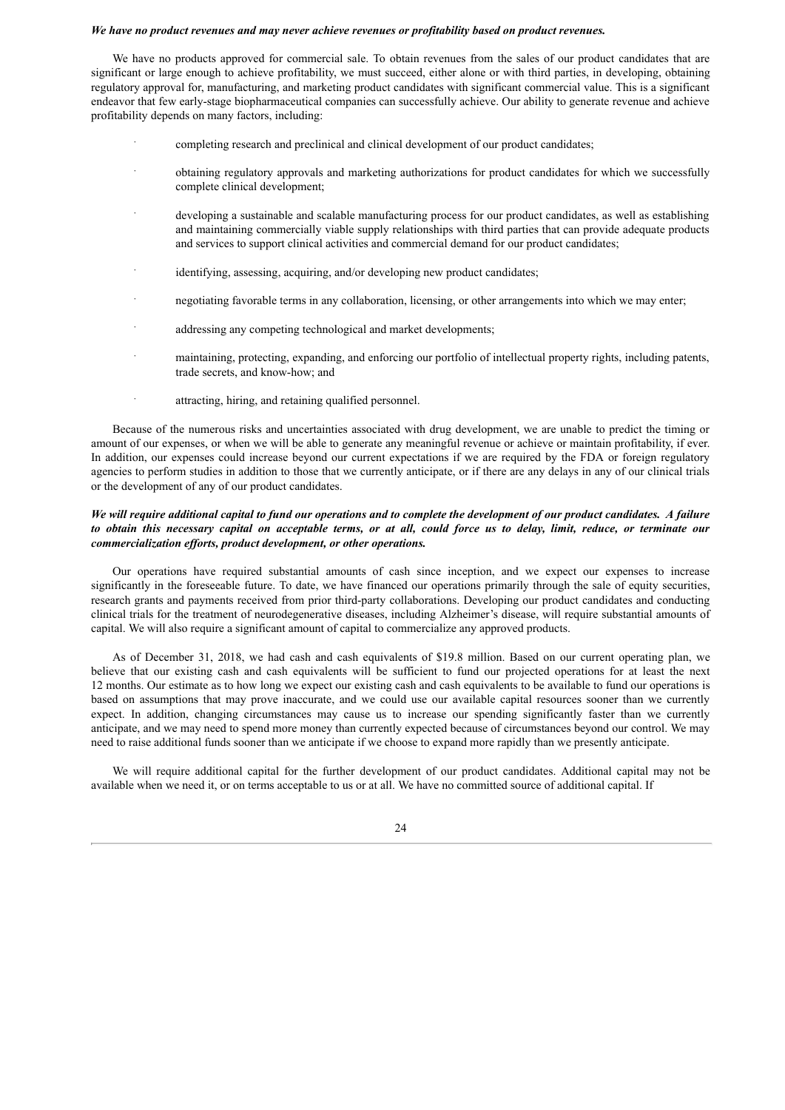#### *We have no product revenues and may never achieve revenues or profitability based on product revenues.*

We have no products approved for commercial sale. To obtain revenues from the sales of our product candidates that are significant or large enough to achieve profitability, we must succeed, either alone or with third parties, in developing, obtaining regulatory approval for, manufacturing, and marketing product candidates with significant commercial value. This is a significant endeavor that few early-stage biopharmaceutical companies can successfully achieve. Our ability to generate revenue and achieve profitability depends on many factors, including:

- · completing research and preclinical and clinical development of our product candidates;
- · obtaining regulatory approvals and marketing authorizations for product candidates for which we successfully complete clinical development;
- developing a sustainable and scalable manufacturing process for our product candidates, as well as establishing and maintaining commercially viable supply relationships with third parties that can provide adequate products and services to support clinical activities and commercial demand for our product candidates;
- identifying, assessing, acquiring, and/or developing new product candidates;
- · negotiating favorable terms in any collaboration, licensing, or other arrangements into which we may enter;
- addressing any competing technological and market developments;
- maintaining, protecting, expanding, and enforcing our portfolio of intellectual property rights, including patents, trade secrets, and know-how; and
- · attracting, hiring, and retaining qualified personnel.

Because of the numerous risks and uncertainties associated with drug development, we are unable to predict the timing or amount of our expenses, or when we will be able to generate any meaningful revenue or achieve or maintain profitability, if ever. In addition, our expenses could increase beyond our current expectations if we are required by the FDA or foreign regulatory agencies to perform studies in addition to those that we currently anticipate, or if there are any delays in any of our clinical trials or the development of any of our product candidates.

#### We will require additional capital to fund our operations and to complete the development of our product candidates. A failure to obtain this necessary capital on acceptable terms, or at all, could force us to delay, limit, reduce, or terminate our *commercialization ef orts, product development, or other operations.*

Our operations have required substantial amounts of cash since inception, and we expect our expenses to increase significantly in the foreseeable future. To date, we have financed our operations primarily through the sale of equity securities, research grants and payments received from prior third-party collaborations. Developing our product candidates and conducting clinical trials for the treatment of neurodegenerative diseases, including Alzheimer's disease, will require substantial amounts of capital. We will also require a significant amount of capital to commercialize any approved products.

As of December 31, 2018, we had cash and cash equivalents of \$19.8 million. Based on our current operating plan, we believe that our existing cash and cash equivalents will be sufficient to fund our projected operations for at least the next 12 months. Our estimate as to how long we expect our existing cash and cash equivalents to be available to fund our operations is based on assumptions that may prove inaccurate, and we could use our available capital resources sooner than we currently expect. In addition, changing circumstances may cause us to increase our spending significantly faster than we currently anticipate, and we may need to spend more money than currently expected because of circumstances beyond our control. We may need to raise additional funds sooner than we anticipate if we choose to expand more rapidly than we presently anticipate.

We will require additional capital for the further development of our product candidates. Additional capital may not be available when we need it, or on terms acceptable to us or at all. We have no committed source of additional capital. If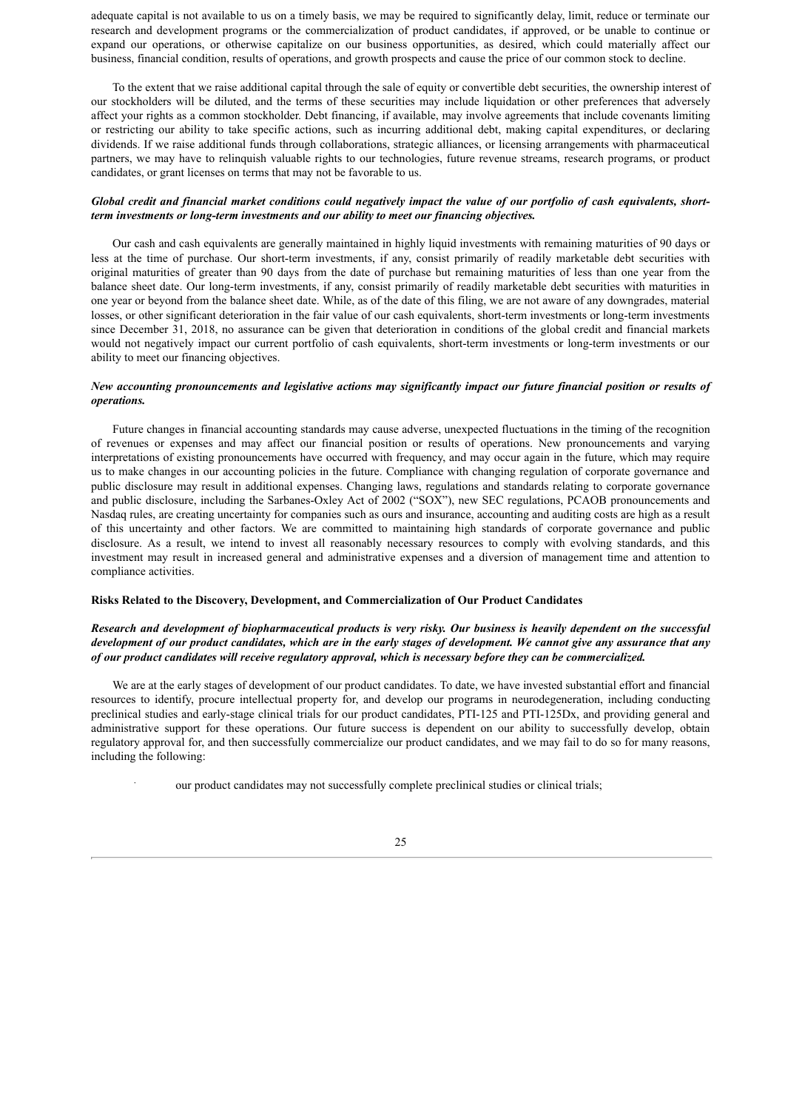adequate capital is not available to us on a timely basis, we may be required to significantly delay, limit, reduce or terminate our research and development programs or the commercialization of product candidates, if approved, or be unable to continue or expand our operations, or otherwise capitalize on our business opportunities, as desired, which could materially affect our business, financial condition, results of operations, and growth prospects and cause the price of our common stock to decline.

To the extent that we raise additional capital through the sale of equity or convertible debt securities, the ownership interest of our stockholders will be diluted, and the terms of these securities may include liquidation or other preferences that adversely affect your rights as a common stockholder. Debt financing, if available, may involve agreements that include covenants limiting or restricting our ability to take specific actions, such as incurring additional debt, making capital expenditures, or declaring dividends. If we raise additional funds through collaborations, strategic alliances, or licensing arrangements with pharmaceutical partners, we may have to relinquish valuable rights to our technologies, future revenue streams, research programs, or product candidates, or grant licenses on terms that may not be favorable to us.

# Global credit and financial market conditions could negatively impact the value of our portfolio of cash equivalents, short*term investments or long-term investments and our ability to meet our financing objectives.*

Our cash and cash equivalents are generally maintained in highly liquid investments with remaining maturities of 90 days or less at the time of purchase. Our short-term investments, if any, consist primarily of readily marketable debt securities with original maturities of greater than 90 days from the date of purchase but remaining maturities of less than one year from the balance sheet date. Our long-term investments, if any, consist primarily of readily marketable debt securities with maturities in one year or beyond from the balance sheet date. While, as of the date of this filing, we are not aware of any downgrades, material losses, or other significant deterioration in the fair value of our cash equivalents, short-term investments or long-term investments since December 31, 2018, no assurance can be given that deterioration in conditions of the global credit and financial markets would not negatively impact our current portfolio of cash equivalents, short-term investments or long-term investments or our ability to meet our financing objectives.

#### New accounting pronouncements and legislative actions may significantly impact our future financial position or results of *operations.*

Future changes in financial accounting standards may cause adverse, unexpected fluctuations in the timing of the recognition of revenues or expenses and may affect our financial position or results of operations. New pronouncements and varying interpretations of existing pronouncements have occurred with frequency, and may occur again in the future, which may require us to make changes in our accounting policies in the future. Compliance with changing regulation of corporate governance and public disclosure may result in additional expenses. Changing laws, regulations and standards relating to corporate governance and public disclosure, including the Sarbanes-Oxley Act of 2002 ("SOX"), new SEC regulations, PCAOB pronouncements and Nasdaq rules, are creating uncertainty for companies such as ours and insurance, accounting and auditing costs are high as a result of this uncertainty and other factors. We are committed to maintaining high standards of corporate governance and public disclosure. As a result, we intend to invest all reasonably necessary resources to comply with evolving standards, and this investment may result in increased general and administrative expenses and a diversion of management time and attention to compliance activities.

## **Risks Related to the Discovery, Development, and Commercialization of Our Product Candidates**

# Research and development of biopharmaceutical products is very risky. Our business is heavily dependent on the successful development of our product candidates, which are in the early stages of development. We cannot give any assurance that any of our product candidates will receive regulatory approval, which is necessary before they can be commercialized.

We are at the early stages of development of our product candidates. To date, we have invested substantial effort and financial resources to identify, procure intellectual property for, and develop our programs in neurodegeneration, including conducting preclinical studies and early-stage clinical trials for our product candidates, PTI-125 and PTI-125Dx, and providing general and administrative support for these operations. Our future success is dependent on our ability to successfully develop, obtain regulatory approval for, and then successfully commercialize our product candidates, and we may fail to do so for many reasons, including the following:

our product candidates may not successfully complete preclinical studies or clinical trials;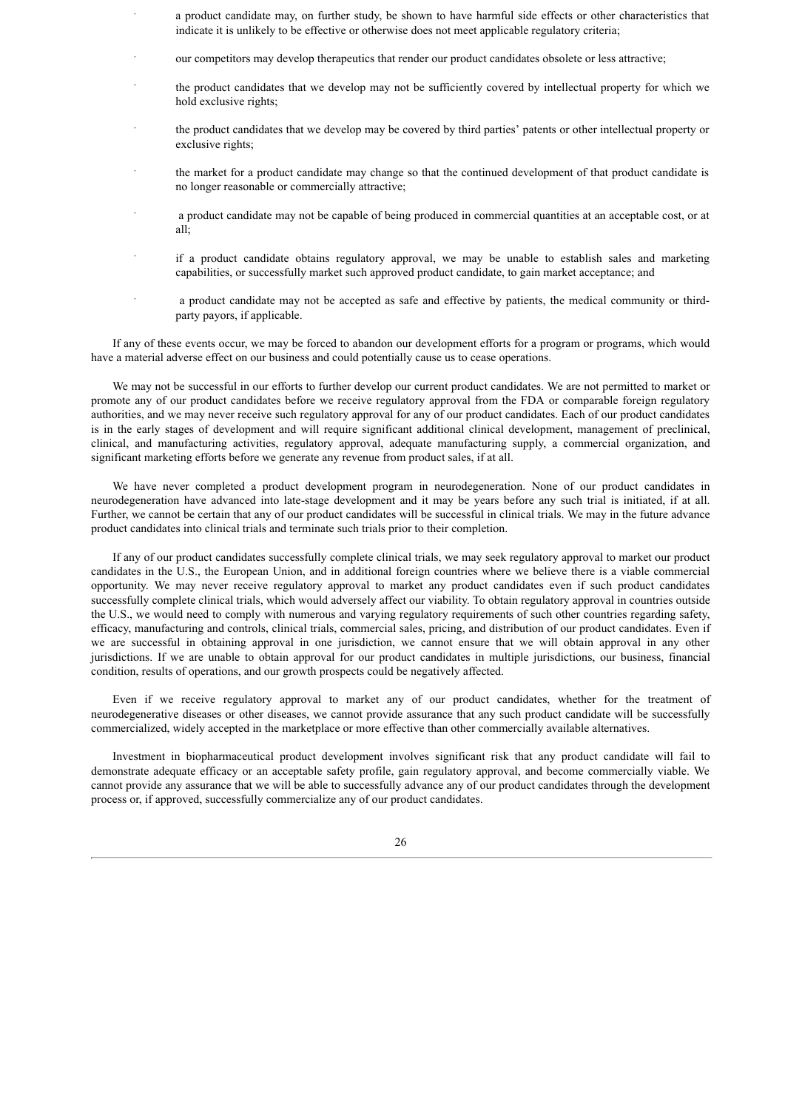- a product candidate may, on further study, be shown to have harmful side effects or other characteristics that indicate it is unlikely to be effective or otherwise does not meet applicable regulatory criteria;
- our competitors may develop therapeutics that render our product candidates obsolete or less attractive;
- · the product candidates that we develop may not be sufficiently covered by intellectual property for which we hold exclusive rights;
- · the product candidates that we develop may be covered by third parties' patents or other intellectual property or exclusive rights;
- · the market for a product candidate may change so that the continued development of that product candidate is no longer reasonable or commercially attractive;
- a product candidate may not be capable of being produced in commercial quantities at an acceptable cost, or at all;
	- if a product candidate obtains regulatory approval, we may be unable to establish sales and marketing capabilities, or successfully market such approved product candidate, to gain market acceptance; and
- · a product candidate may not be accepted as safe and effective by patients, the medical community or thirdparty payors, if applicable.

If any of these events occur, we may be forced to abandon our development efforts for a program or programs, which would have a material adverse effect on our business and could potentially cause us to cease operations.

We may not be successful in our efforts to further develop our current product candidates. We are not permitted to market or promote any of our product candidates before we receive regulatory approval from the FDA or comparable foreign regulatory authorities, and we may never receive such regulatory approval for any of our product candidates. Each of our product candidates is in the early stages of development and will require significant additional clinical development, management of preclinical, clinical, and manufacturing activities, regulatory approval, adequate manufacturing supply, a commercial organization, and significant marketing efforts before we generate any revenue from product sales, if at all.

We have never completed a product development program in neurodegeneration. None of our product candidates in neurodegeneration have advanced into late-stage development and it may be years before any such trial is initiated, if at all. Further, we cannot be certain that any of our product candidates will be successful in clinical trials. We may in the future advance product candidates into clinical trials and terminate such trials prior to their completion.

If any of our product candidates successfully complete clinical trials, we may seek regulatory approval to market our product candidates in the U.S., the European Union, and in additional foreign countries where we believe there is a viable commercial opportunity. We may never receive regulatory approval to market any product candidates even if such product candidates successfully complete clinical trials, which would adversely affect our viability. To obtain regulatory approval in countries outside the U.S., we would need to comply with numerous and varying regulatory requirements of such other countries regarding safety, efficacy, manufacturing and controls, clinical trials, commercial sales, pricing, and distribution of our product candidates. Even if we are successful in obtaining approval in one jurisdiction, we cannot ensure that we will obtain approval in any other jurisdictions. If we are unable to obtain approval for our product candidates in multiple jurisdictions, our business, financial condition, results of operations, and our growth prospects could be negatively affected.

Even if we receive regulatory approval to market any of our product candidates, whether for the treatment of neurodegenerative diseases or other diseases, we cannot provide assurance that any such product candidate will be successfully commercialized, widely accepted in the marketplace or more effective than other commercially available alternatives.

Investment in biopharmaceutical product development involves significant risk that any product candidate will fail to demonstrate adequate efficacy or an acceptable safety profile, gain regulatory approval, and become commercially viable. We cannot provide any assurance that we will be able to successfully advance any of our product candidates through the development process or, if approved, successfully commercialize any of our product candidates.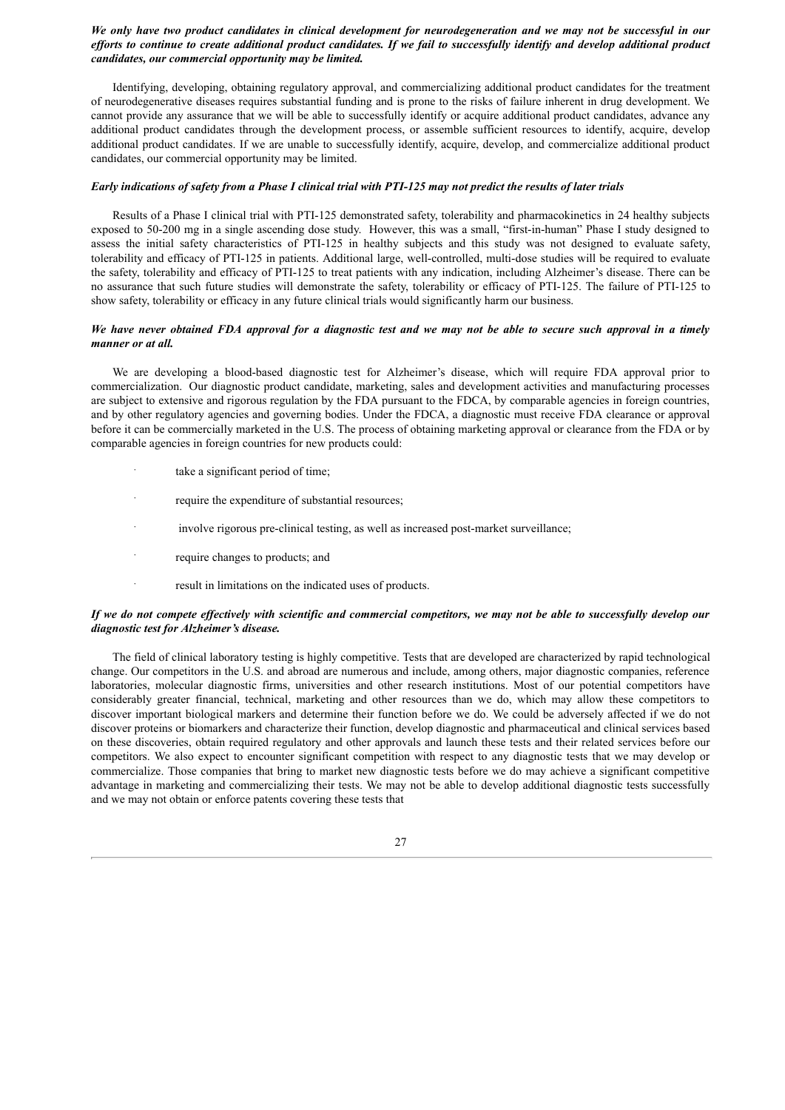We only have two product candidates in clinical development for neurodegeneration and we may not be successful in our efforts to continue to create additional product candidates. If we fail to successfully identify and develop additional product *candidates, our commercial opportunity may be limited.*

Identifying, developing, obtaining regulatory approval, and commercializing additional product candidates for the treatment of neurodegenerative diseases requires substantial funding and is prone to the risks of failure inherent in drug development. We cannot provide any assurance that we will be able to successfully identify or acquire additional product candidates, advance any additional product candidates through the development process, or assemble sufficient resources to identify, acquire, develop additional product candidates. If we are unable to successfully identify, acquire, develop, and commercialize additional product candidates, our commercial opportunity may be limited.

#### Early indications of safety from a Phase I clinical trial with PTI-125 may not predict the results of later trials

Results of a Phase I clinical trial with PTI-125 demonstrated safety, tolerability and pharmacokinetics in 24 healthy subjects exposed to 50-200 mg in a single ascending dose study. However, this was a small, "first-in-human" Phase I study designed to assess the initial safety characteristics of PTI-125 in healthy subjects and this study was not designed to evaluate safety, tolerability and efficacy of PTI-125 in patients. Additional large, well-controlled, multi-dose studies will be required to evaluate the safety, tolerability and efficacy of PTI-125 to treat patients with any indication, including Alzheimer's disease. There can be no assurance that such future studies will demonstrate the safety, tolerability or efficacy of PTI-125. The failure of PTI-125 to show safety, tolerability or efficacy in any future clinical trials would significantly harm our business.

## We have never obtained FDA approval for a diagnostic test and we may not be able to secure such approval in a timely *manner or at all.*

We are developing a blood-based diagnostic test for Alzheimer's disease, which will require FDA approval prior to commercialization. Our diagnostic product candidate, marketing, sales and development activities and manufacturing processes are subject to extensive and rigorous regulation by the FDA pursuant to the FDCA, by comparable agencies in foreign countries, and by other regulatory agencies and governing bodies. Under the FDCA, a diagnostic must receive FDA clearance or approval before it can be commercially marketed in the U.S. The process of obtaining marketing approval or clearance from the FDA or by comparable agencies in foreign countries for new products could:

- take a significant period of time:
- require the expenditure of substantial resources;
- involve rigorous pre-clinical testing, as well as increased post-market surveillance;
- require changes to products; and
- result in limitations on the indicated uses of products.

# If we do not compete effectively with scientific and commercial competitors, we may not be able to successfully develop our *diagnostic test for Alzheimer's disease.*

The field of clinical laboratory testing is highly competitive. Tests that are developed are characterized by rapid technological change. Our competitors in the U.S. and abroad are numerous and include, among others, major diagnostic companies, reference laboratories, molecular diagnostic firms, universities and other research institutions. Most of our potential competitors have considerably greater financial, technical, marketing and other resources than we do, which may allow these competitors to discover important biological markers and determine their function before we do. We could be adversely affected if we do not discover proteins or biomarkers and characterize their function, develop diagnostic and pharmaceutical and clinical services based on these discoveries, obtain required regulatory and other approvals and launch these tests and their related services before our competitors. We also expect to encounter significant competition with respect to any diagnostic tests that we may develop or commercialize. Those companies that bring to market new diagnostic tests before we do may achieve a significant competitive advantage in marketing and commercializing their tests. We may not be able to develop additional diagnostic tests successfully and we may not obtain or enforce patents covering these tests that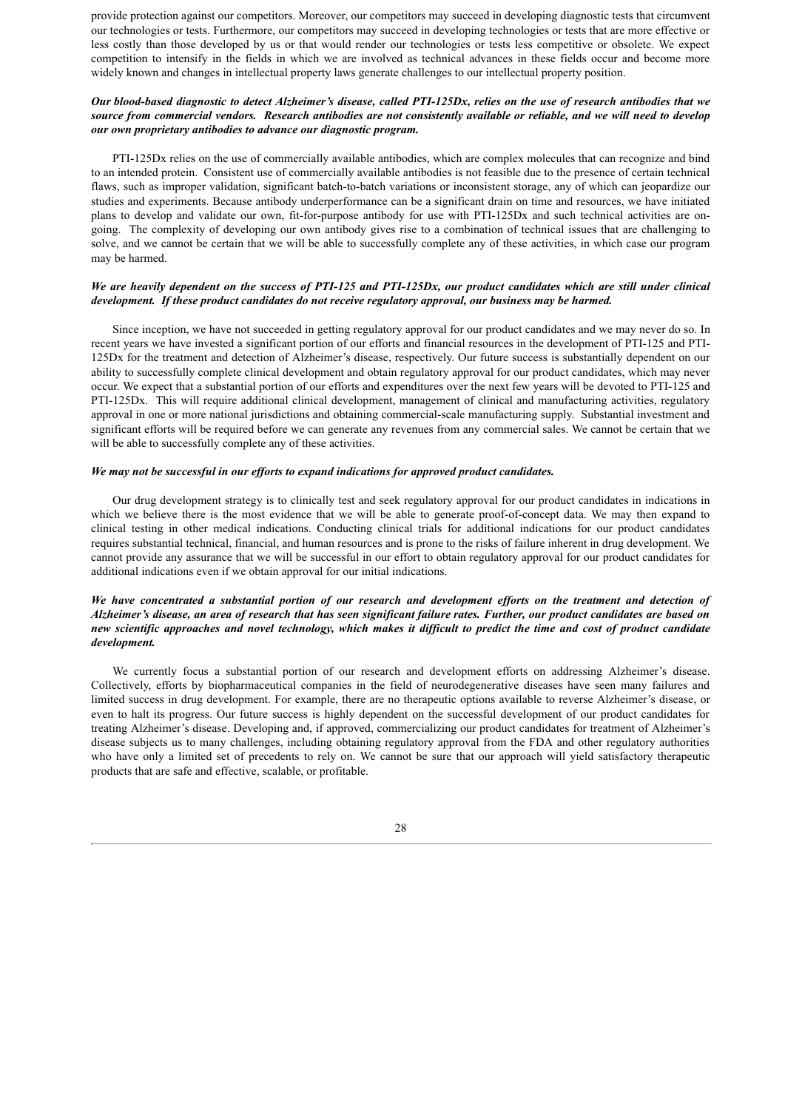provide protection against our competitors. Moreover, our competitors may succeed in developing diagnostic tests that circumvent our technologies or tests. Furthermore, our competitors may succeed in developing technologies or tests that are more effective or less costly than those developed by us or that would render our technologies or tests less competitive or obsolete. We expect competition to intensify in the fields in which we are involved as technical advances in these fields occur and become more widely known and changes in intellectual property laws generate challenges to our intellectual property position.

#### Our blood-based diagnostic to detect Alzheimer's disease, called PTI-125Dx, relies on the use of research antibodies that we source from commercial vendors. Research antibodies are not consistently available or reliable, and we will need to develop *our own proprietary antibodies to advance our diagnostic program.*

PTI-125Dx relies on the use of commercially available antibodies, which are complex molecules that can recognize and bind to an intended protein. Consistent use of commercially available antibodies is not feasible due to the presence of certain technical flaws, such as improper validation, significant batch-to-batch variations or inconsistent storage, any of which can jeopardize our studies and experiments. Because antibody underperformance can be a significant drain on time and resources, we have initiated plans to develop and validate our own, fit-for-purpose antibody for use with PTI-125Dx and such technical activities are ongoing. The complexity of developing our own antibody gives rise to a combination of technical issues that are challenging to solve, and we cannot be certain that we will be able to successfully complete any of these activities, in which case our program may be harmed.

#### We are heavily dependent on the success of PTI-125 and PTI-125Dx, our product candidates which are still under clinical *development. If these product candidates do not receive regulatory approval, our business may be harmed.*

Since inception, we have not succeeded in getting regulatory approval for our product candidates and we may never do so. In recent years we have invested a significant portion of our efforts and financial resources in the development of PTI-125 and PTI-125Dx for the treatment and detection of Alzheimer's disease, respectively. Our future success is substantially dependent on our ability to successfully complete clinical development and obtain regulatory approval for our product candidates, which may never occur. We expect that a substantial portion of our efforts and expenditures over the next few years will be devoted to PTI-125 and PTI-125Dx. This will require additional clinical development, management of clinical and manufacturing activities, regulatory approval in one or more national jurisdictions and obtaining commercial-scale manufacturing supply. Substantial investment and significant efforts will be required before we can generate any revenues from any commercial sales. We cannot be certain that we will be able to successfully complete any of these activities.

#### *We may not be successful in our ef orts to expand indications for approved product candidates.*

Our drug development strategy is to clinically test and seek regulatory approval for our product candidates in indications in which we believe there is the most evidence that we will be able to generate proof-of-concept data. We may then expand to clinical testing in other medical indications. Conducting clinical trials for additional indications for our product candidates requires substantial technical, financial, and human resources and is prone to the risks of failure inherent in drug development. We cannot provide any assurance that we will be successful in our effort to obtain regulatory approval for our product candidates for additional indications even if we obtain approval for our initial indications.

### We have concentrated a substantial portion of our research and development efforts on the treatment and detection of Alzheimer's disease, an area of research that has seen significant failure rates. Further, our product candidates are based on new scientific approaches and novel technology, which makes it difficult to predict the time and cost of product candidate *development.*

We currently focus a substantial portion of our research and development efforts on addressing Alzheimer's disease. Collectively, efforts by biopharmaceutical companies in the field of neurodegenerative diseases have seen many failures and limited success in drug development. For example, there are no therapeutic options available to reverse Alzheimer's disease, or even to halt its progress. Our future success is highly dependent on the successful development of our product candidates for treating Alzheimer's disease. Developing and, if approved, commercializing our product candidates for treatment of Alzheimer's disease subjects us to many challenges, including obtaining regulatory approval from the FDA and other regulatory authorities who have only a limited set of precedents to rely on. We cannot be sure that our approach will yield satisfactory therapeutic products that are safe and effective, scalable, or profitable.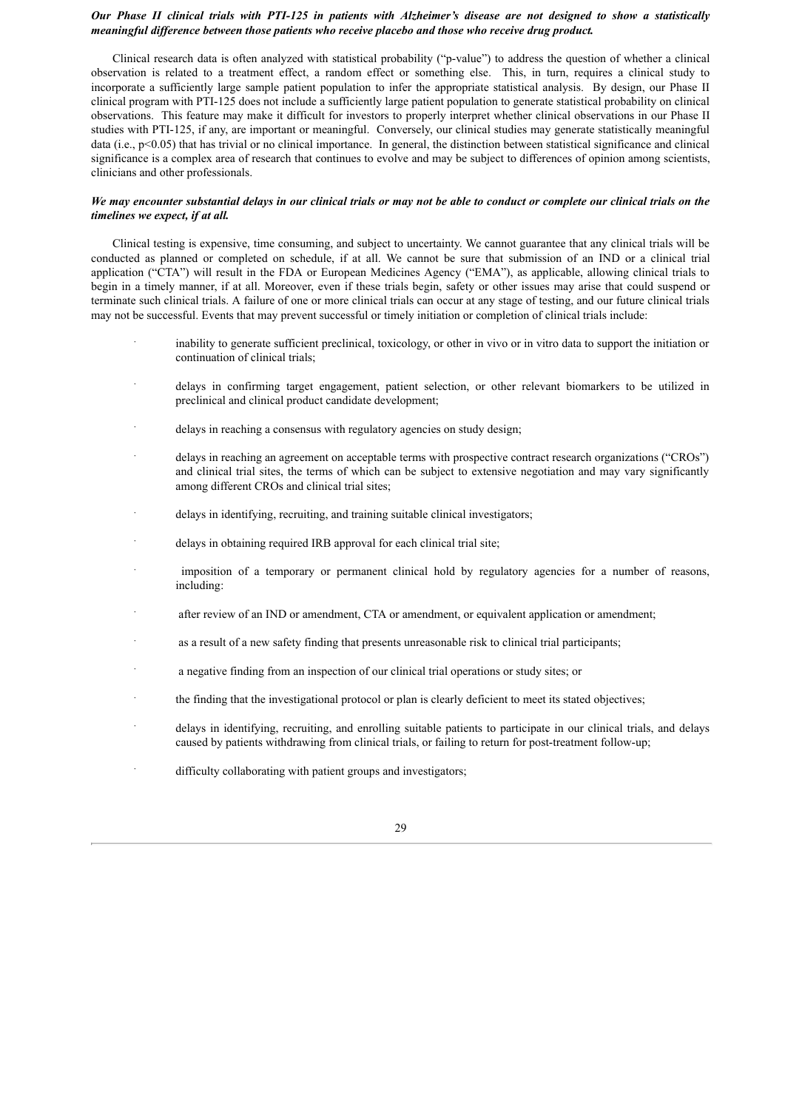# Our Phase II clinical trials with PTI-125 in patients with Alzheimer's disease are not designed to show a statistically *meaningful dif erence between those patients who receive placebo and those who receive drug product.*

Clinical research data is often analyzed with statistical probability ("p-value") to address the question of whether a clinical observation is related to a treatment effect, a random effect or something else. This, in turn, requires a clinical study to incorporate a sufficiently large sample patient population to infer the appropriate statistical analysis. By design, our Phase II clinical program with PTI-125 does not include a sufficiently large patient population to generate statistical probability on clinical observations. This feature may make it difficult for investors to properly interpret whether clinical observations in our Phase II studies with PTI-125, if any, are important or meaningful. Conversely, our clinical studies may generate statistically meaningful data (i.e., p<0.05) that has trivial or no clinical importance. In general, the distinction between statistical significance and clinical significance is a complex area of research that continues to evolve and may be subject to differences of opinion among scientists, clinicians and other professionals.

### We may encounter substantial delays in our clinical trials or may not be able to conduct or complete our clinical trials on the *timelines we expect, if at all.*

Clinical testing is expensive, time consuming, and subject to uncertainty. We cannot guarantee that any clinical trials will be conducted as planned or completed on schedule, if at all. We cannot be sure that submission of an IND or a clinical trial application ("CTA") will result in the FDA or European Medicines Agency ("EMA"), as applicable, allowing clinical trials to begin in a timely manner, if at all. Moreover, even if these trials begin, safety or other issues may arise that could suspend or terminate such clinical trials. A failure of one or more clinical trials can occur at any stage of testing, and our future clinical trials may not be successful. Events that may prevent successful or timely initiation or completion of clinical trials include:

- inability to generate sufficient preclinical, toxicology, or other in vivo or in vitro data to support the initiation or continuation of clinical trials;
- delays in confirming target engagement, patient selection, or other relevant biomarkers to be utilized in preclinical and clinical product candidate development;
- delays in reaching a consensus with regulatory agencies on study design;
- delays in reaching an agreement on acceptable terms with prospective contract research organizations ("CROs") and clinical trial sites, the terms of which can be subject to extensive negotiation and may vary significantly among different CROs and clinical trial sites;
- delays in identifying, recruiting, and training suitable clinical investigators;
- delays in obtaining required IRB approval for each clinical trial site:
- imposition of a temporary or permanent clinical hold by regulatory agencies for a number of reasons, including:
- after review of an IND or amendment, CTA or amendment, or equivalent application or amendment;
- as a result of a new safety finding that presents unreasonable risk to clinical trial participants;
- a negative finding from an inspection of our clinical trial operations or study sites; or
- the finding that the investigational protocol or plan is clearly deficient to meet its stated objectives;
- delays in identifying, recruiting, and enrolling suitable patients to participate in our clinical trials, and delays caused by patients withdrawing from clinical trials, or failing to return for post-treatment follow-up;
- difficulty collaborating with patient groups and investigators;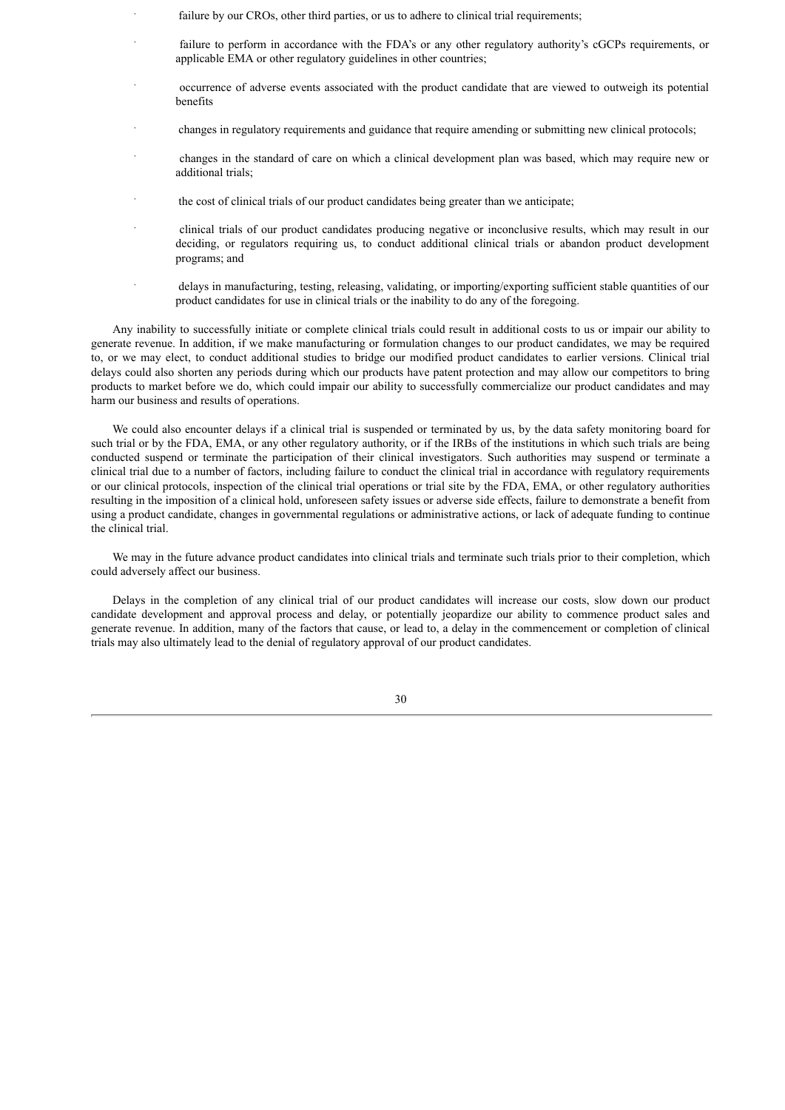- failure by our CROs, other third parties, or us to adhere to clinical trial requirements;
- failure to perform in accordance with the FDA's or any other regulatory authority's cGCPs requirements, or applicable EMA or other regulatory guidelines in other countries;
- · occurrence of adverse events associated with the product candidate that are viewed to outweigh its potential benefits
- · changes in regulatory requirements and guidance that require amending or submitting new clinical protocols;
- · changes in the standard of care on which a clinical development plan was based, which may require new or additional trials;
- · the cost of clinical trials of our product candidates being greater than we anticipate;
- · clinical trials of our product candidates producing negative or inconclusive results, which may result in our deciding, or regulators requiring us, to conduct additional clinical trials or abandon product development programs; and
- · delays in manufacturing, testing, releasing, validating, or importing/exporting sufficient stable quantities of our product candidates for use in clinical trials or the inability to do any of the foregoing.

Any inability to successfully initiate or complete clinical trials could result in additional costs to us or impair our ability to generate revenue. In addition, if we make manufacturing or formulation changes to our product candidates, we may be required to, or we may elect, to conduct additional studies to bridge our modified product candidates to earlier versions. Clinical trial delays could also shorten any periods during which our products have patent protection and may allow our competitors to bring products to market before we do, which could impair our ability to successfully commercialize our product candidates and may harm our business and results of operations.

We could also encounter delays if a clinical trial is suspended or terminated by us, by the data safety monitoring board for such trial or by the FDA, EMA, or any other regulatory authority, or if the IRBs of the institutions in which such trials are being conducted suspend or terminate the participation of their clinical investigators. Such authorities may suspend or terminate a clinical trial due to a number of factors, including failure to conduct the clinical trial in accordance with regulatory requirements or our clinical protocols, inspection of the clinical trial operations or trial site by the FDA, EMA, or other regulatory authorities resulting in the imposition of a clinical hold, unforeseen safety issues or adverse side effects, failure to demonstrate a benefit from using a product candidate, changes in governmental regulations or administrative actions, or lack of adequate funding to continue the clinical trial.

We may in the future advance product candidates into clinical trials and terminate such trials prior to their completion, which could adversely affect our business.

Delays in the completion of any clinical trial of our product candidates will increase our costs, slow down our product candidate development and approval process and delay, or potentially jeopardize our ability to commence product sales and generate revenue. In addition, many of the factors that cause, or lead to, a delay in the commencement or completion of clinical trials may also ultimately lead to the denial of regulatory approval of our product candidates.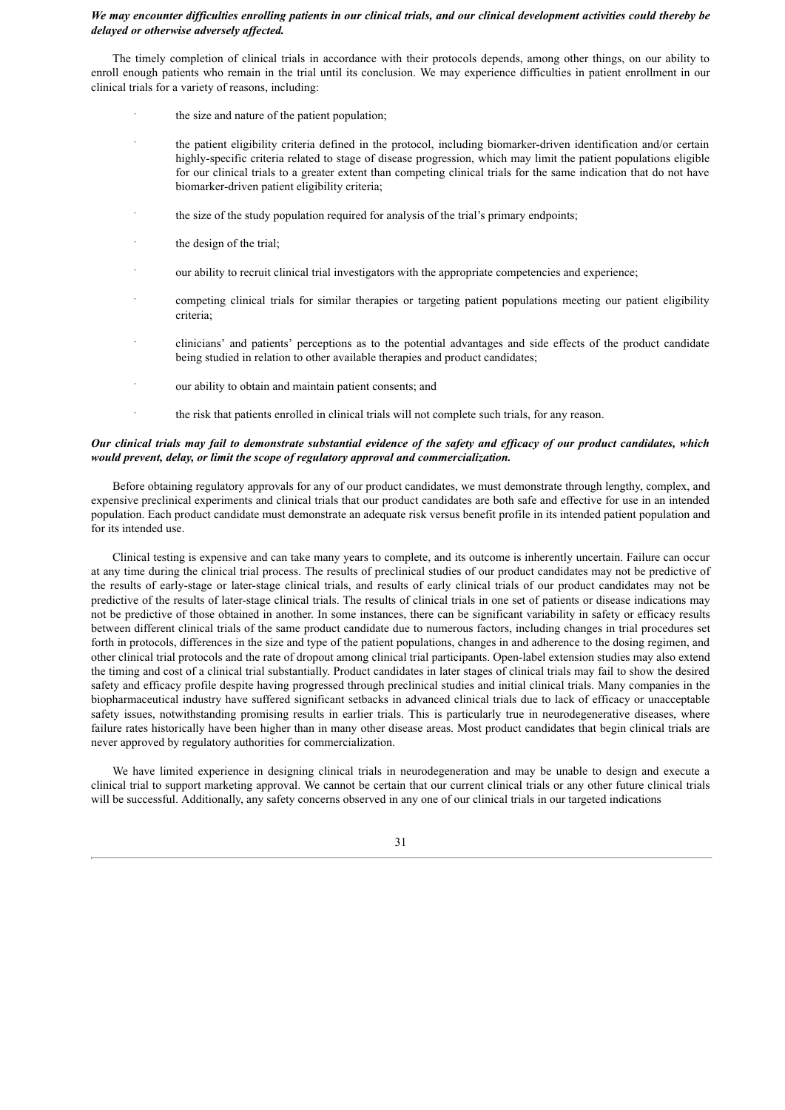# We may encounter difficulties enrolling patients in our clinical trials, and our clinical development activities could thereby be *delayed or otherwise adversely af ected.*

The timely completion of clinical trials in accordance with their protocols depends, among other things, on our ability to enroll enough patients who remain in the trial until its conclusion. We may experience difficulties in patient enrollment in our clinical trials for a variety of reasons, including:

- the size and nature of the patient population;
- · the patient eligibility criteria defined in the protocol, including biomarker-driven identification and/or certain highly-specific criteria related to stage of disease progression, which may limit the patient populations eligible for our clinical trials to a greater extent than competing clinical trials for the same indication that do not have biomarker-driven patient eligibility criteria;
- the size of the study population required for analysis of the trial's primary endpoints;
- the design of the trial;
- · our ability to recruit clinical trial investigators with the appropriate competencies and experience;
- competing clinical trials for similar therapies or targeting patient populations meeting our patient eligibility criteria;
- · clinicians' and patients' perceptions as to the potential advantages and side effects of the product candidate being studied in relation to other available therapies and product candidates;
- our ability to obtain and maintain patient consents; and
- · the risk that patients enrolled in clinical trials will not complete such trials, for any reason.

#### Our clinical trials may fail to demonstrate substantial evidence of the safety and efficacy of our product candidates, which *would prevent, delay, or limit the scope of regulatory approval and commercialization.*

Before obtaining regulatory approvals for any of our product candidates, we must demonstrate through lengthy, complex, and expensive preclinical experiments and clinical trials that our product candidates are both safe and effective for use in an intended population. Each product candidate must demonstrate an adequate risk versus benefit profile in its intended patient population and for its intended use.

Clinical testing is expensive and can take many years to complete, and its outcome is inherently uncertain. Failure can occur at any time during the clinical trial process. The results of preclinical studies of our product candidates may not be predictive of the results of early-stage or later-stage clinical trials, and results of early clinical trials of our product candidates may not be predictive of the results of later-stage clinical trials. The results of clinical trials in one set of patients or disease indications may not be predictive of those obtained in another. In some instances, there can be significant variability in safety or efficacy results between different clinical trials of the same product candidate due to numerous factors, including changes in trial procedures set forth in protocols, differences in the size and type of the patient populations, changes in and adherence to the dosing regimen, and other clinical trial protocols and the rate of dropout among clinical trial participants. Open-label extension studies may also extend the timing and cost of a clinical trial substantially. Product candidates in later stages of clinical trials may fail to show the desired safety and efficacy profile despite having progressed through preclinical studies and initial clinical trials. Many companies in the biopharmaceutical industry have suffered significant setbacks in advanced clinical trials due to lack of efficacy or unacceptable safety issues, notwithstanding promising results in earlier trials. This is particularly true in neurodegenerative diseases, where failure rates historically have been higher than in many other disease areas. Most product candidates that begin clinical trials are never approved by regulatory authorities for commercialization.

We have limited experience in designing clinical trials in neurodegeneration and may be unable to design and execute a clinical trial to support marketing approval. We cannot be certain that our current clinical trials or any other future clinical trials will be successful. Additionally, any safety concerns observed in any one of our clinical trials in our targeted indications

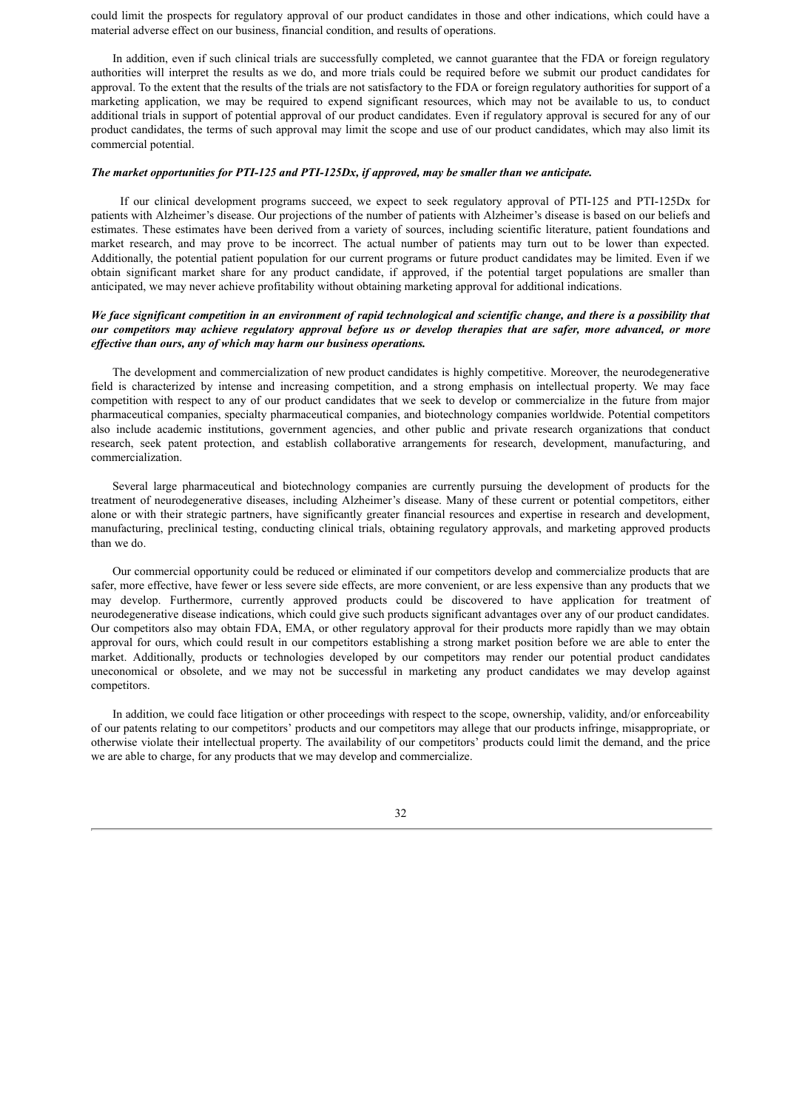could limit the prospects for regulatory approval of our product candidates in those and other indications, which could have a material adverse effect on our business, financial condition, and results of operations.

In addition, even if such clinical trials are successfully completed, we cannot guarantee that the FDA or foreign regulatory authorities will interpret the results as we do, and more trials could be required before we submit our product candidates for approval. To the extent that the results of the trials are not satisfactory to the FDA or foreign regulatory authorities for support of a marketing application, we may be required to expend significant resources, which may not be available to us, to conduct additional trials in support of potential approval of our product candidates. Even if regulatory approval is secured for any of our product candidates, the terms of such approval may limit the scope and use of our product candidates, which may also limit its commercial potential.

# *The market opportunities for PTI-125 and PTI-125Dx, if approved, may be smaller than we anticipate.*

If our clinical development programs succeed, we expect to seek regulatory approval of PTI-125 and PTI-125Dx for patients with Alzheimer's disease. Our projections of the number of patients with Alzheimer's disease is based on our beliefs and estimates. These estimates have been derived from a variety of sources, including scientific literature, patient foundations and market research, and may prove to be incorrect. The actual number of patients may turn out to be lower than expected. Additionally, the potential patient population for our current programs or future product candidates may be limited. Even if we obtain significant market share for any product candidate, if approved, if the potential target populations are smaller than anticipated, we may never achieve profitability without obtaining marketing approval for additional indications.

### We face significant competition in an environment of rapid technological and scientific change, and there is a possibility that our competitors may achieve regulatory approval before us or develop therapies that are safer, more advanced, or more *ef ective than ours, any of which may harm our business operations.*

The development and commercialization of new product candidates is highly competitive. Moreover, the neurodegenerative field is characterized by intense and increasing competition, and a strong emphasis on intellectual property. We may face competition with respect to any of our product candidates that we seek to develop or commercialize in the future from major pharmaceutical companies, specialty pharmaceutical companies, and biotechnology companies worldwide. Potential competitors also include academic institutions, government agencies, and other public and private research organizations that conduct research, seek patent protection, and establish collaborative arrangements for research, development, manufacturing, and commercialization.

Several large pharmaceutical and biotechnology companies are currently pursuing the development of products for the treatment of neurodegenerative diseases, including Alzheimer's disease. Many of these current or potential competitors, either alone or with their strategic partners, have significantly greater financial resources and expertise in research and development, manufacturing, preclinical testing, conducting clinical trials, obtaining regulatory approvals, and marketing approved products than we do.

Our commercial opportunity could be reduced or eliminated if our competitors develop and commercialize products that are safer, more effective, have fewer or less severe side effects, are more convenient, or are less expensive than any products that we may develop. Furthermore, currently approved products could be discovered to have application for treatment of neurodegenerative disease indications, which could give such products significant advantages over any of our product candidates. Our competitors also may obtain FDA, EMA, or other regulatory approval for their products more rapidly than we may obtain approval for ours, which could result in our competitors establishing a strong market position before we are able to enter the market. Additionally, products or technologies developed by our competitors may render our potential product candidates uneconomical or obsolete, and we may not be successful in marketing any product candidates we may develop against competitors.

In addition, we could face litigation or other proceedings with respect to the scope, ownership, validity, and/or enforceability of our patents relating to our competitors' products and our competitors may allege that our products infringe, misappropriate, or otherwise violate their intellectual property. The availability of our competitors' products could limit the demand, and the price we are able to charge, for any products that we may develop and commercialize.

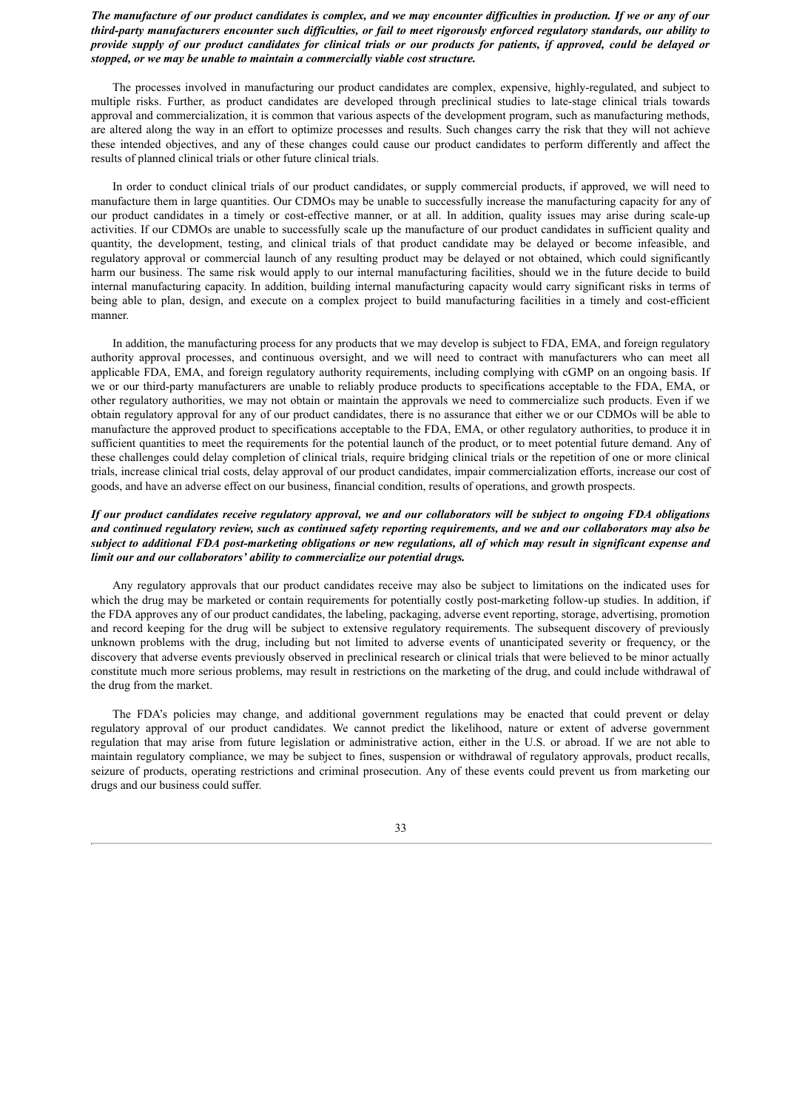The manufacture of our product candidates is complex, and we may encounter difficulties in production. If we or any of our third-party manufacturers encounter such difficulties, or fail to meet rigorously enforced regulatory standards, our ability to provide supply of our product candidates for clinical trials or our products for patients, if approved, could be delayed or *stopped, or we may be unable to maintain a commercially viable cost structure.*

The processes involved in manufacturing our product candidates are complex, expensive, highly-regulated, and subject to multiple risks. Further, as product candidates are developed through preclinical studies to late-stage clinical trials towards approval and commercialization, it is common that various aspects of the development program, such as manufacturing methods, are altered along the way in an effort to optimize processes and results. Such changes carry the risk that they will not achieve these intended objectives, and any of these changes could cause our product candidates to perform differently and affect the results of planned clinical trials or other future clinical trials.

In order to conduct clinical trials of our product candidates, or supply commercial products, if approved, we will need to manufacture them in large quantities. Our CDMOs may be unable to successfully increase the manufacturing capacity for any of our product candidates in a timely or cost-effective manner, or at all. In addition, quality issues may arise during scale-up activities. If our CDMOs are unable to successfully scale up the manufacture of our product candidates in sufficient quality and quantity, the development, testing, and clinical trials of that product candidate may be delayed or become infeasible, and regulatory approval or commercial launch of any resulting product may be delayed or not obtained, which could significantly harm our business. The same risk would apply to our internal manufacturing facilities, should we in the future decide to build internal manufacturing capacity. In addition, building internal manufacturing capacity would carry significant risks in terms of being able to plan, design, and execute on a complex project to build manufacturing facilities in a timely and cost-efficient manner.

In addition, the manufacturing process for any products that we may develop is subject to FDA, EMA, and foreign regulatory authority approval processes, and continuous oversight, and we will need to contract with manufacturers who can meet all applicable FDA, EMA, and foreign regulatory authority requirements, including complying with cGMP on an ongoing basis. If we or our third-party manufacturers are unable to reliably produce products to specifications acceptable to the FDA, EMA, or other regulatory authorities, we may not obtain or maintain the approvals we need to commercialize such products. Even if we obtain regulatory approval for any of our product candidates, there is no assurance that either we or our CDMOs will be able to manufacture the approved product to specifications acceptable to the FDA, EMA, or other regulatory authorities, to produce it in sufficient quantities to meet the requirements for the potential launch of the product, or to meet potential future demand. Any of these challenges could delay completion of clinical trials, require bridging clinical trials or the repetition of one or more clinical trials, increase clinical trial costs, delay approval of our product candidates, impair commercialization efforts, increase our cost of goods, and have an adverse effect on our business, financial condition, results of operations, and growth prospects.

# If our product candidates receive regulatory approval, we and our collaborators will be subject to ongoing FDA obligations and continued regulatory review, such as continued safety reporting requirements, and we and our collaborators may also be subject to additional FDA post-marketing obligations or new regulations, all of which may result in significant expense and *limit our and our collaborators' ability to commercialize our potential drugs.*

Any regulatory approvals that our product candidates receive may also be subject to limitations on the indicated uses for which the drug may be marketed or contain requirements for potentially costly post-marketing follow-up studies. In addition, if the FDA approves any of our product candidates, the labeling, packaging, adverse event reporting, storage, advertising, promotion and record keeping for the drug will be subject to extensive regulatory requirements. The subsequent discovery of previously unknown problems with the drug, including but not limited to adverse events of unanticipated severity or frequency, or the discovery that adverse events previously observed in preclinical research or clinical trials that were believed to be minor actually constitute much more serious problems, may result in restrictions on the marketing of the drug, and could include withdrawal of the drug from the market.

The FDA's policies may change, and additional government regulations may be enacted that could prevent or delay regulatory approval of our product candidates. We cannot predict the likelihood, nature or extent of adverse government regulation that may arise from future legislation or administrative action, either in the U.S. or abroad. If we are not able to maintain regulatory compliance, we may be subject to fines, suspension or withdrawal of regulatory approvals, product recalls, seizure of products, operating restrictions and criminal prosecution. Any of these events could prevent us from marketing our drugs and our business could suffer.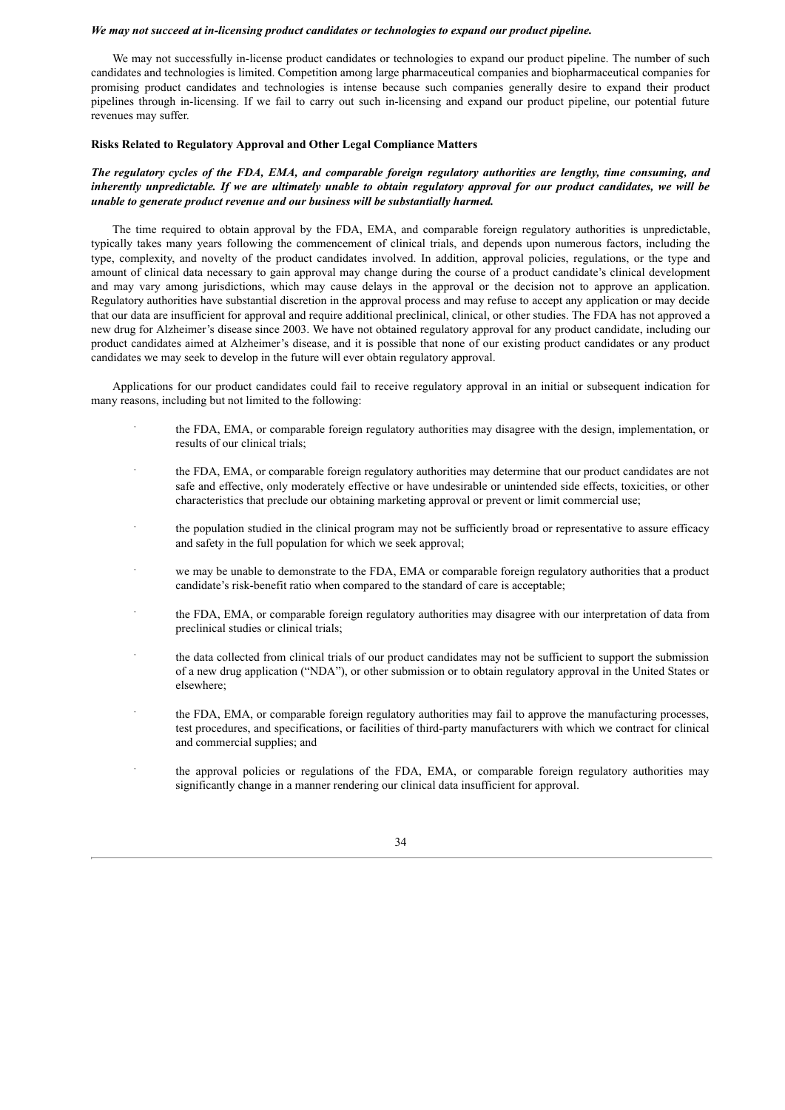#### *We may not succeed at in-licensing product candidates or technologies to expand our product pipeline.*

We may not successfully in-license product candidates or technologies to expand our product pipeline. The number of such candidates and technologies is limited. Competition among large pharmaceutical companies and biopharmaceutical companies for promising product candidates and technologies is intense because such companies generally desire to expand their product pipelines through in-licensing. If we fail to carry out such in-licensing and expand our product pipeline, our potential future revenues may suffer.

#### **Risks Related to Regulatory Approval and Other Legal Compliance Matters**

#### The regulatory cycles of the FDA, EMA, and comparable foreign regulatory authorities are lengthy, time consuming, and inherently unpredictable. If we are ultimately unable to obtain regulatory approval for our product candidates, we will be *unable to generate product revenue and our business will be substantially harmed.*

The time required to obtain approval by the FDA, EMA, and comparable foreign regulatory authorities is unpredictable, typically takes many years following the commencement of clinical trials, and depends upon numerous factors, including the type, complexity, and novelty of the product candidates involved. In addition, approval policies, regulations, or the type and amount of clinical data necessary to gain approval may change during the course of a product candidate's clinical development and may vary among jurisdictions, which may cause delays in the approval or the decision not to approve an application. Regulatory authorities have substantial discretion in the approval process and may refuse to accept any application or may decide that our data are insufficient for approval and require additional preclinical, clinical, or other studies. The FDA has not approved a new drug for Alzheimer's disease since 2003. We have not obtained regulatory approval for any product candidate, including our product candidates aimed at Alzheimer's disease, and it is possible that none of our existing product candidates or any product candidates we may seek to develop in the future will ever obtain regulatory approval.

Applications for our product candidates could fail to receive regulatory approval in an initial or subsequent indication for many reasons, including but not limited to the following:

- · the FDA, EMA, or comparable foreign regulatory authorities may disagree with the design, implementation, or results of our clinical trials;
- · the FDA, EMA, or comparable foreign regulatory authorities may determine that our product candidates are not safe and effective, only moderately effective or have undesirable or unintended side effects, toxicities, or other characteristics that preclude our obtaining marketing approval or prevent or limit commercial use;
- · the population studied in the clinical program may not be sufficiently broad or representative to assure efficacy and safety in the full population for which we seek approval;
- we may be unable to demonstrate to the FDA, EMA or comparable foreign regulatory authorities that a product candidate's risk-benefit ratio when compared to the standard of care is acceptable;
- · the FDA, EMA, or comparable foreign regulatory authorities may disagree with our interpretation of data from preclinical studies or clinical trials;
- · the data collected from clinical trials of our product candidates may not be sufficient to support the submission of a new drug application ("NDA"), or other submission or to obtain regulatory approval in the United States or elsewhere;
- · the FDA, EMA, or comparable foreign regulatory authorities may fail to approve the manufacturing processes, test procedures, and specifications, or facilities of third-party manufacturers with which we contract for clinical and commercial supplies; and
	- the approval policies or regulations of the FDA, EMA, or comparable foreign regulatory authorities may significantly change in a manner rendering our clinical data insufficient for approval.

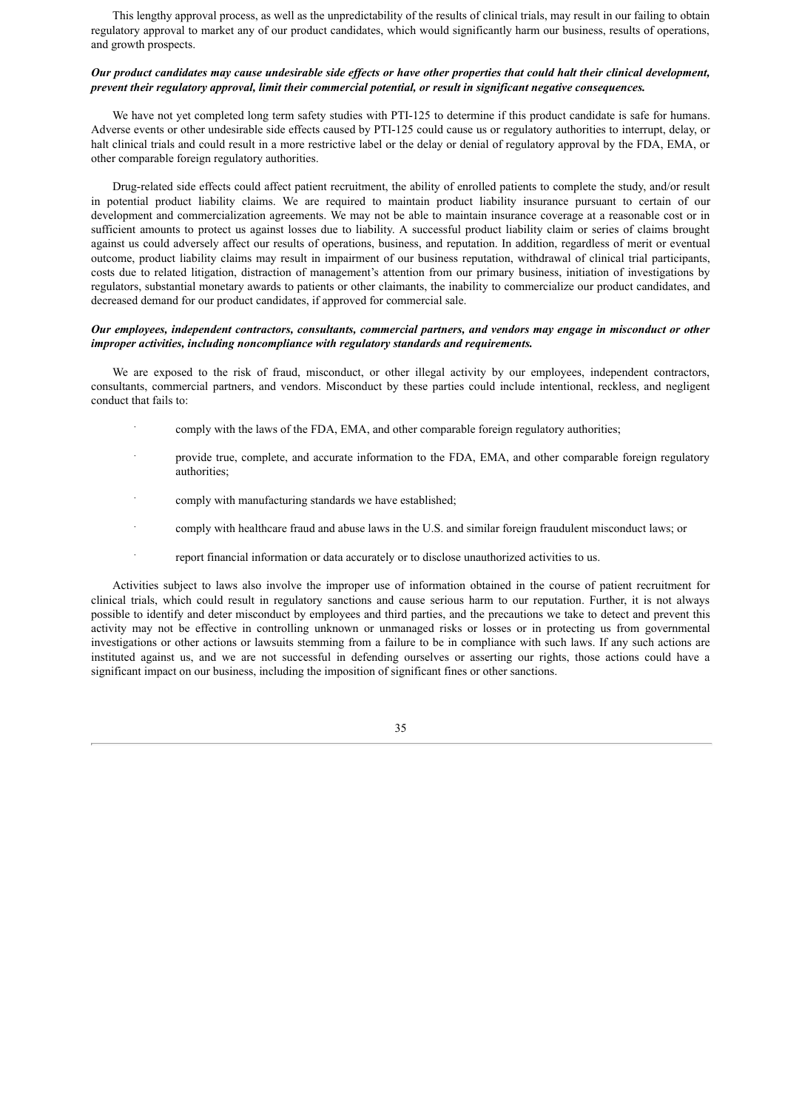This lengthy approval process, as well as the unpredictability of the results of clinical trials, may result in our failing to obtain regulatory approval to market any of our product candidates, which would significantly harm our business, results of operations, and growth prospects.

#### Our product candidates may cause undesirable side effects or have other properties that could halt their clinical development, *prevent their regulatory approval, limit their commercial potential, or result in significant negative consequences.*

We have not yet completed long term safety studies with PTI-125 to determine if this product candidate is safe for humans. Adverse events or other undesirable side effects caused by PTI-125 could cause us or regulatory authorities to interrupt, delay, or halt clinical trials and could result in a more restrictive label or the delay or denial of regulatory approval by the FDA, EMA, or other comparable foreign regulatory authorities.

Drug-related side effects could affect patient recruitment, the ability of enrolled patients to complete the study, and/or result in potential product liability claims. We are required to maintain product liability insurance pursuant to certain of our development and commercialization agreements. We may not be able to maintain insurance coverage at a reasonable cost or in sufficient amounts to protect us against losses due to liability. A successful product liability claim or series of claims brought against us could adversely affect our results of operations, business, and reputation. In addition, regardless of merit or eventual outcome, product liability claims may result in impairment of our business reputation, withdrawal of clinical trial participants, costs due to related litigation, distraction of management's attention from our primary business, initiation of investigations by regulators, substantial monetary awards to patients or other claimants, the inability to commercialize our product candidates, and decreased demand for our product candidates, if approved for commercial sale.

### *Our employees, independent contractors, consultants, commercial partners, and vendors may engage in misconduct or other improper activities, including noncompliance with regulatory standards and requirements.*

We are exposed to the risk of fraud, misconduct, or other illegal activity by our employees, independent contractors, consultants, commercial partners, and vendors. Misconduct by these parties could include intentional, reckless, and negligent conduct that fails to:

- comply with the laws of the FDA, EMA, and other comparable foreign regulatory authorities;
- · provide true, complete, and accurate information to the FDA, EMA, and other comparable foreign regulatory authorities;
- comply with manufacturing standards we have established;
- · comply with healthcare fraud and abuse laws in the U.S. and similar foreign fraudulent misconduct laws; or
- report financial information or data accurately or to disclose unauthorized activities to us.

Activities subject to laws also involve the improper use of information obtained in the course of patient recruitment for clinical trials, which could result in regulatory sanctions and cause serious harm to our reputation. Further, it is not always possible to identify and deter misconduct by employees and third parties, and the precautions we take to detect and prevent this activity may not be effective in controlling unknown or unmanaged risks or losses or in protecting us from governmental investigations or other actions or lawsuits stemming from a failure to be in compliance with such laws. If any such actions are instituted against us, and we are not successful in defending ourselves or asserting our rights, those actions could have a significant impact on our business, including the imposition of significant fines or other sanctions.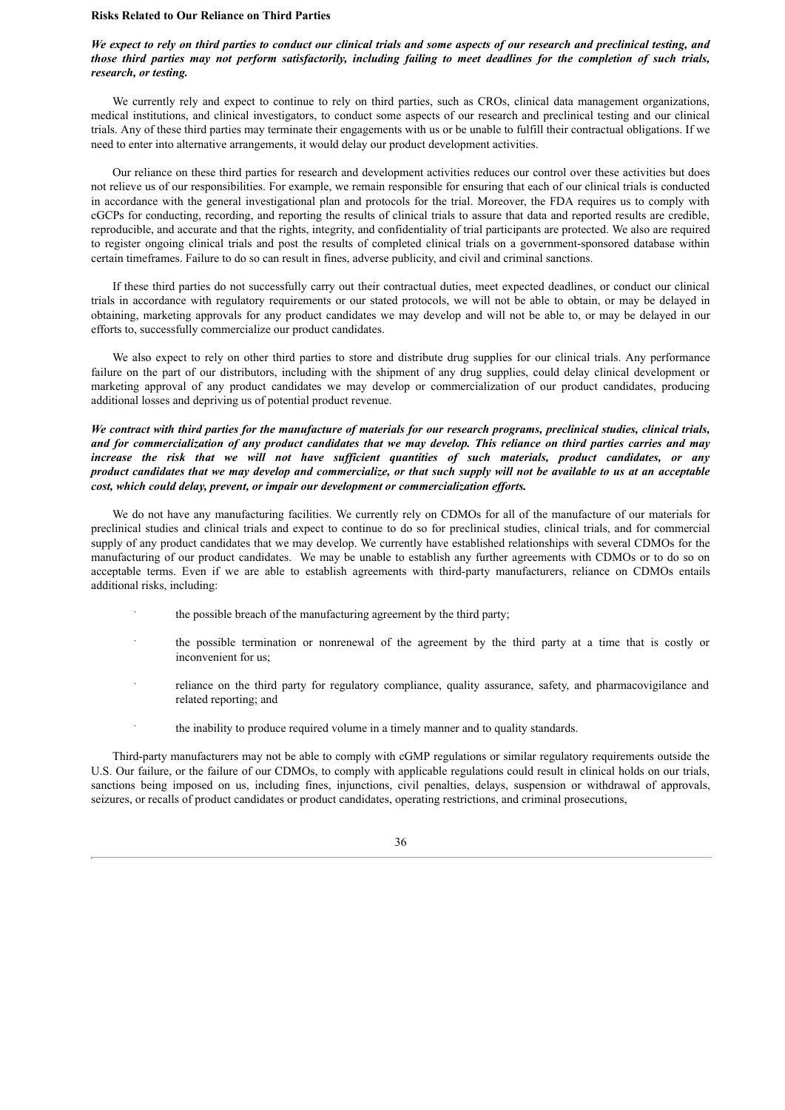#### **Risks Related to Our Reliance on Third Parties**

We expect to rely on third parties to conduct our clinical trials and some aspects of our research and preclinical testing, and those third parties may not perform satisfactorily, including failing to meet deadlines for the completion of such trials, *research, or testing.*

We currently rely and expect to continue to rely on third parties, such as CROs, clinical data management organizations, medical institutions, and clinical investigators, to conduct some aspects of our research and preclinical testing and our clinical trials. Any of these third parties may terminate their engagements with us or be unable to fulfill their contractual obligations. If we need to enter into alternative arrangements, it would delay our product development activities.

Our reliance on these third parties for research and development activities reduces our control over these activities but does not relieve us of our responsibilities. For example, we remain responsible for ensuring that each of our clinical trials is conducted in accordance with the general investigational plan and protocols for the trial. Moreover, the FDA requires us to comply with cGCPs for conducting, recording, and reporting the results of clinical trials to assure that data and reported results are credible, reproducible, and accurate and that the rights, integrity, and confidentiality of trial participants are protected. We also are required to register ongoing clinical trials and post the results of completed clinical trials on a government-sponsored database within certain timeframes. Failure to do so can result in fines, adverse publicity, and civil and criminal sanctions.

If these third parties do not successfully carry out their contractual duties, meet expected deadlines, or conduct our clinical trials in accordance with regulatory requirements or our stated protocols, we will not be able to obtain, or may be delayed in obtaining, marketing approvals for any product candidates we may develop and will not be able to, or may be delayed in our efforts to, successfully commercialize our product candidates.

We also expect to rely on other third parties to store and distribute drug supplies for our clinical trials. Any performance failure on the part of our distributors, including with the shipment of any drug supplies, could delay clinical development or marketing approval of any product candidates we may develop or commercialization of our product candidates, producing additional losses and depriving us of potential product revenue.

We contract with third parties for the manufacture of materials for our research programs, preclinical studies, clinical trials, and for commercialization of any product candidates that we may develop. This reliance on third parties carries and may increase the risk that we will not have sufficient quantities of such materials, product candidates, or any product candidates that we may develop and commercialize, or that such supply will not be available to us at an acceptable *cost, which could delay, prevent, or impair our development or commercialization ef orts.*

We do not have any manufacturing facilities. We currently rely on CDMOs for all of the manufacture of our materials for preclinical studies and clinical trials and expect to continue to do so for preclinical studies, clinical trials, and for commercial supply of any product candidates that we may develop. We currently have established relationships with several CDMOs for the manufacturing of our product candidates. We may be unable to establish any further agreements with CDMOs or to do so on acceptable terms. Even if we are able to establish agreements with third-party manufacturers, reliance on CDMOs entails additional risks, including:

- the possible breach of the manufacturing agreement by the third party;
- · the possible termination or nonrenewal of the agreement by the third party at a time that is costly or inconvenient for us;
- · reliance on the third party for regulatory compliance, quality assurance, safety, and pharmacovigilance and related reporting; and
- · the inability to produce required volume in a timely manner and to quality standards.

Third-party manufacturers may not be able to comply with cGMP regulations or similar regulatory requirements outside the U.S. Our failure, or the failure of our CDMOs, to comply with applicable regulations could result in clinical holds on our trials, sanctions being imposed on us, including fines, injunctions, civil penalties, delays, suspension or withdrawal of approvals, seizures, or recalls of product candidates or product candidates, operating restrictions, and criminal prosecutions,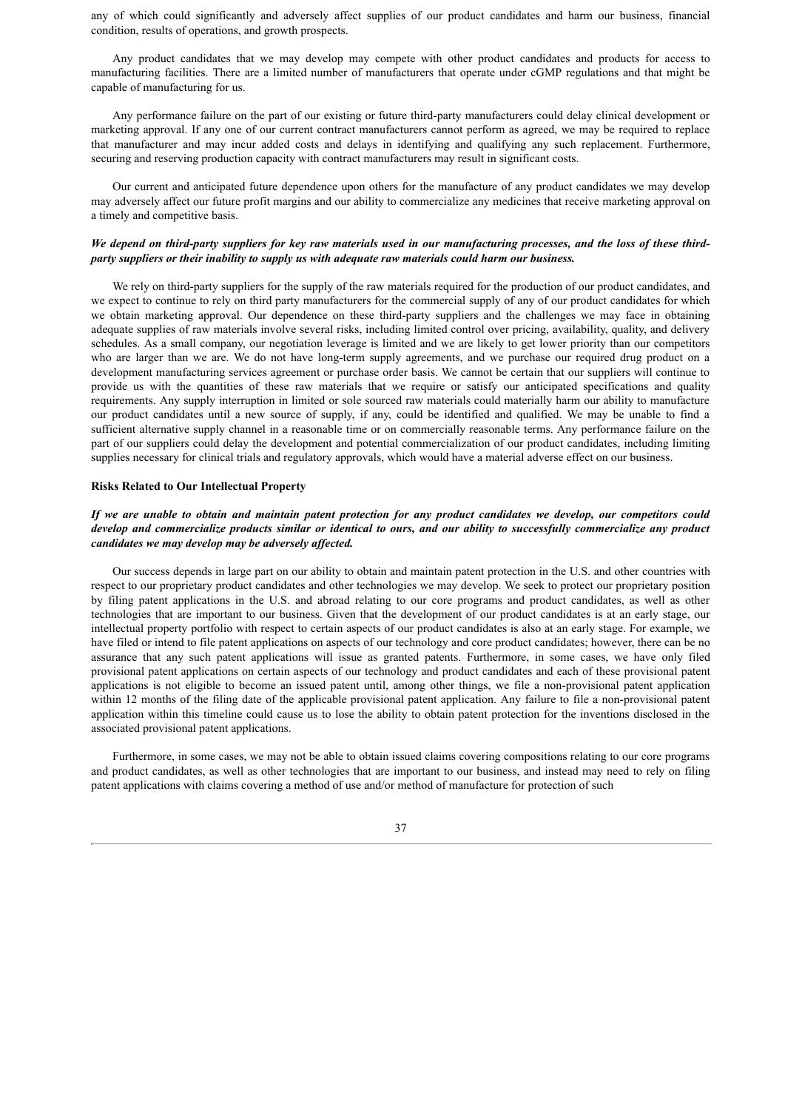any of which could significantly and adversely affect supplies of our product candidates and harm our business, financial condition, results of operations, and growth prospects.

Any product candidates that we may develop may compete with other product candidates and products for access to manufacturing facilities. There are a limited number of manufacturers that operate under cGMP regulations and that might be capable of manufacturing for us.

Any performance failure on the part of our existing or future third-party manufacturers could delay clinical development or marketing approval. If any one of our current contract manufacturers cannot perform as agreed, we may be required to replace that manufacturer and may incur added costs and delays in identifying and qualifying any such replacement. Furthermore, securing and reserving production capacity with contract manufacturers may result in significant costs.

Our current and anticipated future dependence upon others for the manufacture of any product candidates we may develop may adversely affect our future profit margins and our ability to commercialize any medicines that receive marketing approval on a timely and competitive basis.

#### We depend on third-party suppliers for key raw materials used in our manufacturing processes, and the loss of these third*party suppliers or their inability to supply us with adequate raw materials could harm our business.*

We rely on third-party suppliers for the supply of the raw materials required for the production of our product candidates, and we expect to continue to rely on third party manufacturers for the commercial supply of any of our product candidates for which we obtain marketing approval. Our dependence on these third-party suppliers and the challenges we may face in obtaining adequate supplies of raw materials involve several risks, including limited control over pricing, availability, quality, and delivery schedules. As a small company, our negotiation leverage is limited and we are likely to get lower priority than our competitors who are larger than we are. We do not have long-term supply agreements, and we purchase our required drug product on a development manufacturing services agreement or purchase order basis. We cannot be certain that our suppliers will continue to provide us with the quantities of these raw materials that we require or satisfy our anticipated specifications and quality requirements. Any supply interruption in limited or sole sourced raw materials could materially harm our ability to manufacture our product candidates until a new source of supply, if any, could be identified and qualified. We may be unable to find a sufficient alternative supply channel in a reasonable time or on commercially reasonable terms. Any performance failure on the part of our suppliers could delay the development and potential commercialization of our product candidates, including limiting supplies necessary for clinical trials and regulatory approvals, which would have a material adverse effect on our business.

#### **Risks Related to Our Intellectual Property**

#### If we are unable to obtain and maintain patent protection for any product candidates we develop, our competitors could develop and commercialize products similar or identical to ours, and our ability to successfully commercialize any product *candidates we may develop may be adversely af ected.*

Our success depends in large part on our ability to obtain and maintain patent protection in the U.S. and other countries with respect to our proprietary product candidates and other technologies we may develop. We seek to protect our proprietary position by filing patent applications in the U.S. and abroad relating to our core programs and product candidates, as well as other technologies that are important to our business. Given that the development of our product candidates is at an early stage, our intellectual property portfolio with respect to certain aspects of our product candidates is also at an early stage. For example, we have filed or intend to file patent applications on aspects of our technology and core product candidates; however, there can be no assurance that any such patent applications will issue as granted patents. Furthermore, in some cases, we have only filed provisional patent applications on certain aspects of our technology and product candidates and each of these provisional patent applications is not eligible to become an issued patent until, among other things, we file a non-provisional patent application within 12 months of the filing date of the applicable provisional patent application. Any failure to file a non-provisional patent application within this timeline could cause us to lose the ability to obtain patent protection for the inventions disclosed in the associated provisional patent applications.

Furthermore, in some cases, we may not be able to obtain issued claims covering compositions relating to our core programs and product candidates, as well as other technologies that are important to our business, and instead may need to rely on filing patent applications with claims covering a method of use and/or method of manufacture for protection of such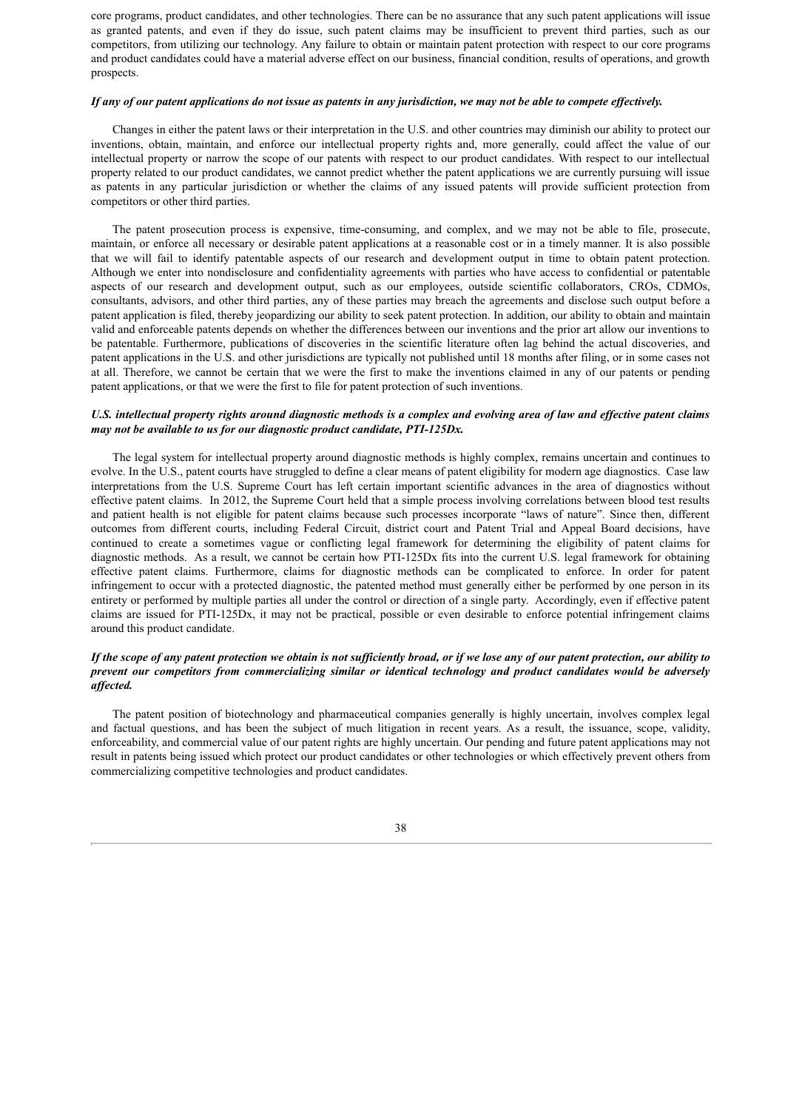core programs, product candidates, and other technologies. There can be no assurance that any such patent applications will issue as granted patents, and even if they do issue, such patent claims may be insufficient to prevent third parties, such as our competitors, from utilizing our technology. Any failure to obtain or maintain patent protection with respect to our core programs and product candidates could have a material adverse effect on our business, financial condition, results of operations, and growth prospects.

#### If any of our patent applications do not issue as patents in any jurisdiction, we may not be able to compete effectively.

Changes in either the patent laws or their interpretation in the U.S. and other countries may diminish our ability to protect our inventions, obtain, maintain, and enforce our intellectual property rights and, more generally, could affect the value of our intellectual property or narrow the scope of our patents with respect to our product candidates. With respect to our intellectual property related to our product candidates, we cannot predict whether the patent applications we are currently pursuing will issue as patents in any particular jurisdiction or whether the claims of any issued patents will provide sufficient protection from competitors or other third parties.

The patent prosecution process is expensive, time-consuming, and complex, and we may not be able to file, prosecute, maintain, or enforce all necessary or desirable patent applications at a reasonable cost or in a timely manner. It is also possible that we will fail to identify patentable aspects of our research and development output in time to obtain patent protection. Although we enter into nondisclosure and confidentiality agreements with parties who have access to confidential or patentable aspects of our research and development output, such as our employees, outside scientific collaborators, CROs, CDMOs, consultants, advisors, and other third parties, any of these parties may breach the agreements and disclose such output before a patent application is filed, thereby jeopardizing our ability to seek patent protection. In addition, our ability to obtain and maintain valid and enforceable patents depends on whether the differences between our inventions and the prior art allow our inventions to be patentable. Furthermore, publications of discoveries in the scientific literature often lag behind the actual discoveries, and patent applications in the U.S. and other jurisdictions are typically not published until 18 months after filing, or in some cases not at all. Therefore, we cannot be certain that we were the first to make the inventions claimed in any of our patents or pending patent applications, or that we were the first to file for patent protection of such inventions.

#### U.S. intellectual property rights around diagnostic methods is a complex and evolving area of law and effective patent claims *may not be available to us for our diagnostic product candidate, PTI-125Dx.*

The legal system for intellectual property around diagnostic methods is highly complex, remains uncertain and continues to evolve. In the U.S., patent courts have struggled to define a clear means of patent eligibility for modern age diagnostics. Case law interpretations from the U.S. Supreme Court has left certain important scientific advances in the area of diagnostics without effective patent claims. In 2012, the Supreme Court held that a simple process involving correlations between blood test results and patient health is not eligible for patent claims because such processes incorporate "laws of nature". Since then, different outcomes from different courts, including Federal Circuit, district court and Patent Trial and Appeal Board decisions, have continued to create a sometimes vague or conflicting legal framework for determining the eligibility of patent claims for diagnostic methods. As a result, we cannot be certain how PTI-125Dx fits into the current U.S. legal framework for obtaining effective patent claims. Furthermore, claims for diagnostic methods can be complicated to enforce. In order for patent infringement to occur with a protected diagnostic, the patented method must generally either be performed by one person in its entirety or performed by multiple parties all under the control or direction of a single party. Accordingly, even if effective patent claims are issued for PTI-125Dx, it may not be practical, possible or even desirable to enforce potential infringement claims around this product candidate.

#### If the scope of any patent protection we obtain is not sufficiently broad, or if we lose any of our patent protection, our ability to *prevent our competitors from commercializing similar or identical technology and product candidates would be adversely af ected.*

The patent position of biotechnology and pharmaceutical companies generally is highly uncertain, involves complex legal and factual questions, and has been the subject of much litigation in recent years. As a result, the issuance, scope, validity, enforceability, and commercial value of our patent rights are highly uncertain. Our pending and future patent applications may not result in patents being issued which protect our product candidates or other technologies or which effectively prevent others from commercializing competitive technologies and product candidates.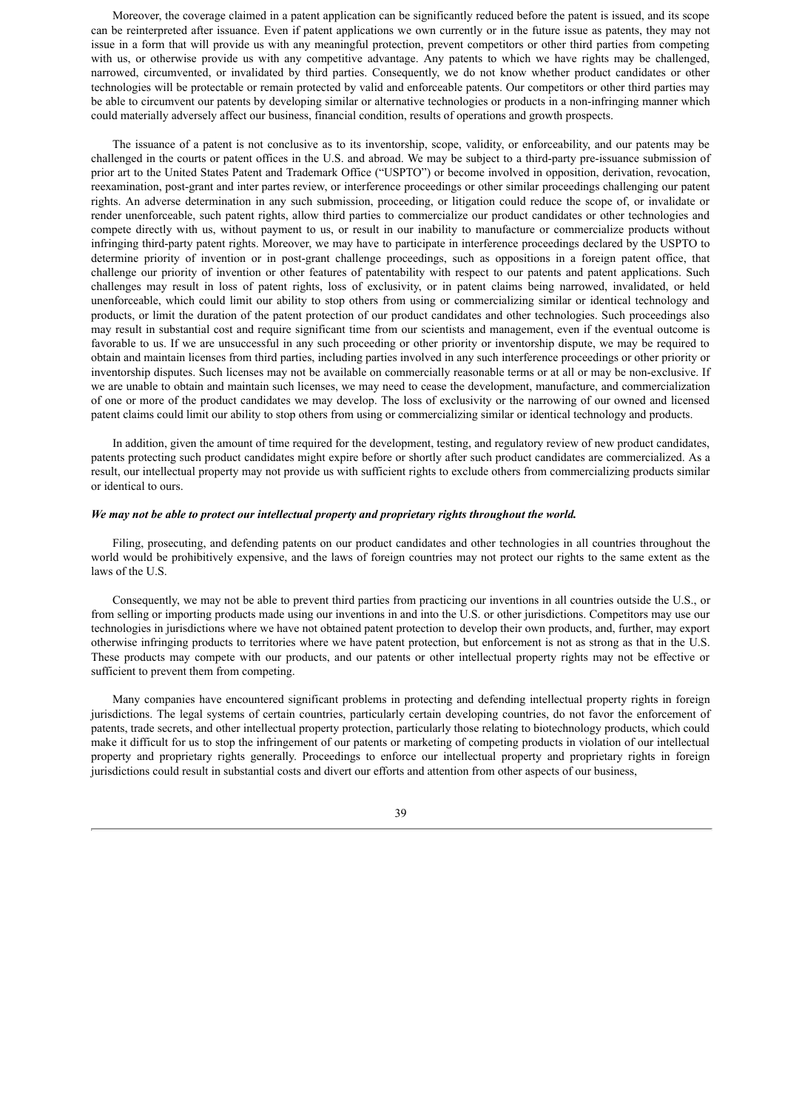Moreover, the coverage claimed in a patent application can be significantly reduced before the patent is issued, and its scope can be reinterpreted after issuance. Even if patent applications we own currently or in the future issue as patents, they may not issue in a form that will provide us with any meaningful protection, prevent competitors or other third parties from competing with us, or otherwise provide us with any competitive advantage. Any patents to which we have rights may be challenged, narrowed, circumvented, or invalidated by third parties. Consequently, we do not know whether product candidates or other technologies will be protectable or remain protected by valid and enforceable patents. Our competitors or other third parties may be able to circumvent our patents by developing similar or alternative technologies or products in a non-infringing manner which could materially adversely affect our business, financial condition, results of operations and growth prospects.

The issuance of a patent is not conclusive as to its inventorship, scope, validity, or enforceability, and our patents may be challenged in the courts or patent offices in the U.S. and abroad. We may be subject to a third-party pre-issuance submission of prior art to the United States Patent and Trademark Office ("USPTO") or become involved in opposition, derivation, revocation, reexamination, post-grant and inter partes review, or interference proceedings or other similar proceedings challenging our patent rights. An adverse determination in any such submission, proceeding, or litigation could reduce the scope of, or invalidate or render unenforceable, such patent rights, allow third parties to commercialize our product candidates or other technologies and compete directly with us, without payment to us, or result in our inability to manufacture or commercialize products without infringing third-party patent rights. Moreover, we may have to participate in interference proceedings declared by the USPTO to determine priority of invention or in post-grant challenge proceedings, such as oppositions in a foreign patent office, that challenge our priority of invention or other features of patentability with respect to our patents and patent applications. Such challenges may result in loss of patent rights, loss of exclusivity, or in patent claims being narrowed, invalidated, or held unenforceable, which could limit our ability to stop others from using or commercializing similar or identical technology and products, or limit the duration of the patent protection of our product candidates and other technologies. Such proceedings also may result in substantial cost and require significant time from our scientists and management, even if the eventual outcome is favorable to us. If we are unsuccessful in any such proceeding or other priority or inventorship dispute, we may be required to obtain and maintain licenses from third parties, including parties involved in any such interference proceedings or other priority or inventorship disputes. Such licenses may not be available on commercially reasonable terms or at all or may be non-exclusive. If we are unable to obtain and maintain such licenses, we may need to cease the development, manufacture, and commercialization of one or more of the product candidates we may develop. The loss of exclusivity or the narrowing of our owned and licensed patent claims could limit our ability to stop others from using or commercializing similar or identical technology and products.

In addition, given the amount of time required for the development, testing, and regulatory review of new product candidates, patents protecting such product candidates might expire before or shortly after such product candidates are commercialized. As a result, our intellectual property may not provide us with sufficient rights to exclude others from commercializing products similar or identical to ours.

#### *We may not be able to protect our intellectual property and proprietary rights throughout the world.*

Filing, prosecuting, and defending patents on our product candidates and other technologies in all countries throughout the world would be prohibitively expensive, and the laws of foreign countries may not protect our rights to the same extent as the laws of the U.S.

Consequently, we may not be able to prevent third parties from practicing our inventions in all countries outside the U.S., or from selling or importing products made using our inventions in and into the U.S. or other jurisdictions. Competitors may use our technologies in jurisdictions where we have not obtained patent protection to develop their own products, and, further, may export otherwise infringing products to territories where we have patent protection, but enforcement is not as strong as that in the U.S. These products may compete with our products, and our patents or other intellectual property rights may not be effective or sufficient to prevent them from competing.

Many companies have encountered significant problems in protecting and defending intellectual property rights in foreign jurisdictions. The legal systems of certain countries, particularly certain developing countries, do not favor the enforcement of patents, trade secrets, and other intellectual property protection, particularly those relating to biotechnology products, which could make it difficult for us to stop the infringement of our patents or marketing of competing products in violation of our intellectual property and proprietary rights generally. Proceedings to enforce our intellectual property and proprietary rights in foreign jurisdictions could result in substantial costs and divert our efforts and attention from other aspects of our business,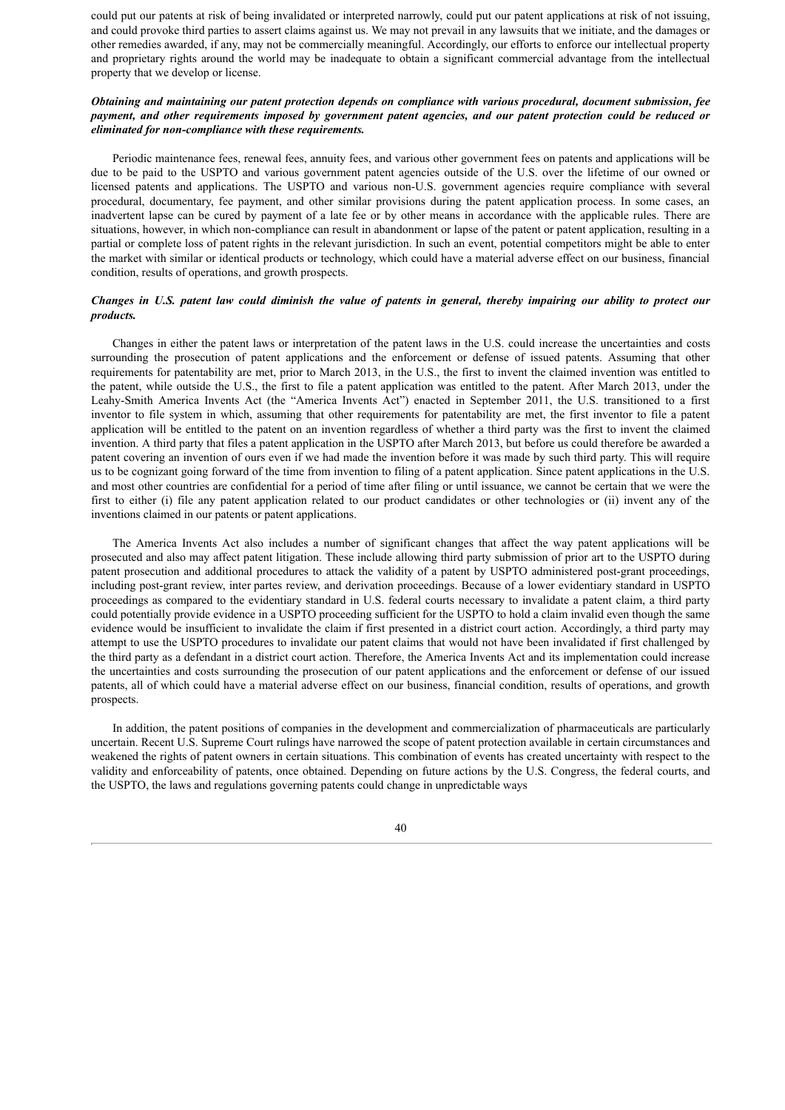could put our patents at risk of being invalidated or interpreted narrowly, could put our patent applications at risk of not issuing, and could provoke third parties to assert claims against us. We may not prevail in any lawsuits that we initiate, and the damages or other remedies awarded, if any, may not be commercially meaningful. Accordingly, our efforts to enforce our intellectual property and proprietary rights around the world may be inadequate to obtain a significant commercial advantage from the intellectual property that we develop or license.

#### *Obtaining and maintaining our patent protection depends on compliance with various procedural, document submission, fee* payment, and other requirements imposed by government patent agencies, and our patent protection could be reduced or *eliminated for non-compliance with these requirements.*

Periodic maintenance fees, renewal fees, annuity fees, and various other government fees on patents and applications will be due to be paid to the USPTO and various government patent agencies outside of the U.S. over the lifetime of our owned or licensed patents and applications. The USPTO and various non-U.S. government agencies require compliance with several procedural, documentary, fee payment, and other similar provisions during the patent application process. In some cases, an inadvertent lapse can be cured by payment of a late fee or by other means in accordance with the applicable rules. There are situations, however, in which non-compliance can result in abandonment or lapse of the patent or patent application, resulting in a partial or complete loss of patent rights in the relevant jurisdiction. In such an event, potential competitors might be able to enter the market with similar or identical products or technology, which could have a material adverse effect on our business, financial condition, results of operations, and growth prospects.

#### Changes in U.S. patent law could diminish the value of patents in general, thereby impairing our ability to protect our *products.*

Changes in either the patent laws or interpretation of the patent laws in the U.S. could increase the uncertainties and costs surrounding the prosecution of patent applications and the enforcement or defense of issued patents. Assuming that other requirements for patentability are met, prior to March 2013, in the U.S., the first to invent the claimed invention was entitled to the patent, while outside the U.S., the first to file a patent application was entitled to the patent. After March 2013, under the Leahy-Smith America Invents Act (the "America Invents Act") enacted in September 2011, the U.S. transitioned to a first inventor to file system in which, assuming that other requirements for patentability are met, the first inventor to file a patent application will be entitled to the patent on an invention regardless of whether a third party was the first to invent the claimed invention. A third party that files a patent application in the USPTO after March 2013, but before us could therefore be awarded a patent covering an invention of ours even if we had made the invention before it was made by such third party. This will require us to be cognizant going forward of the time from invention to filing of a patent application. Since patent applications in the U.S. and most other countries are confidential for a period of time after filing or until issuance, we cannot be certain that we were the first to either (i) file any patent application related to our product candidates or other technologies or (ii) invent any of the inventions claimed in our patents or patent applications.

The America Invents Act also includes a number of significant changes that affect the way patent applications will be prosecuted and also may affect patent litigation. These include allowing third party submission of prior art to the USPTO during patent prosecution and additional procedures to attack the validity of a patent by USPTO administered post-grant proceedings, including post-grant review, inter partes review, and derivation proceedings. Because of a lower evidentiary standard in USPTO proceedings as compared to the evidentiary standard in U.S. federal courts necessary to invalidate a patent claim, a third party could potentially provide evidence in a USPTO proceeding sufficient for the USPTO to hold a claim invalid even though the same evidence would be insufficient to invalidate the claim if first presented in a district court action. Accordingly, a third party may attempt to use the USPTO procedures to invalidate our patent claims that would not have been invalidated if first challenged by the third party as a defendant in a district court action. Therefore, the America Invents Act and its implementation could increase the uncertainties and costs surrounding the prosecution of our patent applications and the enforcement or defense of our issued patents, all of which could have a material adverse effect on our business, financial condition, results of operations, and growth prospects.

In addition, the patent positions of companies in the development and commercialization of pharmaceuticals are particularly uncertain. Recent U.S. Supreme Court rulings have narrowed the scope of patent protection available in certain circumstances and weakened the rights of patent owners in certain situations. This combination of events has created uncertainty with respect to the validity and enforceability of patents, once obtained. Depending on future actions by the U.S. Congress, the federal courts, and the USPTO, the laws and regulations governing patents could change in unpredictable ways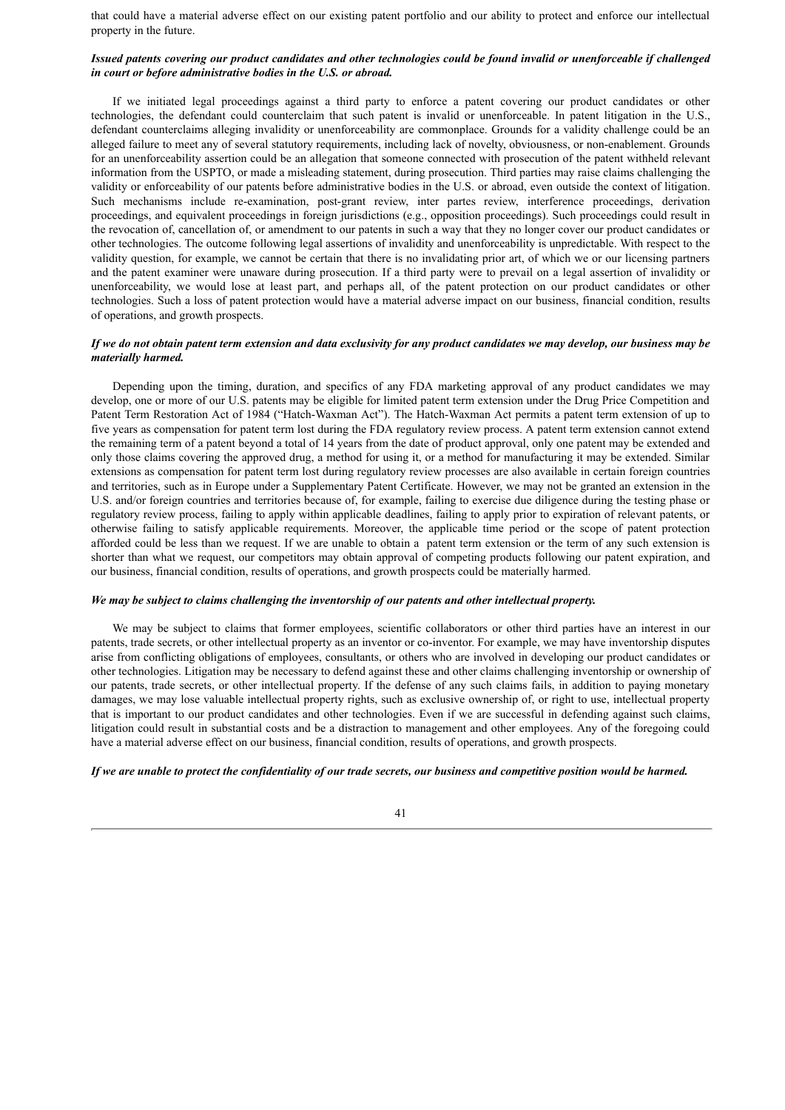that could have a material adverse effect on our existing patent portfolio and our ability to protect and enforce our intellectual property in the future.

#### Issued patents covering our product candidates and other technologies could be found invalid or unenforceable if challenged *in court or before administrative bodies in the U.S. or abroad.*

If we initiated legal proceedings against a third party to enforce a patent covering our product candidates or other technologies, the defendant could counterclaim that such patent is invalid or unenforceable. In patent litigation in the U.S., defendant counterclaims alleging invalidity or unenforceability are commonplace. Grounds for a validity challenge could be an alleged failure to meet any of several statutory requirements, including lack of novelty, obviousness, or non-enablement. Grounds for an unenforceability assertion could be an allegation that someone connected with prosecution of the patent withheld relevant information from the USPTO, or made a misleading statement, during prosecution. Third parties may raise claims challenging the validity or enforceability of our patents before administrative bodies in the U.S. or abroad, even outside the context of litigation. Such mechanisms include re-examination, post-grant review, inter partes review, interference proceedings, derivation proceedings, and equivalent proceedings in foreign jurisdictions (e.g., opposition proceedings). Such proceedings could result in the revocation of, cancellation of, or amendment to our patents in such a way that they no longer cover our product candidates or other technologies. The outcome following legal assertions of invalidity and unenforceability is unpredictable. With respect to the validity question, for example, we cannot be certain that there is no invalidating prior art, of which we or our licensing partners and the patent examiner were unaware during prosecution. If a third party were to prevail on a legal assertion of invalidity or unenforceability, we would lose at least part, and perhaps all, of the patent protection on our product candidates or other technologies. Such a loss of patent protection would have a material adverse impact on our business, financial condition, results of operations, and growth prospects.

#### If we do not obtain patent term extension and data exclusivity for any product candidates we may develop, our business may be *materially harmed.*

Depending upon the timing, duration, and specifics of any FDA marketing approval of any product candidates we may develop, one or more of our U.S. patents may be eligible for limited patent term extension under the Drug Price Competition and Patent Term Restoration Act of 1984 ("Hatch-Waxman Act"). The Hatch-Waxman Act permits a patent term extension of up to five years as compensation for patent term lost during the FDA regulatory review process. A patent term extension cannot extend the remaining term of a patent beyond a total of 14 years from the date of product approval, only one patent may be extended and only those claims covering the approved drug, a method for using it, or a method for manufacturing it may be extended. Similar extensions as compensation for patent term lost during regulatory review processes are also available in certain foreign countries and territories, such as in Europe under a Supplementary Patent Certificate. However, we may not be granted an extension in the U.S. and/or foreign countries and territories because of, for example, failing to exercise due diligence during the testing phase or regulatory review process, failing to apply within applicable deadlines, failing to apply prior to expiration of relevant patents, or otherwise failing to satisfy applicable requirements. Moreover, the applicable time period or the scope of patent protection afforded could be less than we request. If we are unable to obtain a patent term extension or the term of any such extension is shorter than what we request, our competitors may obtain approval of competing products following our patent expiration, and our business, financial condition, results of operations, and growth prospects could be materially harmed.

#### *We may be subject to claims challenging the inventorship of our patents and other intellectual property.*

We may be subject to claims that former employees, scientific collaborators or other third parties have an interest in our patents, trade secrets, or other intellectual property as an inventor or co-inventor. For example, we may have inventorship disputes arise from conflicting obligations of employees, consultants, or others who are involved in developing our product candidates or other technologies. Litigation may be necessary to defend against these and other claims challenging inventorship or ownership of our patents, trade secrets, or other intellectual property. If the defense of any such claims fails, in addition to paying monetary damages, we may lose valuable intellectual property rights, such as exclusive ownership of, or right to use, intellectual property that is important to our product candidates and other technologies. Even if we are successful in defending against such claims, litigation could result in substantial costs and be a distraction to management and other employees. Any of the foregoing could have a material adverse effect on our business, financial condition, results of operations, and growth prospects.

#### If we are unable to protect the confidentiality of our trade secrets, our business and competitive position would be harmed.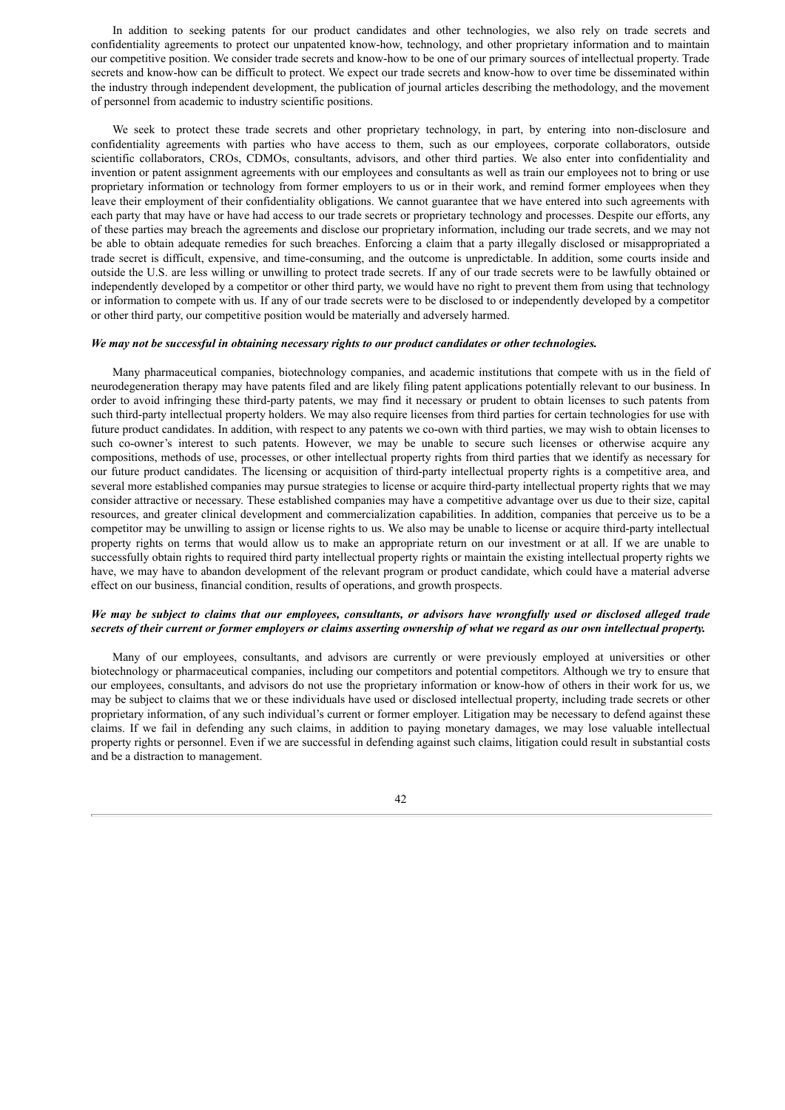In addition to seeking patents for our product candidates and other technologies, we also rely on trade secrets and confidentiality agreements to protect our unpatented know-how, technology, and other proprietary information and to maintain our competitive position. We consider trade secrets and know-how to be one of our primary sources of intellectual property. Trade secrets and know-how can be difficult to protect. We expect our trade secrets and know-how to over time be disseminated within the industry through independent development, the publication of journal articles describing the methodology, and the movement of personnel from academic to industry scientific positions.

We seek to protect these trade secrets and other proprietary technology, in part, by entering into non-disclosure and confidentiality agreements with parties who have access to them, such as our employees, corporate collaborators, outside scientific collaborators, CROs, CDMOs, consultants, advisors, and other third parties. We also enter into confidentiality and invention or patent assignment agreements with our employees and consultants as well as train our employees not to bring or use proprietary information or technology from former employers to us or in their work, and remind former employees when they leave their employment of their confidentiality obligations. We cannot guarantee that we have entered into such agreements with each party that may have or have had access to our trade secrets or proprietary technology and processes. Despite our efforts, any of these parties may breach the agreements and disclose our proprietary information, including our trade secrets, and we may not be able to obtain adequate remedies for such breaches. Enforcing a claim that a party illegally disclosed or misappropriated a trade secret is difficult, expensive, and time-consuming, and the outcome is unpredictable. In addition, some courts inside and outside the U.S. are less willing or unwilling to protect trade secrets. If any of our trade secrets were to be lawfully obtained or independently developed by a competitor or other third party, we would have no right to prevent them from using that technology or information to compete with us. If any of our trade secrets were to be disclosed to or independently developed by a competitor or other third party, our competitive position would be materially and adversely harmed.

#### *We may not be successful in obtaining necessary rights to our product candidates or other technologies.*

Many pharmaceutical companies, biotechnology companies, and academic institutions that compete with us in the field of neurodegeneration therapy may have patents filed and are likely filing patent applications potentially relevant to our business. In order to avoid infringing these third-party patents, we may find it necessary or prudent to obtain licenses to such patents from such third-party intellectual property holders. We may also require licenses from third parties for certain technologies for use with future product candidates. In addition, with respect to any patents we co-own with third parties, we may wish to obtain licenses to such co-owner's interest to such patents. However, we may be unable to secure such licenses or otherwise acquire any compositions, methods of use, processes, or other intellectual property rights from third parties that we identify as necessary for our future product candidates. The licensing or acquisition of third-party intellectual property rights is a competitive area, and several more established companies may pursue strategies to license or acquire third-party intellectual property rights that we may consider attractive or necessary. These established companies may have a competitive advantage over us due to their size, capital resources, and greater clinical development and commercialization capabilities. In addition, companies that perceive us to be a competitor may be unwilling to assign or license rights to us. We also may be unable to license or acquire third-party intellectual property rights on terms that would allow us to make an appropriate return on our investment or at all. If we are unable to successfully obtain rights to required third party intellectual property rights or maintain the existing intellectual property rights we have, we may have to abandon development of the relevant program or product candidate, which could have a material adverse effect on our business, financial condition, results of operations, and growth prospects.

#### We may be subject to claims that our employees, consultants, or advisors have wrongfully used or disclosed alleged trade secrets of their current or former employers or claims asserting ownership of what we regard as our own intellectual property.

Many of our employees, consultants, and advisors are currently or were previously employed at universities or other biotechnology or pharmaceutical companies, including our competitors and potential competitors. Although we try to ensure that our employees, consultants, and advisors do not use the proprietary information or know-how of others in their work for us, we may be subject to claims that we or these individuals have used or disclosed intellectual property, including trade secrets or other proprietary information, of any such individual's current or former employer. Litigation may be necessary to defend against these claims. If we fail in defending any such claims, in addition to paying monetary damages, we may lose valuable intellectual property rights or personnel. Even if we are successful in defending against such claims, litigation could result in substantial costs and be a distraction to management.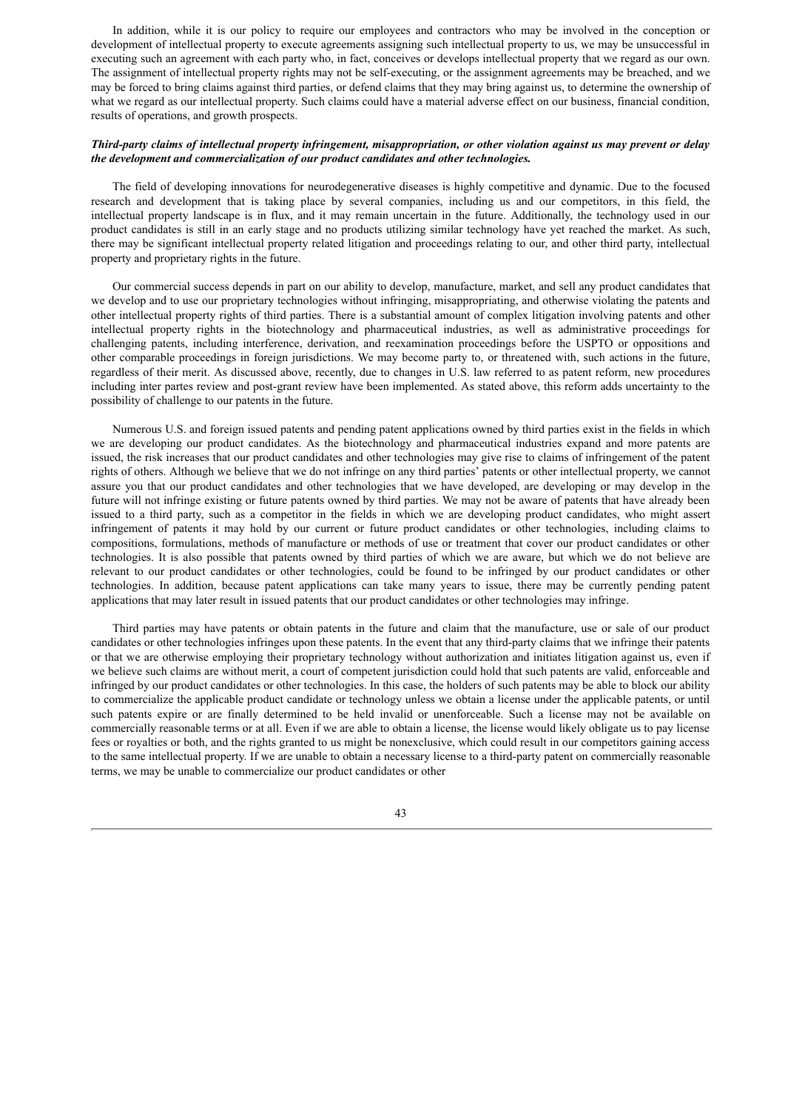In addition, while it is our policy to require our employees and contractors who may be involved in the conception or development of intellectual property to execute agreements assigning such intellectual property to us, we may be unsuccessful in executing such an agreement with each party who, in fact, conceives or develops intellectual property that we regard as our own. The assignment of intellectual property rights may not be self-executing, or the assignment agreements may be breached, and we may be forced to bring claims against third parties, or defend claims that they may bring against us, to determine the ownership of what we regard as our intellectual property. Such claims could have a material adverse effect on our business, financial condition, results of operations, and growth prospects.

#### Third-party claims of intellectual property infringement, misappropriation, or other violation against us may prevent or delay *the development and commercialization of our product candidates and other technologies.*

The field of developing innovations for neurodegenerative diseases is highly competitive and dynamic. Due to the focused research and development that is taking place by several companies, including us and our competitors, in this field, the intellectual property landscape is in flux, and it may remain uncertain in the future. Additionally, the technology used in our product candidates is still in an early stage and no products utilizing similar technology have yet reached the market. As such, there may be significant intellectual property related litigation and proceedings relating to our, and other third party, intellectual property and proprietary rights in the future.

Our commercial success depends in part on our ability to develop, manufacture, market, and sell any product candidates that we develop and to use our proprietary technologies without infringing, misappropriating, and otherwise violating the patents and other intellectual property rights of third parties. There is a substantial amount of complex litigation involving patents and other intellectual property rights in the biotechnology and pharmaceutical industries, as well as administrative proceedings for challenging patents, including interference, derivation, and reexamination proceedings before the USPTO or oppositions and other comparable proceedings in foreign jurisdictions. We may become party to, or threatened with, such actions in the future, regardless of their merit. As discussed above, recently, due to changes in U.S. law referred to as patent reform, new procedures including inter partes review and post-grant review have been implemented. As stated above, this reform adds uncertainty to the possibility of challenge to our patents in the future.

Numerous U.S. and foreign issued patents and pending patent applications owned by third parties exist in the fields in which we are developing our product candidates. As the biotechnology and pharmaceutical industries expand and more patents are issued, the risk increases that our product candidates and other technologies may give rise to claims of infringement of the patent rights of others. Although we believe that we do not infringe on any third parties' patents or other intellectual property, we cannot assure you that our product candidates and other technologies that we have developed, are developing or may develop in the future will not infringe existing or future patents owned by third parties. We may not be aware of patents that have already been issued to a third party, such as a competitor in the fields in which we are developing product candidates, who might assert infringement of patents it may hold by our current or future product candidates or other technologies, including claims to compositions, formulations, methods of manufacture or methods of use or treatment that cover our product candidates or other technologies. It is also possible that patents owned by third parties of which we are aware, but which we do not believe are relevant to our product candidates or other technologies, could be found to be infringed by our product candidates or other technologies. In addition, because patent applications can take many years to issue, there may be currently pending patent applications that may later result in issued patents that our product candidates or other technologies may infringe.

Third parties may have patents or obtain patents in the future and claim that the manufacture, use or sale of our product candidates or other technologies infringes upon these patents. In the event that any third-party claims that we infringe their patents or that we are otherwise employing their proprietary technology without authorization and initiates litigation against us, even if we believe such claims are without merit, a court of competent jurisdiction could hold that such patents are valid, enforceable and infringed by our product candidates or other technologies. In this case, the holders of such patents may be able to block our ability to commercialize the applicable product candidate or technology unless we obtain a license under the applicable patents, or until such patents expire or are finally determined to be held invalid or unenforceable. Such a license may not be available on commercially reasonable terms or at all. Even if we are able to obtain a license, the license would likely obligate us to pay license fees or royalties or both, and the rights granted to us might be nonexclusive, which could result in our competitors gaining access to the same intellectual property. If we are unable to obtain a necessary license to a third-party patent on commercially reasonable terms, we may be unable to commercialize our product candidates or other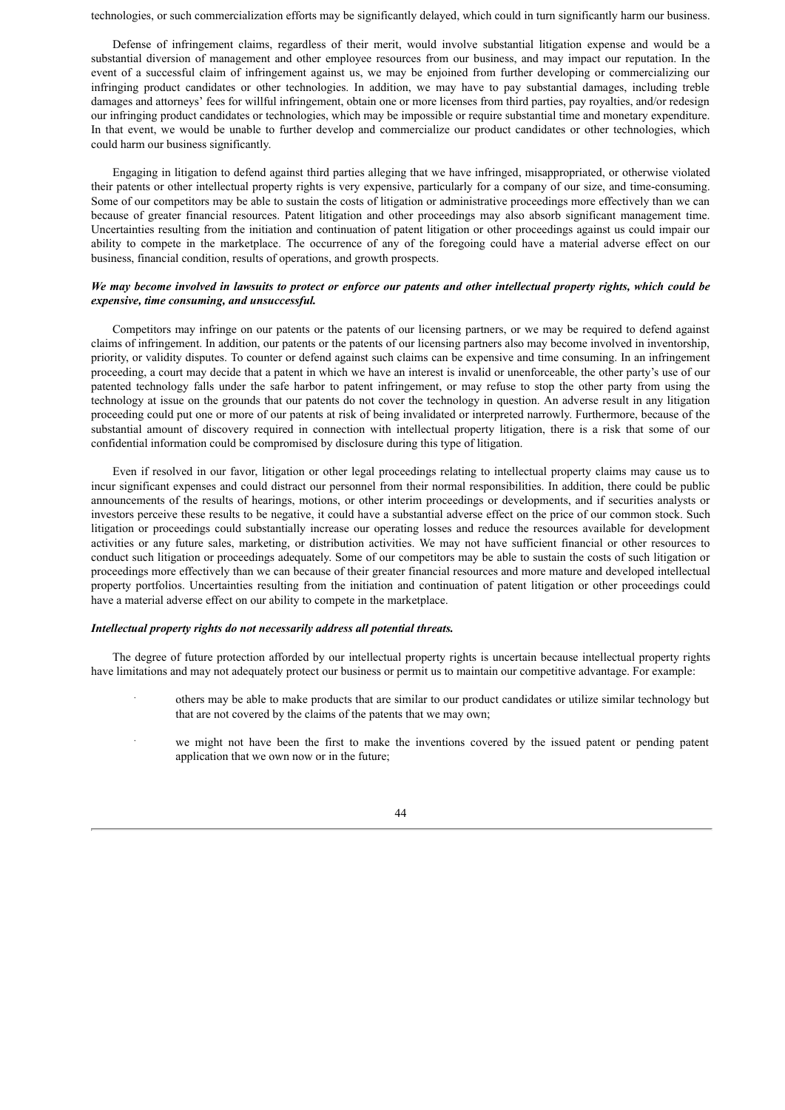technologies, or such commercialization efforts may be significantly delayed, which could in turn significantly harm our business.

Defense of infringement claims, regardless of their merit, would involve substantial litigation expense and would be a substantial diversion of management and other employee resources from our business, and may impact our reputation. In the event of a successful claim of infringement against us, we may be enjoined from further developing or commercializing our infringing product candidates or other technologies. In addition, we may have to pay substantial damages, including treble damages and attorneys' fees for willful infringement, obtain one or more licenses from third parties, pay royalties, and/or redesign our infringing product candidates or technologies, which may be impossible or require substantial time and monetary expenditure. In that event, we would be unable to further develop and commercialize our product candidates or other technologies, which could harm our business significantly.

Engaging in litigation to defend against third parties alleging that we have infringed, misappropriated, or otherwise violated their patents or other intellectual property rights is very expensive, particularly for a company of our size, and time-consuming. Some of our competitors may be able to sustain the costs of litigation or administrative proceedings more effectively than we can because of greater financial resources. Patent litigation and other proceedings may also absorb significant management time. Uncertainties resulting from the initiation and continuation of patent litigation or other proceedings against us could impair our ability to compete in the marketplace. The occurrence of any of the foregoing could have a material adverse effect on our business, financial condition, results of operations, and growth prospects.

#### We may become involved in lawsuits to protect or enforce our patents and other intellectual property rights, which could be *expensive, time consuming, and unsuccessful.*

Competitors may infringe on our patents or the patents of our licensing partners, or we may be required to defend against claims of infringement. In addition, our patents or the patents of our licensing partners also may become involved in inventorship, priority, or validity disputes. To counter or defend against such claims can be expensive and time consuming. In an infringement proceeding, a court may decide that a patent in which we have an interest is invalid or unenforceable, the other party's use of our patented technology falls under the safe harbor to patent infringement, or may refuse to stop the other party from using the technology at issue on the grounds that our patents do not cover the technology in question. An adverse result in any litigation proceeding could put one or more of our patents at risk of being invalidated or interpreted narrowly. Furthermore, because of the substantial amount of discovery required in connection with intellectual property litigation, there is a risk that some of our confidential information could be compromised by disclosure during this type of litigation.

Even if resolved in our favor, litigation or other legal proceedings relating to intellectual property claims may cause us to incur significant expenses and could distract our personnel from their normal responsibilities. In addition, there could be public announcements of the results of hearings, motions, or other interim proceedings or developments, and if securities analysts or investors perceive these results to be negative, it could have a substantial adverse effect on the price of our common stock. Such litigation or proceedings could substantially increase our operating losses and reduce the resources available for development activities or any future sales, marketing, or distribution activities. We may not have sufficient financial or other resources to conduct such litigation or proceedings adequately. Some of our competitors may be able to sustain the costs of such litigation or proceedings more effectively than we can because of their greater financial resources and more mature and developed intellectual property portfolios. Uncertainties resulting from the initiation and continuation of patent litigation or other proceedings could have a material adverse effect on our ability to compete in the marketplace.

#### *Intellectual property rights do not necessarily address all potential threats.*

The degree of future protection afforded by our intellectual property rights is uncertain because intellectual property rights have limitations and may not adequately protect our business or permit us to maintain our competitive advantage. For example:

- · others may be able to make products that are similar to our product candidates or utilize similar technology but that are not covered by the claims of the patents that we may own;
- we might not have been the first to make the inventions covered by the issued patent or pending patent application that we own now or in the future;

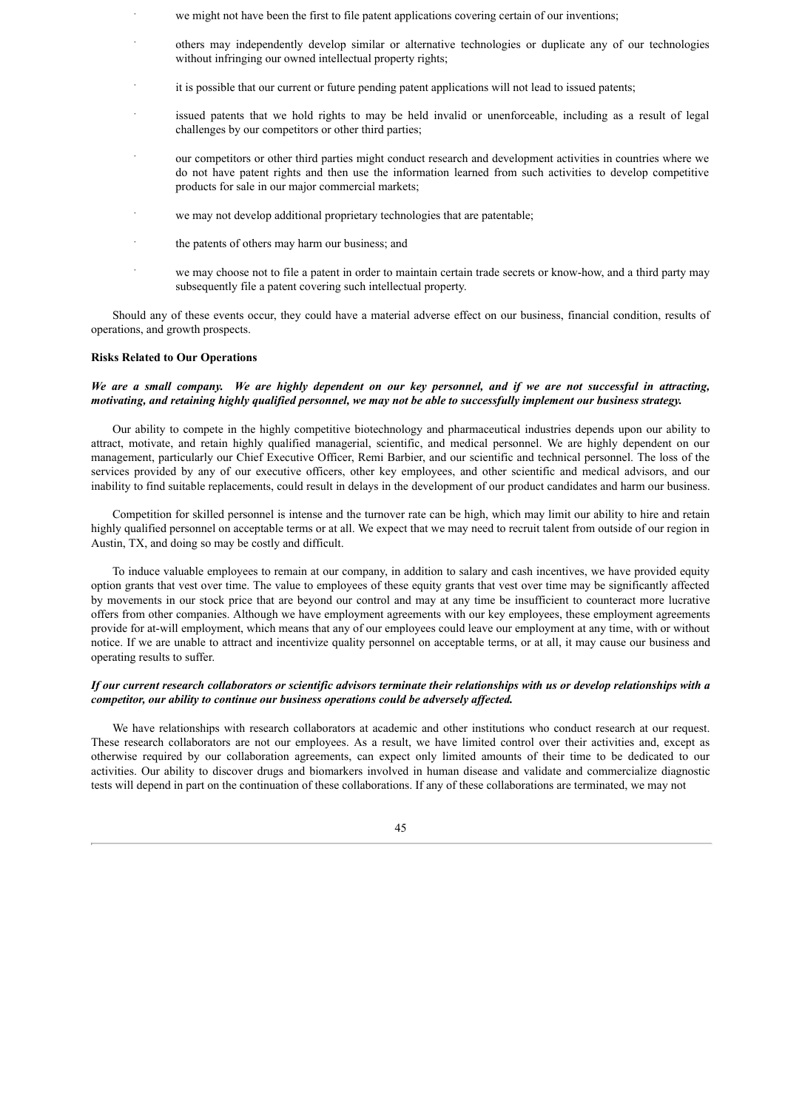- we might not have been the first to file patent applications covering certain of our inventions;
- · others may independently develop similar or alternative technologies or duplicate any of our technologies without infringing our owned intellectual property rights;
- it is possible that our current or future pending patent applications will not lead to issued patents;
- issued patents that we hold rights to may be held invalid or unenforceable, including as a result of legal challenges by our competitors or other third parties;
- our competitors or other third parties might conduct research and development activities in countries where we do not have patent rights and then use the information learned from such activities to develop competitive products for sale in our major commercial markets;
- we may not develop additional proprietary technologies that are patentable;
- the patents of others may harm our business; and
- we may choose not to file a patent in order to maintain certain trade secrets or know-how, and a third party may subsequently file a patent covering such intellectual property.

Should any of these events occur, they could have a material adverse effect on our business, financial condition, results of operations, and growth prospects.

#### **Risks Related to Our Operations**

#### We are a small company. We are highly dependent on our key personnel, and if we are not successful in attracting, motivating, and retaining highly qualified personnel, we may not be able to successfully implement our business strategy.

Our ability to compete in the highly competitive biotechnology and pharmaceutical industries depends upon our ability to attract, motivate, and retain highly qualified managerial, scientific, and medical personnel. We are highly dependent on our management, particularly our Chief Executive Officer, Remi Barbier, and our scientific and technical personnel. The loss of the services provided by any of our executive officers, other key employees, and other scientific and medical advisors, and our inability to find suitable replacements, could result in delays in the development of our product candidates and harm our business.

Competition for skilled personnel is intense and the turnover rate can be high, which may limit our ability to hire and retain highly qualified personnel on acceptable terms or at all. We expect that we may need to recruit talent from outside of our region in Austin, TX, and doing so may be costly and difficult.

To induce valuable employees to remain at our company, in addition to salary and cash incentives, we have provided equity option grants that vest over time. The value to employees of these equity grants that vest over time may be significantly affected by movements in our stock price that are beyond our control and may at any time be insufficient to counteract more lucrative offers from other companies. Although we have employment agreements with our key employees, these employment agreements provide for at-will employment, which means that any of our employees could leave our employment at any time, with or without notice. If we are unable to attract and incentivize quality personnel on acceptable terms, or at all, it may cause our business and operating results to suffer.

#### If our current research collaborators or scientific advisors terminate their relationships with us or develop relationships with a *competitor, our ability to continue our business operations could be adversely af ected.*

We have relationships with research collaborators at academic and other institutions who conduct research at our request. These research collaborators are not our employees. As a result, we have limited control over their activities and, except as otherwise required by our collaboration agreements, can expect only limited amounts of their time to be dedicated to our activities. Our ability to discover drugs and biomarkers involved in human disease and validate and commercialize diagnostic tests will depend in part on the continuation of these collaborations. If any of these collaborations are terminated, we may not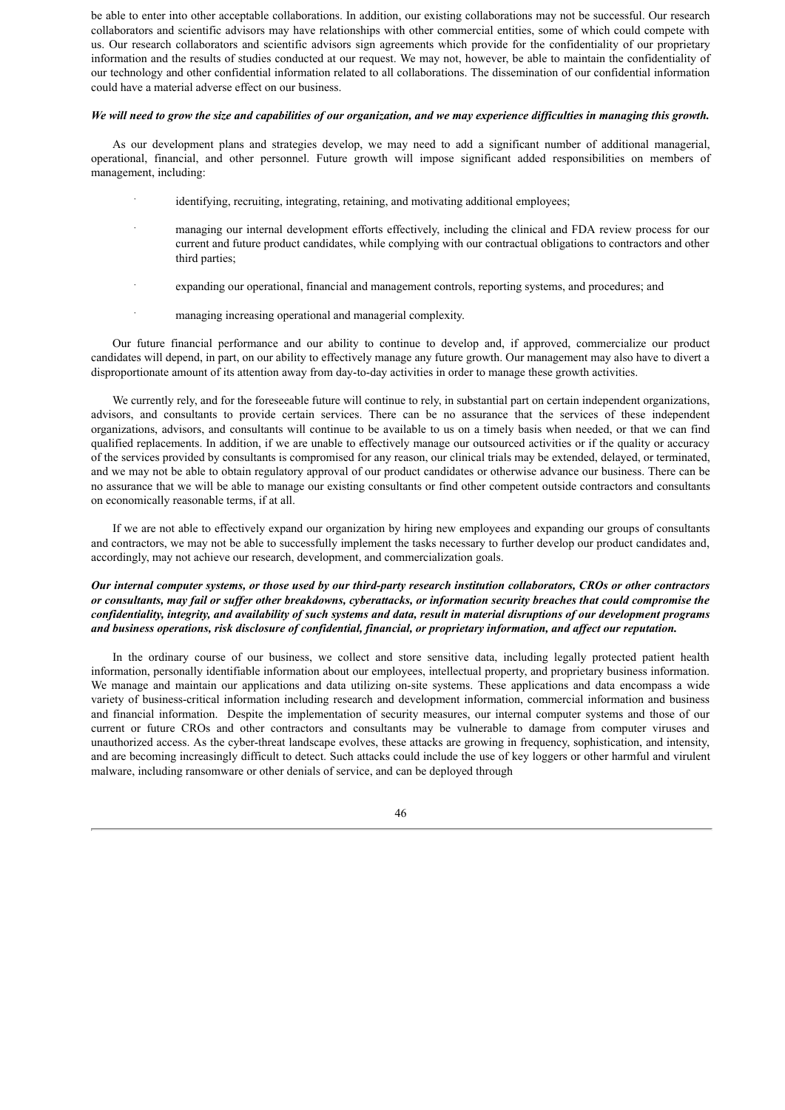be able to enter into other acceptable collaborations. In addition, our existing collaborations may not be successful. Our research collaborators and scientific advisors may have relationships with other commercial entities, some of which could compete with us. Our research collaborators and scientific advisors sign agreements which provide for the confidentiality of our proprietary information and the results of studies conducted at our request. We may not, however, be able to maintain the confidentiality of our technology and other confidential information related to all collaborations. The dissemination of our confidential information could have a material adverse effect on our business.

#### We will need to grow the size and capabilities of our organization, and we may experience difficulties in managing this growth.

As our development plans and strategies develop, we may need to add a significant number of additional managerial, operational, financial, and other personnel. Future growth will impose significant added responsibilities on members of management, including:

- identifying, recruiting, integrating, retaining, and motivating additional employees;
- · managing our internal development efforts effectively, including the clinical and FDA review process for our current and future product candidates, while complying with our contractual obligations to contractors and other third parties;
- expanding our operational, financial and management controls, reporting systems, and procedures; and
- managing increasing operational and managerial complexity.

Our future financial performance and our ability to continue to develop and, if approved, commercialize our product candidates will depend, in part, on our ability to effectively manage any future growth. Our management may also have to divert a disproportionate amount of its attention away from day-to-day activities in order to manage these growth activities.

We currently rely, and for the foreseeable future will continue to rely, in substantial part on certain independent organizations, advisors, and consultants to provide certain services. There can be no assurance that the services of these independent organizations, advisors, and consultants will continue to be available to us on a timely basis when needed, or that we can find qualified replacements. In addition, if we are unable to effectively manage our outsourced activities or if the quality or accuracy of the services provided by consultants is compromised for any reason, our clinical trials may be extended, delayed, or terminated, and we may not be able to obtain regulatory approval of our product candidates or otherwise advance our business. There can be no assurance that we will be able to manage our existing consultants or find other competent outside contractors and consultants on economically reasonable terms, if at all.

If we are not able to effectively expand our organization by hiring new employees and expanding our groups of consultants and contractors, we may not be able to successfully implement the tasks necessary to further develop our product candidates and, accordingly, may not achieve our research, development, and commercialization goals.

#### Our internal computer systems, or those used by our third-party research institution collaborators, CROs or other contractors or consultants, may fail or suffer other breakdowns, cyberattacks, or information security breaches that could compromise the confidentiality, integrity, and availability of such systems and data, result in material disruptions of our development programs and business operations, risk disclosure of confidential, financial, or proprietary information, and affect our reputation.

In the ordinary course of our business, we collect and store sensitive data, including legally protected patient health information, personally identifiable information about our employees, intellectual property, and proprietary business information. We manage and maintain our applications and data utilizing on-site systems. These applications and data encompass a wide variety of business-critical information including research and development information, commercial information and business and financial information. Despite the implementation of security measures, our internal computer systems and those of our current or future CROs and other contractors and consultants may be vulnerable to damage from computer viruses and unauthorized access. As the cyber-threat landscape evolves, these attacks are growing in frequency, sophistication, and intensity, and are becoming increasingly difficult to detect. Such attacks could include the use of key loggers or other harmful and virulent malware, including ransomware or other denials of service, and can be deployed through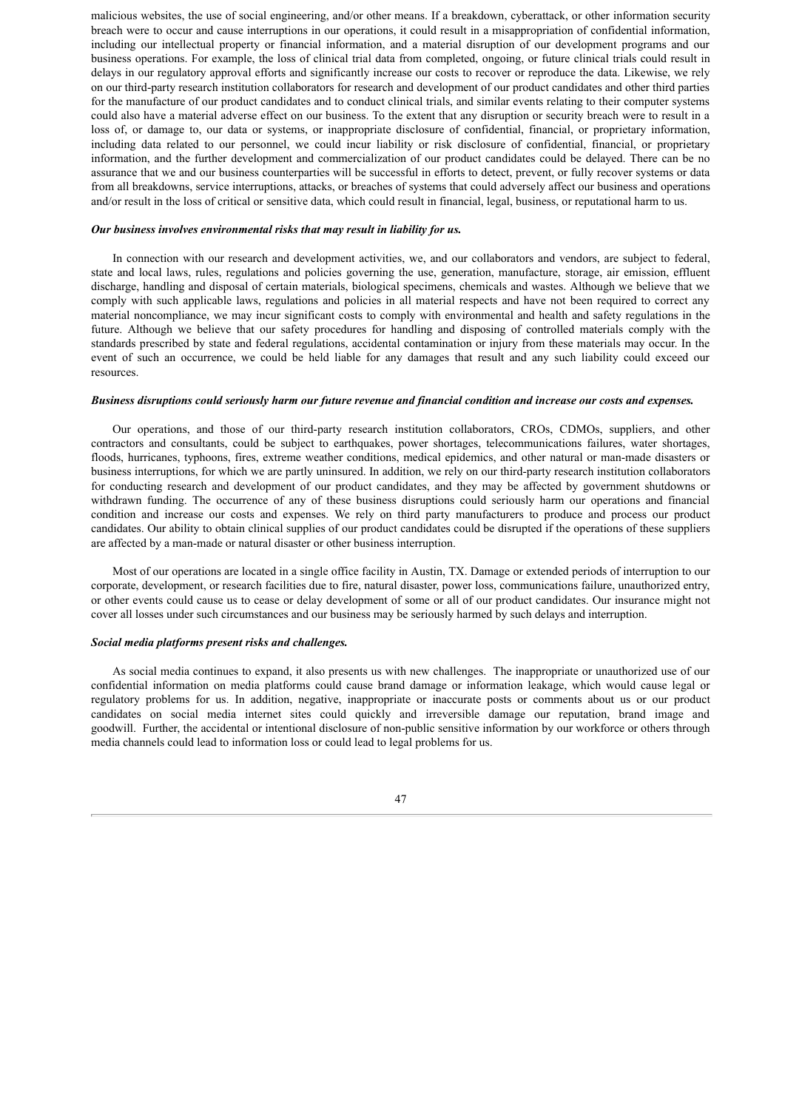malicious websites, the use of social engineering, and/or other means. If a breakdown, cyberattack, or other information security breach were to occur and cause interruptions in our operations, it could result in a misappropriation of confidential information, including our intellectual property or financial information, and a material disruption of our development programs and our business operations. For example, the loss of clinical trial data from completed, ongoing, or future clinical trials could result in delays in our regulatory approval efforts and significantly increase our costs to recover or reproduce the data. Likewise, we rely on our third-party research institution collaborators for research and development of our product candidates and other third parties for the manufacture of our product candidates and to conduct clinical trials, and similar events relating to their computer systems could also have a material adverse effect on our business. To the extent that any disruption or security breach were to result in a loss of, or damage to, our data or systems, or inappropriate disclosure of confidential, financial, or proprietary information, including data related to our personnel, we could incur liability or risk disclosure of confidential, financial, or proprietary information, and the further development and commercialization of our product candidates could be delayed. There can be no assurance that we and our business counterparties will be successful in efforts to detect, prevent, or fully recover systems or data from all breakdowns, service interruptions, attacks, or breaches of systems that could adversely affect our business and operations and/or result in the loss of critical or sensitive data, which could result in financial, legal, business, or reputational harm to us.

#### *Our business involves environmental risks that may result in liability for us.*

In connection with our research and development activities, we, and our collaborators and vendors, are subject to federal, state and local laws, rules, regulations and policies governing the use, generation, manufacture, storage, air emission, effluent discharge, handling and disposal of certain materials, biological specimens, chemicals and wastes. Although we believe that we comply with such applicable laws, regulations and policies in all material respects and have not been required to correct any material noncompliance, we may incur significant costs to comply with environmental and health and safety regulations in the future. Although we believe that our safety procedures for handling and disposing of controlled materials comply with the standards prescribed by state and federal regulations, accidental contamination or injury from these materials may occur. In the event of such an occurrence, we could be held liable for any damages that result and any such liability could exceed our resources.

#### Business disruptions could seriously harm our future revenue and financial condition and increase our costs and expenses.

Our operations, and those of our third-party research institution collaborators, CROs, CDMOs, suppliers, and other contractors and consultants, could be subject to earthquakes, power shortages, telecommunications failures, water shortages, floods, hurricanes, typhoons, fires, extreme weather conditions, medical epidemics, and other natural or man-made disasters or business interruptions, for which we are partly uninsured. In addition, we rely on our third-party research institution collaborators for conducting research and development of our product candidates, and they may be affected by government shutdowns or withdrawn funding. The occurrence of any of these business disruptions could seriously harm our operations and financial condition and increase our costs and expenses. We rely on third party manufacturers to produce and process our product candidates. Our ability to obtain clinical supplies of our product candidates could be disrupted if the operations of these suppliers are affected by a man-made or natural disaster or other business interruption.

Most of our operations are located in a single office facility in Austin, TX. Damage or extended periods of interruption to our corporate, development, or research facilities due to fire, natural disaster, power loss, communications failure, unauthorized entry, or other events could cause us to cease or delay development of some or all of our product candidates. Our insurance might not cover all losses under such circumstances and our business may be seriously harmed by such delays and interruption.

#### *Social media platforms present risks and challenges.*

As social media continues to expand, it also presents us with new challenges. The inappropriate or unauthorized use of our confidential information on media platforms could cause brand damage or information leakage, which would cause legal or regulatory problems for us. In addition, negative, inappropriate or inaccurate posts or comments about us or our product candidates on social media internet sites could quickly and irreversible damage our reputation, brand image and goodwill. Further, the accidental or intentional disclosure of non-public sensitive information by our workforce or others through media channels could lead to information loss or could lead to legal problems for us.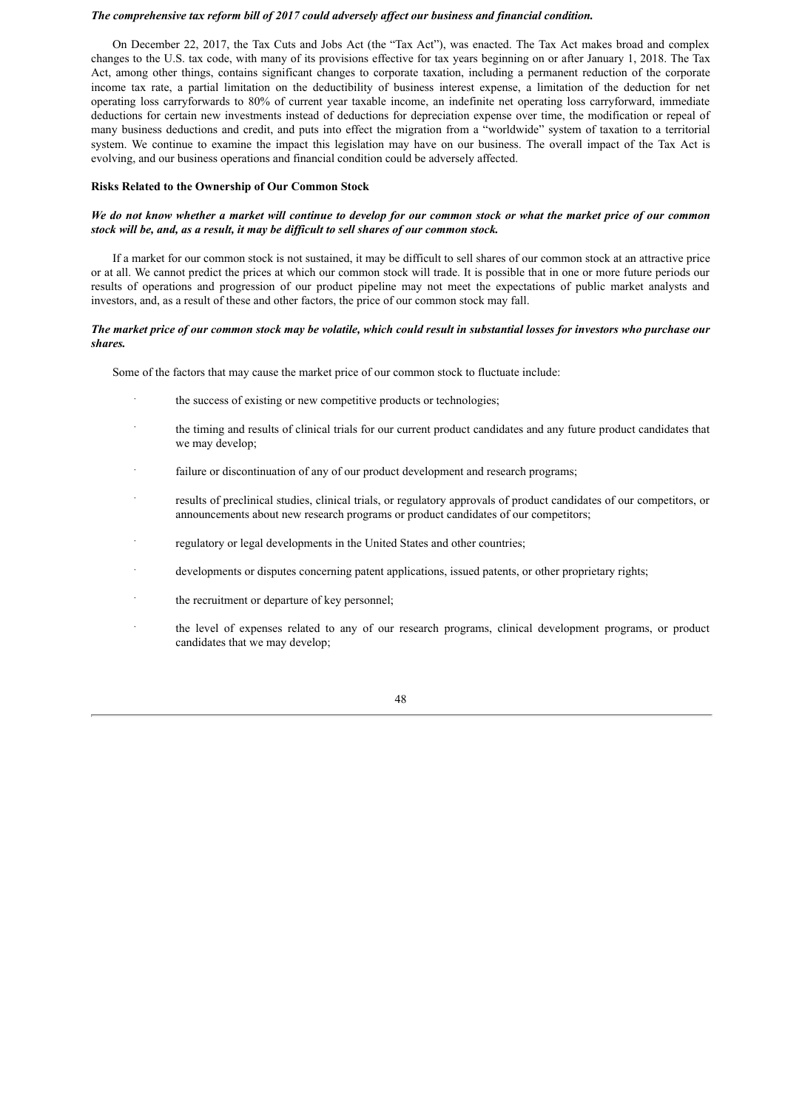#### *The comprehensive tax reform bill of 2017 could adversely af ect our business and financial condition.*

On December 22, 2017, the Tax Cuts and Jobs Act (the "Tax Act"), was enacted. The Tax Act makes broad and complex changes to the U.S. tax code, with many of its provisions effective for tax years beginning on or after January 1, 2018. The Tax Act, among other things, contains significant changes to corporate taxation, including a permanent reduction of the corporate income tax rate, a partial limitation on the deductibility of business interest expense, a limitation of the deduction for net operating loss carryforwards to 80% of current year taxable income, an indefinite net operating loss carryforward, immediate deductions for certain new investments instead of deductions for depreciation expense over time, the modification or repeal of many business deductions and credit, and puts into effect the migration from a "worldwide" system of taxation to a territorial system. We continue to examine the impact this legislation may have on our business. The overall impact of the Tax Act is evolving, and our business operations and financial condition could be adversely affected.

#### **Risks Related to the Ownership of Our Common Stock**

#### We do not know whether a market will continue to develop for our common stock or what the market price of our common *stock will be, and, as a result, it may be dif icult to sell shares of our common stock.*

If a market for our common stock is not sustained, it may be difficult to sell shares of our common stock at an attractive price or at all. We cannot predict the prices at which our common stock will trade. It is possible that in one or more future periods our results of operations and progression of our product pipeline may not meet the expectations of public market analysts and investors, and, as a result of these and other factors, the price of our common stock may fall.

#### The market price of our common stock may be volatile, which could result in substantial losses for investors who purchase our *shares.*

Some of the factors that may cause the market price of our common stock to fluctuate include:

- the success of existing or new competitive products or technologies;
- · the timing and results of clinical trials for our current product candidates and any future product candidates that we may develop;
- failure or discontinuation of any of our product development and research programs;
- results of preclinical studies, clinical trials, or regulatory approvals of product candidates of our competitors, or announcements about new research programs or product candidates of our competitors;
- regulatory or legal developments in the United States and other countries;
- developments or disputes concerning patent applications, issued patents, or other proprietary rights;
- the recruitment or departure of key personnel;
- the level of expenses related to any of our research programs, clinical development programs, or product candidates that we may develop;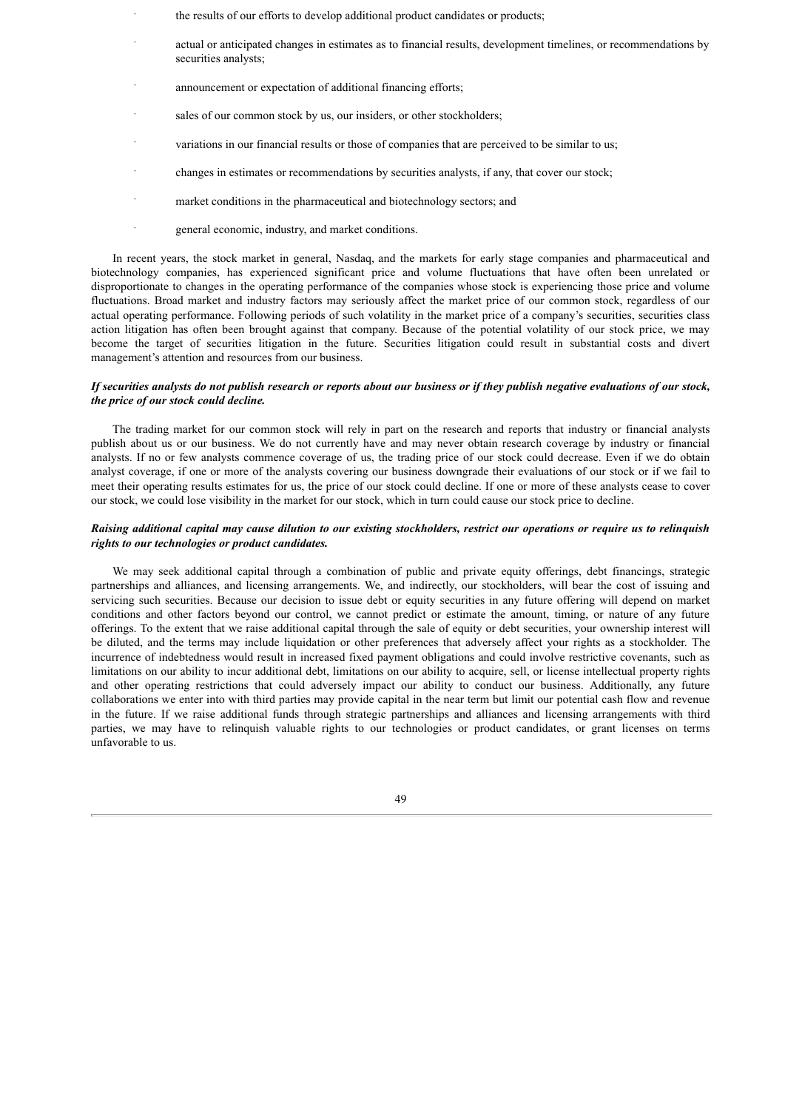- the results of our efforts to develop additional product candidates or products;
- actual or anticipated changes in estimates as to financial results, development timelines, or recommendations by securities analysts:
- announcement or expectation of additional financing efforts;
- sales of our common stock by us, our insiders, or other stockholders;
- variations in our financial results or those of companies that are perceived to be similar to us;
- · changes in estimates or recommendations by securities analysts, if any, that cover our stock;
- · market conditions in the pharmaceutical and biotechnology sectors; and
- · general economic, industry, and market conditions.

In recent years, the stock market in general, Nasdaq, and the markets for early stage companies and pharmaceutical and biotechnology companies, has experienced significant price and volume fluctuations that have often been unrelated or disproportionate to changes in the operating performance of the companies whose stock is experiencing those price and volume fluctuations. Broad market and industry factors may seriously affect the market price of our common stock, regardless of our actual operating performance. Following periods of such volatility in the market price of a company's securities, securities class action litigation has often been brought against that company. Because of the potential volatility of our stock price, we may become the target of securities litigation in the future. Securities litigation could result in substantial costs and divert management's attention and resources from our business.

#### If securities analysts do not publish research or reports about our business or if they publish negative evaluations of our stock, *the price of our stock could decline.*

The trading market for our common stock will rely in part on the research and reports that industry or financial analysts publish about us or our business. We do not currently have and may never obtain research coverage by industry or financial analysts. If no or few analysts commence coverage of us, the trading price of our stock could decrease. Even if we do obtain analyst coverage, if one or more of the analysts covering our business downgrade their evaluations of our stock or if we fail to meet their operating results estimates for us, the price of our stock could decline. If one or more of these analysts cease to cover our stock, we could lose visibility in the market for our stock, which in turn could cause our stock price to decline.

#### Raising additional capital may cause dilution to our existing stockholders, restrict our operations or require us to relinguish *rights to our technologies or product candidates.*

We may seek additional capital through a combination of public and private equity offerings, debt financings, strategic partnerships and alliances, and licensing arrangements. We, and indirectly, our stockholders, will bear the cost of issuing and servicing such securities. Because our decision to issue debt or equity securities in any future offering will depend on market conditions and other factors beyond our control, we cannot predict or estimate the amount, timing, or nature of any future offerings. To the extent that we raise additional capital through the sale of equity or debt securities, your ownership interest will be diluted, and the terms may include liquidation or other preferences that adversely affect your rights as a stockholder. The incurrence of indebtedness would result in increased fixed payment obligations and could involve restrictive covenants, such as limitations on our ability to incur additional debt, limitations on our ability to acquire, sell, or license intellectual property rights and other operating restrictions that could adversely impact our ability to conduct our business. Additionally, any future collaborations we enter into with third parties may provide capital in the near term but limit our potential cash flow and revenue in the future. If we raise additional funds through strategic partnerships and alliances and licensing arrangements with third parties, we may have to relinquish valuable rights to our technologies or product candidates, or grant licenses on terms unfavorable to us.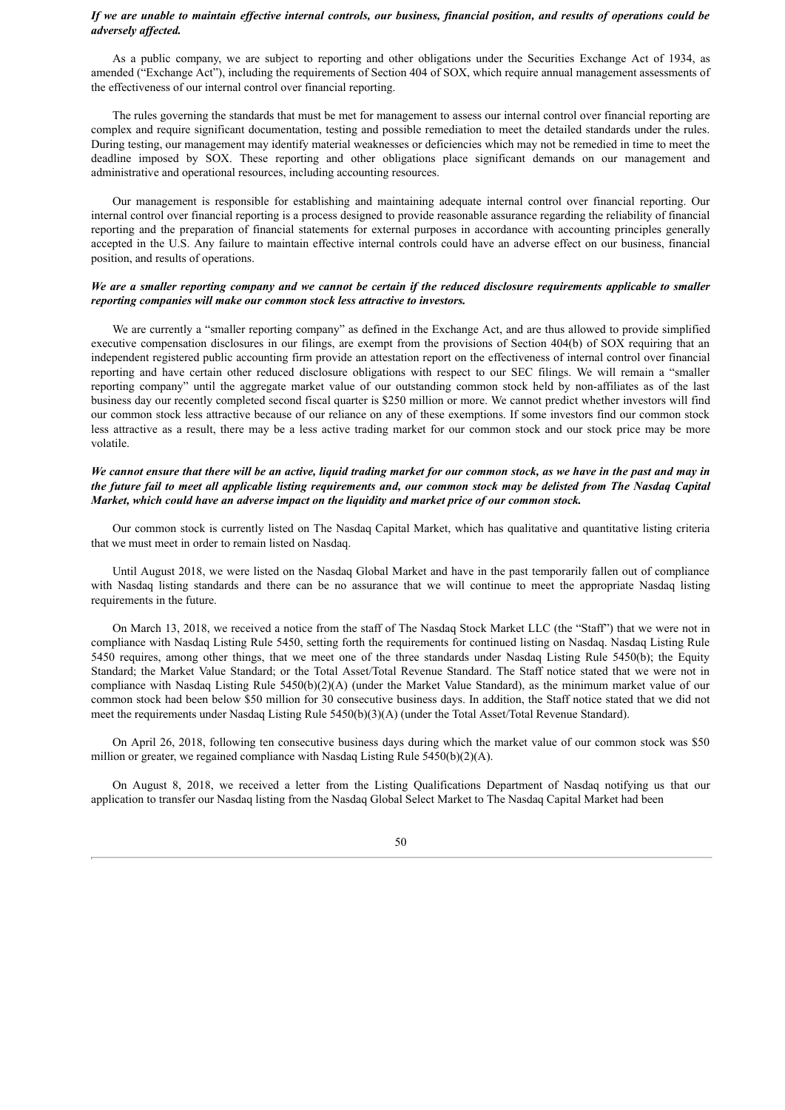#### If we are unable to maintain effective internal controls, our business, financial position, and results of operations could be *adversely af ected.*

As a public company, we are subject to reporting and other obligations under the Securities Exchange Act of 1934, as amended ("Exchange Act"), including the requirements of Section 404 of SOX, which require annual management assessments of the effectiveness of our internal control over financial reporting.

The rules governing the standards that must be met for management to assess our internal control over financial reporting are complex and require significant documentation, testing and possible remediation to meet the detailed standards under the rules. During testing, our management may identify material weaknesses or deficiencies which may not be remedied in time to meet the deadline imposed by SOX. These reporting and other obligations place significant demands on our management and administrative and operational resources, including accounting resources.

Our management is responsible for establishing and maintaining adequate internal control over financial reporting. Our internal control over financial reporting is a process designed to provide reasonable assurance regarding the reliability of financial reporting and the preparation of financial statements for external purposes in accordance with accounting principles generally accepted in the U.S. Any failure to maintain effective internal controls could have an adverse effect on our business, financial position, and results of operations.

#### We are a smaller reporting company and we cannot be certain if the reduced disclosure requirements applicable to smaller *reporting companies will make our common stock less attractive to investors.*

We are currently a "smaller reporting company" as defined in the Exchange Act, and are thus allowed to provide simplified executive compensation disclosures in our filings, are exempt from the provisions of Section 404(b) of SOX requiring that an independent registered public accounting firm provide an attestation report on the effectiveness of internal control over financial reporting and have certain other reduced disclosure obligations with respect to our SEC filings. We will remain a "smaller reporting company" until the aggregate market value of our outstanding common stock held by non-affiliates as of the last business day our recently completed second fiscal quarter is \$250 million or more. We cannot predict whether investors will find our common stock less attractive because of our reliance on any of these exemptions. If some investors find our common stock less attractive as a result, there may be a less active trading market for our common stock and our stock price may be more volatile.

#### We cannot ensure that there will be an active, liquid trading market for our common stock, as we have in the past and may in the future fail to meet all applicable listing requirements and, our common stock may be delisted from The Nasdaq Capital *Market, which could have an adverse impact on the liquidity and market price of our common stock.*

Our common stock is currently listed on The Nasdaq Capital Market, which has qualitative and quantitative listing criteria that we must meet in order to remain listed on Nasdaq.

Until August 2018, we were listed on the Nasdaq Global Market and have in the past temporarily fallen out of compliance with Nasdaq listing standards and there can be no assurance that we will continue to meet the appropriate Nasdaq listing requirements in the future.

On March 13, 2018, we received a notice from the staff of The Nasdaq Stock Market LLC (the "Staff") that we were not in compliance with Nasdaq Listing Rule 5450, setting forth the requirements for continued listing on Nasdaq. Nasdaq Listing Rule 5450 requires, among other things, that we meet one of the three standards under Nasdaq Listing Rule 5450(b); the Equity Standard; the Market Value Standard; or the Total Asset/Total Revenue Standard. The Staff notice stated that we were not in compliance with Nasdaq Listing Rule 5450(b)(2)(A) (under the Market Value Standard), as the minimum market value of our common stock had been below \$50 million for 30 consecutive business days. In addition, the Staff notice stated that we did not meet the requirements under Nasdaq Listing Rule 5450(b)(3)(A) (under the Total Asset/Total Revenue Standard).

On April 26, 2018, following ten consecutive business days during which the market value of our common stock was \$50 million or greater, we regained compliance with Nasdaq Listing Rule 5450(b)(2)(A).

On August 8, 2018, we received a letter from the Listing Qualifications Department of Nasdaq notifying us that our application to transfer our Nasdaq listing from the Nasdaq Global Select Market to The Nasdaq Capital Market had been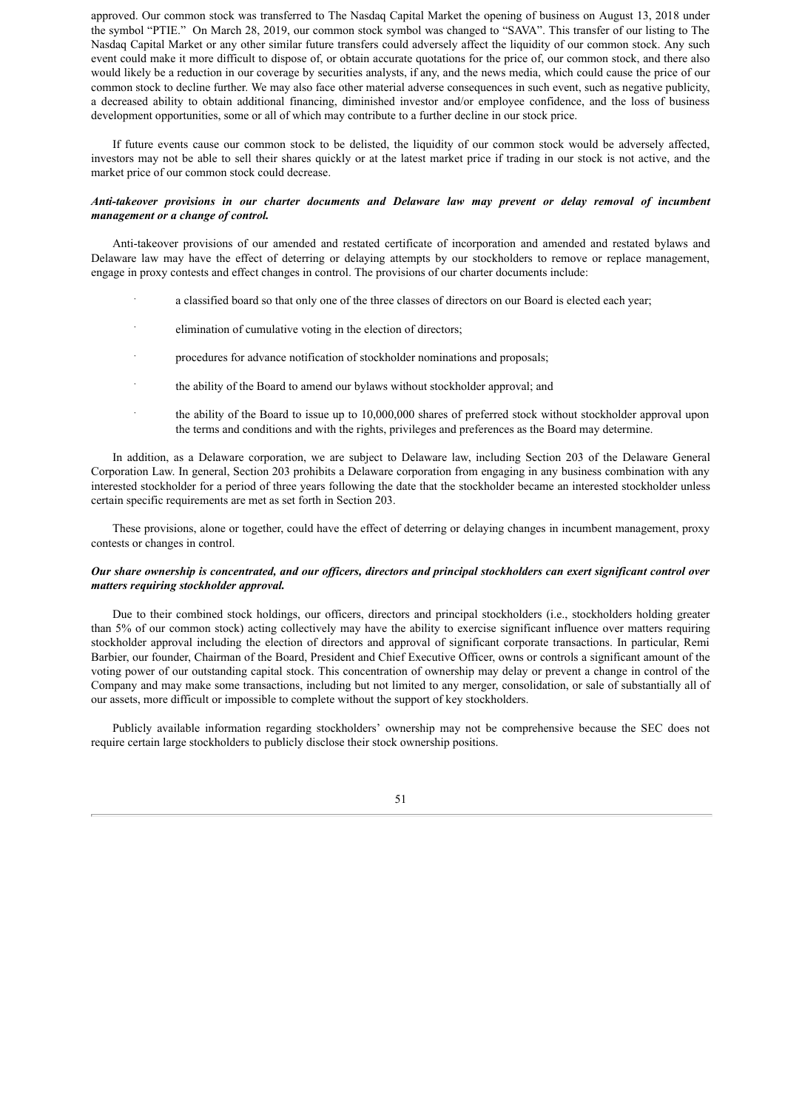approved. Our common stock was transferred to The Nasdaq Capital Market the opening of business on August 13, 2018 under the symbol "PTIE." On March 28, 2019, our common stock symbol was changed to "SAVA". This transfer of our listing to The Nasdaq Capital Market or any other similar future transfers could adversely affect the liquidity of our common stock. Any such event could make it more difficult to dispose of, or obtain accurate quotations for the price of, our common stock, and there also would likely be a reduction in our coverage by securities analysts, if any, and the news media, which could cause the price of our common stock to decline further. We may also face other material adverse consequences in such event, such as negative publicity, a decreased ability to obtain additional financing, diminished investor and/or employee confidence, and the loss of business development opportunities, some or all of which may contribute to a further decline in our stock price.

If future events cause our common stock to be delisted, the liquidity of our common stock would be adversely affected, investors may not be able to sell their shares quickly or at the latest market price if trading in our stock is not active, and the market price of our common stock could decrease.

#### *Anti-takeover provisions in our charter documents and Delaware law may prevent or delay removal of incumbent management or a change of control.*

Anti-takeover provisions of our amended and restated certificate of incorporation and amended and restated bylaws and Delaware law may have the effect of deterring or delaying attempts by our stockholders to remove or replace management, engage in proxy contests and effect changes in control. The provisions of our charter documents include:

- a classified board so that only one of the three classes of directors on our Board is elected each year;
- elimination of cumulative voting in the election of directors;
- procedures for advance notification of stockholder nominations and proposals;
- · the ability of the Board to amend our bylaws without stockholder approval; and
- · the ability of the Board to issue up to 10,000,000 shares of preferred stock without stockholder approval upon the terms and conditions and with the rights, privileges and preferences as the Board may determine.

In addition, as a Delaware corporation, we are subject to Delaware law, including Section 203 of the Delaware General Corporation Law. In general, Section 203 prohibits a Delaware corporation from engaging in any business combination with any interested stockholder for a period of three years following the date that the stockholder became an interested stockholder unless certain specific requirements are met as set forth in Section 203.

These provisions, alone or together, could have the effect of deterring or delaying changes in incumbent management, proxy contests or changes in control.

#### Our share ownership is concentrated, and our officers, directors and principal stockholders can exert significant control over *matters requiring stockholder approval.*

Due to their combined stock holdings, our officers, directors and principal stockholders (i.e., stockholders holding greater than 5% of our common stock) acting collectively may have the ability to exercise significant influence over matters requiring stockholder approval including the election of directors and approval of significant corporate transactions. In particular, Remi Barbier, our founder, Chairman of the Board, President and Chief Executive Officer, owns or controls a significant amount of the voting power of our outstanding capital stock. This concentration of ownership may delay or prevent a change in control of the Company and may make some transactions, including but not limited to any merger, consolidation, or sale of substantially all of our assets, more difficult or impossible to complete without the support of key stockholders.

Publicly available information regarding stockholders' ownership may not be comprehensive because the SEC does not require certain large stockholders to publicly disclose their stock ownership positions.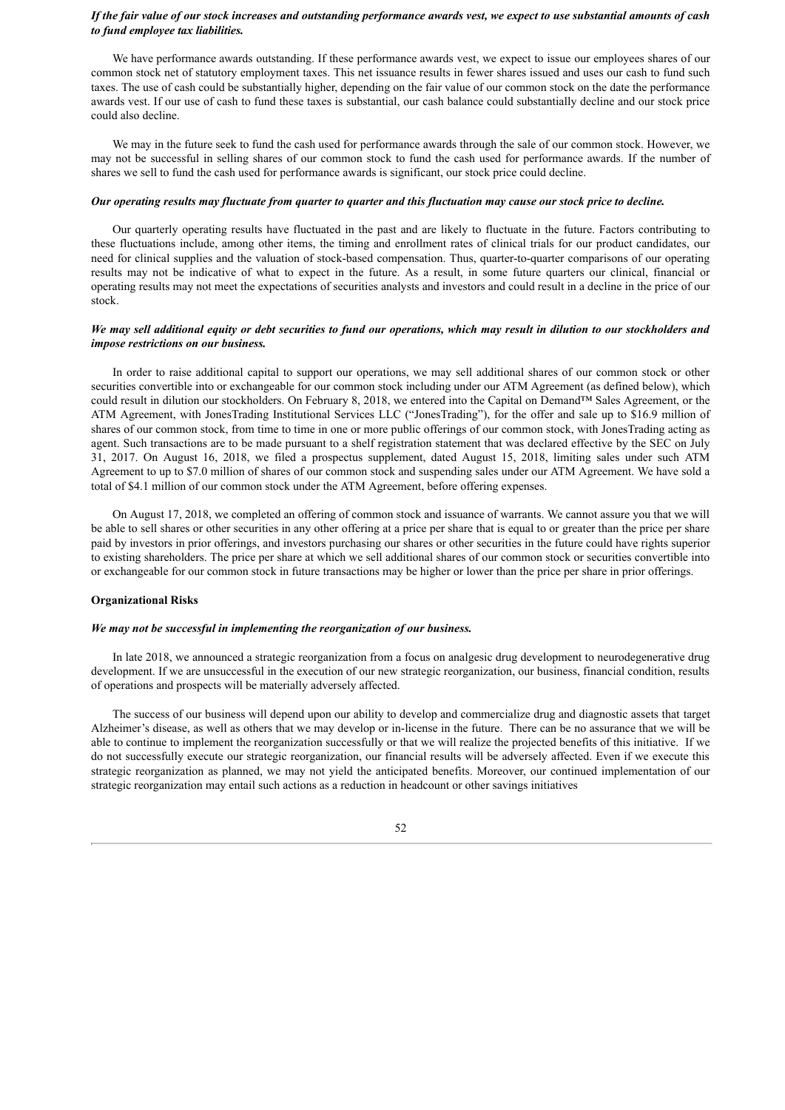#### If the fair value of our stock increases and outstanding performance awards vest, we expect to use substantial amounts of cash *to fund employee tax liabilities.*

We have performance awards outstanding. If these performance awards vest, we expect to issue our employees shares of our common stock net of statutory employment taxes. This net issuance results in fewer shares issued and uses our cash to fund such taxes. The use of cash could be substantially higher, depending on the fair value of our common stock on the date the performance awards vest. If our use of cash to fund these taxes is substantial, our cash balance could substantially decline and our stock price could also decline.

We may in the future seek to fund the cash used for performance awards through the sale of our common stock. However, we may not be successful in selling shares of our common stock to fund the cash used for performance awards. If the number of shares we sell to fund the cash used for performance awards is significant, our stock price could decline.

#### Our operating results may fluctuate from quarter to quarter and this fluctuation may cause our stock price to decline.

Our quarterly operating results have fluctuated in the past and are likely to fluctuate in the future. Factors contributing to these fluctuations include, among other items, the timing and enrollment rates of clinical trials for our product candidates, our need for clinical supplies and the valuation of stock-based compensation. Thus, quarter-to-quarter comparisons of our operating results may not be indicative of what to expect in the future. As a result, in some future quarters our clinical, financial or operating results may not meet the expectations of securities analysts and investors and could result in a decline in the price of our stock.

#### We may sell additional equity or debt securities to fund our operations, which may result in dilution to our stockholders and *impose restrictions on our business.*

In order to raise additional capital to support our operations, we may sell additional shares of our common stock or other securities convertible into or exchangeable for our common stock including under our ATM Agreement (as defined below), which could result in dilution our stockholders. On February 8, 2018, we entered into the Capital on Demand™ Sales Agreement, or the ATM Agreement, with JonesTrading Institutional Services LLC ("JonesTrading"), for the offer and sale up to \$16.9 million of shares of our common stock, from time to time in one or more public offerings of our common stock, with JonesTrading acting as agent. Such transactions are to be made pursuant to a shelf registration statement that was declared effective by the SEC on July 31, 2017. On August 16, 2018, we filed a prospectus supplement, dated August 15, 2018, limiting sales under such ATM Agreement to up to \$7.0 million of shares of our common stock and suspending sales under our ATM Agreement. We have sold a total of \$4.1 million of our common stock under the ATM Agreement, before offering expenses.

On August 17, 2018, we completed an offering of common stock and issuance of warrants. We cannot assure you that we will be able to sell shares or other securities in any other offering at a price per share that is equal to or greater than the price per share paid by investors in prior offerings, and investors purchasing our shares or other securities in the future could have rights superior to existing shareholders. The price per share at which we sell additional shares of our common stock or securities convertible into or exchangeable for our common stock in future transactions may be higher or lower than the price per share in prior offerings.

#### **Organizational Risks**

#### *We may not be successful in implementing the reorganization of our business.*

In late 2018, we announced a strategic reorganization from a focus on analgesic drug development to neurodegenerative drug development. If we are unsuccessful in the execution of our new strategic reorganization, our business, financial condition, results of operations and prospects will be materially adversely affected.

The success of our business will depend upon our ability to develop and commercialize drug and diagnostic assets that target Alzheimer's disease, as well as others that we may develop or in-license in the future. There can be no assurance that we will be able to continue to implement the reorganization successfully or that we will realize the projected benefits of this initiative. If we do not successfully execute our strategic reorganization, our financial results will be adversely affected. Even if we execute this strategic reorganization as planned, we may not yield the anticipated benefits. Moreover, our continued implementation of our strategic reorganization may entail such actions as a reduction in headcount or other savings initiatives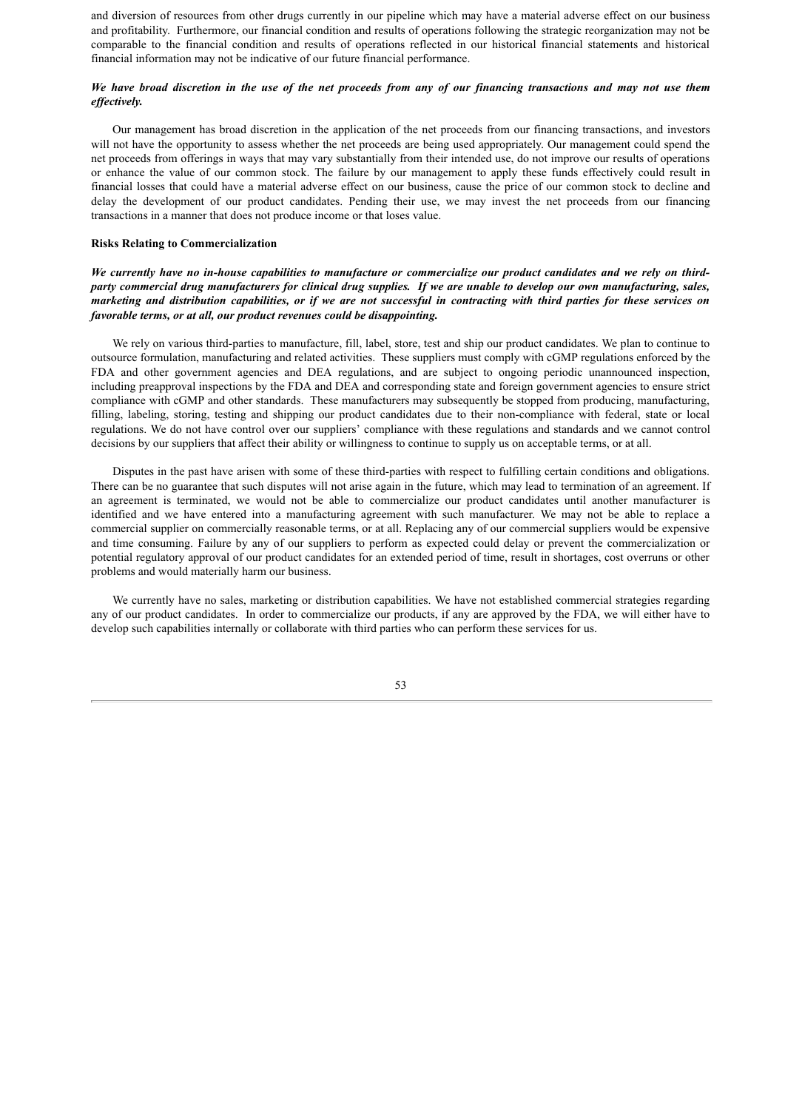and diversion of resources from other drugs currently in our pipeline which may have a material adverse effect on our business and profitability. Furthermore, our financial condition and results of operations following the strategic reorganization may not be comparable to the financial condition and results of operations reflected in our historical financial statements and historical financial information may not be indicative of our future financial performance.

#### We have broad discretion in the use of the net proceeds from any of our financing transactions and may not use them *ef ectively.*

Our management has broad discretion in the application of the net proceeds from our financing transactions, and investors will not have the opportunity to assess whether the net proceeds are being used appropriately. Our management could spend the net proceeds from offerings in ways that may vary substantially from their intended use, do not improve our results of operations or enhance the value of our common stock. The failure by our management to apply these funds effectively could result in financial losses that could have a material adverse effect on our business, cause the price of our common stock to decline and delay the development of our product candidates. Pending their use, we may invest the net proceeds from our financing transactions in a manner that does not produce income or that loses value.

#### **Risks Relating to Commercialization**

We currently have no in-house capabilities to manufacture or commercialize our product candidates and we rely on thirdparty commercial drug manufacturers for clinical drug supplies. If we are unable to develop our own manufacturing, sales, marketing and distribution capabilities, or if we are not successful in contracting with third parties for these services on *favorable terms, or at all, our product revenues could be disappointing.*

We rely on various third-parties to manufacture, fill, label, store, test and ship our product candidates. We plan to continue to outsource formulation, manufacturing and related activities. These suppliers must comply with cGMP regulations enforced by the FDA and other government agencies and DEA regulations, and are subject to ongoing periodic unannounced inspection, including preapproval inspections by the FDA and DEA and corresponding state and foreign government agencies to ensure strict compliance with cGMP and other standards. These manufacturers may subsequently be stopped from producing, manufacturing, filling, labeling, storing, testing and shipping our product candidates due to their non-compliance with federal, state or local regulations. We do not have control over our suppliers' compliance with these regulations and standards and we cannot control decisions by our suppliers that affect their ability or willingness to continue to supply us on acceptable terms, or at all.

Disputes in the past have arisen with some of these third-parties with respect to fulfilling certain conditions and obligations. There can be no guarantee that such disputes will not arise again in the future, which may lead to termination of an agreement. If an agreement is terminated, we would not be able to commercialize our product candidates until another manufacturer is identified and we have entered into a manufacturing agreement with such manufacturer. We may not be able to replace a commercial supplier on commercially reasonable terms, or at all. Replacing any of our commercial suppliers would be expensive and time consuming. Failure by any of our suppliers to perform as expected could delay or prevent the commercialization or potential regulatory approval of our product candidates for an extended period of time, result in shortages, cost overruns or other problems and would materially harm our business.

We currently have no sales, marketing or distribution capabilities. We have not established commercial strategies regarding any of our product candidates. In order to commercialize our products, if any are approved by the FDA, we will either have to develop such capabilities internally or collaborate with third parties who can perform these services for us.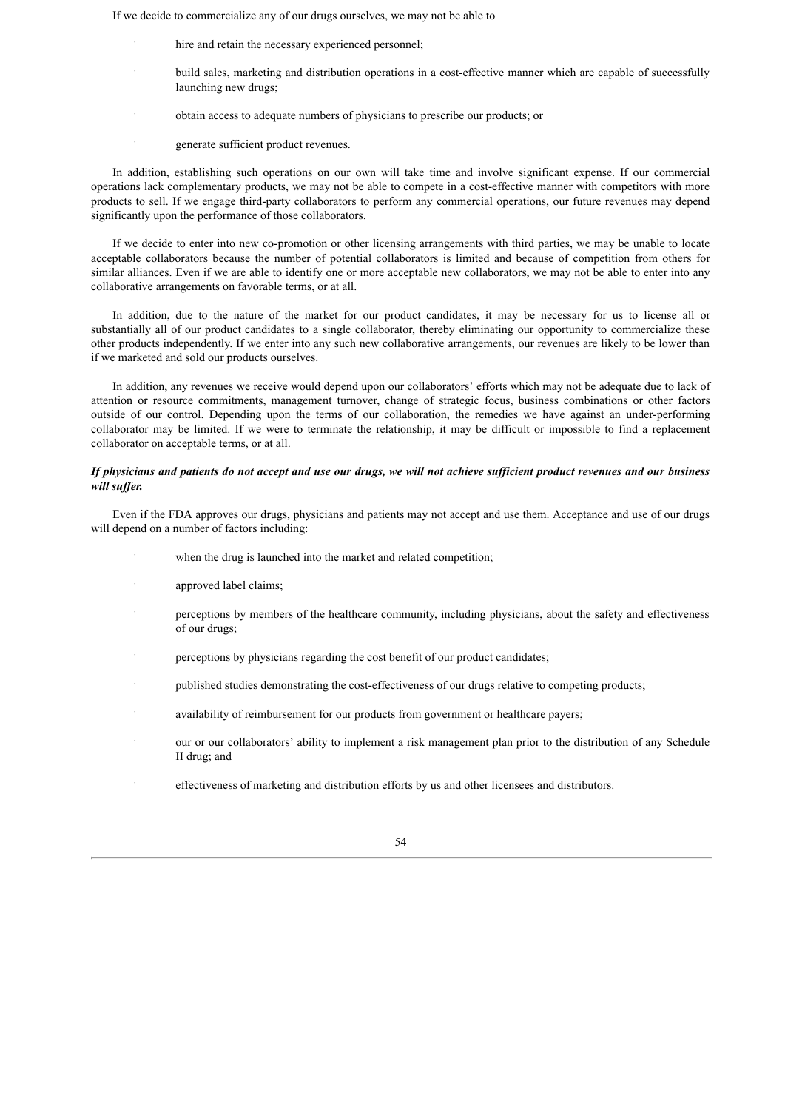If we decide to commercialize any of our drugs ourselves, we may not be able to

- hire and retain the necessary experienced personnel;
- build sales, marketing and distribution operations in a cost-effective manner which are capable of successfully launching new drugs;
- · obtain access to adequate numbers of physicians to prescribe our products; or
	- generate sufficient product revenues.

In addition, establishing such operations on our own will take time and involve significant expense. If our commercial operations lack complementary products, we may not be able to compete in a cost-effective manner with competitors with more products to sell. If we engage third-party collaborators to perform any commercial operations, our future revenues may depend significantly upon the performance of those collaborators.

If we decide to enter into new co-promotion or other licensing arrangements with third parties, we may be unable to locate acceptable collaborators because the number of potential collaborators is limited and because of competition from others for similar alliances. Even if we are able to identify one or more acceptable new collaborators, we may not be able to enter into any collaborative arrangements on favorable terms, or at all.

In addition, due to the nature of the market for our product candidates, it may be necessary for us to license all or substantially all of our product candidates to a single collaborator, thereby eliminating our opportunity to commercialize these other products independently. If we enter into any such new collaborative arrangements, our revenues are likely to be lower than if we marketed and sold our products ourselves.

In addition, any revenues we receive would depend upon our collaborators' efforts which may not be adequate due to lack of attention or resource commitments, management turnover, change of strategic focus, business combinations or other factors outside of our control. Depending upon the terms of our collaboration, the remedies we have against an under-performing collaborator may be limited. If we were to terminate the relationship, it may be difficult or impossible to find a replacement collaborator on acceptable terms, or at all.

#### If physicians and patients do not accept and use our drugs, we will not achieve sufficient product revenues and our business  $will$  *suffer.*

Even if the FDA approves our drugs, physicians and patients may not accept and use them. Acceptance and use of our drugs will depend on a number of factors including:

- when the drug is launched into the market and related competition;
- approved label claims;
- · perceptions by members of the healthcare community, including physicians, about the safety and effectiveness of our drugs;
- perceptions by physicians regarding the cost benefit of our product candidates;
- · published studies demonstrating the cost-effectiveness of our drugs relative to competing products;
- · availability of reimbursement for our products from government or healthcare payers;
- · our or our collaborators' ability to implement a risk management plan prior to the distribution of any Schedule II drug; and
- · effectiveness of marketing and distribution efforts by us and other licensees and distributors.

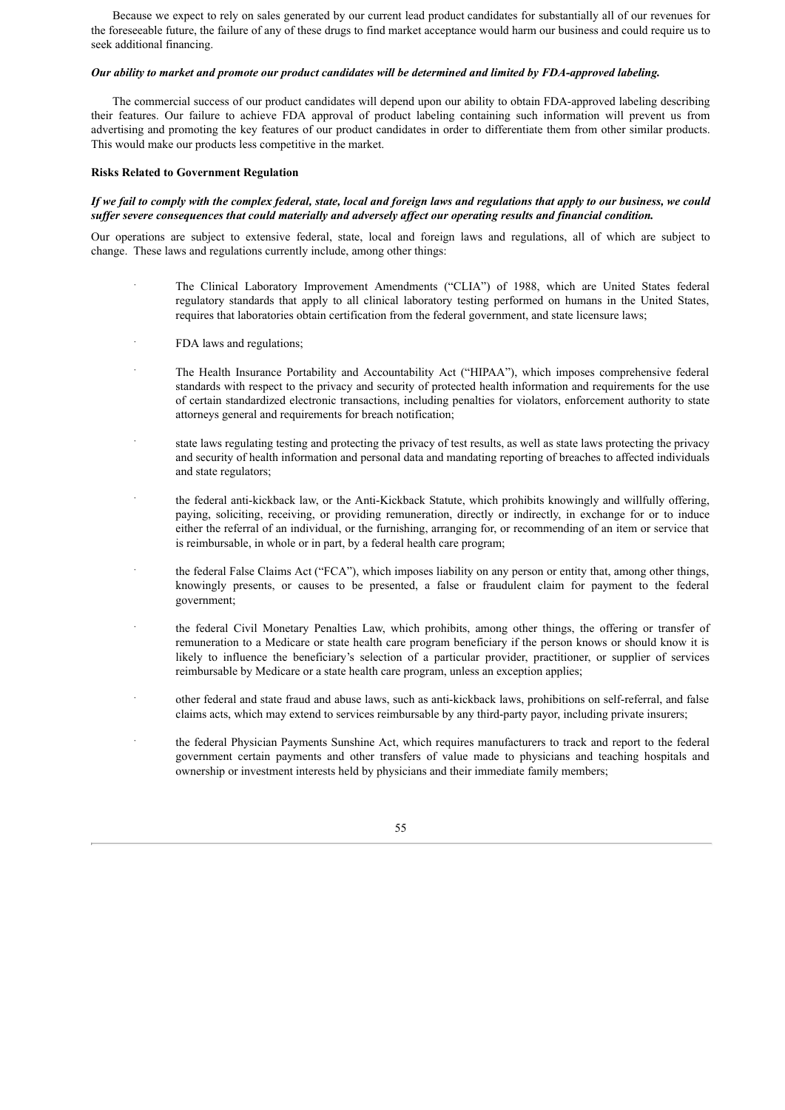Because we expect to rely on sales generated by our current lead product candidates for substantially all of our revenues for the foreseeable future, the failure of any of these drugs to find market acceptance would harm our business and could require us to seek additional financing.

#### Our ability to market and promote our product candidates will be determined and limited by FDA-approved labeling.

The commercial success of our product candidates will depend upon our ability to obtain FDA-approved labeling describing their features. Our failure to achieve FDA approval of product labeling containing such information will prevent us from advertising and promoting the key features of our product candidates in order to differentiate them from other similar products. This would make our products less competitive in the market.

#### **Risks Related to Government Regulation**

#### If we fail to comply with the complex federal, state, local and foreign laws and regulations that apply to our business, we could suffer severe consequences that could materially and adversely affect our operating results and financial condition.

Our operations are subject to extensive federal, state, local and foreign laws and regulations, all of which are subject to change. These laws and regulations currently include, among other things:

- The Clinical Laboratory Improvement Amendments ("CLIA") of 1988, which are United States federal regulatory standards that apply to all clinical laboratory testing performed on humans in the United States, requires that laboratories obtain certification from the federal government, and state licensure laws;
- · FDA laws and regulations;
- The Health Insurance Portability and Accountability Act ("HIPAA"), which imposes comprehensive federal standards with respect to the privacy and security of protected health information and requirements for the use of certain standardized electronic transactions, including penalties for violators, enforcement authority to state attorneys general and requirements for breach notification;
- state laws regulating testing and protecting the privacy of test results, as well as state laws protecting the privacy and security of health information and personal data and mandating reporting of breaches to affected individuals and state regulators;
- · the federal anti-kickback law, or the Anti-Kickback Statute, which prohibits knowingly and willfully offering, paying, soliciting, receiving, or providing remuneration, directly or indirectly, in exchange for or to induce either the referral of an individual, or the furnishing, arranging for, or recommending of an item or service that is reimbursable, in whole or in part, by a federal health care program;
- the federal False Claims Act ("FCA"), which imposes liability on any person or entity that, among other things, knowingly presents, or causes to be presented, a false or fraudulent claim for payment to the federal government;
- · the federal Civil Monetary Penalties Law, which prohibits, among other things, the offering or transfer of remuneration to a Medicare or state health care program beneficiary if the person knows or should know it is likely to influence the beneficiary's selection of a particular provider, practitioner, or supplier of services reimbursable by Medicare or a state health care program, unless an exception applies;
- · other federal and state fraud and abuse laws, such as anti-kickback laws, prohibitions on self-referral, and false claims acts, which may extend to services reimbursable by any third-party payor, including private insurers;
- the federal Physician Payments Sunshine Act, which requires manufacturers to track and report to the federal government certain payments and other transfers of value made to physicians and teaching hospitals and ownership or investment interests held by physicians and their immediate family members;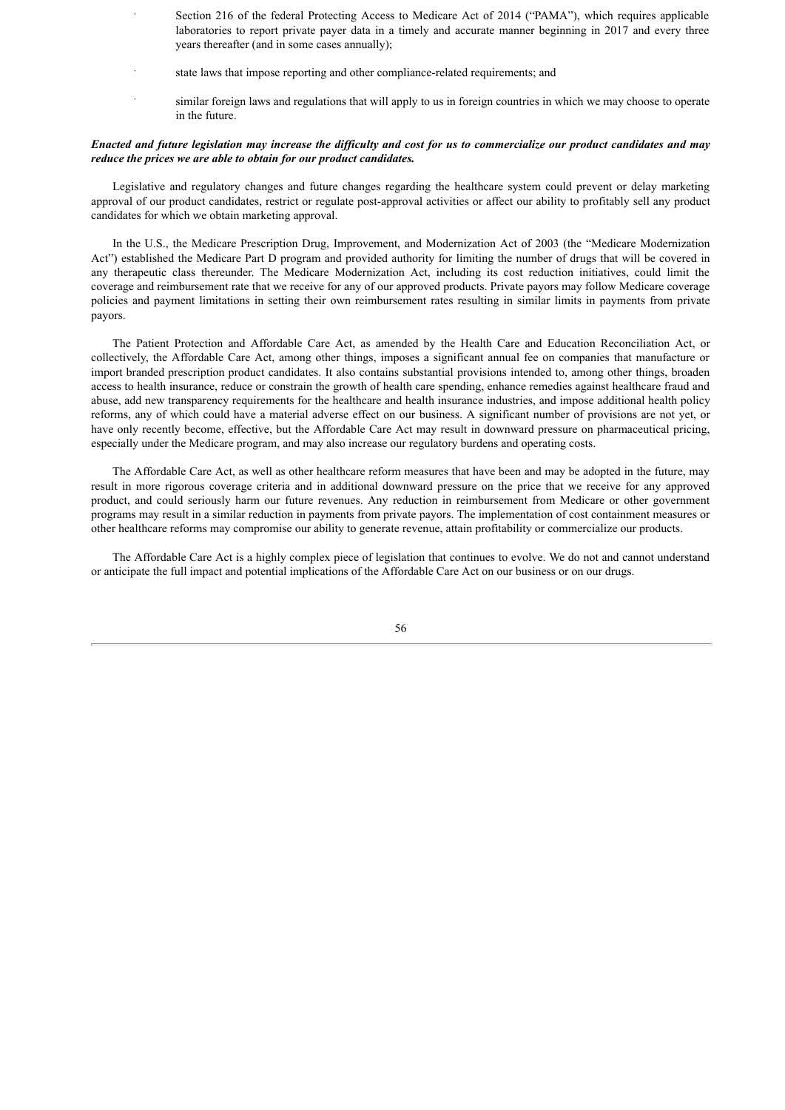- Section 216 of the federal Protecting Access to Medicare Act of 2014 ("PAMA"), which requires applicable laboratories to report private payer data in a timely and accurate manner beginning in 2017 and every three years thereafter (and in some cases annually);
- state laws that impose reporting and other compliance-related requirements; and
- similar foreign laws and regulations that will apply to us in foreign countries in which we may choose to operate in the future.

#### Enacted and future legislation may increase the difficulty and cost for us to commercialize our product candidates and may *reduce the prices we are able to obtain for our product candidates.*

Legislative and regulatory changes and future changes regarding the healthcare system could prevent or delay marketing approval of our product candidates, restrict or regulate post-approval activities or affect our ability to profitably sell any product candidates for which we obtain marketing approval.

In the U.S., the Medicare Prescription Drug, Improvement, and Modernization Act of 2003 (the "Medicare Modernization Act") established the Medicare Part D program and provided authority for limiting the number of drugs that will be covered in any therapeutic class thereunder. The Medicare Modernization Act, including its cost reduction initiatives, could limit the coverage and reimbursement rate that we receive for any of our approved products. Private payors may follow Medicare coverage policies and payment limitations in setting their own reimbursement rates resulting in similar limits in payments from private payors.

The Patient Protection and Affordable Care Act, as amended by the Health Care and Education Reconciliation Act, or collectively, the Affordable Care Act, among other things, imposes a significant annual fee on companies that manufacture or import branded prescription product candidates. It also contains substantial provisions intended to, among other things, broaden access to health insurance, reduce or constrain the growth of health care spending, enhance remedies against healthcare fraud and abuse, add new transparency requirements for the healthcare and health insurance industries, and impose additional health policy reforms, any of which could have a material adverse effect on our business. A significant number of provisions are not yet, or have only recently become, effective, but the Affordable Care Act may result in downward pressure on pharmaceutical pricing, especially under the Medicare program, and may also increase our regulatory burdens and operating costs.

The Affordable Care Act, as well as other healthcare reform measures that have been and may be adopted in the future, may result in more rigorous coverage criteria and in additional downward pressure on the price that we receive for any approved product, and could seriously harm our future revenues. Any reduction in reimbursement from Medicare or other government programs may result in a similar reduction in payments from private payors. The implementation of cost containment measures or other healthcare reforms may compromise our ability to generate revenue, attain profitability or commercialize our products.

The Affordable Care Act is a highly complex piece of legislation that continues to evolve. We do not and cannot understand or anticipate the full impact and potential implications of the Affordable Care Act on our business or on our drugs.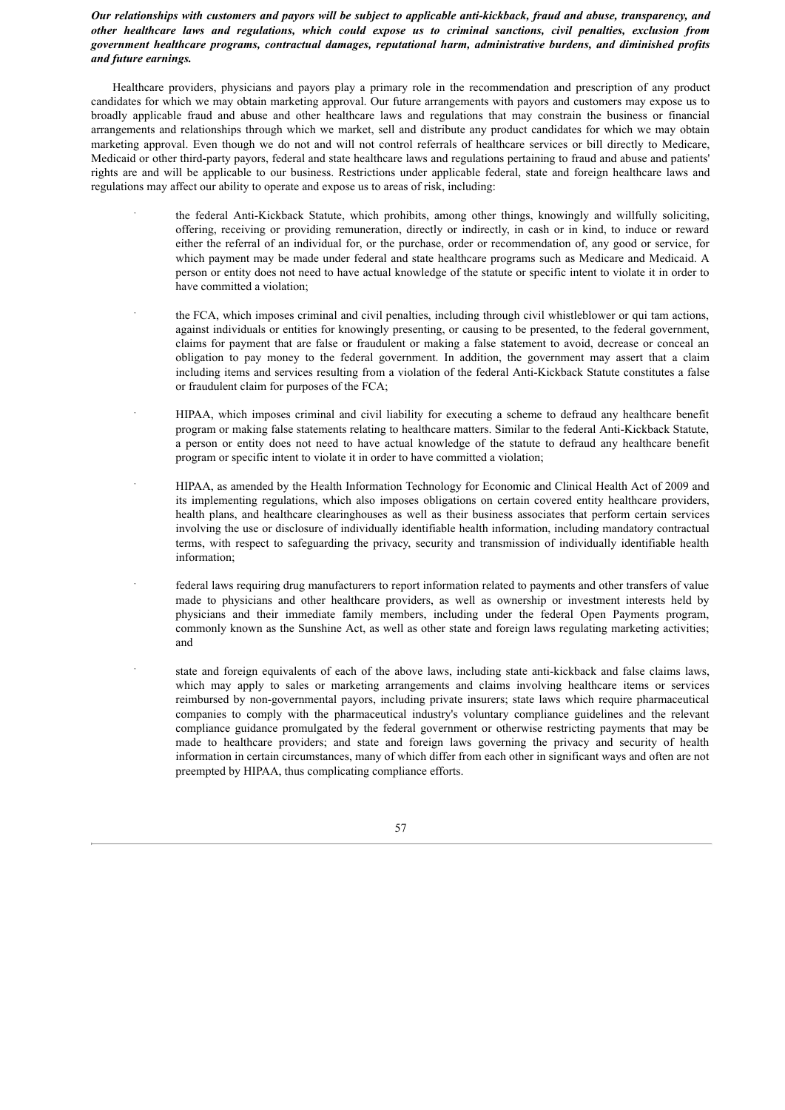Our relationships with customers and payors will be subject to applicable anti-kickback, fraud and abuse, transparency, and other healthcare laws and regulations, which could expose us to criminal sanctions, civil penalties, exclusion from *government healthcare programs, contractual damages, reputational harm, administrative burdens, and diminished profits and future earnings.*

Healthcare providers, physicians and payors play a primary role in the recommendation and prescription of any product candidates for which we may obtain marketing approval. Our future arrangements with payors and customers may expose us to broadly applicable fraud and abuse and other healthcare laws and regulations that may constrain the business or financial arrangements and relationships through which we market, sell and distribute any product candidates for which we may obtain marketing approval. Even though we do not and will not control referrals of healthcare services or bill directly to Medicare, Medicaid or other third-party payors, federal and state healthcare laws and regulations pertaining to fraud and abuse and patients' rights are and will be applicable to our business. Restrictions under applicable federal, state and foreign healthcare laws and regulations may affect our ability to operate and expose us to areas of risk, including:

- · the federal Anti-Kickback Statute, which prohibits, among other things, knowingly and willfully soliciting, offering, receiving or providing remuneration, directly or indirectly, in cash or in kind, to induce or reward either the referral of an individual for, or the purchase, order or recommendation of, any good or service, for which payment may be made under federal and state healthcare programs such as Medicare and Medicaid. A person or entity does not need to have actual knowledge of the statute or specific intent to violate it in order to have committed a violation;
- · the FCA, which imposes criminal and civil penalties, including through civil whistleblower or qui tam actions, against individuals or entities for knowingly presenting, or causing to be presented, to the federal government, claims for payment that are false or fraudulent or making a false statement to avoid, decrease or conceal an obligation to pay money to the federal government. In addition, the government may assert that a claim including items and services resulting from a violation of the federal Anti-Kickback Statute constitutes a false or fraudulent claim for purposes of the FCA;
	- · HIPAA, which imposes criminal and civil liability for executing a scheme to defraud any healthcare benefit program or making false statements relating to healthcare matters. Similar to the federal Anti-Kickback Statute, a person or entity does not need to have actual knowledge of the statute to defraud any healthcare benefit program or specific intent to violate it in order to have committed a violation;
- · HIPAA, as amended by the Health Information Technology for Economic and Clinical Health Act of 2009 and its implementing regulations, which also imposes obligations on certain covered entity healthcare providers, health plans, and healthcare clearinghouses as well as their business associates that perform certain services involving the use or disclosure of individually identifiable health information, including mandatory contractual terms, with respect to safeguarding the privacy, security and transmission of individually identifiable health information;
	- federal laws requiring drug manufacturers to report information related to payments and other transfers of value made to physicians and other healthcare providers, as well as ownership or investment interests held by physicians and their immediate family members, including under the federal Open Payments program, commonly known as the Sunshine Act, as well as other state and foreign laws regulating marketing activities; and
	- state and foreign equivalents of each of the above laws, including state anti-kickback and false claims laws, which may apply to sales or marketing arrangements and claims involving healthcare items or services reimbursed by non-governmental payors, including private insurers; state laws which require pharmaceutical companies to comply with the pharmaceutical industry's voluntary compliance guidelines and the relevant compliance guidance promulgated by the federal government or otherwise restricting payments that may be made to healthcare providers; and state and foreign laws governing the privacy and security of health information in certain circumstances, many of which differ from each other in significant ways and often are not preempted by HIPAA, thus complicating compliance efforts.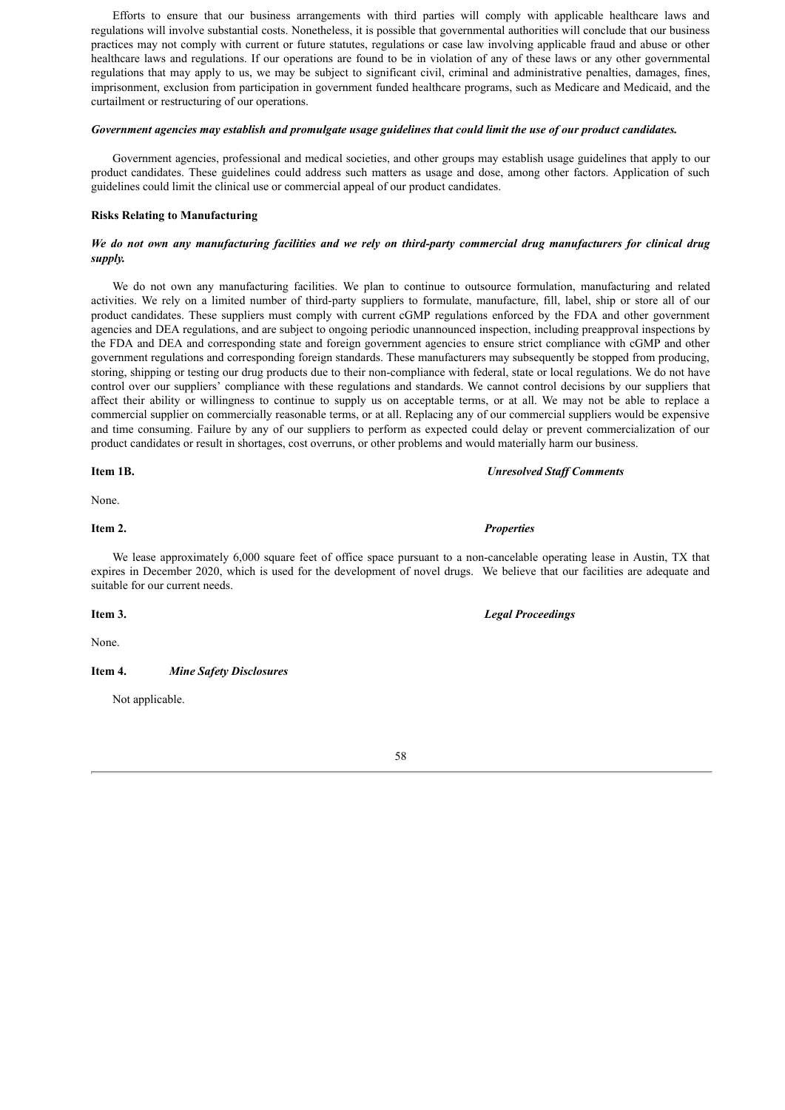Efforts to ensure that our business arrangements with third parties will comply with applicable healthcare laws and regulations will involve substantial costs. Nonetheless, it is possible that governmental authorities will conclude that our business practices may not comply with current or future statutes, regulations or case law involving applicable fraud and abuse or other healthcare laws and regulations. If our operations are found to be in violation of any of these laws or any other governmental regulations that may apply to us, we may be subject to significant civil, criminal and administrative penalties, damages, fines, imprisonment, exclusion from participation in government funded healthcare programs, such as Medicare and Medicaid, and the curtailment or restructuring of our operations.

#### Government agencies may establish and promulgate usage guidelines that could limit the use of our product candidates.

Government agencies, professional and medical societies, and other groups may establish usage guidelines that apply to our product candidates. These guidelines could address such matters as usage and dose, among other factors. Application of such guidelines could limit the clinical use or commercial appeal of our product candidates.

#### **Risks Relating to Manufacturing**

#### We do not own any manufacturing facilities and we rely on third-party commercial drug manufacturers for clinical drug *supply.*

We do not own any manufacturing facilities. We plan to continue to outsource formulation, manufacturing and related activities. We rely on a limited number of third-party suppliers to formulate, manufacture, fill, label, ship or store all of our product candidates. These suppliers must comply with current cGMP regulations enforced by the FDA and other government agencies and DEA regulations, and are subject to ongoing periodic unannounced inspection, including preapproval inspections by the FDA and DEA and corresponding state and foreign government agencies to ensure strict compliance with cGMP and other government regulations and corresponding foreign standards. These manufacturers may subsequently be stopped from producing, storing, shipping or testing our drug products due to their non-compliance with federal, state or local regulations. We do not have control over our suppliers' compliance with these regulations and standards. We cannot control decisions by our suppliers that affect their ability or willingness to continue to supply us on acceptable terms, or at all. We may not be able to replace a commercial supplier on commercially reasonable terms, or at all. Replacing any of our commercial suppliers would be expensive and time consuming. Failure by any of our suppliers to perform as expected could delay or prevent commercialization of our product candidates or result in shortages, cost overruns, or other problems and would materially harm our business.

#### **Item 1B.** *Unresolved Staf Comments*

None.

We lease approximately 6,000 square feet of office space pursuant to a non-cancelable operating lease in Austin, TX that expires in December 2020, which is used for the development of novel drugs. We believe that our facilities are adequate and suitable for our current needs.

#### **Item 3.** *Legal Proceedings*

None.

#### **Item 4.** *Mine Safety Disclosures*

Not applicable.

**Item 2.** *Properties*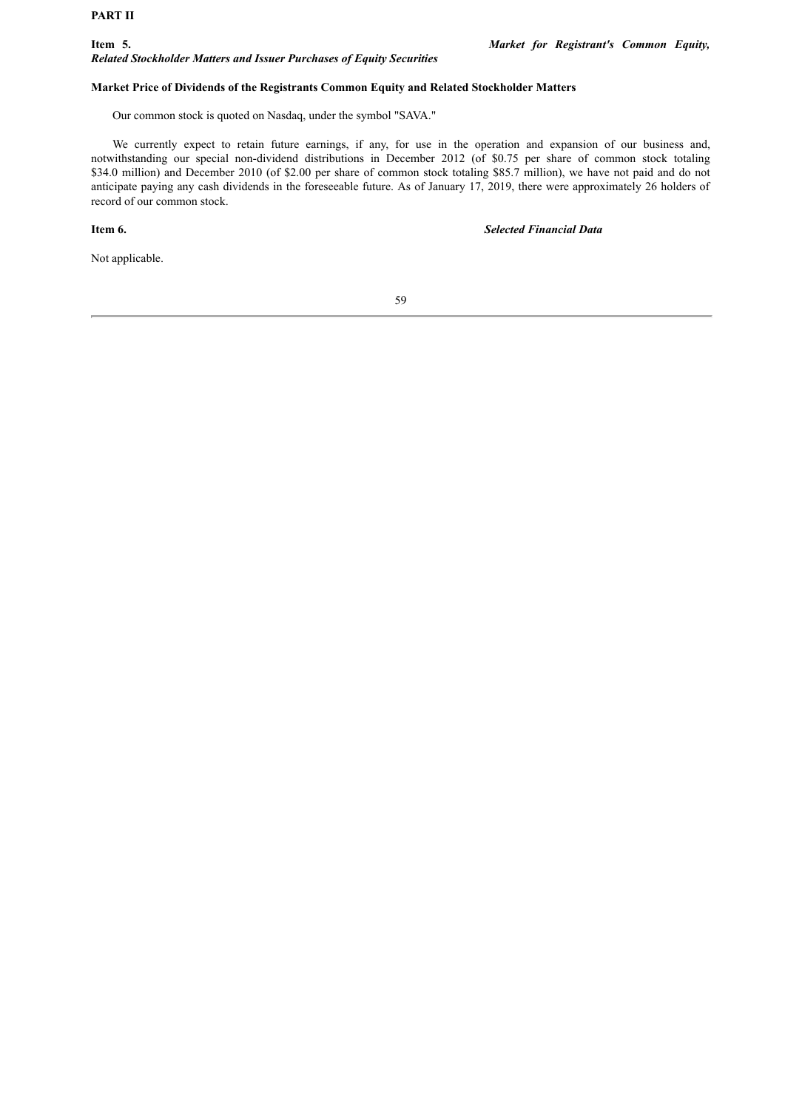#### **PART II**

### **Item 5.** *Market for Registrant's Common Equity, Related Stockholder Matters and Issuer Purchases of Equity Securities*

### **Market Price of Dividends of the Registrants Common Equity and Related Stockholder Matters**

Our common stock is quoted on Nasdaq, under the symbol "SAVA."

We currently expect to retain future earnings, if any, for use in the operation and expansion of our business and, notwithstanding our special non-dividend distributions in December 2012 (of \$0.75 per share of common stock totaling \$34.0 million) and December 2010 (of \$2.00 per share of common stock totaling \$85.7 million), we have not paid and do not anticipate paying any cash dividends in the foreseeable future. As of January 17, 2019, there were approximately 26 holders of record of our common stock.

**Item 6.** *Selected Financial Data*

Not applicable.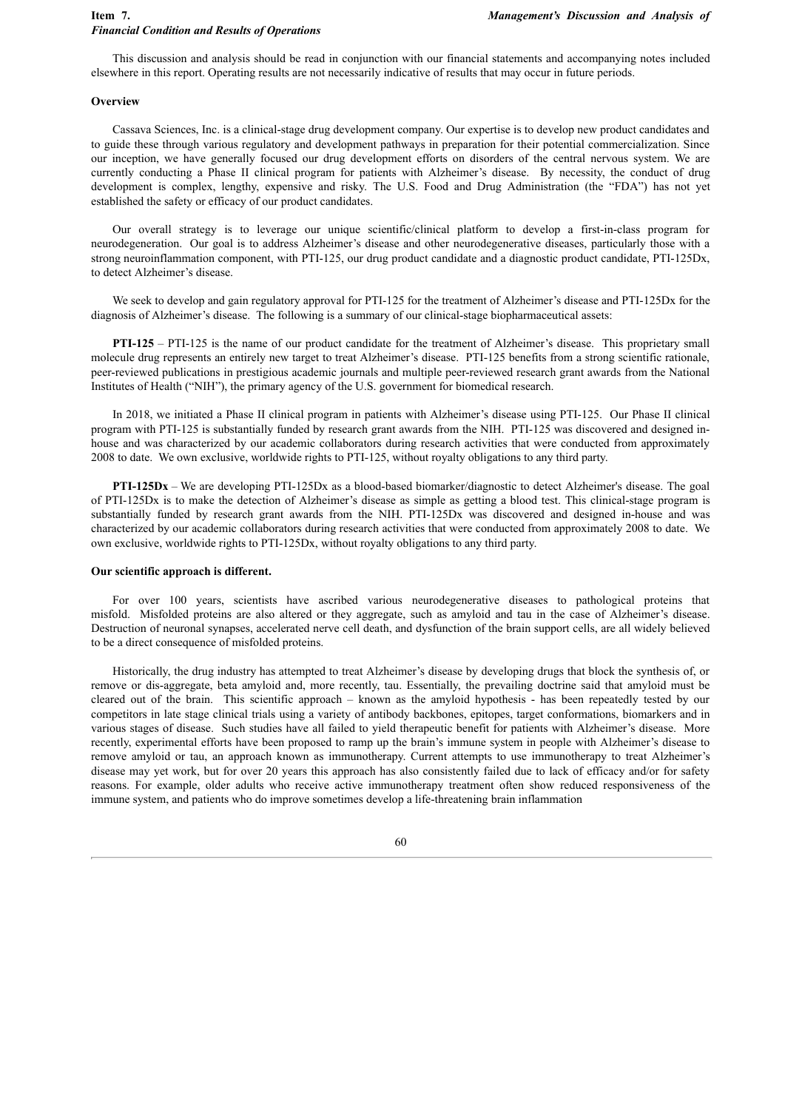#### **Item 7.** *Management's Discussion and Analysis of Financial Condition and Results of Operations*

This discussion and analysis should be read in conjunction with our financial statements and accompanying notes included elsewhere in this report. Operating results are not necessarily indicative of results that may occur in future periods.

#### **Overview**

Cassava Sciences, Inc. is a clinical-stage drug development company. Our expertise is to develop new product candidates and to guide these through various regulatory and development pathways in preparation for their potential commercialization. Since our inception, we have generally focused our drug development efforts on disorders of the central nervous system. We are currently conducting a Phase II clinical program for patients with Alzheimer's disease. By necessity, the conduct of drug development is complex, lengthy, expensive and risky. The U.S. Food and Drug Administration (the "FDA") has not yet established the safety or efficacy of our product candidates.

Our overall strategy is to leverage our unique scientific/clinical platform to develop a first-in-class program for neurodegeneration. Our goal is to address Alzheimer's disease and other neurodegenerative diseases, particularly those with a strong neuroinflammation component, with PTI-125, our drug product candidate and a diagnostic product candidate, PTI-125Dx, to detect Alzheimer's disease.

We seek to develop and gain regulatory approval for PTI-125 for the treatment of Alzheimer's disease and PTI-125Dx for the diagnosis of Alzheimer's disease. The following is a summary of our clinical-stage biopharmaceutical assets:

**PTI-125** – PTI-125 is the name of our product candidate for the treatment of Alzheimer's disease. This proprietary small molecule drug represents an entirely new target to treat Alzheimer's disease. PTI-125 benefits from a strong scientific rationale, peer-reviewed publications in prestigious academic journals and multiple peer-reviewed research grant awards from the National Institutes of Health ("NIH"), the primary agency of the U.S. government for biomedical research.

In 2018, we initiated a Phase II clinical program in patients with Alzheimer's disease using PTI-125. Our Phase II clinical program with PTI-125 is substantially funded by research grant awards from the NIH. PTI-125 was discovered and designed inhouse and was characterized by our academic collaborators during research activities that were conducted from approximately 2008 to date. We own exclusive, worldwide rights to PTI-125, without royalty obligations to any third party.

**PTI-125Dx** – We are developing PTI-125Dx as a blood-based biomarker/diagnostic to detect Alzheimer's disease. The goal of PTI-125Dx is to make the detection of Alzheimer's disease as simple as getting a blood test. This clinical-stage program is substantially funded by research grant awards from the NIH. PTI-125Dx was discovered and designed in-house and was characterized by our academic collaborators during research activities that were conducted from approximately 2008 to date. We own exclusive, worldwide rights to PTI-125Dx, without royalty obligations to any third party.

#### **Our scientific approach is different.**

For over 100 years, scientists have ascribed various neurodegenerative diseases to pathological proteins that misfold. Misfolded proteins are also altered or they aggregate, such as amyloid and tau in the case of Alzheimer's disease. Destruction of neuronal synapses, accelerated nerve cell death, and dysfunction of the brain support cells, are all widely believed to be a direct consequence of misfolded proteins.

Historically, the drug industry has attempted to treat Alzheimer's disease by developing drugs that block the synthesis of, or remove or dis-aggregate, beta amyloid and, more recently, tau. Essentially, the prevailing doctrine said that amyloid must be cleared out of the brain. This scientific approach – known as the amyloid hypothesis - has been repeatedly tested by our competitors in late stage clinical trials using a variety of antibody backbones, epitopes, target conformations, biomarkers and in various stages of disease. Such studies have all failed to yield therapeutic benefit for patients with Alzheimer's disease. More recently, experimental efforts have been proposed to ramp up the brain's immune system in people with Alzheimer's disease to remove amyloid or tau, an approach known as immunotherapy. Current attempts to use immunotherapy to treat Alzheimer's disease may yet work, but for over 20 years this approach has also consistently failed due to lack of efficacy and/or for safety reasons. For example, older adults who receive active immunotherapy treatment often show reduced responsiveness of the immune system, and patients who do improve sometimes develop a life-threatening brain inflammation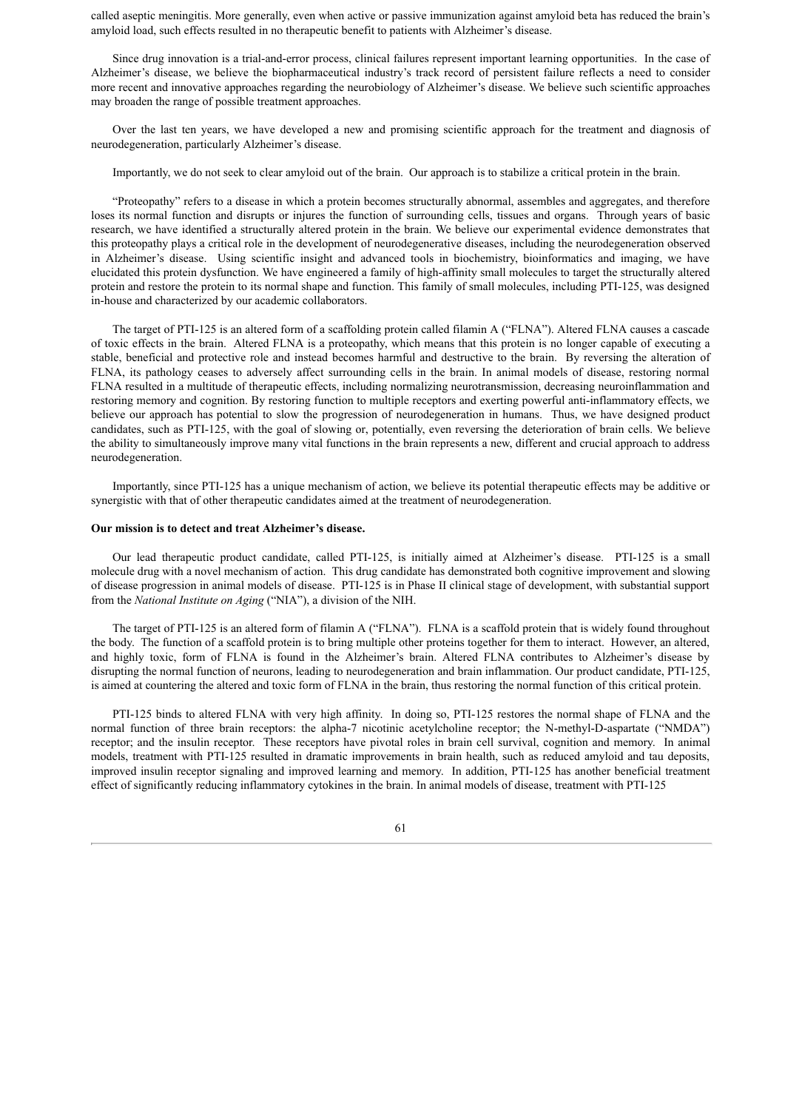called aseptic meningitis. More generally, even when active or passive immunization against amyloid beta has reduced the brain's amyloid load, such effects resulted in no therapeutic benefit to patients with Alzheimer's disease.

Since drug innovation is a trial-and-error process, clinical failures represent important learning opportunities. In the case of Alzheimer's disease, we believe the biopharmaceutical industry's track record of persistent failure reflects a need to consider more recent and innovative approaches regarding the neurobiology of Alzheimer's disease. We believe such scientific approaches may broaden the range of possible treatment approaches.

Over the last ten years, we have developed a new and promising scientific approach for the treatment and diagnosis of neurodegeneration, particularly Alzheimer's disease.

Importantly, we do not seek to clear amyloid out of the brain. Our approach is to stabilize a critical protein in the brain.

"Proteopathy" refers to a disease in which a protein becomes structurally abnormal, assembles and aggregates, and therefore loses its normal function and disrupts or injures the function of surrounding cells, tissues and organs. Through years of basic research, we have identified a structurally altered protein in the brain. We believe our experimental evidence demonstrates that this proteopathy plays a critical role in the development of neurodegenerative diseases, including the neurodegeneration observed in Alzheimer's disease. Using scientific insight and advanced tools in biochemistry, bioinformatics and imaging, we have elucidated this protein dysfunction. We have engineered a family of high-affinity small molecules to target the structurally altered protein and restore the protein to its normal shape and function. This family of small molecules, including PTI-125, was designed in-house and characterized by our academic collaborators.

The target of PTI-125 is an altered form of a scaffolding protein called filamin A ("FLNA"). Altered FLNA causes a cascade of toxic effects in the brain. Altered FLNA is a proteopathy, which means that this protein is no longer capable of executing a stable, beneficial and protective role and instead becomes harmful and destructive to the brain. By reversing the alteration of FLNA, its pathology ceases to adversely affect surrounding cells in the brain. In animal models of disease, restoring normal FLNA resulted in a multitude of therapeutic effects, including normalizing neurotransmission, decreasing neuroinflammation and restoring memory and cognition. By restoring function to multiple receptors and exerting powerful anti-inflammatory effects, we believe our approach has potential to slow the progression of neurodegeneration in humans. Thus, we have designed product candidates, such as PTI-125, with the goal of slowing or, potentially, even reversing the deterioration of brain cells. We believe the ability to simultaneously improve many vital functions in the brain represents a new, different and crucial approach to address neurodegeneration.

Importantly, since PTI-125 has a unique mechanism of action, we believe its potential therapeutic effects may be additive or synergistic with that of other therapeutic candidates aimed at the treatment of neurodegeneration.

#### **Our mission is to detect and treat Alzheimer's disease.**

Our lead therapeutic product candidate, called PTI-125, is initially aimed at Alzheimer's disease. PTI-125 is a small molecule drug with a novel mechanism of action. This drug candidate has demonstrated both cognitive improvement and slowing of disease progression in animal models of disease. PTI-125 is in Phase II clinical stage of development, with substantial support from the *National Institute on Aging* ("NIA"), a division of the NIH.

The target of PTI-125 is an altered form of filamin A ("FLNA"). FLNA is a scaffold protein that is widely found throughout the body. The function of a scaffold protein is to bring multiple other proteins together for them to interact. However, an altered, and highly toxic, form of FLNA is found in the Alzheimer's brain. Altered FLNA contributes to Alzheimer's disease by disrupting the normal function of neurons, leading to neurodegeneration and brain inflammation. Our product candidate, PTI-125, is aimed at countering the altered and toxic form of FLNA in the brain, thus restoring the normal function of this critical protein.

PTI-125 binds to altered FLNA with very high affinity. In doing so, PTI-125 restores the normal shape of FLNA and the normal function of three brain receptors: the alpha-7 nicotinic acetylcholine receptor; the N-methyl-D-aspartate ("NMDA") receptor; and the insulin receptor. These receptors have pivotal roles in brain cell survival, cognition and memory. In animal models, treatment with PTI-125 resulted in dramatic improvements in brain health, such as reduced amyloid and tau deposits, improved insulin receptor signaling and improved learning and memory. In addition, PTI-125 has another beneficial treatment effect of significantly reducing inflammatory cytokines in the brain. In animal models of disease, treatment with PTI-125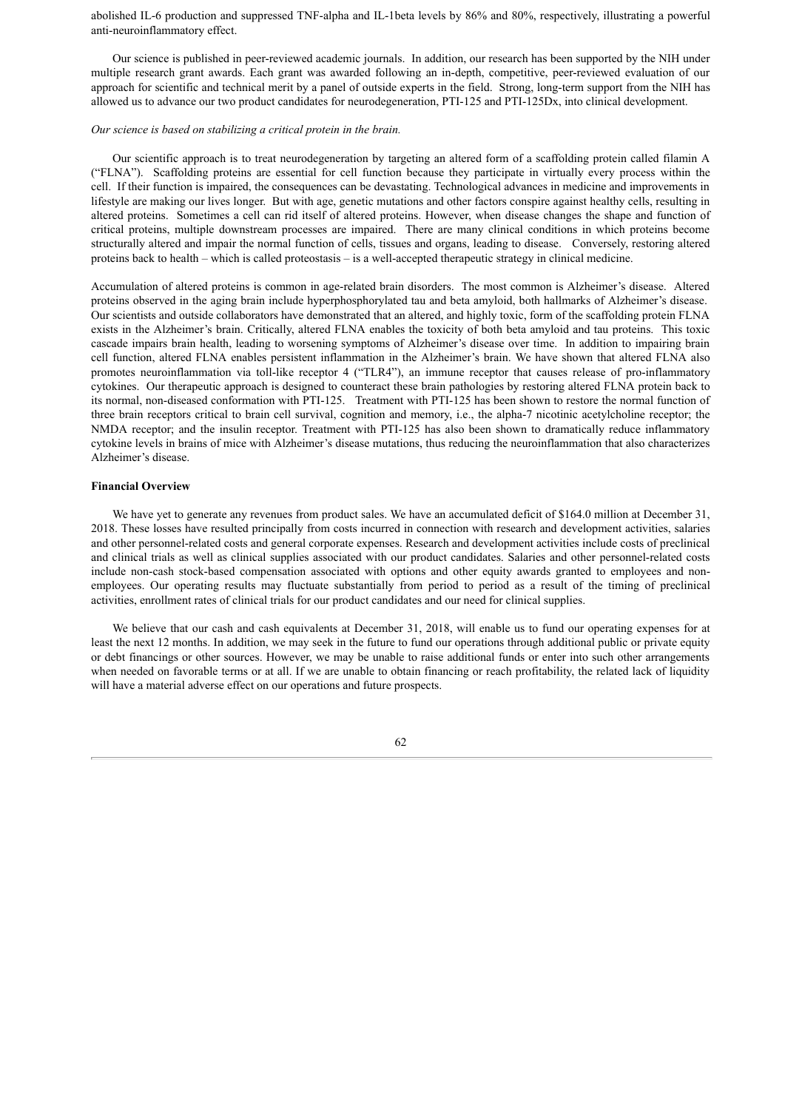abolished IL-6 production and suppressed TNF-alpha and IL-1beta levels by 86% and 80%, respectively, illustrating a powerful anti-neuroinflammatory effect.

Our science is published in peer-reviewed academic journals. In addition, our research has been supported by the NIH under multiple research grant awards. Each grant was awarded following an in-depth, competitive, peer-reviewed evaluation of our approach for scientific and technical merit by a panel of outside experts in the field. Strong, long-term support from the NIH has allowed us to advance our two product candidates for neurodegeneration, PTI-125 and PTI-125Dx, into clinical development.

#### *Our science is based on stabilizing a critical protein in the brain.*

Our scientific approach is to treat neurodegeneration by targeting an altered form of a scaffolding protein called filamin A ("FLNA"). Scaffolding proteins are essential for cell function because they participate in virtually every process within the cell. If their function is impaired, the consequences can be devastating. Technological advances in medicine and improvements in lifestyle are making our lives longer. But with age, genetic mutations and other factors conspire against healthy cells, resulting in altered proteins. Sometimes a cell can rid itself of altered proteins. However, when disease changes the shape and function of critical proteins, multiple downstream processes are impaired. There are many clinical conditions in which proteins become structurally altered and impair the normal function of cells, tissues and organs, leading to disease. Conversely, restoring altered proteins back to health – which is called proteostasis – is a well-accepted therapeutic strategy in clinical medicine.

Accumulation of altered proteins is common in age-related brain disorders. The most common is Alzheimer's disease. Altered proteins observed in the aging brain include hyperphosphorylated tau and beta amyloid, both hallmarks of Alzheimer's disease. Our scientists and outside collaborators have demonstrated that an altered, and highly toxic, form of the scaffolding protein FLNA exists in the Alzheimer's brain. Critically, altered FLNA enables the toxicity of both beta amyloid and tau proteins. This toxic cascade impairs brain health, leading to worsening symptoms of Alzheimer's disease over time. In addition to impairing brain cell function, altered FLNA enables persistent inflammation in the Alzheimer's brain. We have shown that altered FLNA also promotes neuroinflammation via toll-like receptor 4 ("TLR4"), an immune receptor that causes release of pro-inflammatory cytokines. Our therapeutic approach is designed to counteract these brain pathologies by restoring altered FLNA protein back to its normal, non-diseased conformation with PTI-125. Treatment with PTI-125 has been shown to restore the normal function of three brain receptors critical to brain cell survival, cognition and memory, i.e., the alpha-7 nicotinic acetylcholine receptor; the NMDA receptor; and the insulin receptor. Treatment with PTI-125 has also been shown to dramatically reduce inflammatory cytokine levels in brains of mice with Alzheimer's disease mutations, thus reducing the neuroinflammation that also characterizes Alzheimer's disease.

#### **Financial Overview**

We have yet to generate any revenues from product sales. We have an accumulated deficit of \$164.0 million at December 31, 2018. These losses have resulted principally from costs incurred in connection with research and development activities, salaries and other personnel-related costs and general corporate expenses. Research and development activities include costs of preclinical and clinical trials as well as clinical supplies associated with our product candidates. Salaries and other personnel-related costs include non-cash stock-based compensation associated with options and other equity awards granted to employees and nonemployees. Our operating results may fluctuate substantially from period to period as a result of the timing of preclinical activities, enrollment rates of clinical trials for our product candidates and our need for clinical supplies.

We believe that our cash and cash equivalents at December 31, 2018, will enable us to fund our operating expenses for at least the next 12 months. In addition, we may seek in the future to fund our operations through additional public or private equity or debt financings or other sources. However, we may be unable to raise additional funds or enter into such other arrangements when needed on favorable terms or at all. If we are unable to obtain financing or reach profitability, the related lack of liquidity will have a material adverse effect on our operations and future prospects.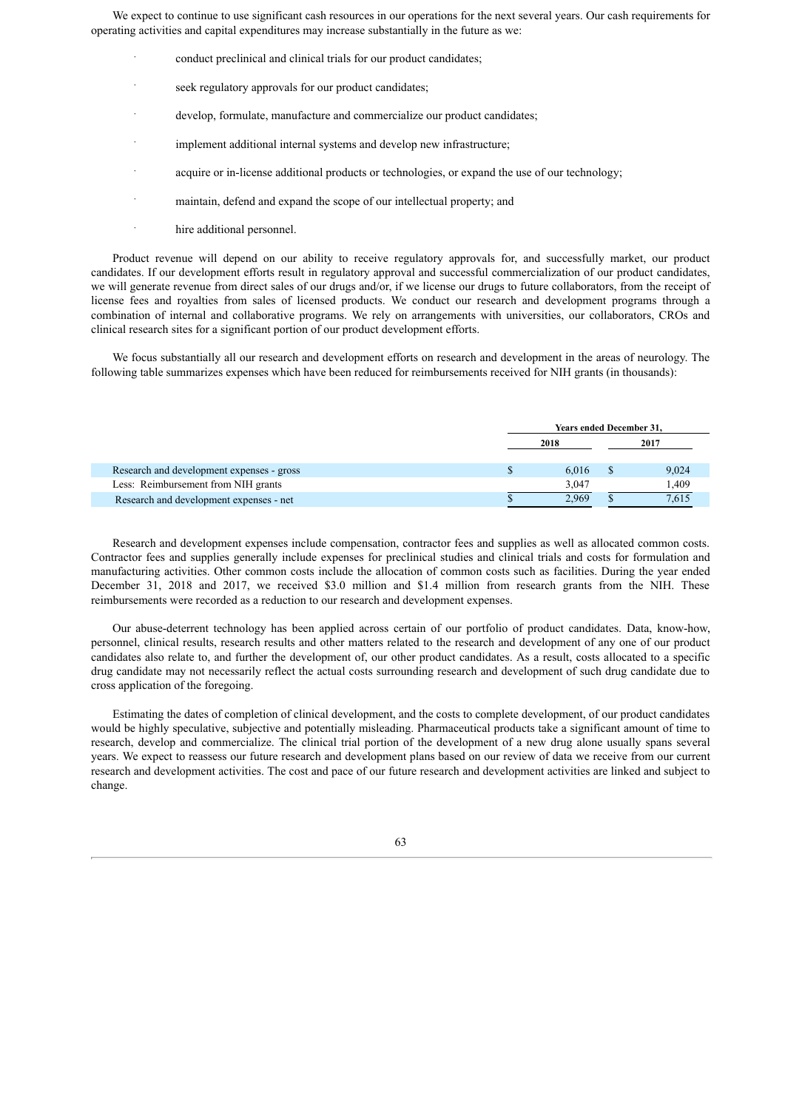We expect to continue to use significant cash resources in our operations for the next several years. Our cash requirements for operating activities and capital expenditures may increase substantially in the future as we:

- conduct preclinical and clinical trials for our product candidates;
- seek regulatory approvals for our product candidates;
- develop, formulate, manufacture and commercialize our product candidates;
- implement additional internal systems and develop new infrastructure;
- acquire or in-license additional products or technologies, or expand the use of our technology;
- · maintain, defend and expand the scope of our intellectual property; and
- hire additional personnel.

Product revenue will depend on our ability to receive regulatory approvals for, and successfully market, our product candidates. If our development efforts result in regulatory approval and successful commercialization of our product candidates, we will generate revenue from direct sales of our drugs and/or, if we license our drugs to future collaborators, from the receipt of license fees and royalties from sales of licensed products. We conduct our research and development programs through a combination of internal and collaborative programs. We rely on arrangements with universities, our collaborators, CROs and clinical research sites for a significant portion of our product development efforts.

We focus substantially all our research and development efforts on research and development in the areas of neurology. The following table summarizes expenses which have been reduced for reimbursements received for NIH grants (in thousands):

|                                           |      | Years ended December 31, |      |       |  |
|-------------------------------------------|------|--------------------------|------|-------|--|
|                                           | 2018 |                          | 2017 |       |  |
|                                           |      |                          |      |       |  |
| Research and development expenses - gross |      | 6.016                    |      | 9.024 |  |
| Less: Reimbursement from NIH grants       |      | 3.047                    |      | 1.409 |  |
| Research and development expenses - net   |      | 2.969                    |      | 7.615 |  |

Research and development expenses include compensation, contractor fees and supplies as well as allocated common costs. Contractor fees and supplies generally include expenses for preclinical studies and clinical trials and costs for formulation and manufacturing activities. Other common costs include the allocation of common costs such as facilities. During the year ended December 31, 2018 and 2017, we received \$3.0 million and \$1.4 million from research grants from the NIH. These reimbursements were recorded as a reduction to our research and development expenses.

Our abuse-deterrent technology has been applied across certain of our portfolio of product candidates. Data, know-how, personnel, clinical results, research results and other matters related to the research and development of any one of our product candidates also relate to, and further the development of, our other product candidates. As a result, costs allocated to a specific drug candidate may not necessarily reflect the actual costs surrounding research and development of such drug candidate due to cross application of the foregoing.

Estimating the dates of completion of clinical development, and the costs to complete development, of our product candidates would be highly speculative, subjective and potentially misleading. Pharmaceutical products take a significant amount of time to research, develop and commercialize. The clinical trial portion of the development of a new drug alone usually spans several years. We expect to reassess our future research and development plans based on our review of data we receive from our current research and development activities. The cost and pace of our future research and development activities are linked and subject to change.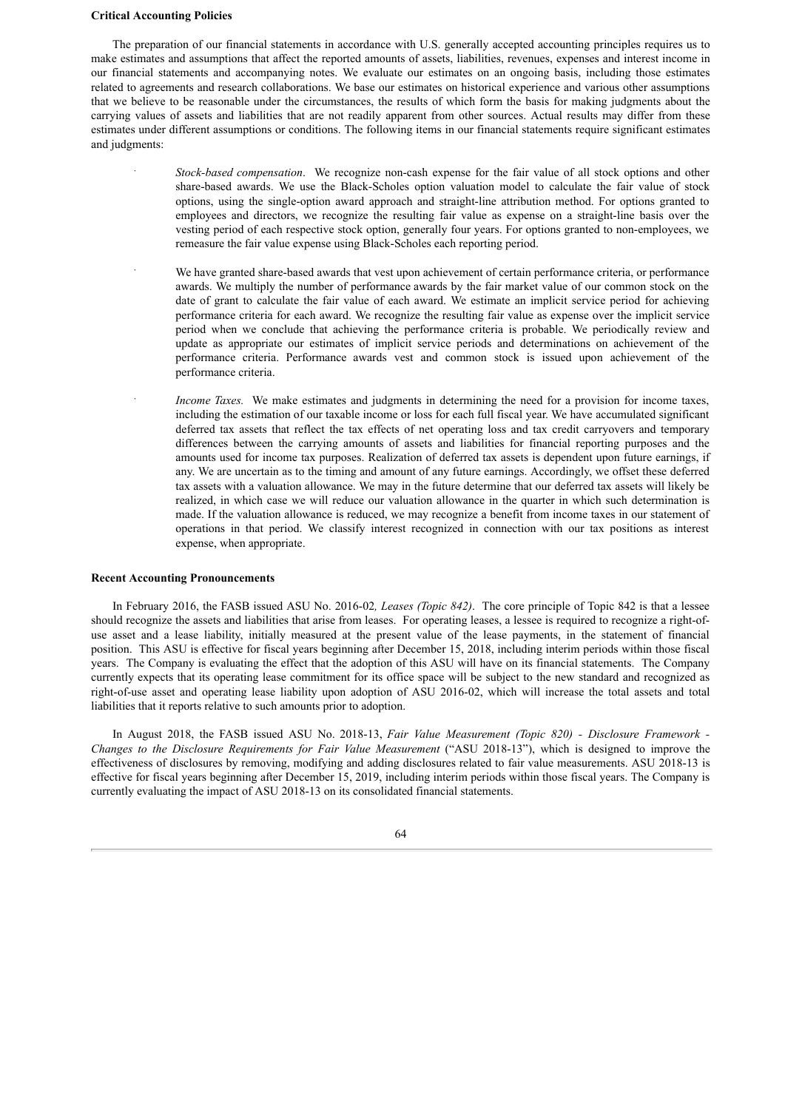#### **Critical Accounting Policies**

The preparation of our financial statements in accordance with U.S. generally accepted accounting principles requires us to make estimates and assumptions that affect the reported amounts of assets, liabilities, revenues, expenses and interest income in our financial statements and accompanying notes. We evaluate our estimates on an ongoing basis, including those estimates related to agreements and research collaborations. We base our estimates on historical experience and various other assumptions that we believe to be reasonable under the circumstances, the results of which form the basis for making judgments about the carrying values of assets and liabilities that are not readily apparent from other sources. Actual results may differ from these estimates under different assumptions or conditions. The following items in our financial statements require significant estimates and judgments:

- · *Stock-based compensation*. We recognize non-cash expense for the fair value of all stock options and other share-based awards. We use the Black-Scholes option valuation model to calculate the fair value of stock options, using the single-option award approach and straight-line attribution method. For options granted to employees and directors, we recognize the resulting fair value as expense on a straight-line basis over the vesting period of each respective stock option, generally four years. For options granted to non-employees, we remeasure the fair value expense using Black-Scholes each reporting period.
	- We have granted share-based awards that vest upon achievement of certain performance criteria, or performance awards. We multiply the number of performance awards by the fair market value of our common stock on the date of grant to calculate the fair value of each award. We estimate an implicit service period for achieving performance criteria for each award. We recognize the resulting fair value as expense over the implicit service period when we conclude that achieving the performance criteria is probable. We periodically review and update as appropriate our estimates of implicit service periods and determinations on achievement of the performance criteria. Performance awards vest and common stock is issued upon achievement of the performance criteria.
- *Income Taxes.* We make estimates and judgments in determining the need for a provision for income taxes, including the estimation of our taxable income or loss for each full fiscal year. We have accumulated significant deferred tax assets that reflect the tax effects of net operating loss and tax credit carryovers and temporary differences between the carrying amounts of assets and liabilities for financial reporting purposes and the amounts used for income tax purposes. Realization of deferred tax assets is dependent upon future earnings, if any. We are uncertain as to the timing and amount of any future earnings. Accordingly, we offset these deferred tax assets with a valuation allowance. We may in the future determine that our deferred tax assets will likely be realized, in which case we will reduce our valuation allowance in the quarter in which such determination is made. If the valuation allowance is reduced, we may recognize a benefit from income taxes in our statement of operations in that period. We classify interest recognized in connection with our tax positions as interest expense, when appropriate.

#### **Recent Accounting Pronouncements**

In February 2016, the FASB issued ASU No. 2016-02*, Leases (Topic 842)*. The core principle of Topic 842 is that a lessee should recognize the assets and liabilities that arise from leases. For operating leases, a lessee is required to recognize a right-ofuse asset and a lease liability, initially measured at the present value of the lease payments, in the statement of financial position. This ASU is effective for fiscal years beginning after December 15, 2018, including interim periods within those fiscal years. The Company is evaluating the effect that the adoption of this ASU will have on its financial statements. The Company currently expects that its operating lease commitment for its office space will be subject to the new standard and recognized as right-of-use asset and operating lease liability upon adoption of ASU 2016-02, which will increase the total assets and total liabilities that it reports relative to such amounts prior to adoption.

In August 2018, the FASB issued ASU No. 2018-13, *Fair Value Measurement (Topic 820) - Disclosure Framework - Changes to the Disclosure Requirements for Fair Value Measurement* ("ASU 2018-13"), which is designed to improve the effectiveness of disclosures by removing, modifying and adding disclosures related to fair value measurements. ASU 2018-13 is effective for fiscal years beginning after December 15, 2019, including interim periods within those fiscal years. The Company is currently evaluating the impact of ASU 2018-13 on its consolidated financial statements.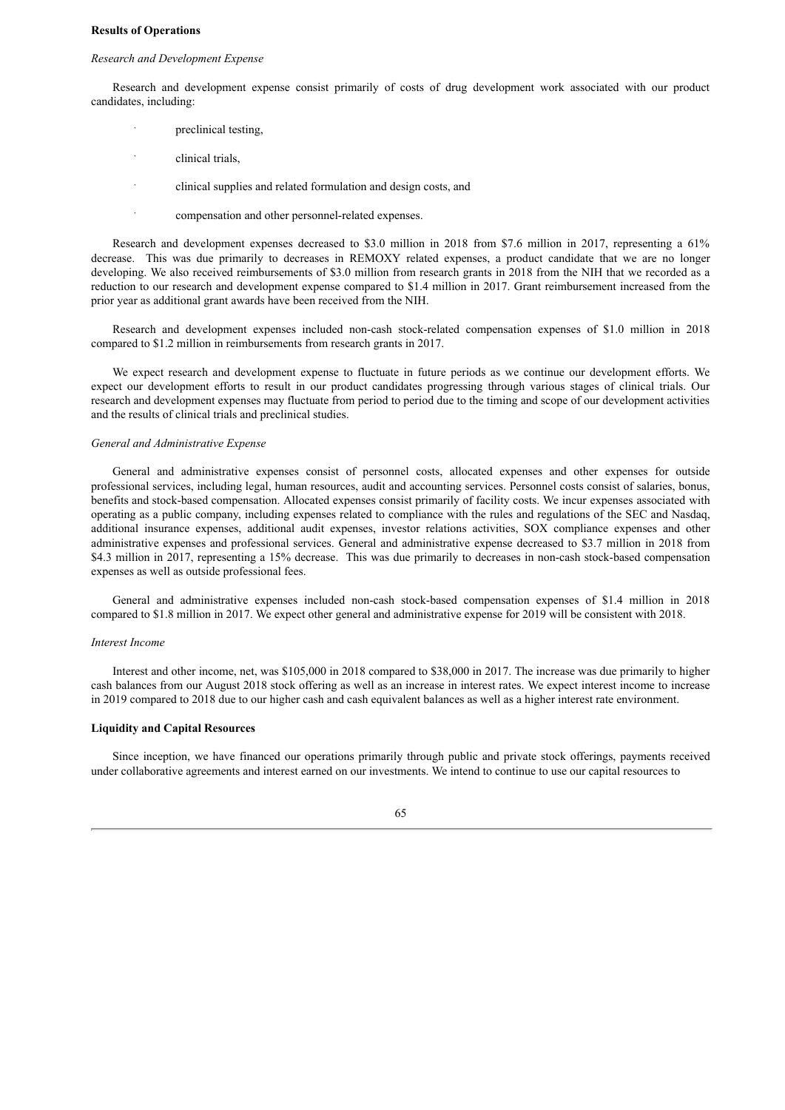#### **Results of Operations**

#### *Research and Development Expense*

Research and development expense consist primarily of costs of drug development work associated with our product candidates, including:

- preclinical testing.
- clinical trials.
- · clinical supplies and related formulation and design costs, and
- · compensation and other personnel-related expenses.

Research and development expenses decreased to \$3.0 million in 2018 from \$7.6 million in 2017, representing a 61% decrease. This was due primarily to decreases in REMOXY related expenses, a product candidate that we are no longer developing. We also received reimbursements of \$3.0 million from research grants in 2018 from the NIH that we recorded as a reduction to our research and development expense compared to \$1.4 million in 2017. Grant reimbursement increased from the prior year as additional grant awards have been received from the NIH.

Research and development expenses included non-cash stock-related compensation expenses of \$1.0 million in 2018 compared to \$1.2 million in reimbursements from research grants in 2017.

We expect research and development expense to fluctuate in future periods as we continue our development efforts. We expect our development efforts to result in our product candidates progressing through various stages of clinical trials. Our research and development expenses may fluctuate from period to period due to the timing and scope of our development activities and the results of clinical trials and preclinical studies.

#### *General and Administrative Expense*

General and administrative expenses consist of personnel costs, allocated expenses and other expenses for outside professional services, including legal, human resources, audit and accounting services. Personnel costs consist of salaries, bonus, benefits and stock-based compensation. Allocated expenses consist primarily of facility costs. We incur expenses associated with operating as a public company, including expenses related to compliance with the rules and regulations of the SEC and Nasdaq, additional insurance expenses, additional audit expenses, investor relations activities, SOX compliance expenses and other administrative expenses and professional services. General and administrative expense decreased to \$3.7 million in 2018 from \$4.3 million in 2017, representing a 15% decrease. This was due primarily to decreases in non-cash stock-based compensation expenses as well as outside professional fees.

General and administrative expenses included non-cash stock-based compensation expenses of \$1.4 million in 2018 compared to \$1.8 million in 2017. We expect other general and administrative expense for 2019 will be consistent with 2018.

#### *Interest Income*

Interest and other income, net, was \$105,000 in 2018 compared to \$38,000 in 2017. The increase was due primarily to higher cash balances from our August 2018 stock offering as well as an increase in interest rates. We expect interest income to increase in 2019 compared to 2018 due to our higher cash and cash equivalent balances as well as a higher interest rate environment.

#### **Liquidity and Capital Resources**

Since inception, we have financed our operations primarily through public and private stock offerings, payments received under collaborative agreements and interest earned on our investments. We intend to continue to use our capital resources to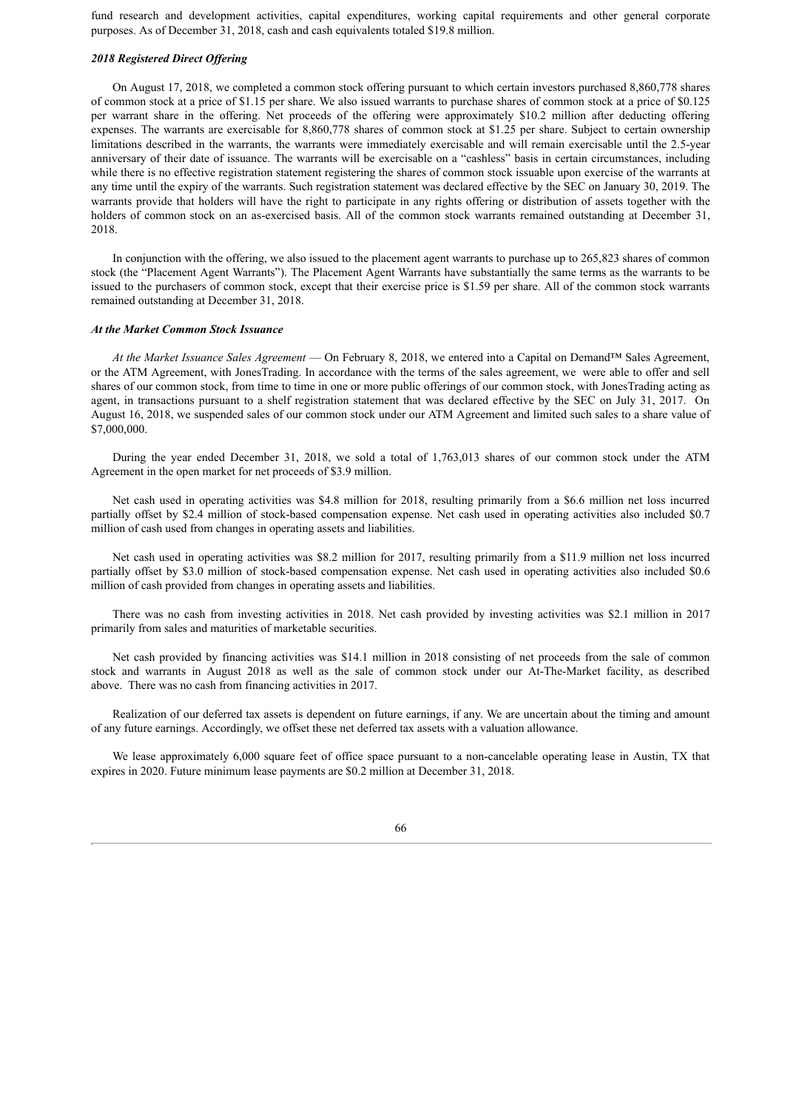fund research and development activities, capital expenditures, working capital requirements and other general corporate purposes. As of December 31, 2018, cash and cash equivalents totaled \$19.8 million.

#### *2018 Registered Direct Of ering*

On August 17, 2018, we completed a common stock offering pursuant to which certain investors purchased 8,860,778 shares of common stock at a price of \$1.15 per share. We also issued warrants to purchase shares of common stock at a price of \$0.125 per warrant share in the offering. Net proceeds of the offering were approximately \$10.2 million after deducting offering expenses. The warrants are exercisable for 8,860,778 shares of common stock at \$1.25 per share. Subject to certain ownership limitations described in the warrants, the warrants were immediately exercisable and will remain exercisable until the 2.5-year anniversary of their date of issuance. The warrants will be exercisable on a "cashless" basis in certain circumstances, including while there is no effective registration statement registering the shares of common stock issuable upon exercise of the warrants at any time until the expiry of the warrants. Such registration statement was declared effective by the SEC on January 30, 2019. The warrants provide that holders will have the right to participate in any rights offering or distribution of assets together with the holders of common stock on an as-exercised basis. All of the common stock warrants remained outstanding at December 31, 2018.

In conjunction with the offering, we also issued to the placement agent warrants to purchase up to 265,823 shares of common stock (the "Placement Agent Warrants"). The Placement Agent Warrants have substantially the same terms as the warrants to be issued to the purchasers of common stock, except that their exercise price is \$1.59 per share. All of the common stock warrants remained outstanding at December 31, 2018.

#### *At the Market Common Stock Issuance*

*At the Market Issuance Sales Agreement* — On February 8, 2018, we entered into a Capital on Demand™ Sales Agreement, or the ATM Agreement, with JonesTrading. In accordance with the terms of the sales agreement, we were able to offer and sell shares of our common stock, from time to time in one or more public offerings of our common stock, with JonesTrading acting as agent, in transactions pursuant to a shelf registration statement that was declared effective by the SEC on July 31, 2017. On August 16, 2018, we suspended sales of our common stock under our ATM Agreement and limited such sales to a share value of \$7,000,000.

During the year ended December 31, 2018, we sold a total of 1,763,013 shares of our common stock under the ATM Agreement in the open market for net proceeds of \$3.9 million.

Net cash used in operating activities was \$4.8 million for 2018, resulting primarily from a \$6.6 million net loss incurred partially offset by \$2.4 million of stock-based compensation expense. Net cash used in operating activities also included \$0.7 million of cash used from changes in operating assets and liabilities.

Net cash used in operating activities was \$8.2 million for 2017, resulting primarily from a \$11.9 million net loss incurred partially offset by \$3.0 million of stock-based compensation expense. Net cash used in operating activities also included \$0.6 million of cash provided from changes in operating assets and liabilities.

There was no cash from investing activities in 2018. Net cash provided by investing activities was \$2.1 million in 2017 primarily from sales and maturities of marketable securities.

Net cash provided by financing activities was \$14.1 million in 2018 consisting of net proceeds from the sale of common stock and warrants in August 2018 as well as the sale of common stock under our At-The-Market facility, as described above. There was no cash from financing activities in 2017.

Realization of our deferred tax assets is dependent on future earnings, if any. We are uncertain about the timing and amount of any future earnings. Accordingly, we offset these net deferred tax assets with a valuation allowance.

We lease approximately 6,000 square feet of office space pursuant to a non-cancelable operating lease in Austin, TX that expires in 2020. Future minimum lease payments are \$0.2 million at December 31, 2018.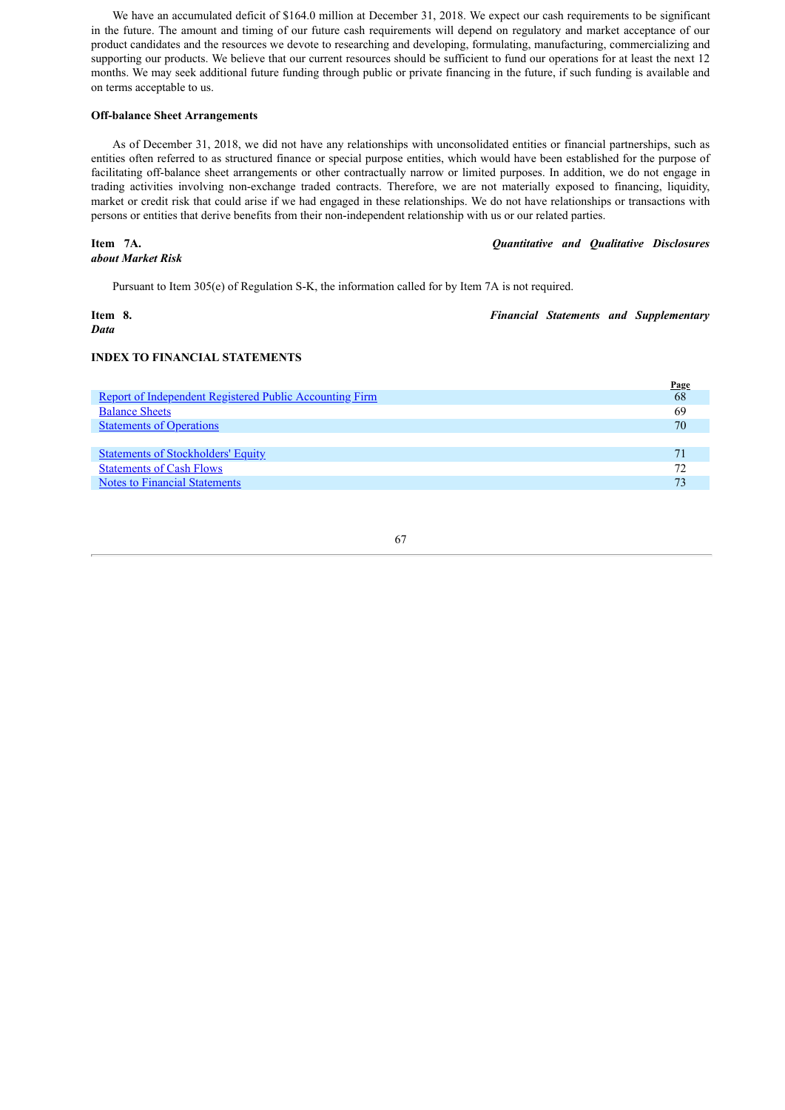We have an accumulated deficit of \$164.0 million at December 31, 2018. We expect our cash requirements to be significant in the future. The amount and timing of our future cash requirements will depend on regulatory and market acceptance of our product candidates and the resources we devote to researching and developing, formulating, manufacturing, commercializing and supporting our products. We believe that our current resources should be sufficient to fund our operations for at least the next 12 months. We may seek additional future funding through public or private financing in the future, if such funding is available and on terms acceptable to us.

### **Off-balance Sheet Arrangements**

As of December 31, 2018, we did not have any relationships with unconsolidated entities or financial partnerships, such as entities often referred to as structured finance or special purpose entities, which would have been established for the purpose of facilitating off-balance sheet arrangements or other contractually narrow or limited purposes. In addition, we do not engage in trading activities involving non-exchange traded contracts. Therefore, we are not materially exposed to financing, liquidity, market or credit risk that could arise if we had engaged in these relationships. We do not have relationships or transactions with persons or entities that derive benefits from their non-independent relationship with us or our related parties.

# *about Market Risk*

**Item 7A.** *Quantitative and Qualitative Disclosures*

Pursuant to Item 305(e) of Regulation S-K, the information called for by Item 7A is not required.

*Data*

**Item 8.** *Financial Statements and Supplementary*

#### **INDEX TO FINANCIAL STATEMENTS**

|                                                                | Page |
|----------------------------------------------------------------|------|
| <b>Report of Independent Registered Public Accounting Firm</b> | 68   |
| <b>Balance Sheets</b>                                          | 69   |
| <b>Statements of Operations</b>                                | 70   |
|                                                                |      |
| <b>Statements of Stockholders' Equity</b>                      |      |
| <b>Statements of Cash Flows</b>                                |      |
| <b>Notes to Financial Statements</b>                           |      |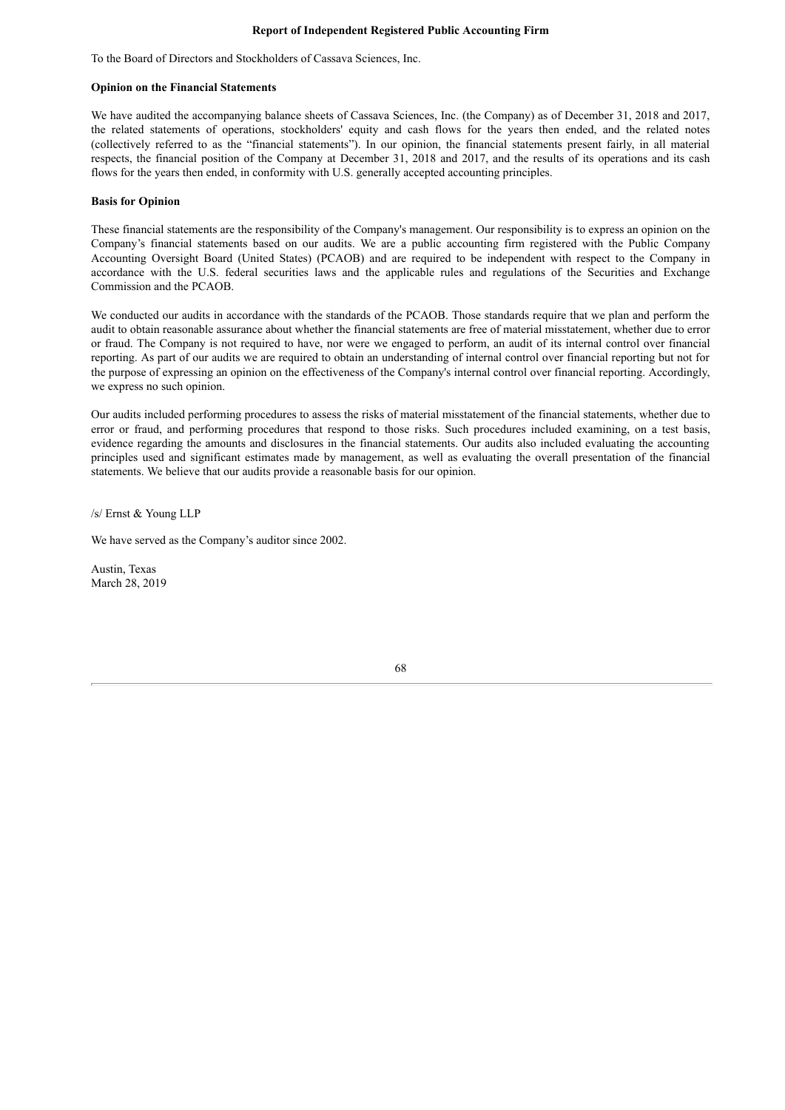#### **Report of Independent Registered Public Accounting Firm**

<span id="page-67-0"></span>To the Board of Directors and Stockholders of Cassava Sciences, Inc.

#### **Opinion on the Financial Statements**

We have audited the accompanying balance sheets of Cassava Sciences, Inc. (the Company) as of December 31, 2018 and 2017, the related statements of operations, stockholders' equity and cash flows for the years then ended, and the related notes (collectively referred to as the "financial statements"). In our opinion, the financial statements present fairly, in all material respects, the financial position of the Company at December 31, 2018 and 2017, and the results of its operations and its cash flows for the years then ended, in conformity with U.S. generally accepted accounting principles.

#### **Basis for Opinion**

These financial statements are the responsibility of the Company's management. Our responsibility is to express an opinion on the Company's financial statements based on our audits. We are a public accounting firm registered with the Public Company Accounting Oversight Board (United States) (PCAOB) and are required to be independent with respect to the Company in accordance with the U.S. federal securities laws and the applicable rules and regulations of the Securities and Exchange Commission and the PCAOB.

We conducted our audits in accordance with the standards of the PCAOB. Those standards require that we plan and perform the audit to obtain reasonable assurance about whether the financial statements are free of material misstatement, whether due to error or fraud. The Company is not required to have, nor were we engaged to perform, an audit of its internal control over financial reporting. As part of our audits we are required to obtain an understanding of internal control over financial reporting but not for the purpose of expressing an opinion on the effectiveness of the Company's internal control over financial reporting. Accordingly, we express no such opinion.

Our audits included performing procedures to assess the risks of material misstatement of the financial statements, whether due to error or fraud, and performing procedures that respond to those risks. Such procedures included examining, on a test basis, evidence regarding the amounts and disclosures in the financial statements. Our audits also included evaluating the accounting principles used and significant estimates made by management, as well as evaluating the overall presentation of the financial statements. We believe that our audits provide a reasonable basis for our opinion.

/s/ Ernst & Young LLP

We have served as the Company's auditor since 2002.

Austin, Texas March 28, 2019

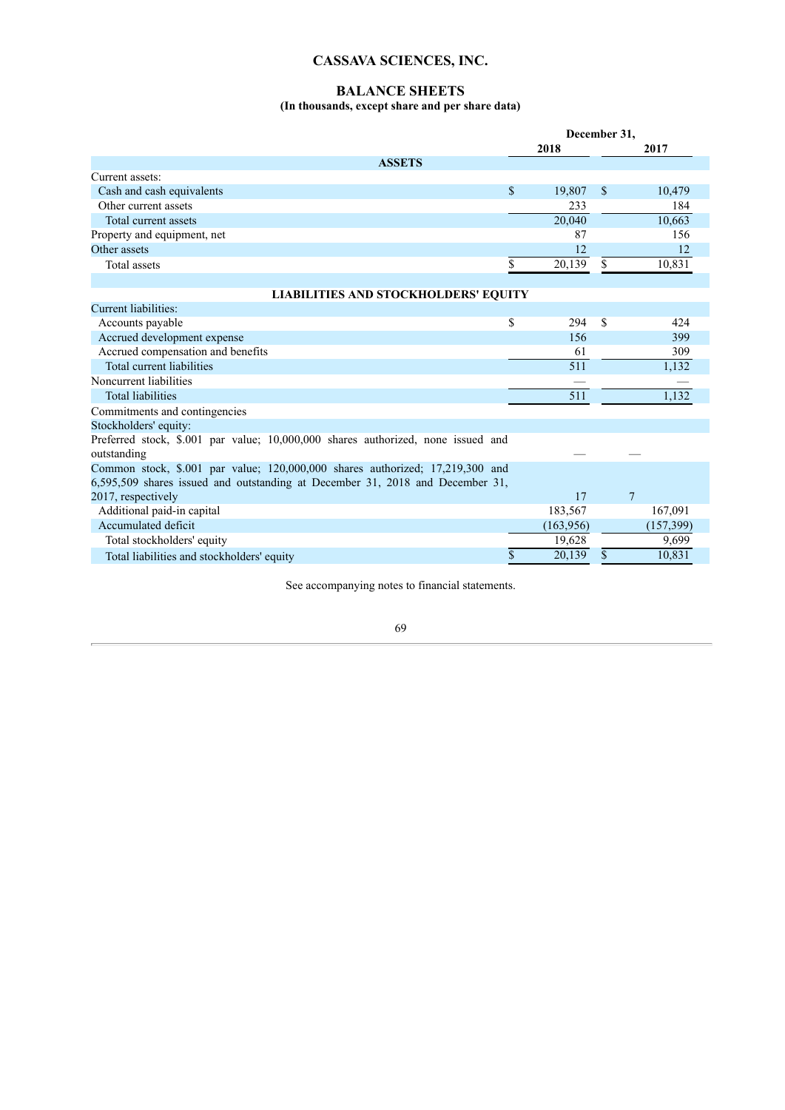### <span id="page-68-0"></span>**BALANCE SHEETS**

**(In thousands, except share and per share data)**

|                                                                                                 | December 31, |      |                |  |
|-------------------------------------------------------------------------------------------------|--------------|------|----------------|--|
|                                                                                                 | 2018         | 2017 |                |  |
| <b>ASSETS</b>                                                                                   |              |      |                |  |
| Current assets:                                                                                 |              |      |                |  |
| Cash and cash equivalents                                                                       | \$<br>19,807 | \$   | 10,479         |  |
| Other current assets                                                                            | 233          |      | 184            |  |
| Total current assets                                                                            | 20,040       |      | 10,663         |  |
| Property and equipment, net                                                                     | 87           |      | 156            |  |
| Other assets                                                                                    | 12           |      | 12             |  |
| Total assets                                                                                    | \$<br>20,139 | \$   | 10,831         |  |
|                                                                                                 |              |      |                |  |
| <b>LIABILITIES AND STOCKHOLDERS' EQUITY</b>                                                     |              |      |                |  |
| Current liabilities:                                                                            |              |      |                |  |
| Accounts payable                                                                                | \$<br>294    | \$   | 424            |  |
| Accrued development expense                                                                     | 156          |      | 399            |  |
| Accrued compensation and benefits                                                               | 61           |      | 309            |  |
| Total current liabilities                                                                       | 511          |      | 1,132          |  |
| Noncurrent liabilities                                                                          |              |      |                |  |
| <b>Total liabilities</b>                                                                        | 511          |      | 1,132          |  |
| Commitments and contingencies                                                                   |              |      |                |  |
| Stockholders' equity:                                                                           |              |      |                |  |
| Preferred stock, \$.001 par value; 10,000,000 shares authorized, none issued and<br>outstanding |              |      |                |  |
| Common stock, \$.001 par value; 120,000,000 shares authorized; 17,219,300 and                   |              |      |                |  |
| 6,595,509 shares issued and outstanding at December 31, 2018 and December 31,                   |              |      |                |  |
| 2017, respectively                                                                              | 17           |      | $\overline{7}$ |  |
| Additional paid-in capital                                                                      | 183,567      |      | 167,091        |  |
| Accumulated deficit                                                                             | (163, 956)   |      | (157, 399)     |  |
| Total stockholders' equity                                                                      | 19,628       |      | 9,699          |  |
|                                                                                                 |              |      |                |  |
| Total liabilities and stockholders' equity                                                      | \$<br>20,139 | \$   | 10,831         |  |

See accompanying notes to financial statements.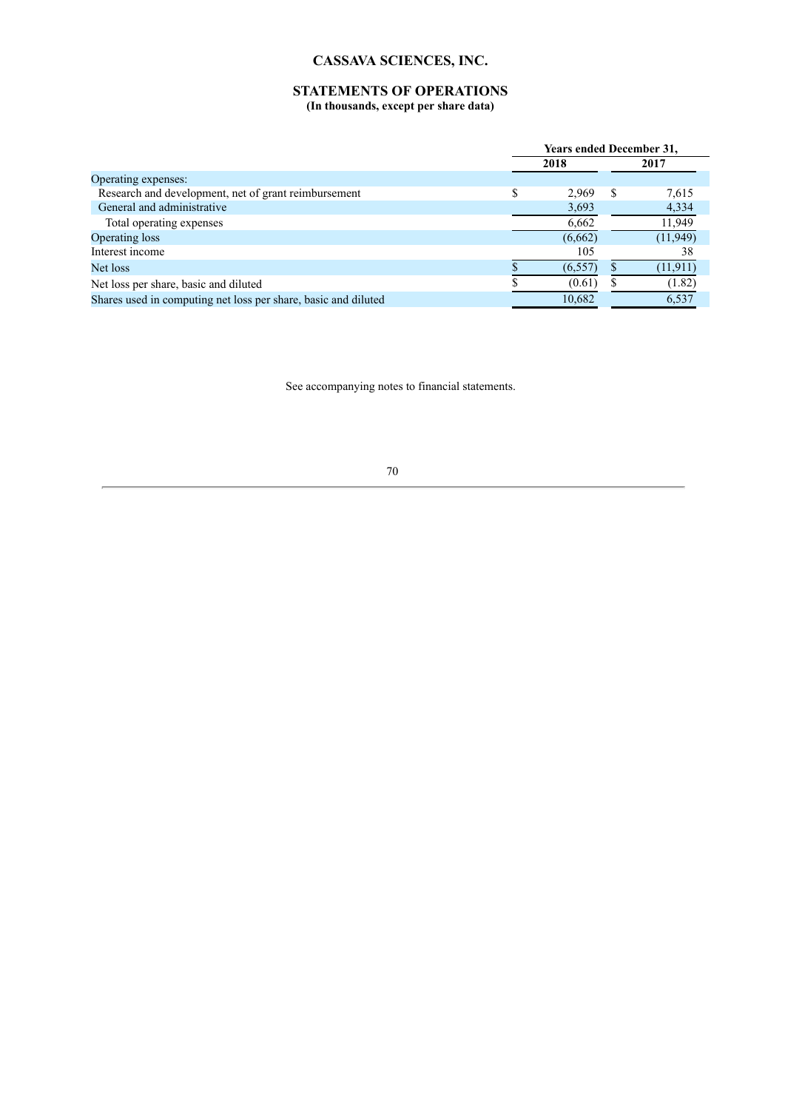### **STATEMENTS OF OPERATIONS**

**(In thousands, except per share data)**

<span id="page-69-0"></span>

|                                                                |      | <b>Years ended December 31,</b> |      |           |  |
|----------------------------------------------------------------|------|---------------------------------|------|-----------|--|
|                                                                | 2018 |                                 | 2017 |           |  |
| Operating expenses:                                            |      |                                 |      |           |  |
| Research and development, net of grant reimbursement           | \$   | 2,969                           | S    | 7,615     |  |
| General and administrative                                     |      | 3,693                           |      | 4,334     |  |
| Total operating expenses                                       |      | 6,662                           |      | 11,949    |  |
| <b>Operating loss</b>                                          |      | (6,662)                         |      | (11, 949) |  |
| Interest income                                                |      | 105                             |      | 38        |  |
| Net loss                                                       |      | (6, 557)                        |      | (11, 911) |  |
| Net loss per share, basic and diluted                          |      | (0.61)                          |      | (1.82)    |  |
| Shares used in computing net loss per share, basic and diluted |      | 10,682                          |      | 6,537     |  |

See accompanying notes to financial statements.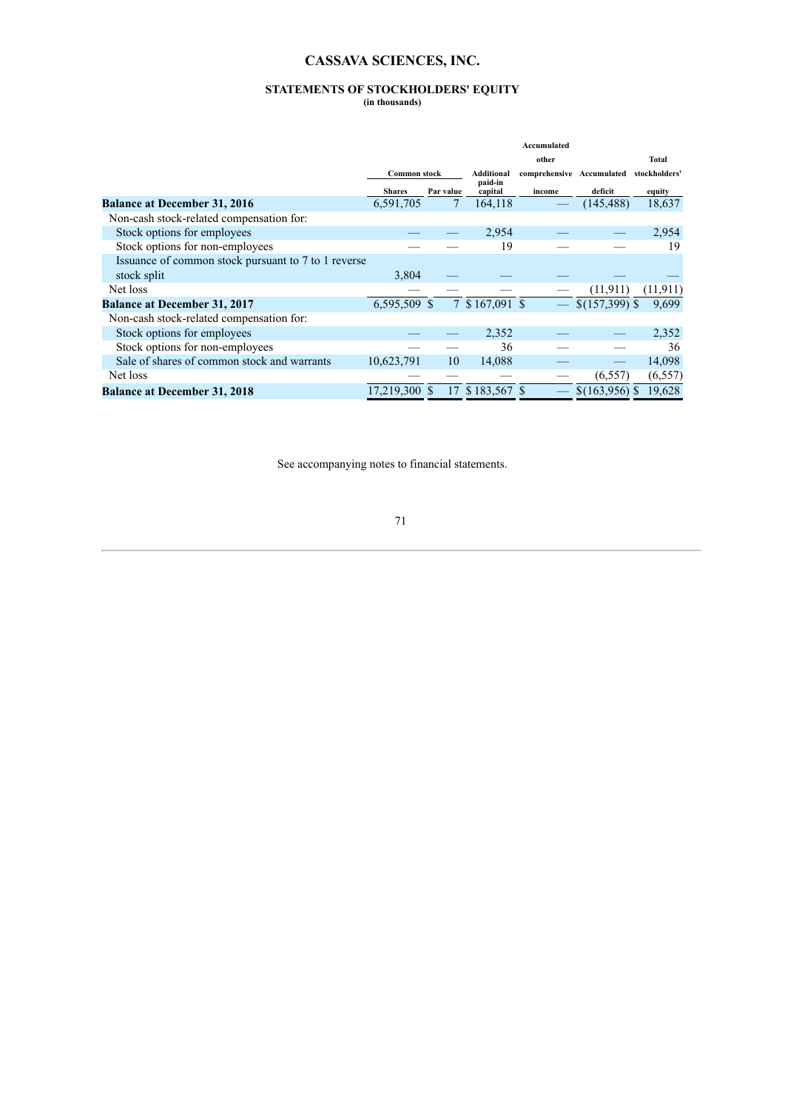#### **STATEMENTS OF STOCKHOLDERS' EQUITY**

<span id="page-70-0"></span>**(in thousands)**

|                                                     | Accumulated         |           |                    |                           |                 |               |
|-----------------------------------------------------|---------------------|-----------|--------------------|---------------------------|-----------------|---------------|
|                                                     |                     |           |                    | other                     |                 | <b>Total</b>  |
|                                                     | <b>Common stock</b> |           | Additional         | comprehensive Accumulated |                 | stockholders' |
|                                                     | <b>Shares</b>       | Par value | paid-in<br>capital | income                    | deficit         | equity        |
| <b>Balance at December 31, 2016</b>                 | 6,591,705           |           | 164,118            |                           | (145, 488)      | 18,637        |
| Non-cash stock-related compensation for:            |                     |           |                    |                           |                 |               |
| Stock options for employees                         |                     |           | 2,954              |                           |                 | 2,954         |
| Stock options for non-employees                     |                     |           | 19                 |                           |                 | 19            |
| Issuance of common stock pursuant to 7 to 1 reverse |                     |           |                    |                           |                 |               |
| stock split                                         | 3,804               |           |                    |                           |                 |               |
| Net loss                                            |                     |           |                    |                           | (11,911)        | (11, 911)     |
| <b>Balance at December 31, 2017</b>                 | 6,595,509 \$        |           | 7 \$167,091 \$     |                           | $$(157,399)$ \$ | 9,699         |
| Non-cash stock-related compensation for:            |                     |           |                    |                           |                 |               |
| Stock options for employees                         |                     |           | 2,352              |                           |                 | 2,352         |
| Stock options for non-employees                     |                     |           | 36                 |                           |                 | 36            |
| Sale of shares of common stock and warrants         | 10,623,791          | 10        | 14,088             |                           |                 | 14,098        |
| Net loss                                            |                     |           |                    |                           | (6, 557)        | (6, 557)      |
| <b>Balance at December 31, 2018</b>                 | 17,219,300 \$       | 17        | $$183,567$ \$      |                           | $$(163,956)$ \$ | 19,628        |

See accompanying notes to financial statements.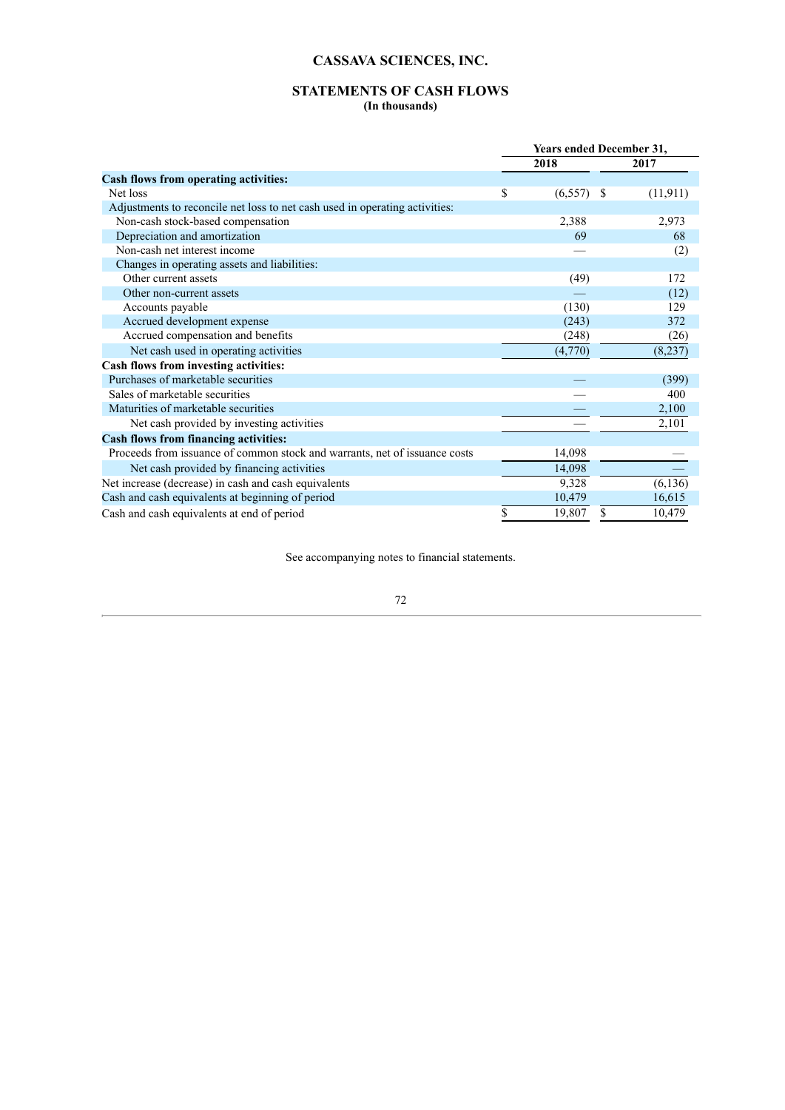# **STATEMENTS OF CASH FLOWS**

<span id="page-71-0"></span>**(In thousands)**

|                                                                             | <b>Years ended December 31,</b> |              |    |           |
|-----------------------------------------------------------------------------|---------------------------------|--------------|----|-----------|
|                                                                             |                                 | 2018         |    | 2017      |
| Cash flows from operating activities:                                       |                                 |              |    |           |
| Net loss                                                                    | \$                              | $(6,557)$ \$ |    | (11, 911) |
| Adjustments to reconcile net loss to net cash used in operating activities: |                                 |              |    |           |
| Non-cash stock-based compensation                                           |                                 | 2,388        |    | 2,973     |
| Depreciation and amortization                                               |                                 | 69           |    | 68        |
| Non-cash net interest income                                                |                                 |              |    | (2)       |
| Changes in operating assets and liabilities:                                |                                 |              |    |           |
| Other current assets                                                        |                                 | (49)         |    | 172       |
| Other non-current assets                                                    |                                 |              |    | (12)      |
| Accounts payable                                                            |                                 | (130)        |    | 129       |
| Accrued development expense                                                 |                                 | (243)        |    | 372       |
| Accrued compensation and benefits                                           |                                 | (248)        |    | (26)      |
| Net cash used in operating activities                                       |                                 | (4,770)      |    | (8,237)   |
| Cash flows from investing activities:                                       |                                 |              |    |           |
| Purchases of marketable securities                                          |                                 |              |    | (399)     |
| Sales of marketable securities                                              |                                 |              |    | 400       |
| Maturities of marketable securities                                         |                                 |              |    | 2,100     |
| Net cash provided by investing activities                                   |                                 |              |    | 2,101     |
| <b>Cash flows from financing activities:</b>                                |                                 |              |    |           |
| Proceeds from issuance of common stock and warrants, net of issuance costs  |                                 | 14,098       |    |           |
| Net cash provided by financing activities                                   |                                 | 14,098       |    |           |
| Net increase (decrease) in cash and cash equivalents                        |                                 | 9,328        |    | (6, 136)  |
| Cash and cash equivalents at beginning of period                            |                                 | 10,479       |    | 16,615    |
| Cash and cash equivalents at end of period                                  | \$                              | 19,807       | \$ | 10,479    |

See accompanying notes to financial statements.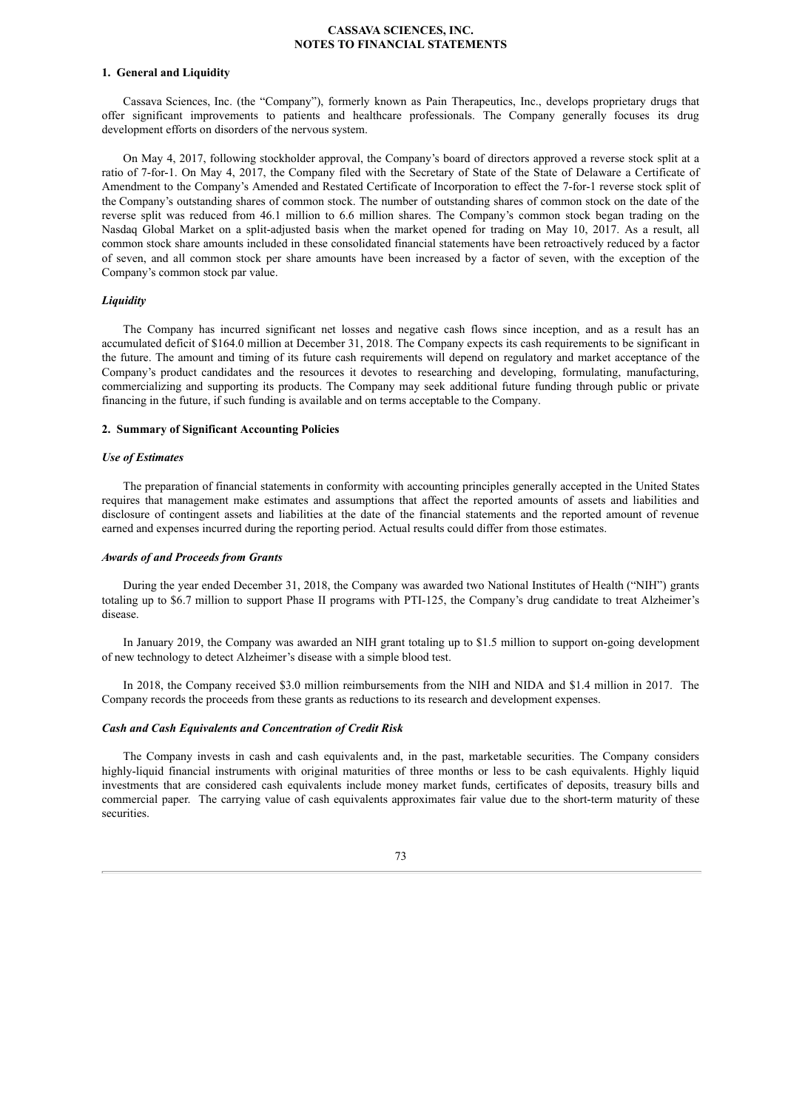### **CASSAVA SCIENCES, INC. NOTES TO FINANCIAL STATEMENTS**

#### **1. General and Liquidity**

Cassava Sciences, Inc. (the "Company"), formerly known as Pain Therapeutics, Inc., develops proprietary drugs that offer significant improvements to patients and healthcare professionals. The Company generally focuses its drug development efforts on disorders of the nervous system.

On May 4, 2017, following stockholder approval, the Company's board of directors approved a reverse stock split at a ratio of 7-for-1. On May 4, 2017, the Company filed with the Secretary of State of the State of Delaware a Certificate of Amendment to the Company's Amended and Restated Certificate of Incorporation to effect the 7-for-1 reverse stock split of the Company's outstanding shares of common stock. The number of outstanding shares of common stock on the date of the reverse split was reduced from 46.1 million to 6.6 million shares. The Company's common stock began trading on the Nasdaq Global Market on a split-adjusted basis when the market opened for trading on May 10, 2017. As a result, all common stock share amounts included in these consolidated financial statements have been retroactively reduced by a factor of seven, and all common stock per share amounts have been increased by a factor of seven, with the exception of the Company's common stock par value.

#### *Liquidity*

The Company has incurred significant net losses and negative cash flows since inception, and as a result has an accumulated deficit of \$164.0 million at December 31, 2018. The Company expects its cash requirements to be significant in the future. The amount and timing of its future cash requirements will depend on regulatory and market acceptance of the Company's product candidates and the resources it devotes to researching and developing, formulating, manufacturing, commercializing and supporting its products. The Company may seek additional future funding through public or private financing in the future, if such funding is available and on terms acceptable to the Company.

#### **2. Summary of Significant Accounting Policies**

#### *Use of Estimates*

The preparation of financial statements in conformity with accounting principles generally accepted in the United States requires that management make estimates and assumptions that affect the reported amounts of assets and liabilities and disclosure of contingent assets and liabilities at the date of the financial statements and the reported amount of revenue earned and expenses incurred during the reporting period. Actual results could differ from those estimates.

#### *Awards of and Proceeds from Grants*

During the year ended December 31, 2018, the Company was awarded two National Institutes of Health ("NIH") grants totaling up to \$6.7 million to support Phase II programs with PTI-125, the Company's drug candidate to treat Alzheimer's disease.

In January 2019, the Company was awarded an NIH grant totaling up to \$1.5 million to support on-going development of new technology to detect Alzheimer's disease with a simple blood test.

In 2018, the Company received \$3.0 million reimbursements from the NIH and NIDA and \$1.4 million in 2017. The Company records the proceeds from these grants as reductions to its research and development expenses.

# *Cash and Cash Equivalents and Concentration of Credit Risk*

The Company invests in cash and cash equivalents and, in the past, marketable securities. The Company considers highly-liquid financial instruments with original maturities of three months or less to be cash equivalents. Highly liquid investments that are considered cash equivalents include money market funds, certificates of deposits, treasury bills and commercial paper. The carrying value of cash equivalents approximates fair value due to the short-term maturity of these securities.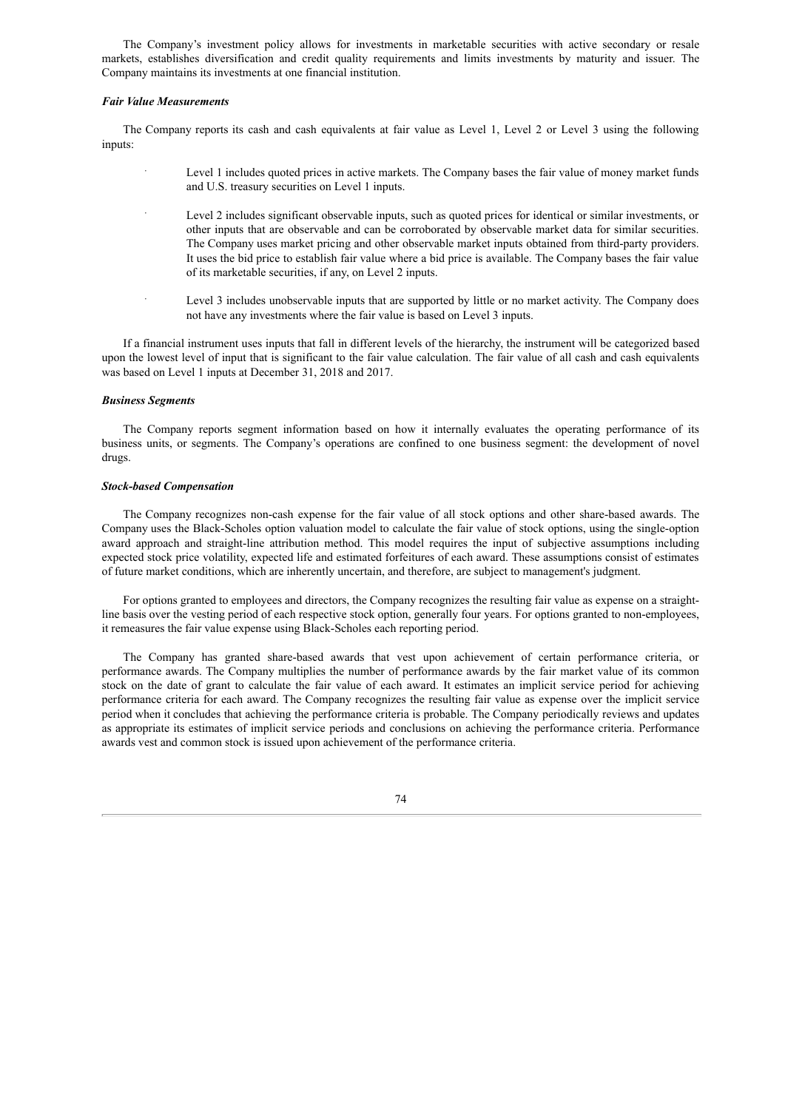The Company's investment policy allows for investments in marketable securities with active secondary or resale markets, establishes diversification and credit quality requirements and limits investments by maturity and issuer. The Company maintains its investments at one financial institution.

#### *Fair Value Measurements*

The Company reports its cash and cash equivalents at fair value as Level 1, Level 2 or Level 3 using the following inputs:

- Level 1 includes quoted prices in active markets. The Company bases the fair value of money market funds and U.S. treasury securities on Level 1 inputs.
- Level 2 includes significant observable inputs, such as quoted prices for identical or similar investments, or other inputs that are observable and can be corroborated by observable market data for similar securities. The Company uses market pricing and other observable market inputs obtained from third-party providers. It uses the bid price to establish fair value where a bid price is available. The Company bases the fair value of its marketable securities, if any, on Level 2 inputs.
- Level 3 includes unobservable inputs that are supported by little or no market activity. The Company does not have any investments where the fair value is based on Level 3 inputs.

If a financial instrument uses inputs that fall in different levels of the hierarchy, the instrument will be categorized based upon the lowest level of input that is significant to the fair value calculation. The fair value of all cash and cash equivalents was based on Level 1 inputs at December 31, 2018 and 2017.

# *Business Segments*

The Company reports segment information based on how it internally evaluates the operating performance of its business units, or segments. The Company's operations are confined to one business segment: the development of novel drugs.

#### *Stock-based Compensation*

The Company recognizes non-cash expense for the fair value of all stock options and other share-based awards. The Company uses the Black-Scholes option valuation model to calculate the fair value of stock options, using the single-option award approach and straight-line attribution method. This model requires the input of subjective assumptions including expected stock price volatility, expected life and estimated forfeitures of each award. These assumptions consist of estimates of future market conditions, which are inherently uncertain, and therefore, are subject to management's judgment.

For options granted to employees and directors, the Company recognizes the resulting fair value as expense on a straightline basis over the vesting period of each respective stock option, generally four years. For options granted to non-employees, it remeasures the fair value expense using Black-Scholes each reporting period.

The Company has granted share-based awards that vest upon achievement of certain performance criteria, or performance awards. The Company multiplies the number of performance awards by the fair market value of its common stock on the date of grant to calculate the fair value of each award. It estimates an implicit service period for achieving performance criteria for each award. The Company recognizes the resulting fair value as expense over the implicit service period when it concludes that achieving the performance criteria is probable. The Company periodically reviews and updates as appropriate its estimates of implicit service periods and conclusions on achieving the performance criteria. Performance awards vest and common stock is issued upon achievement of the performance criteria.

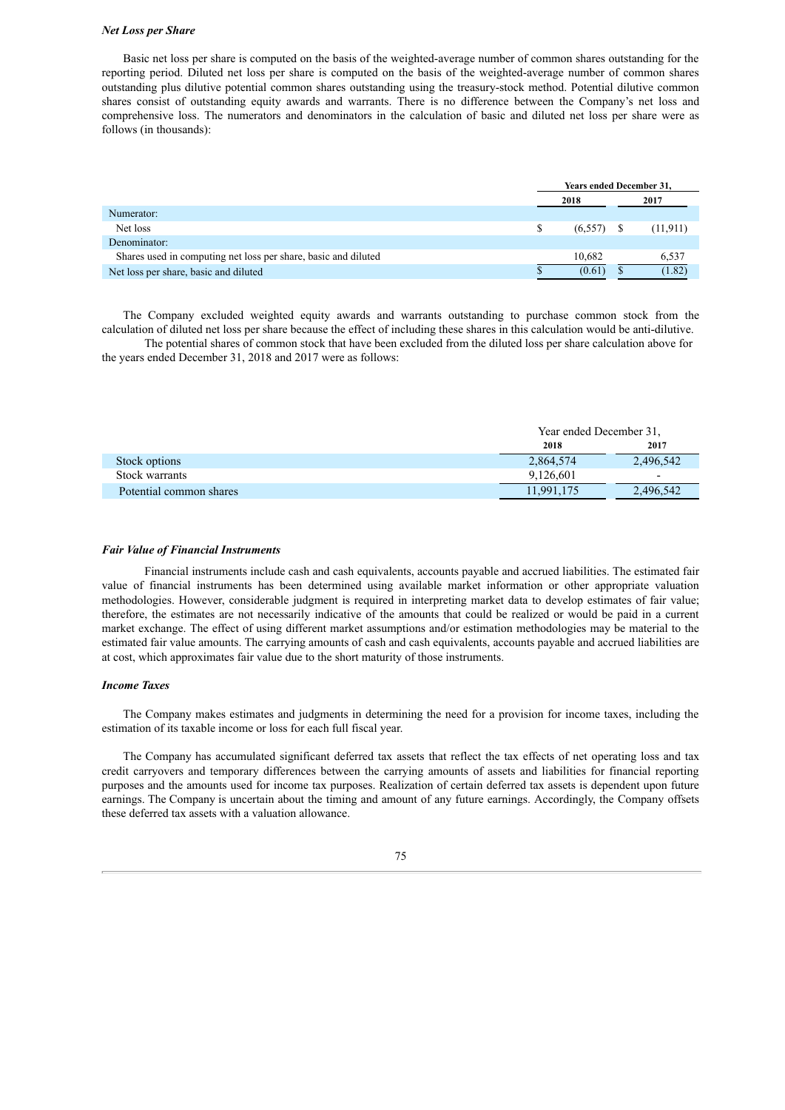#### *Net Loss per Share*

Basic net loss per share is computed on the basis of the weighted-average number of common shares outstanding for the reporting period. Diluted net loss per share is computed on the basis of the weighted-average number of common shares outstanding plus dilutive potential common shares outstanding using the treasury-stock method. Potential dilutive common shares consist of outstanding equity awards and warrants. There is no difference between the Company's net loss and comprehensive loss. The numerators and denominators in the calculation of basic and diluted net loss per share were as follows (in thousands):

|                                                                | <b>Years ended December 31.</b> |          |  |           |
|----------------------------------------------------------------|---------------------------------|----------|--|-----------|
|                                                                |                                 | 2018     |  | 2017      |
| Numerator:                                                     |                                 |          |  |           |
| Net loss                                                       |                                 | (6, 557) |  | (11, 911) |
| Denominator:                                                   |                                 |          |  |           |
| Shares used in computing net loss per share, basic and diluted |                                 | 10.682   |  | 6,537     |
| Net loss per share, basic and diluted                          |                                 | (0.61)   |  | (1.82)    |

The Company excluded weighted equity awards and warrants outstanding to purchase common stock from the calculation of diluted net loss per share because the effect of including these shares in this calculation would be anti-dilutive.

The potential shares of common stock that have been excluded from the diluted loss per share calculation above for the years ended December 31, 2018 and 2017 were as follows:

|                         | Year ended December 31. |                          |
|-------------------------|-------------------------|--------------------------|
|                         | 2018                    | 2017                     |
| Stock options           | 2,864,574               | 2,496,542                |
| Stock warrants          | 9.126.601               | $\overline{\phantom{0}}$ |
| Potential common shares | 11.991.175              | 2,496,542                |

#### *Fair Value of Financial Instruments*

Financial instruments include cash and cash equivalents, accounts payable and accrued liabilities. The estimated fair value of financial instruments has been determined using available market information or other appropriate valuation methodologies. However, considerable judgment is required in interpreting market data to develop estimates of fair value; therefore, the estimates are not necessarily indicative of the amounts that could be realized or would be paid in a current market exchange. The effect of using different market assumptions and/or estimation methodologies may be material to the estimated fair value amounts. The carrying amounts of cash and cash equivalents, accounts payable and accrued liabilities are at cost, which approximates fair value due to the short maturity of those instruments.

# *Income Taxes*

The Company makes estimates and judgments in determining the need for a provision for income taxes, including the estimation of its taxable income or loss for each full fiscal year.

The Company has accumulated significant deferred tax assets that reflect the tax effects of net operating loss and tax credit carryovers and temporary differences between the carrying amounts of assets and liabilities for financial reporting purposes and the amounts used for income tax purposes. Realization of certain deferred tax assets is dependent upon future earnings. The Company is uncertain about the timing and amount of any future earnings. Accordingly, the Company offsets these deferred tax assets with a valuation allowance.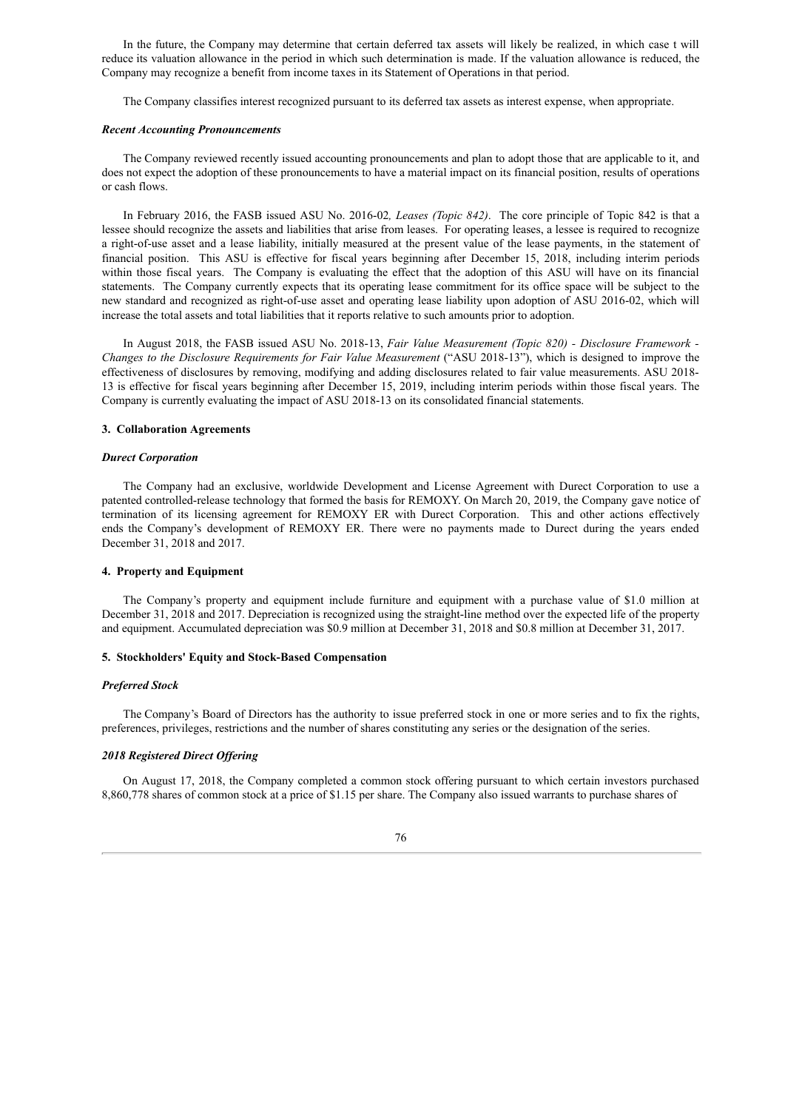In the future, the Company may determine that certain deferred tax assets will likely be realized, in which case t will reduce its valuation allowance in the period in which such determination is made. If the valuation allowance is reduced, the Company may recognize a benefit from income taxes in its Statement of Operations in that period.

The Company classifies interest recognized pursuant to its deferred tax assets as interest expense, when appropriate.

#### *Recent Accounting Pronouncements*

The Company reviewed recently issued accounting pronouncements and plan to adopt those that are applicable to it, and does not expect the adoption of these pronouncements to have a material impact on its financial position, results of operations or cash flows.

In February 2016, the FASB issued ASU No. 2016-02*, Leases (Topic 842)*. The core principle of Topic 842 is that a lessee should recognize the assets and liabilities that arise from leases. For operating leases, a lessee is required to recognize a right-of-use asset and a lease liability, initially measured at the present value of the lease payments, in the statement of financial position. This ASU is effective for fiscal years beginning after December 15, 2018, including interim periods within those fiscal years. The Company is evaluating the effect that the adoption of this ASU will have on its financial statements. The Company currently expects that its operating lease commitment for its office space will be subject to the new standard and recognized as right-of-use asset and operating lease liability upon adoption of ASU 2016-02, which will increase the total assets and total liabilities that it reports relative to such amounts prior to adoption.

In August 2018, the FASB issued ASU No. 2018-13, *Fair Value Measurement (Topic 820) - Disclosure Framework - Changes to the Disclosure Requirements for Fair Value Measurement* ("ASU 2018-13"), which is designed to improve the effectiveness of disclosures by removing, modifying and adding disclosures related to fair value measurements. ASU 2018- 13 is effective for fiscal years beginning after December 15, 2019, including interim periods within those fiscal years. The Company is currently evaluating the impact of ASU 2018-13 on its consolidated financial statements.

#### **3. Collaboration Agreements**

#### *Durect Corporation*

The Company had an exclusive, worldwide Development and License Agreement with Durect Corporation to use a patented controlled-release technology that formed the basis for REMOXY. On March 20, 2019, the Company gave notice of termination of its licensing agreement for REMOXY ER with Durect Corporation. This and other actions effectively ends the Company's development of REMOXY ER. There were no payments made to Durect during the years ended December 31, 2018 and 2017.

#### **4. Property and Equipment**

The Company's property and equipment include furniture and equipment with a purchase value of \$1.0 million at December 31, 2018 and 2017. Depreciation is recognized using the straight-line method over the expected life of the property and equipment. Accumulated depreciation was \$0.9 million at December 31, 2018 and \$0.8 million at December 31, 2017.

#### **5. Stockholders' Equity and Stock-Based Compensation**

#### *Preferred Stock*

The Company's Board of Directors has the authority to issue preferred stock in one or more series and to fix the rights, preferences, privileges, restrictions and the number of shares constituting any series or the designation of the series.

# *2018 Registered Direct Of ering*

On August 17, 2018, the Company completed a common stock offering pursuant to which certain investors purchased 8,860,778 shares of common stock at a price of \$1.15 per share. The Company also issued warrants to purchase shares of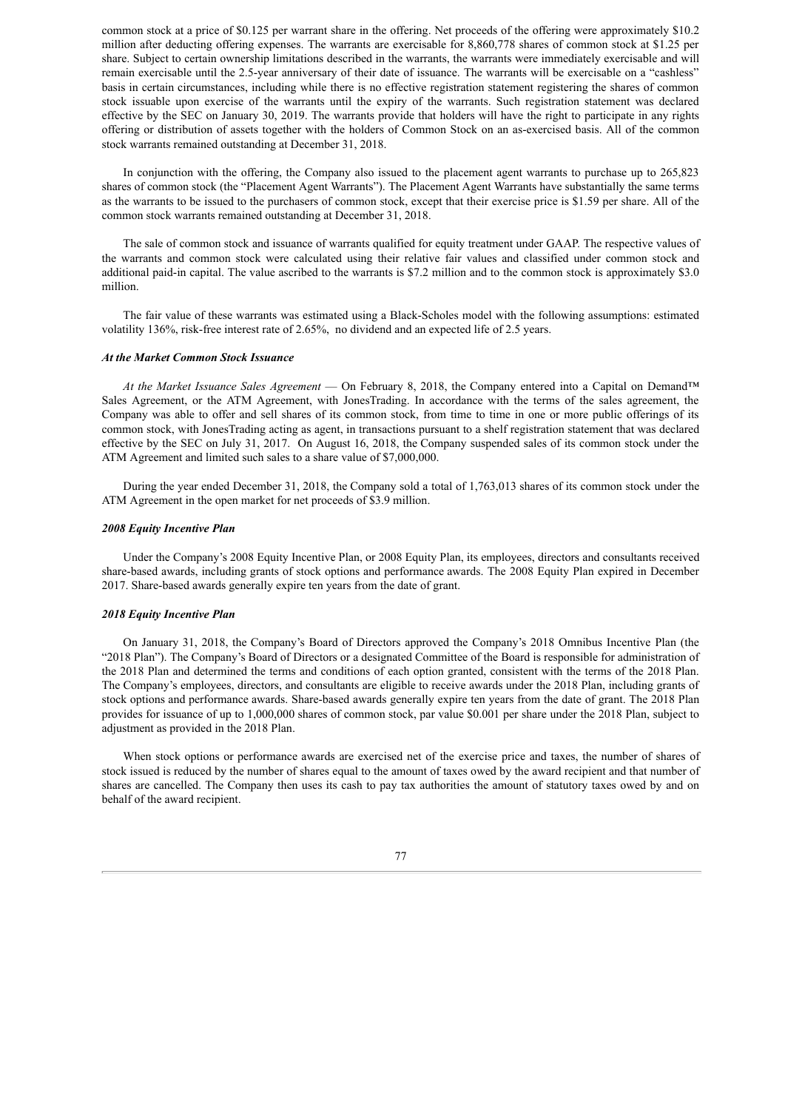common stock at a price of \$0.125 per warrant share in the offering. Net proceeds of the offering were approximately \$10.2 million after deducting offering expenses. The warrants are exercisable for 8,860,778 shares of common stock at \$1.25 per share. Subject to certain ownership limitations described in the warrants, the warrants were immediately exercisable and will remain exercisable until the 2.5-year anniversary of their date of issuance. The warrants will be exercisable on a "cashless" basis in certain circumstances, including while there is no effective registration statement registering the shares of common stock issuable upon exercise of the warrants until the expiry of the warrants. Such registration statement was declared effective by the SEC on January 30, 2019. The warrants provide that holders will have the right to participate in any rights offering or distribution of assets together with the holders of Common Stock on an as-exercised basis. All of the common stock warrants remained outstanding at December 31, 2018.

In conjunction with the offering, the Company also issued to the placement agent warrants to purchase up to 265,823 shares of common stock (the "Placement Agent Warrants"). The Placement Agent Warrants have substantially the same terms as the warrants to be issued to the purchasers of common stock, except that their exercise price is \$1.59 per share. All of the common stock warrants remained outstanding at December 31, 2018.

The sale of common stock and issuance of warrants qualified for equity treatment under GAAP. The respective values of the warrants and common stock were calculated using their relative fair values and classified under common stock and additional paid-in capital. The value ascribed to the warrants is \$7.2 million and to the common stock is approximately \$3.0 million.

The fair value of these warrants was estimated using a Black-Scholes model with the following assumptions: estimated volatility 136%, risk-free interest rate of 2.65%, no dividend and an expected life of 2.5 years.

#### *At the Market Common Stock Issuance*

*At the Market Issuance Sales Agreement* — On February 8, 2018, the Company entered into a Capital on Demand™ Sales Agreement, or the ATM Agreement, with JonesTrading. In accordance with the terms of the sales agreement, the Company was able to offer and sell shares of its common stock, from time to time in one or more public offerings of its common stock, with JonesTrading acting as agent, in transactions pursuant to a shelf registration statement that was declared effective by the SEC on July 31, 2017. On August 16, 2018, the Company suspended sales of its common stock under the ATM Agreement and limited such sales to a share value of \$7,000,000.

During the year ended December 31, 2018, the Company sold a total of 1,763,013 shares of its common stock under the ATM Agreement in the open market for net proceeds of \$3.9 million.

#### *2008 Equity Incentive Plan*

Under the Company's 2008 Equity Incentive Plan, or 2008 Equity Plan, its employees, directors and consultants received share-based awards, including grants of stock options and performance awards. The 2008 Equity Plan expired in December 2017. Share-based awards generally expire ten years from the date of grant.

#### *2018 Equity Incentive Plan*

On January 31, 2018, the Company's Board of Directors approved the Company's 2018 Omnibus Incentive Plan (the "2018 Plan"). The Company's Board of Directors or a designated Committee of the Board is responsible for administration of the 2018 Plan and determined the terms and conditions of each option granted, consistent with the terms of the 2018 Plan. The Company's employees, directors, and consultants are eligible to receive awards under the 2018 Plan, including grants of stock options and performance awards. Share-based awards generally expire ten years from the date of grant. The 2018 Plan provides for issuance of up to 1,000,000 shares of common stock, par value \$0.001 per share under the 2018 Plan, subject to adjustment as provided in the 2018 Plan.

When stock options or performance awards are exercised net of the exercise price and taxes, the number of shares of stock issued is reduced by the number of shares equal to the amount of taxes owed by the award recipient and that number of shares are cancelled. The Company then uses its cash to pay tax authorities the amount of statutory taxes owed by and on behalf of the award recipient.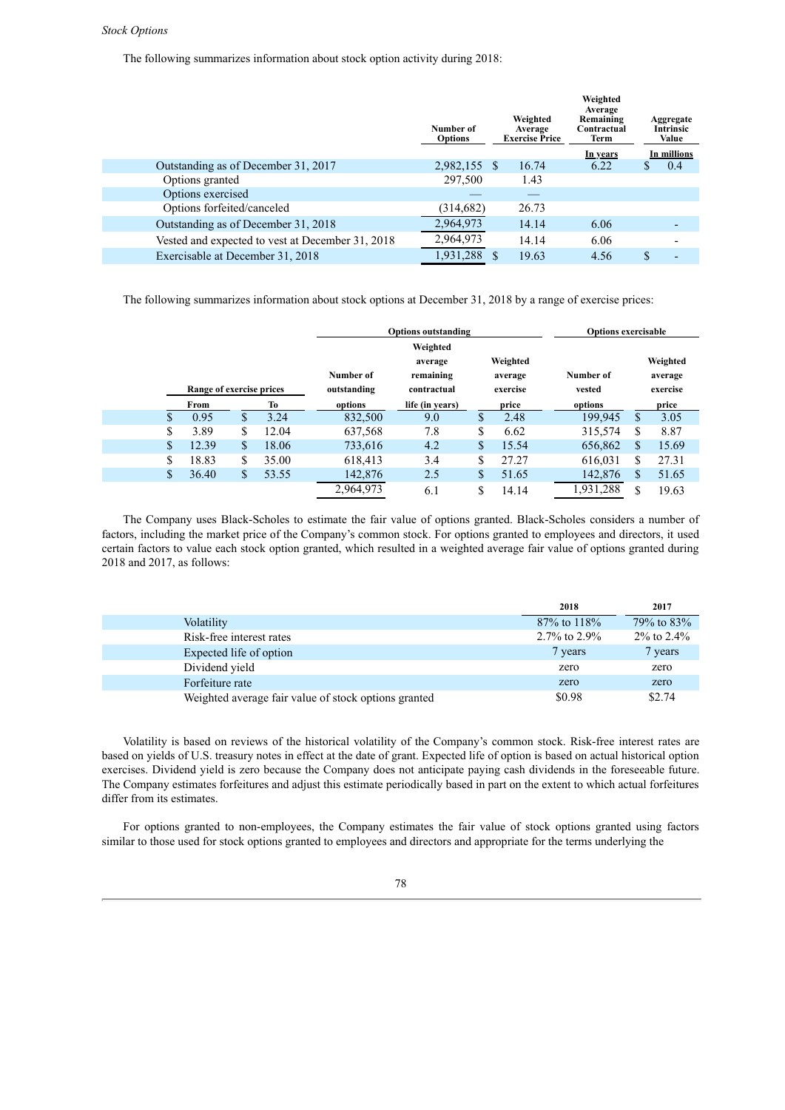### *Stock Options*

The following summarizes information about stock option activity during 2018:

|                                                  | Number of<br><b>Options</b> | Weighted<br>Average<br><b>Exercise Price</b> | Weighted<br>Average<br>Remaining<br>Contractual<br>Term | Aggregate<br><b>Intrinsic</b><br>Value |
|--------------------------------------------------|-----------------------------|----------------------------------------------|---------------------------------------------------------|----------------------------------------|
|                                                  |                             |                                              | In years                                                | In millions                            |
| Outstanding as of December 31, 2017              | 2,982,155 \$                | 16.74                                        | 6.22                                                    | 0.4<br>ЭĐ.                             |
| Options granted                                  | 297.500                     | 1.43                                         |                                                         |                                        |
| Options exercised                                |                             |                                              |                                                         |                                        |
| Options forfeited/canceled                       | (314, 682)                  | 26.73                                        |                                                         |                                        |
| Outstanding as of December 31, 2018              | 2,964,973                   | 14.14                                        | 6.06                                                    |                                        |
| Vested and expected to vest at December 31, 2018 | 2,964,973                   | 14.14                                        | 6.06                                                    |                                        |
| Exercisable at December 31, 2018                 | 1,931,288                   | 19.63                                        | 4.56                                                    | S                                      |

The following summarizes information about stock options at December 31, 2018 by a range of exercise prices:

|    |                          |             |             | <b>Options outstanding</b> |    |                     | <b>Options exercisable</b> |    |                     |
|----|--------------------------|-------------|-------------|----------------------------|----|---------------------|----------------------------|----|---------------------|
|    |                          |             |             | Weighted                   |    |                     |                            |    |                     |
|    |                          |             | Number of   | average<br>remaining       |    | Weighted<br>average | Number of                  |    | Weighted<br>average |
|    | Range of exercise prices |             | outstanding | contractual                |    | exercise            | vested                     |    | exercise            |
|    | From                     | Тo          | options     | life (in vears)            |    | price               | options                    |    | price               |
| \$ | 0.95                     | \$<br>3.24  | 832.500     | 9.0                        | \$ | 2.48                | 199,945                    | \$ | 3.05                |
| \$ | 3.89                     | \$<br>12.04 | 637,568     | 7.8                        | \$ | 6.62                | 315,574                    | S  | 8.87                |
| \$ | 12.39                    | \$<br>18.06 | 733,616     | 4.2                        | \$ | 15.54               | 656,862                    | S  | 15.69               |
| \$ | 18.83                    | \$<br>35.00 | 618,413     | 3.4                        | \$ | 27.27               | 616,031                    | S  | 27.31               |
| \$ | 36.40                    | \$<br>53.55 | 142,876     | 2.5                        | \$ | 51.65               | 142,876                    | \$ | 51.65               |
|    |                          |             | 2,964,973   | 6.1                        | \$ | 14.14               | 1,931,288                  |    | 19.63               |

The Company uses Black-Scholes to estimate the fair value of options granted. Black-Scholes considers a number of factors, including the market price of the Company's common stock. For options granted to employees and directors, it used certain factors to value each stock option granted, which resulted in a weighted average fair value of options granted during 2018 and 2017, as follows:

|                                                      | 2018               | 2017             |
|------------------------------------------------------|--------------------|------------------|
| <b>Volatility</b>                                    | 87\% to 118\%      | 79% to 83%       |
| Risk-free interest rates                             | $2.7\%$ to $2.9\%$ | $2\%$ to $2.4\%$ |
| Expected life of option                              | 7 years            | 7 years          |
| Dividend yield                                       | zero               | zero             |
| Forfeiture rate                                      | zero               | zero             |
| Weighted average fair value of stock options granted | \$0.98             | \$2.74           |

Volatility is based on reviews of the historical volatility of the Company's common stock. Risk-free interest rates are based on yields of U.S. treasury notes in effect at the date of grant. Expected life of option is based on actual historical option exercises. Dividend yield is zero because the Company does not anticipate paying cash dividends in the foreseeable future. The Company estimates forfeitures and adjust this estimate periodically based in part on the extent to which actual forfeitures differ from its estimates.

For options granted to non-employees, the Company estimates the fair value of stock options granted using factors similar to those used for stock options granted to employees and directors and appropriate for the terms underlying the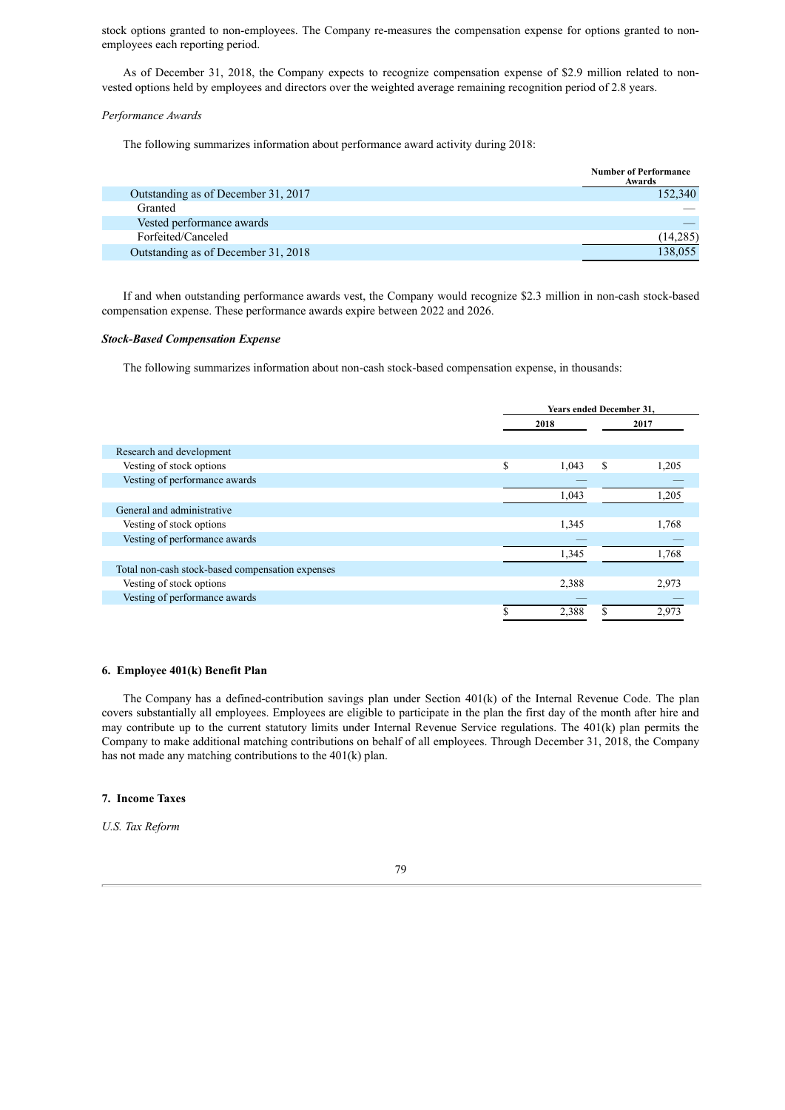stock options granted to non-employees. The Company re-measures the compensation expense for options granted to nonemployees each reporting period.

As of December 31, 2018, the Company expects to recognize compensation expense of \$2.9 million related to nonvested options held by employees and directors over the weighted average remaining recognition period of 2.8 years.

#### *Performance Awards*

The following summarizes information about performance award activity during 2018:

|                                     | <b>Number of Performance</b><br>Awards |
|-------------------------------------|----------------------------------------|
| Outstanding as of December 31, 2017 | 152,340                                |
| Granted                             |                                        |
| Vested performance awards           |                                        |
| Forfeited/Canceled                  | (14, 285)                              |
| Outstanding as of December 31, 2018 | 138.055                                |

If and when outstanding performance awards vest, the Company would recognize \$2.3 million in non-cash stock-based compensation expense. These performance awards expire between 2022 and 2026.

# *Stock-Based Compensation Expense*

The following summarizes information about non-cash stock-based compensation expense, in thousands:

|                                                  | <b>Years ended December 31,</b> |                      |  |  |
|--------------------------------------------------|---------------------------------|----------------------|--|--|
|                                                  | 2018                            | 2017                 |  |  |
|                                                  |                                 |                      |  |  |
| Research and development                         |                                 |                      |  |  |
| Vesting of stock options                         | \$                              | \$<br>1,043<br>1,205 |  |  |
| Vesting of performance awards                    |                                 |                      |  |  |
|                                                  |                                 | 1,205<br>1,043       |  |  |
| General and administrative                       |                                 |                      |  |  |
| Vesting of stock options                         |                                 | 1,345<br>1,768       |  |  |
| Vesting of performance awards                    |                                 |                      |  |  |
|                                                  |                                 | 1,345<br>1,768       |  |  |
| Total non-cash stock-based compensation expenses |                                 |                      |  |  |
| Vesting of stock options                         |                                 | 2,388<br>2,973       |  |  |
| Vesting of performance awards                    |                                 |                      |  |  |
|                                                  | \$                              | 2,388<br>2,973       |  |  |

# **6. Employee 401(k) Benefit Plan**

The Company has a defined-contribution savings plan under Section 401(k) of the Internal Revenue Code. The plan covers substantially all employees. Employees are eligible to participate in the plan the first day of the month after hire and may contribute up to the current statutory limits under Internal Revenue Service regulations. The 401(k) plan permits the Company to make additional matching contributions on behalf of all employees. Through December 31, 2018, the Company has not made any matching contributions to the 401(k) plan.

### **7. Income Taxes**

*U.S. Tax Reform*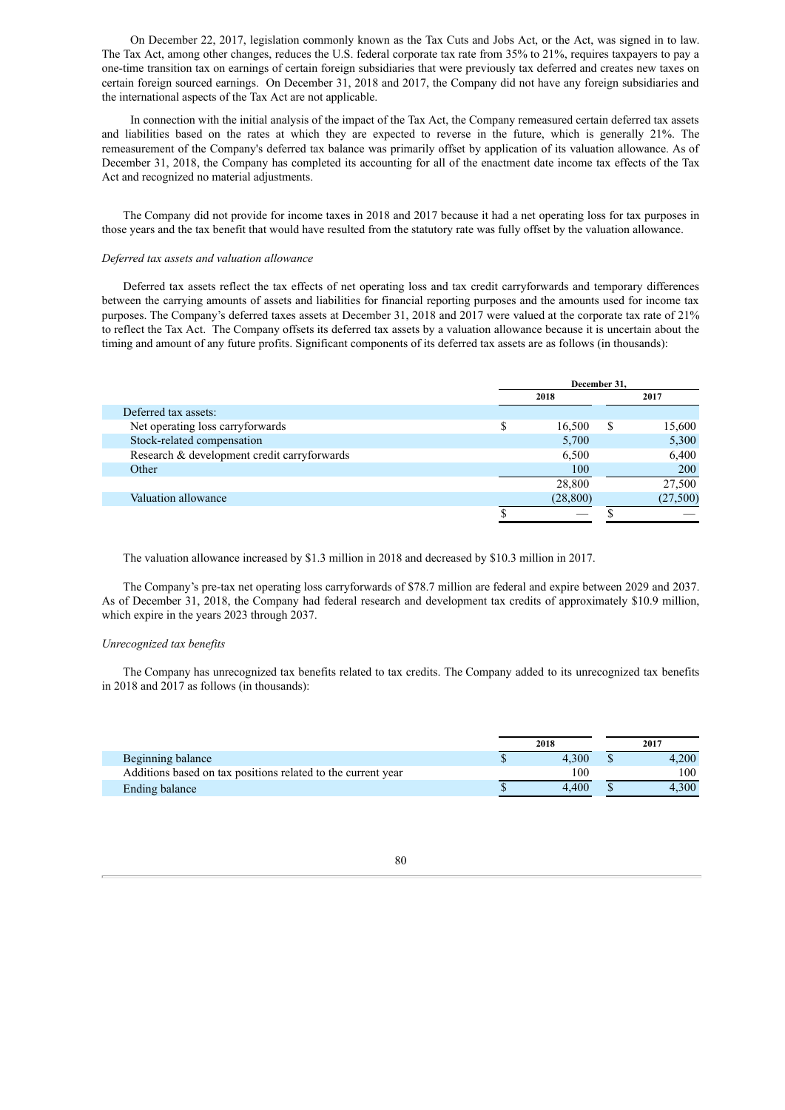On December 22, 2017, legislation commonly known as the Tax Cuts and Jobs Act, or the Act, was signed in to law. The Tax Act, among other changes, reduces the U.S. federal corporate tax rate from 35% to 21%, requires taxpayers to pay a one-time transition tax on earnings of certain foreign subsidiaries that were previously tax deferred and creates new taxes on certain foreign sourced earnings. On December 31, 2018 and 2017, the Company did not have any foreign subsidiaries and the international aspects of the Tax Act are not applicable.

In connection with the initial analysis of the impact of the Tax Act, the Company remeasured certain deferred tax assets and liabilities based on the rates at which they are expected to reverse in the future, which is generally 21%. The remeasurement of the Company's deferred tax balance was primarily offset by application of its valuation allowance. As of December 31, 2018, the Company has completed its accounting for all of the enactment date income tax effects of the Tax Act and recognized no material adjustments.

The Company did not provide for income taxes in 2018 and 2017 because it had a net operating loss for tax purposes in those years and the tax benefit that would have resulted from the statutory rate was fully offset by the valuation allowance.

#### *Deferred tax assets and valuation allowance*

Deferred tax assets reflect the tax effects of net operating loss and tax credit carryforwards and temporary differences between the carrying amounts of assets and liabilities for financial reporting purposes and the amounts used for income tax purposes. The Company's deferred taxes assets at December 31, 2018 and 2017 were valued at the corporate tax rate of 21% to reflect the Tax Act. The Company offsets its deferred tax assets by a valuation allowance because it is uncertain about the timing and amount of any future profits. Significant components of its deferred tax assets are as follows (in thousands):

|                                             |      | December 31, |           |   |           |
|---------------------------------------------|------|--------------|-----------|---|-----------|
|                                             | 2018 |              |           |   | 2017      |
| Deferred tax assets:                        |      |              |           |   |           |
| Net operating loss carryforwards            | S    |              | 16,500    | S | 15,600    |
| Stock-related compensation                  |      |              | 5,700     |   | 5,300     |
| Research & development credit carryforwards |      |              | 6,500     |   | 6,400     |
| Other                                       |      |              | 100       |   | 200       |
|                                             |      |              | 28,800    |   | 27,500    |
| Valuation allowance                         |      |              | (28, 800) |   | (27, 500) |
|                                             |      |              |           |   |           |

The valuation allowance increased by \$1.3 million in 2018 and decreased by \$10.3 million in 2017.

The Company's pre-tax net operating loss carryforwards of \$78.7 million are federal and expire between 2029 and 2037. As of December 31, 2018, the Company had federal research and development tax credits of approximately \$10.9 million, which expire in the years 2023 through 2037.

#### *Unrecognized tax benefits*

The Company has unrecognized tax benefits related to tax credits. The Company added to its unrecognized tax benefits in 2018 and 2017 as follows (in thousands):

|                                                              | 2018  | 2017  |
|--------------------------------------------------------------|-------|-------|
| Beginning balance                                            | 4.300 | 4.200 |
| Additions based on tax positions related to the current year | 100   | 100   |
| Ending balance                                               | 4.400 | 4.300 |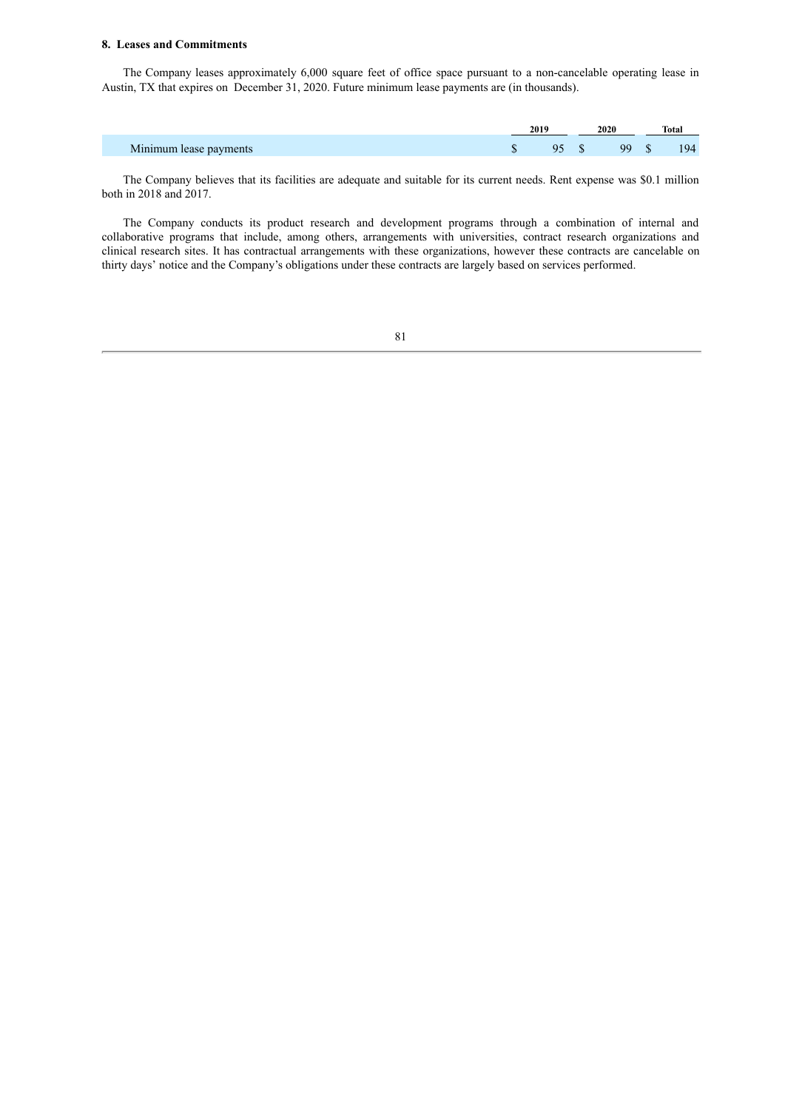# **8. Leases and Commitments**

The Company leases approximately 6,000 square feet of office space pursuant to a non-cancelable operating lease in Austin, TX that expires on December 31, 2020. Future minimum lease payments are (in thousands).

|                                  | 2019 |    | 2020     |    | Total         |
|----------------------------------|------|----|----------|----|---------------|
| Minimum<br>payments<br>alli Rase | Q5   | .D | $\Omega$ | ۰ю | $^{\circ}$ 94 |

The Company believes that its facilities are adequate and suitable for its current needs. Rent expense was \$0.1 million both in 2018 and 2017.

The Company conducts its product research and development programs through a combination of internal and collaborative programs that include, among others, arrangements with universities, contract research organizations and clinical research sites. It has contractual arrangements with these organizations, however these contracts are cancelable on thirty days' notice and the Company's obligations under these contracts are largely based on services performed.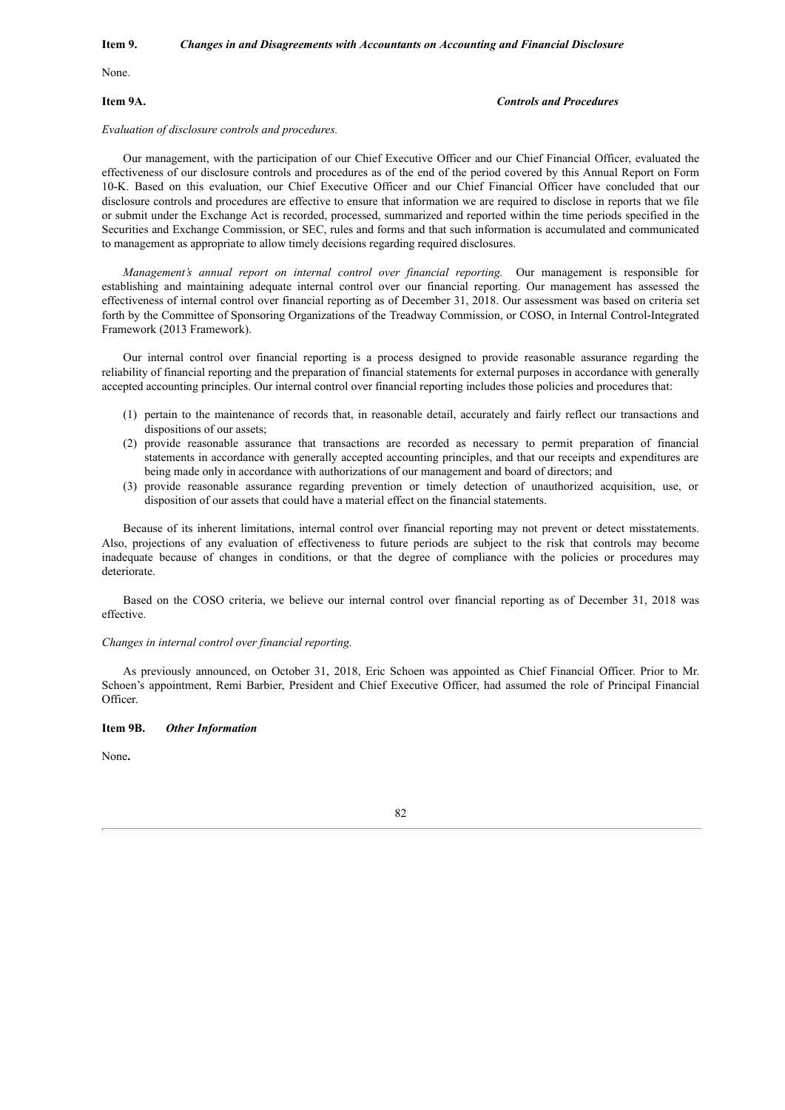#### **Item 9.** *Changes in and Disagreements with Accountants on Accounting and Financial Disclosure*

None.

#### **Item 9A.** *Controls and Procedures*

#### *Evaluation of disclosure controls and procedures.*

Our management, with the participation of our Chief Executive Officer and our Chief Financial Officer, evaluated the effectiveness of our disclosure controls and procedures as of the end of the period covered by this Annual Report on Form 10-K. Based on this evaluation, our Chief Executive Officer and our Chief Financial Officer have concluded that our disclosure controls and procedures are effective to ensure that information we are required to disclose in reports that we file or submit under the Exchange Act is recorded, processed, summarized and reported within the time periods specified in the Securities and Exchange Commission, or SEC, rules and forms and that such information is accumulated and communicated to management as appropriate to allow timely decisions regarding required disclosures.

*Management's annual report on internal control over financial reporting.* Our management is responsible for establishing and maintaining adequate internal control over our financial reporting. Our management has assessed the effectiveness of internal control over financial reporting as of December 31, 2018. Our assessment was based on criteria set forth by the Committee of Sponsoring Organizations of the Treadway Commission, or COSO, in Internal Control-Integrated Framework (2013 Framework).

Our internal control over financial reporting is a process designed to provide reasonable assurance regarding the reliability of financial reporting and the preparation of financial statements for external purposes in accordance with generally accepted accounting principles. Our internal control over financial reporting includes those policies and procedures that:

- (1) pertain to the maintenance of records that, in reasonable detail, accurately and fairly reflect our transactions and dispositions of our assets;
- (2) provide reasonable assurance that transactions are recorded as necessary to permit preparation of financial statements in accordance with generally accepted accounting principles, and that our receipts and expenditures are being made only in accordance with authorizations of our management and board of directors; and
- (3) provide reasonable assurance regarding prevention or timely detection of unauthorized acquisition, use, or disposition of our assets that could have a material effect on the financial statements.

Because of its inherent limitations, internal control over financial reporting may not prevent or detect misstatements. Also, projections of any evaluation of effectiveness to future periods are subject to the risk that controls may become inadequate because of changes in conditions, or that the degree of compliance with the policies or procedures may deteriorate.

Based on the COSO criteria, we believe our internal control over financial reporting as of December 31, 2018 was effective.

#### *Changes in internal control over financial reporting.*

As previously announced, on October 31, 2018, Eric Schoen was appointed as Chief Financial Officer. Prior to Mr. Schoen's appointment, Remi Barbier, President and Chief Executive Officer, had assumed the role of Principal Financial Officer.

# **Item 9B.** *Other Information*

None**.**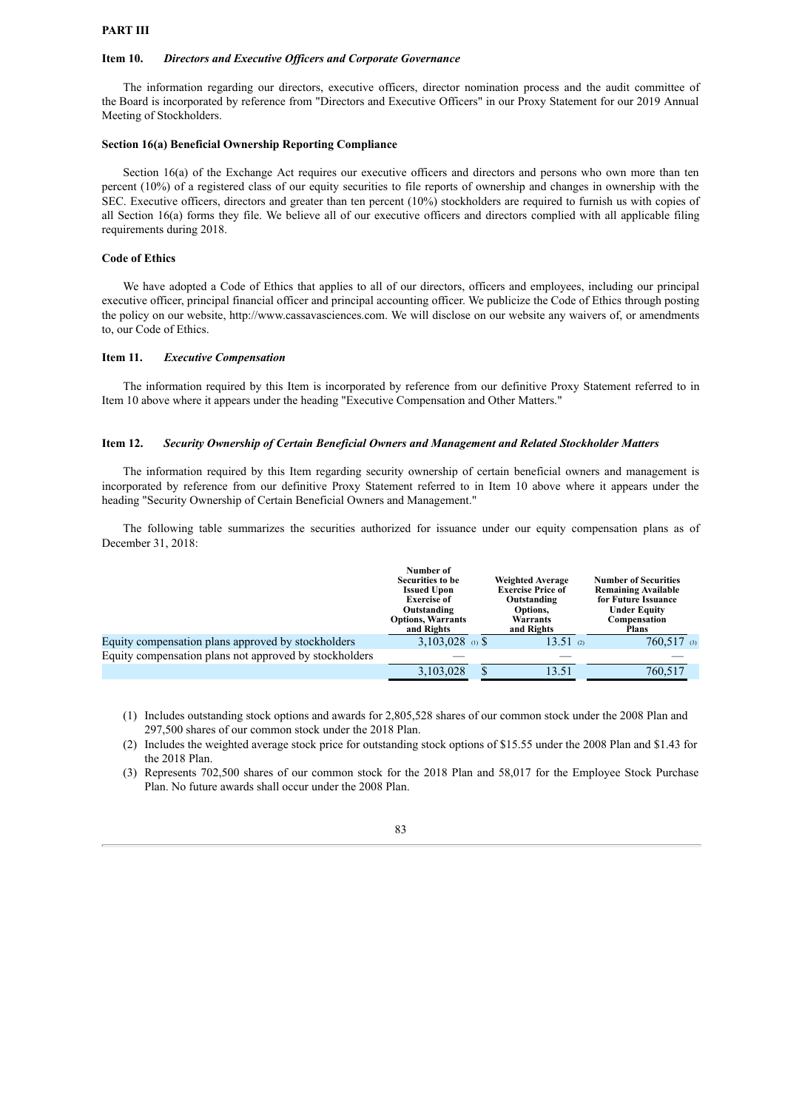# **PART III**

#### **Item 10.** *Directors and Executive Of icers and Corporate Governance*

The information regarding our directors, executive officers, director nomination process and the audit committee of the Board is incorporated by reference from "Directors and Executive Officers" in our Proxy Statement for our 2019 Annual Meeting of Stockholders.

# **Section 16(a) Beneficial Ownership Reporting Compliance**

Section 16(a) of the Exchange Act requires our executive officers and directors and persons who own more than ten percent (10%) of a registered class of our equity securities to file reports of ownership and changes in ownership with the SEC. Executive officers, directors and greater than ten percent (10%) stockholders are required to furnish us with copies of all Section 16(a) forms they file. We believe all of our executive officers and directors complied with all applicable filing requirements during 2018.

#### **Code of Ethics**

We have adopted a Code of Ethics that applies to all of our directors, officers and employees, including our principal executive officer, principal financial officer and principal accounting officer. We publicize the Code of Ethics through posting the policy on our website, http://www.cassavasciences.com. We will disclose on our website any waivers of, or amendments to, our Code of Ethics.

#### **Item 11.** *Executive Compensation*

The information required by this Item is incorporated by reference from our definitive Proxy Statement referred to in Item 10 above where it appears under the heading "Executive Compensation and Other Matters."

#### **Item 12.** *Security Ownership of Certain Beneficial Owners and Management and Related Stockholder Matters*

The information required by this Item regarding security ownership of certain beneficial owners and management is incorporated by reference from our definitive Proxy Statement referred to in Item 10 above where it appears under the heading "Security Ownership of Certain Beneficial Owners and Management."

The following table summarizes the securities authorized for issuance under our equity compensation plans as of December 31, 2018:

|                                                        | Number of<br>Securities to be<br><b>Issued Upon</b><br><b>Exercise of</b><br>Outstanding<br><b>Options, Warrants</b><br>and Rights | <b>Weighted Average</b><br><b>Exercise Price of</b><br>Outstanding<br>Options,<br>Warrants<br>and Rights | <b>Number of Securities</b><br><b>Remaining Available</b><br>for Future Issuance<br><b>Under Equity</b><br>Compensation<br><b>Plans</b> |
|--------------------------------------------------------|------------------------------------------------------------------------------------------------------------------------------------|----------------------------------------------------------------------------------------------------------|-----------------------------------------------------------------------------------------------------------------------------------------|
| Equity compensation plans approved by stockholders     | 3,103,028 (i) $\$                                                                                                                  | 13.51 $(2)$                                                                                              | $760,517$ (3)                                                                                                                           |
| Equity compensation plans not approved by stockholders |                                                                                                                                    |                                                                                                          |                                                                                                                                         |
|                                                        | 3,103,028<br><b>S</b>                                                                                                              | 13.51                                                                                                    | 760,517                                                                                                                                 |

- (1) Includes outstanding stock options and awards for 2,805,528 shares of our common stock under the 2008 Plan and 297,500 shares of our common stock under the 2018 Plan.
- (2) Includes the weighted average stock price for outstanding stock options of \$15.55 under the 2008 Plan and \$1.43 for the 2018 Plan.
- (3) Represents 702,500 shares of our common stock for the 2018 Plan and 58,017 for the Employee Stock Purchase Plan. No future awards shall occur under the 2008 Plan.

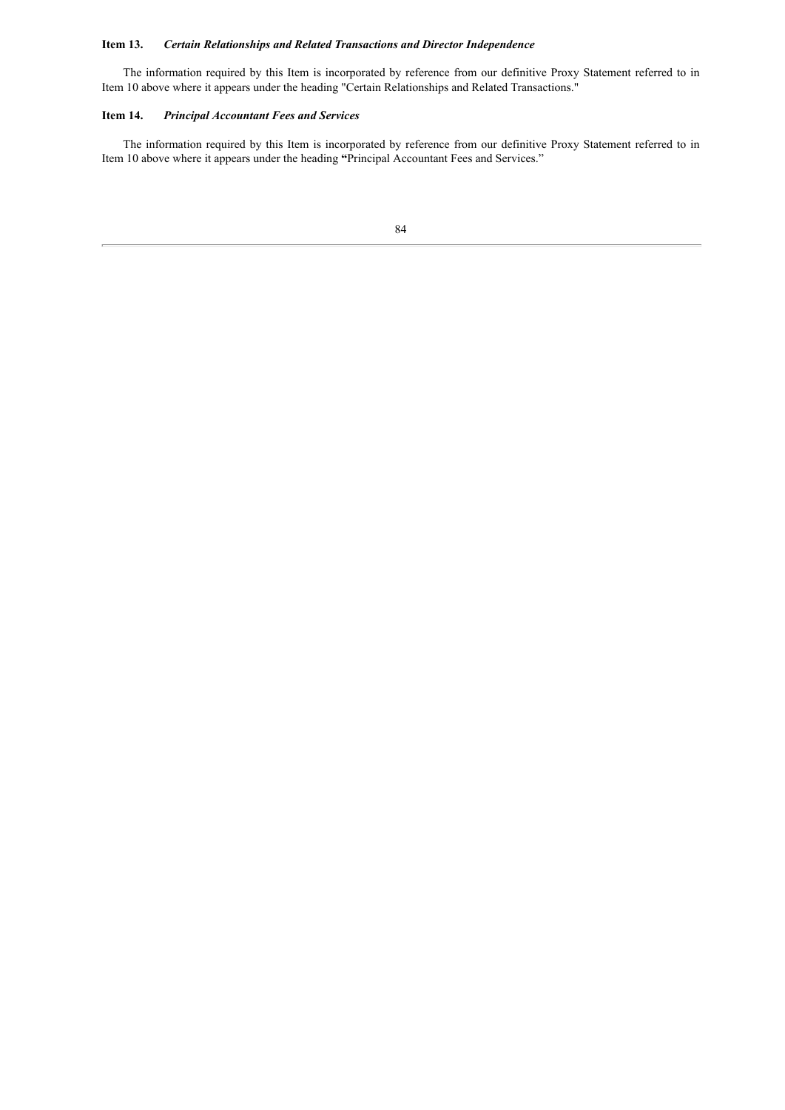# **Item 13.** *Certain Relationships and Related Transactions and Director Independence*

The information required by this Item is incorporated by reference from our definitive Proxy Statement referred to in Item 10 above where it appears under the heading "Certain Relationships and Related Transactions."

# **Item 14.** *Principal Accountant Fees and Services*

The information required by this Item is incorporated by reference from our definitive Proxy Statement referred to in Item 10 above where it appears under the heading **"**Principal Accountant Fees and Services."

| I<br>I<br>×<br>۰, | I |
|-------------------|---|
|                   |   |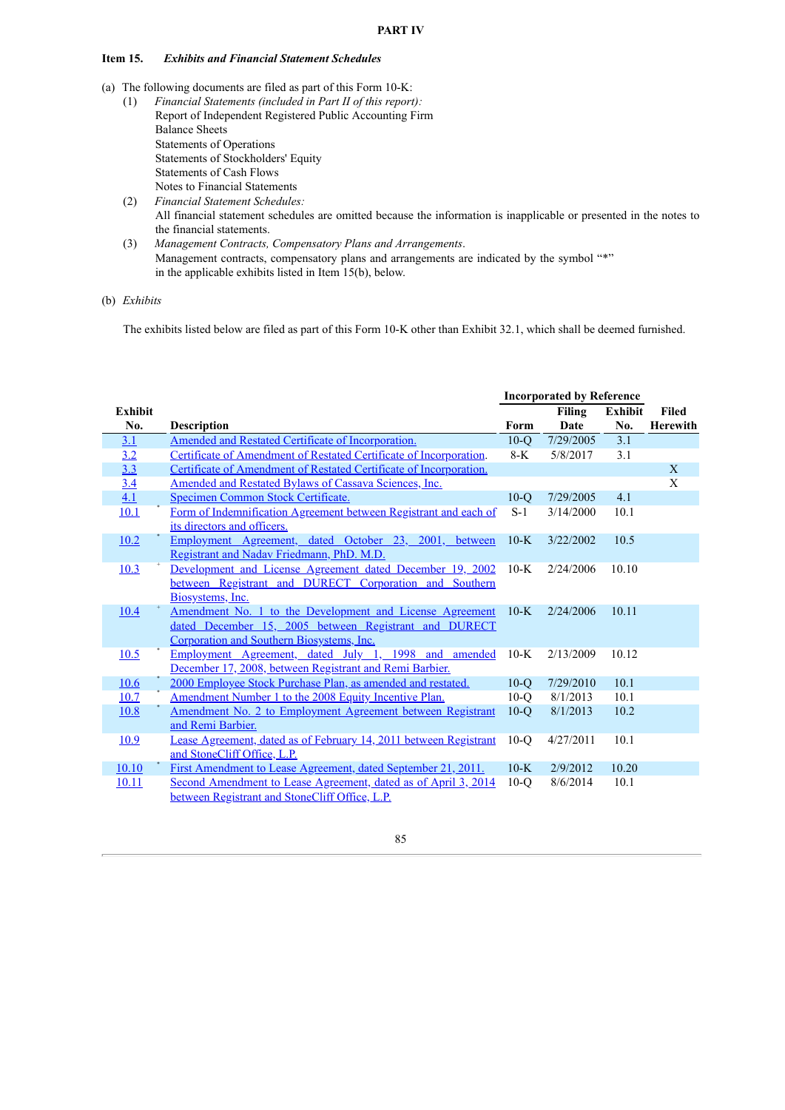# **Item 15.** *Exhibits and Financial Statement Schedules*

- (a) The following documents are filed as part of this Form 10-K:
	- (1) *Financial Statements (included in Part II of this report):* Report of Independent Registered Public Accounting Firm Balance Sheets Statements of Operations Statements of Stockholders' Equity Statements of Cash Flows Notes to Financial Statements (2) *Financial Statement Schedules:*
	- All financial statement schedules are omitted because the information is inapplicable or presented in the notes to the financial statements.
	- (3) *Management Contracts, Compensatory Plans and Arrangements*. Management contracts, compensatory plans and arrangements are indicated by the symbol "\*" in the applicable exhibits listed in Item 15(b), below.

# (b) *Exhibits*

The exhibits listed below are filed as part of this Form 10-K other than Exhibit 32.1, which shall be deemed furnished.

|                   |                                                                    | <b>Incorporated by Reference</b> |           |         |                 |
|-------------------|--------------------------------------------------------------------|----------------------------------|-----------|---------|-----------------|
| <b>Exhibit</b>    |                                                                    |                                  | Filing    | Exhibit | <b>Filed</b>    |
| No.               | Description                                                        | Form                             | Date      | No.     | <b>Herewith</b> |
| 3.1               | Amended and Restated Certificate of Incorporation.                 | $10-°$                           | 7/29/2005 | 3.1     |                 |
| 3.2               | Certificate of Amendment of Restated Certificate of Incorporation. | 8-K                              | 5/8/2017  | 3.1     |                 |
| 3.3               | Certificate of Amendment of Restated Certificate of Incorporation. |                                  |           |         | X               |
| $\frac{3.4}{4.1}$ | Amended and Restated Bylaws of Cassava Sciences, Inc.              |                                  |           |         | $\mathbf X$     |
|                   | Specimen Common Stock Certificate.                                 | $10-Q$                           | 7/29/2005 | 4.1     |                 |
| 10.1              | Form of Indemnification Agreement between Registrant and each of   | $S-1$                            | 3/14/2000 | 10.1    |                 |
|                   | its directors and officers.                                        |                                  |           |         |                 |
| 10.2              | Employment Agreement, dated October 23, 2001, between              | $10-K$                           | 3/22/2002 | 10.5    |                 |
|                   | Registrant and Nadav Friedmann, PhD. M.D.                          |                                  |           |         |                 |
| 10.3              | Development and License Agreement dated December 19, 2002          | $10-K$                           | 2/24/2006 | 10.10   |                 |
|                   | between Registrant and DURECT Corporation and Southern             |                                  |           |         |                 |
|                   | Biosystems, Inc.                                                   |                                  |           |         |                 |
| 10.4              | Amendment No. 1 to the Development and License Agreement           | $10-K$                           | 2/24/2006 | 10.11   |                 |
|                   | dated December 15, 2005 between Registrant and DURECT              |                                  |           |         |                 |
|                   | Corporation and Southern Biosystems, Inc.                          |                                  |           |         |                 |
| 10.5              | Employment Agreement, dated July 1, 1998 and amended               | $10-K$                           | 2/13/2009 | 10.12   |                 |
|                   | December 17, 2008, between Registrant and Remi Barbier.            |                                  |           |         |                 |
| 10.6              | 2000 Employee Stock Purchase Plan, as amended and restated.        | $10-°$                           | 7/29/2010 | 10.1    |                 |
| 10.7              | Amendment Number 1 to the 2008 Equity Incentive Plan.              | $10-Q$                           | 8/1/2013  | 10.1    |                 |
| 10.8              | Amendment No. 2 to Employment Agreement between Registrant         | $10-°$                           | 8/1/2013  | 10.2    |                 |
|                   | and Remi Barbier.                                                  |                                  |           |         |                 |
| 10.9              | Lease Agreement, dated as of February 14, 2011 between Registrant  | $10-Q$                           | 4/27/2011 | 10.1    |                 |
|                   | and StoneCliff Office, L.P.                                        |                                  |           |         |                 |
| 10.10             | First Amendment to Lease Agreement, dated September 21, 2011.      | $10-K$                           | 2/9/2012  | 10.20   |                 |
| 10.11             | Second Amendment to Lease Agreement, dated as of April 3, 2014     | $10-o$                           | 8/6/2014  | 10.1    |                 |
|                   | between Registrant and StoneCliff Office, L.P.                     |                                  |           |         |                 |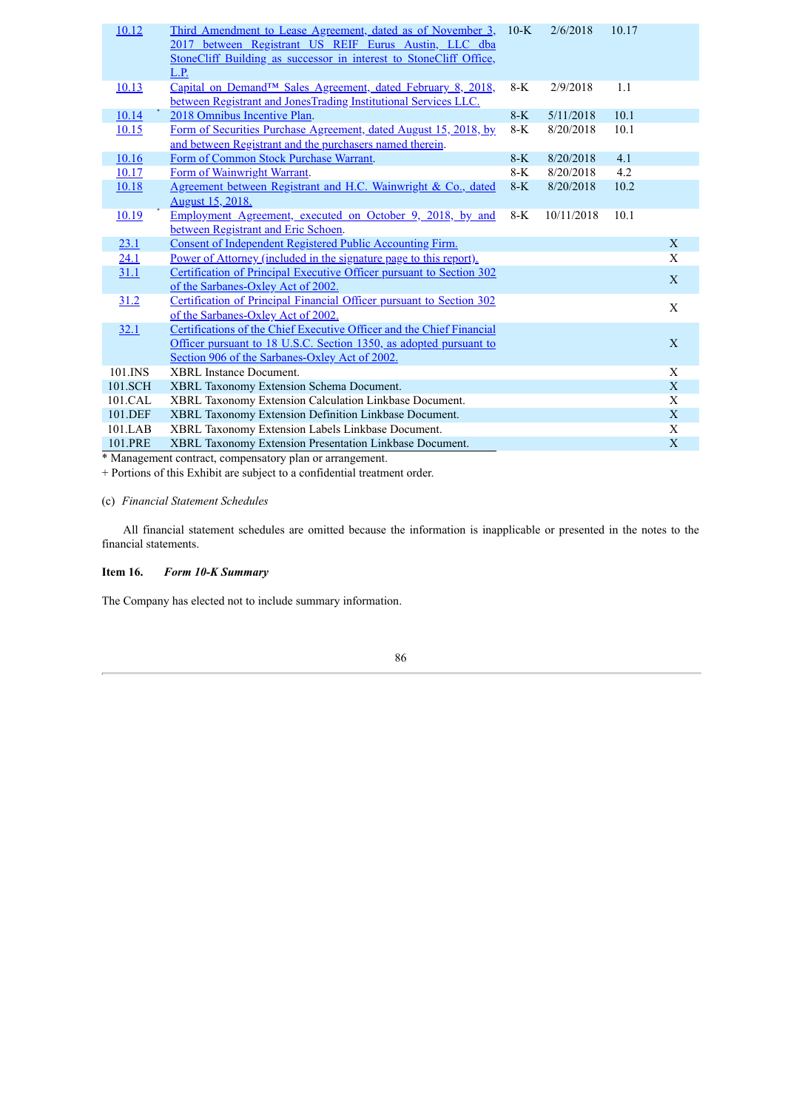| 10.12                                                    | Third Amendment to Lease Agreement, dated as of November 3, 10-K<br>2017 between Registrant US REIF Eurus Austin, LLC dba<br>StoneCliff Building as successor in interest to StoneCliff Office,<br>L.P. |       | 2/6/2018   | 10.17 |             |
|----------------------------------------------------------|---------------------------------------------------------------------------------------------------------------------------------------------------------------------------------------------------------|-------|------------|-------|-------------|
| 10.13                                                    | Capital on Demand™ Sales Agreement, dated February 8, 2018,<br>between Registrant and JonesTrading Institutional Services LLC.                                                                          | $8-K$ | 2/9/2018   | 1.1   |             |
| 10.14                                                    | 2018 Omnibus Incentive Plan.                                                                                                                                                                            | $8-K$ | 5/11/2018  | 10.1  |             |
| 10.15                                                    | Form of Securities Purchase Agreement, dated August 15, 2018, by<br>and between Registrant and the purchasers named therein.                                                                            | $8-K$ | 8/20/2018  | 10.1  |             |
| 10.16                                                    | Form of Common Stock Purchase Warrant.                                                                                                                                                                  | $8-K$ | 8/20/2018  | 4.1   |             |
| 10.17                                                    | Form of Wainwright Warrant.                                                                                                                                                                             | $8-K$ | 8/20/2018  | 4.2   |             |
| 10.18                                                    | Agreement between Registrant and H.C. Wainwright & Co., dated<br><b>August 15, 2018.</b>                                                                                                                | $8-K$ | 8/20/2018  | 10.2  |             |
| 10.19                                                    | Employment Agreement, executed on October 9, 2018, by and<br>between Registrant and Eric Schoen.                                                                                                        | $8-K$ | 10/11/2018 | 10.1  |             |
| 23.1                                                     | Consent of Independent Registered Public Accounting Firm.                                                                                                                                               |       |            |       | X           |
| 24.1                                                     | Power of Attorney (included in the signature page to this report).                                                                                                                                      |       |            |       | Χ           |
| 31.1                                                     | Certification of Principal Executive Officer pursuant to Section 302<br>of the Sarbanes-Oxley Act of 2002.                                                                                              |       |            |       | X           |
| 31.2                                                     | Certification of Principal Financial Officer pursuant to Section 302<br>of the Sarbanes-Oxley Act of 2002.                                                                                              |       |            |       | X           |
| 32.1                                                     | Certifications of the Chief Executive Officer and the Chief Financial                                                                                                                                   |       |            |       |             |
|                                                          | Officer pursuant to 18 U.S.C. Section 1350, as adopted pursuant to<br>Section 906 of the Sarbanes-Oxley Act of 2002.                                                                                    |       |            |       | X           |
| 101.INS                                                  | <b>XBRL</b> Instance Document.                                                                                                                                                                          |       |            |       | X           |
| 101.SCH                                                  | XBRL Taxonomy Extension Schema Document.                                                                                                                                                                |       |            |       | $\mathbf X$ |
| 101.CAL                                                  | XBRL Taxonomy Extension Calculation Linkbase Document.                                                                                                                                                  |       |            |       | X           |
| 101.DEF                                                  | XBRL Taxonomy Extension Definition Linkbase Document.                                                                                                                                                   |       |            |       | $\mathbf X$ |
| $101$ .LAB                                               | XBRL Taxonomy Extension Labels Linkbase Document.                                                                                                                                                       |       |            |       | X           |
| 101.PRE                                                  | XBRL Taxonomy Extension Presentation Linkbase Document.                                                                                                                                                 |       |            |       | $\mathbf X$ |
| * Management contract, compensatory plan or arrangement. |                                                                                                                                                                                                         |       |            |       |             |

+ Portions of this Exhibit are subject to a confidential treatment order.

# (c) *Financial Statement Schedules*

All financial statement schedules are omitted because the information is inapplicable or presented in the notes to the financial statements.

# **Item 16.** *Form 10-K Summary*

The Company has elected not to include summary information.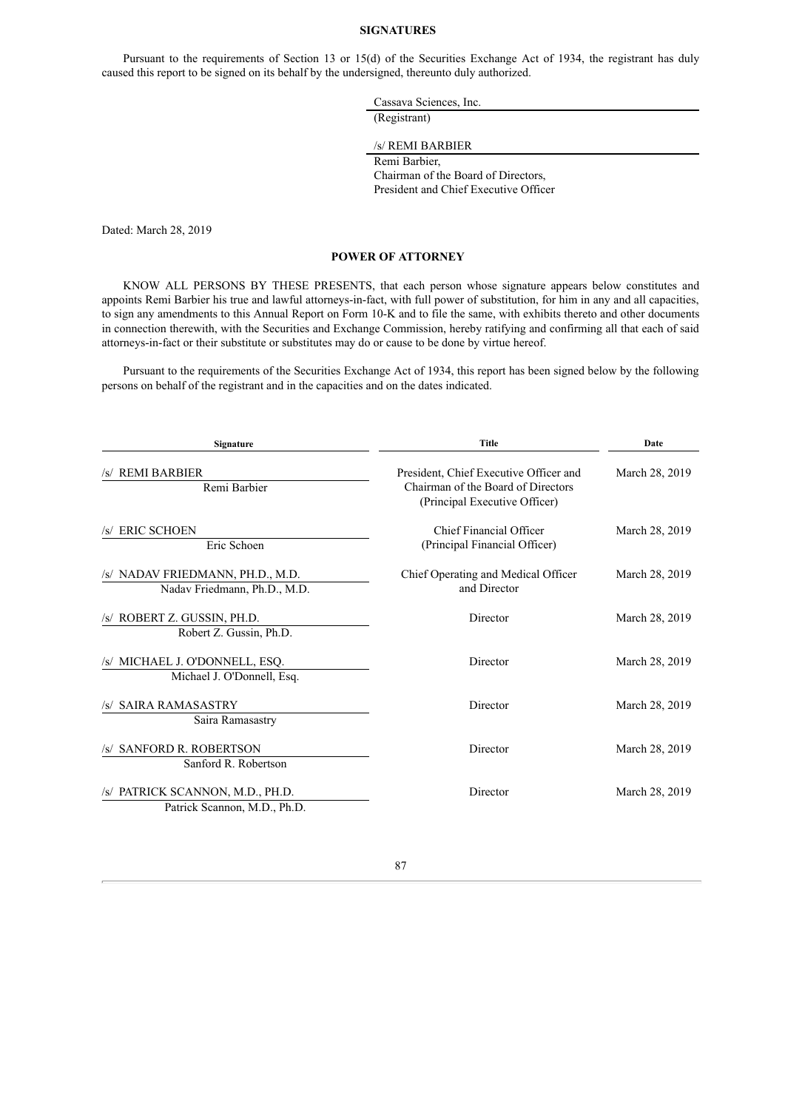#### **SIGNATURES**

Pursuant to the requirements of Section 13 or 15(d) of the Securities Exchange Act of 1934, the registrant has duly caused this report to be signed on its behalf by the undersigned, thereunto duly authorized.

|  | Cassava Sciences, Inc. |  |
|--|------------------------|--|
|--|------------------------|--|

(Registrant)

#### /s/ REMI BARBIER

Remi Barbier, Chairman of the Board of Directors, President and Chief Executive Officer

Dated: March 28, 2019

# <span id="page-86-0"></span>**POWER OF ATTORNEY**

KNOW ALL PERSONS BY THESE PRESENTS, that each person whose signature appears below constitutes and appoints Remi Barbier his true and lawful attorneys-in-fact, with full power of substitution, for him in any and all capacities, to sign any amendments to this Annual Report on Form 10-K and to file the same, with exhibits thereto and other documents in connection therewith, with the Securities and Exchange Commission, hereby ratifying and confirming all that each of said attorneys-in-fact or their substitute or substitutes may do or cause to be done by virtue hereof.

Pursuant to the requirements of the Securities Exchange Act of 1934, this report has been signed below by the following persons on behalf of the registrant and in the capacities and on the dates indicated.

| Signature                                                        | <b>Title</b>                                                                                                  | Date           |  |
|------------------------------------------------------------------|---------------------------------------------------------------------------------------------------------------|----------------|--|
| /s/ REMI BARBIER<br>Remi Barbier                                 | President, Chief Executive Officer and<br>Chairman of the Board of Directors<br>(Principal Executive Officer) | March 28, 2019 |  |
| /s/ ERIC SCHOEN<br>Eric Schoen                                   | Chief Financial Officer<br>(Principal Financial Officer)                                                      | March 28, 2019 |  |
| /s/ NADAV FRIEDMANN, PH.D., M.D.<br>Nadav Friedmann, Ph.D., M.D. | Chief Operating and Medical Officer<br>and Director                                                           | March 28, 2019 |  |
| /s/ ROBERT Z. GUSSIN, PH.D.<br>Robert Z. Gussin, Ph.D.           | Director                                                                                                      | March 28, 2019 |  |
| /s/ MICHAEL J. O'DONNELL, ESQ.<br>Michael J. O'Donnell, Esq.     | Director                                                                                                      | March 28, 2019 |  |
| /s/ SAIRA RAMASASTRY<br>Saira Ramasastry                         | Director                                                                                                      | March 28, 2019 |  |
| /s/ SANFORD R. ROBERTSON<br>Sanford R. Robertson                 | Director                                                                                                      | March 28, 2019 |  |
| /s/ PATRICK SCANNON, M.D., PH.D.<br>Patrick Scannon, M.D., Ph.D. | Director                                                                                                      | March 28, 2019 |  |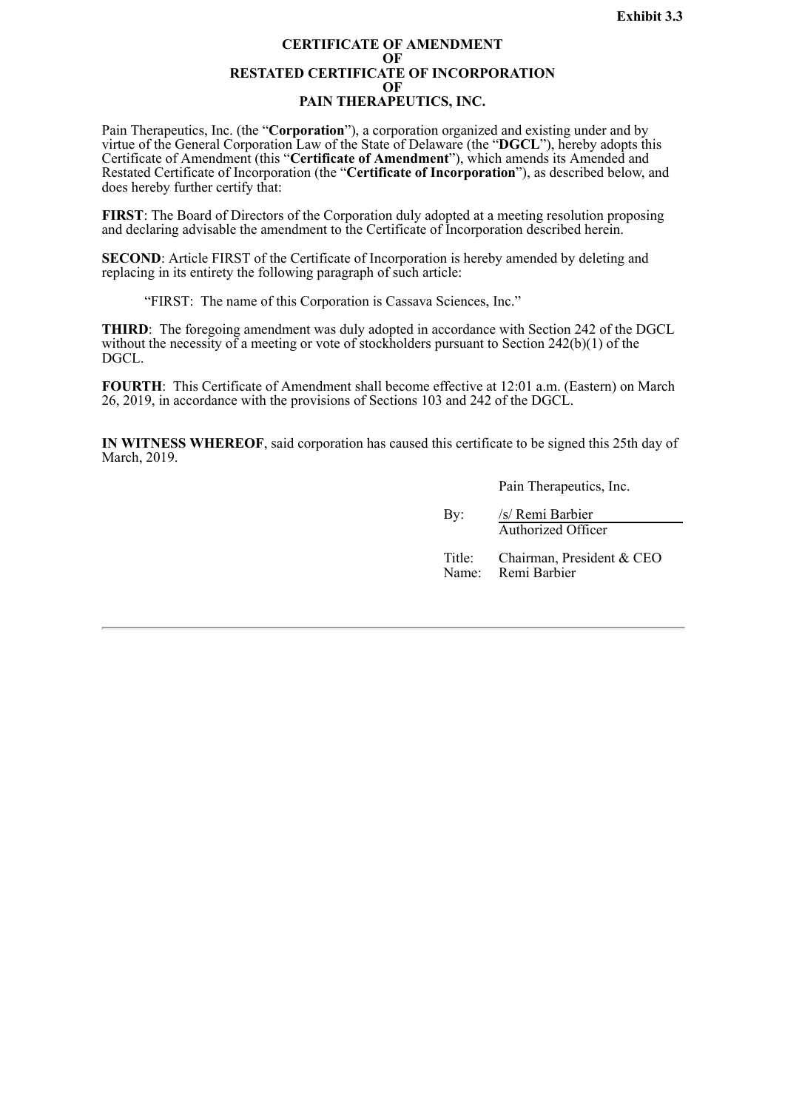# **CERTIFICATE OF AMENDMENT OF RESTATED CERTIFICATE OF INCORPORATION OF PAIN THERAPEUTICS, INC.**

<span id="page-87-0"></span>Pain Therapeutics, Inc. (the "**Corporation**"), a corporation organized and existing under and by virtue of the General Corporation Law of the State of Delaware (the "**DGCL**"), hereby adopts this Certificate of Amendment (this "**Certificate of Amendment**"), which amends its Amended and Restated Certificate of Incorporation (the "**Certificate of Incorporation**"), as described below, and does hereby further certify that:

**FIRST**: The Board of Directors of the Corporation duly adopted at a meeting resolution proposing and declaring advisable the amendment to the Certificate of Incorporation described herein.

**SECOND**: Article FIRST of the Certificate of Incorporation is hereby amended by deleting and replacing in its entirety the following paragraph of such article:

"FIRST: The name of this Corporation is Cassava Sciences, Inc."

**THIRD**: The foregoing amendment was duly adopted in accordance with Section 242 of the DGCL without the necessity of a meeting or vote of stockholders pursuant to Section  $242(b)(1)$  of the DGCL.

**FOURTH**: This Certificate of Amendment shall become effective at 12:01 a.m. (Eastern) on March 26, 2019, in accordance with the provisions of Sections 103 and 242 of the DGCL.

**IN WITNESS WHEREOF**, said corporation has caused this certificate to be signed this 25th day of March, 2019.

Pain Therapeutics, Inc.

By: /s/ Remi Barbier Authorized Officer

Title: Chairman, President & CEO Name: Remi Barbier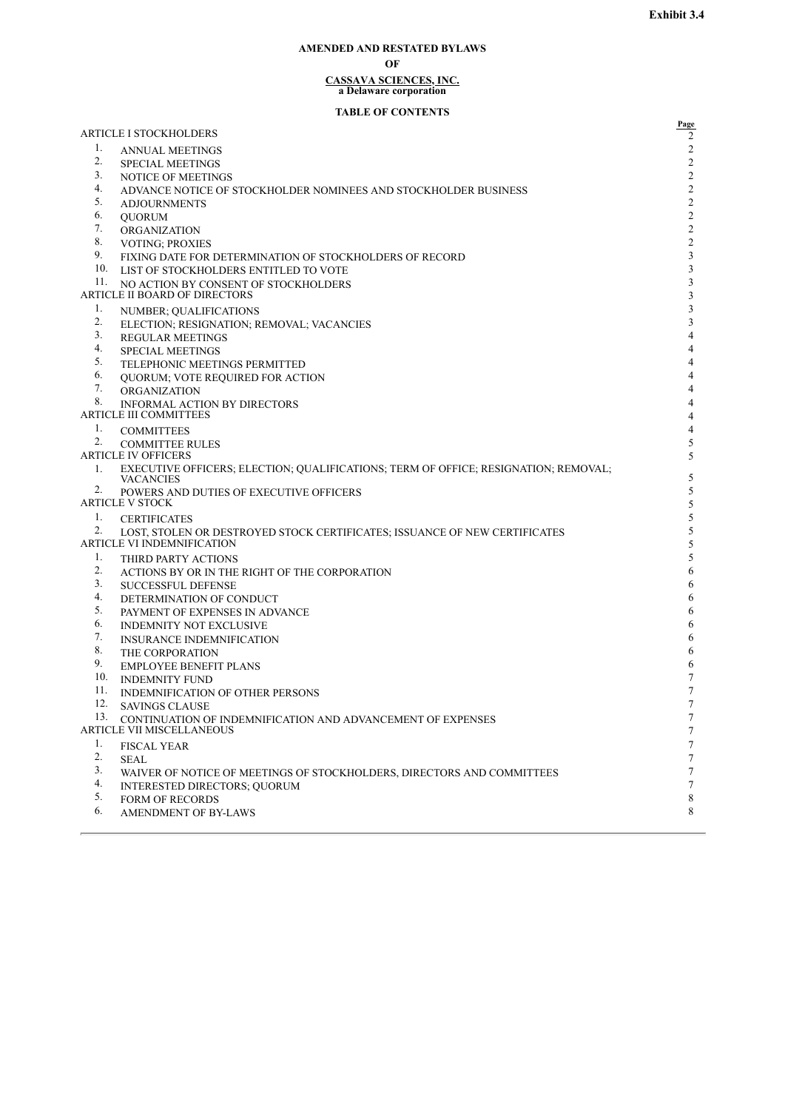# **AMENDED AND RESTATED BYLAWS OF CASSAVA SCIENCES, INC. a Delaware corporation**

# **TABLE OF CONTENTS**

<span id="page-88-0"></span>

|         |                                                                                                                 | Page            |
|---------|-----------------------------------------------------------------------------------------------------------------|-----------------|
|         | <b>ARTICLE I STOCKHOLDERS</b>                                                                                   | $\overline{2}$  |
| 1.      | <b>ANNUAL MEETINGS</b>                                                                                          | $\overline{2}$  |
| 2.      | <b>SPECIAL MEETINGS</b>                                                                                         | $\overline{2}$  |
| 3.      | <b>NOTICE OF MEETINGS</b>                                                                                       | $\overline{c}$  |
| 4.      | ADVANCE NOTICE OF STOCKHOLDER NOMINEES AND STOCKHOLDER BUSINESS                                                 | $\overline{c}$  |
| 5.      | <b>ADJOURNMENTS</b>                                                                                             | $\mathfrak{2}$  |
| 6.      | <b>QUORUM</b>                                                                                                   | $\overline{2}$  |
| 7.      | <b>ORGANIZATION</b>                                                                                             | $\overline{c}$  |
| 8.      | <b>VOTING; PROXIES</b>                                                                                          | $\overline{2}$  |
| 9.      | FIXING DATE FOR DETERMINATION OF STOCKHOLDERS OF RECORD                                                         | $\mathfrak{Z}$  |
| 10.     | LIST OF STOCKHOLDERS ENTITLED TO VOTE                                                                           | 3               |
| 11.     | NO ACTION BY CONSENT OF STOCKHOLDERS<br>ARTICLE II BOARD OF DIRECTORS                                           | 3<br>3          |
| 1.      | NUMBER; QUALIFICATIONS                                                                                          | 3               |
| 2.      | ELECTION; RESIGNATION; REMOVAL; VACANCIES                                                                       | 3               |
| 3.      | <b>REGULAR MEETINGS</b>                                                                                         | 4               |
| 4.      | <b>SPECIAL MEETINGS</b>                                                                                         | 4               |
| 5.      | TELEPHONIC MEETINGS PERMITTED                                                                                   | 4               |
| 6.      | QUORUM; VOTE REQUIRED FOR ACTION                                                                                | 4               |
| 7.      | <b>ORGANIZATION</b>                                                                                             | 4               |
| 8.      | INFORMAL ACTION BY DIRECTORS                                                                                    | 4               |
|         | <b>ARTICLE III COMMITTEES</b>                                                                                   | 4               |
| 1.      | <b>COMMITTEES</b>                                                                                               | 4               |
| 2.      | <b>COMMITTEE RULES</b>                                                                                          | 5               |
|         | <b>ARTICLE IV OFFICERS</b>                                                                                      | 5               |
| $1_{-}$ | EXECUTIVE OFFICERS; ELECTION; QUALIFICATIONS; TERM OF OFFICE; RESIGNATION; REMOVAL;                             | 5               |
| 2.      | <b>VACANCIES</b>                                                                                                | 5               |
|         | POWERS AND DUTIES OF EXECUTIVE OFFICERS<br><b>ARTICLE V STOCK</b>                                               | 5               |
| 1.      | <b>CERTIFICATES</b>                                                                                             | 5               |
| 2.      |                                                                                                                 | 5               |
|         | LOST, STOLEN OR DESTROYED STOCK CERTIFICATES; ISSUANCE OF NEW CERTIFICATES<br><b>ARTICLE VI INDEMNIFICATION</b> | 5               |
| 1.      | THIRD PARTY ACTIONS                                                                                             | 5               |
| 2.      |                                                                                                                 | 6               |
| 3.      | ACTIONS BY OR IN THE RIGHT OF THE CORPORATION<br><b>SUCCESSFUL DEFENSE</b>                                      | 6               |
| 4.      | DETERMINATION OF CONDUCT                                                                                        | 6               |
| 5.      | PAYMENT OF EXPENSES IN ADVANCE                                                                                  | 6               |
| 6.      | <b>INDEMNITY NOT EXCLUSIVE</b>                                                                                  | 6               |
| 7.      | INSURANCE INDEMNIFICATION                                                                                       | 6               |
| 8.      | THE CORPORATION                                                                                                 | 6               |
| 9.      | <b>EMPLOYEE BENEFIT PLANS</b>                                                                                   | 6               |
| 10.     | <b>INDEMNITY FUND</b>                                                                                           | 7               |
| 11.     | <b>INDEMNIFICATION OF OTHER PERSONS</b>                                                                         | $\tau$          |
| 12.     | <b>SAVINGS CLAUSE</b>                                                                                           | 7               |
| 13.     | CONTINUATION OF INDEMNIFICATION AND ADVANCEMENT OF EXPENSES                                                     | 7               |
|         | <b>ARTICLE VII MISCELLANEOUS</b>                                                                                | $\tau$          |
| 1.      | <b>FISCAL YEAR</b>                                                                                              | 7               |
| 2.      | <b>SEAL</b>                                                                                                     | $\tau$          |
| 3.      | WAIVER OF NOTICE OF MEETINGS OF STOCKHOLDERS, DIRECTORS AND COMMITTEES                                          | $7\phantom{.0}$ |
| 4.      | <b>INTERESTED DIRECTORS; QUORUM</b>                                                                             | 7               |
| 5.      | <b>FORM OF RECORDS</b>                                                                                          | 8               |
| 6.      | AMENDMENT OF BY-LAWS                                                                                            | 8               |
|         |                                                                                                                 |                 |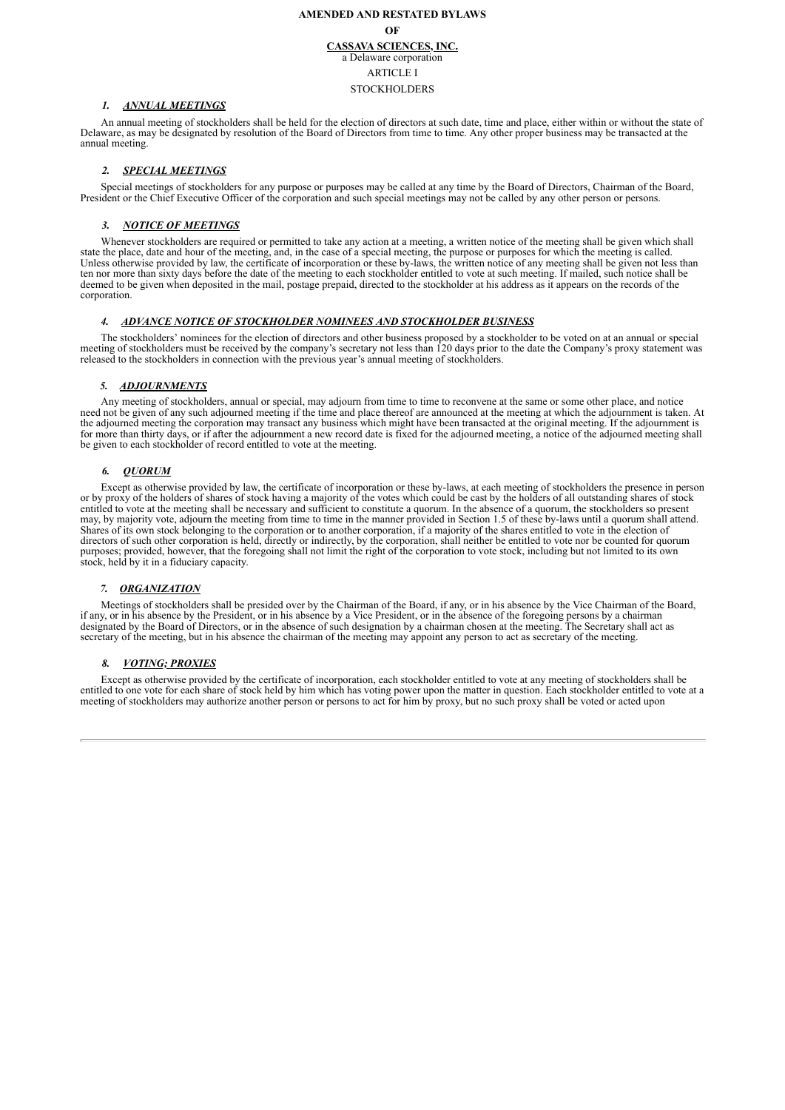#### *1. ANNUAL MEETINGS*

An annual meeting of stockholders shall be held for the election of directors at such date, time and place, either within or without the state of Delaware, as may be designated by resolution of the Board of Directors from time to time. Any other proper business may be transacted at the annual meeting.

#### *2. SPECIAL MEETINGS*

Special meetings of stockholders for any purpose or purposes may be called at any time by the Board of Directors, Chairman of the Board, President or the Chief Executive Officer of the corporation and such special meetings may not be called by any other person or persons.

#### *3. NOTICE OF MEETINGS*

Whenever stockholders are required or permitted to take any action at a meeting, a written notice of the meeting shall be given which shall state the place, date and hour of the meeting, and, in the case of a special meeting, the purpose or purposes for which the meeting is called. Unless otherwise provided by law, the certificate of incorporation or these by-laws, the written notice of any meeting shall be given not less than ten nor more than sixty days before the date of the meeting to each stockholder entitled to vote at such meeting. If mailed, such notice shall be deemed to be given when deposited in the mail, postage prepaid, directed to the stockholder at his address as it appears on the records of the corporation.

# *4. ADVANCE NOTICE OF STOCKHOLDER NOMINEES AND STOCKHOLDER BUSINESS*

The stockholders' nominees for the election of directors and other business proposed by a stockholder to be voted on at an annual or special meeting of stockholders must be received by the company's secretary not less than 120 days prior to the date the Company's proxy statement was released to the stockholders in connection with the previous year's annual meeting of stockholders.

#### *5. ADJOURNMENTS*

Any meeting of stockholders, annual or special, may adjourn from time to time to reconvene at the same or some other place, and notice need not be given of any such adjourned meeting if the time and place thereof are announced at the meeting at which the adjournment is taken. At the adjourned meeting the corporation may transact any business which might have been transacted at the original meeting. If the adjournment is for more than thirty days, or if after the adjournment a new record date is fixed for the adjourned meeting, a notice of the adjourned meeting shall be given to each stockholder of record entitled to vote at the meeting.

# *6. QUORUM*

Except as otherwise provided by law, the certificate of incorporation or these by-laws, at each meeting of stockholders the presence in person or by proxy of the holders of shares of stock having a majority of the votes which could be cast by the holders of all outstanding shares of stock entitled to vote at the meeting shall be necessary and sufficient to constitute a quorum. In the absence of a quorum, the stockholders so present may, by majority vote, adjourn the meeting from time to time in the manner provided in Section 1.5 of these by-laws until a quorum shall attend. Shares of its own stock belonging to the corporation or to another corporation, if a majority of the shares entitled to vote in the election of directors of such other corporation is held, directly or indirectly, by the corporation, shall neither be entitled to vote nor be counted for quorum purposes; provided, however, that the foregoing shall not limit the right of the corporation to vote stock, including but not limited to its own stock, held by it in a fiduciary capacity.

#### *7. ORGANIZATION*

Meetings of stockholders shall be presided over by the Chairman of the Board, if any, or in his absence by the Vice Chairman of the Board, if any, or in his absence by the President, or in his absence by a Vice President, or in the absence of the foregoing persons by a chairman designated by the Board of Directors, or in the absence of such designation by a chairman chosen at the meeting. The Secretary shall act as secretary of the meeting, but in his absence the chairman of the meeting may appoint any person to act as secretary of the meeting.

### *8. VOTING; PROXIES*

Except as otherwise provided by the certificate of incorporation, each stockholder entitled to vote at any meeting of stockholders shall be entitled to one vote for each share of stock held by him which has voting power upon the matter in question. Each stockholder entitled to vote at a meeting of stockholders may authorize another person or persons to act for him by proxy, but no such proxy shall be voted or acted upon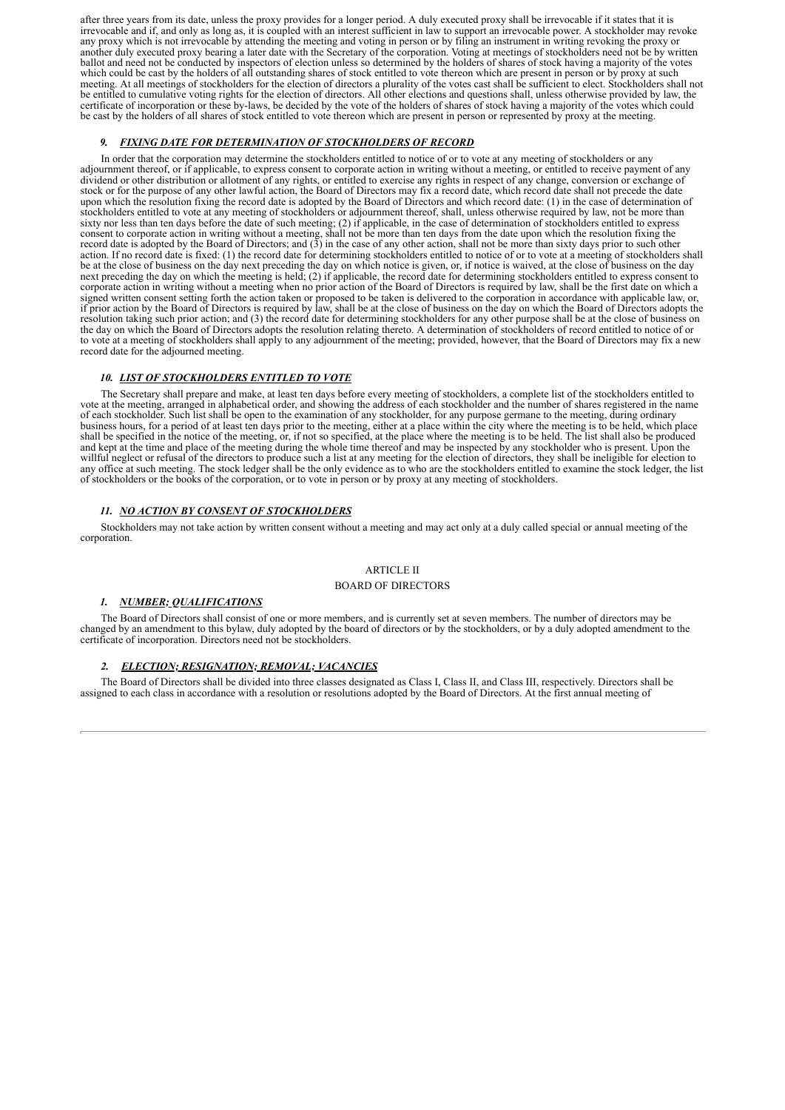after three years from its date, unless the proxy provides for a longer period. A duly executed proxy shall be irrevocable if it states that it is irrevocable and if, and only as long as, it is coupled with an interest sufficient in law to support an irrevocable power. A stockholder may revoke any proxy which is not irrevocable by attending the meeting and voting in person or by filing an instrument in writing revoking the proxy or another duly executed proxy bearing a later date with the Secretary of the corporation. Voting at meetings of stockholders need not be by written ballot and need not be conducted by inspectors of election unless so determined by the holders of shares of stock having a majority of the votes which could be cast by the holders of all outstanding shares of stock entitled to vote thereon which are present in person or by proxy at such meeting. At all meetings of stockholders for the election of directors a plurality of the votes cast shall be sufficient to elect. Stockholders shall not be entitled to cumulative voting rights for the election of directors. All other elections and questions shall, unless otherwise provided by law, the certificate of incorporation or these by-laws, be decided by the vote of the holders of shares of stock having a majority of the votes which could be cast by the holders of all shares of stock entitled to vote thereon which are present in person or represented by proxy at the meeting.

#### *9. FIXING DATE FOR DETERMINATION OF STOCKHOLDERS OF RECORD*

In order that the corporation may determine the stockholders entitled to notice of or to vote at any meeting of stockholders or any adjournment thereof, or if applicable, to express consent to corporate action in writing without a meeting, or entitled to receive payment of any dividend or other distribution or allotment of any rights, or entitled to exercise any rights in respect of any change, conversion or exchange of stock or for the purpose of any other lawful action, the Board of Directors may fix a record date, which record date shall not precede the date upon which the resolution fixing the record date is adopted by the Board of Directors and which record date: (1) in the case of determination of stockholders entitled to vote at any meeting of stockholders or adjournment thereof, shall, unless otherwise required by law, not be more than sixty nor less than ten days before the date of such meeting; (2) if applicable, in the case of determination of stockholders entitled to express consent to corporate action in writing without a meeting, shall not be more than ten days from the date upon which the resolution fixing the record date is adopted by the Board of Directors; and (3) in the case of any other action, shall not be more than sixty days prior to such other action. If no record date is fixed: (1) the record date for determining stockholders entitled to notice of or to vote at a meeting of stockholders shall be at the close of business on the day next preceding the day on which notice is given, or, if notice is waived, at the close of business on the day next preceding the day on which the meeting is held; (2) if applicable, the record date for determining stockholders entitled to express consent to corporate action in writing without a meeting when no prior action of the Board of Directors is required by law, shall be the first date on which a signed written consent setting forth the action taken or proposed to be taken is delivered to the corporation in accordance with applicable law, or, if prior action by the Board of Directors is required by law, shall be at the close of business on the day on which the Board of Directors adopts the resolution taking such prior action; and (3) the record date for determining stockholders for any other purpose shall be at the close of business on the day on which the Board of Directors adopts the resolution relating thereto. A determination of stockholders of record entitled to notice of or to vote at a meeting of stockholders shall apply to any adjournment of the meeting; provided, however, that the Board of Directors may fix a new record date for the adjourned meeting.

#### *10. LIST OF STOCKHOLDERS ENTITLED TO VOTE*

The Secretary shall prepare and make, at least ten days before every meeting of stockholders, a complete list of the stockholders entitled to vote at the meeting, arranged in alphabetical order, and showing the address of each stockholder and the number of shares registered in the name of each stockholder. Such list shall be open to the examination of any stockholder, for any purpose germane to the meeting, during ordinary business hours, for a period of at least ten days prior to the meeting, either at a place within the city where the meeting is to be held, which place shall be specified in the notice of the meeting, or, if not so specified, at the place where the meeting is to be held. The list shall also be produced and kept at the time and place of the meeting during the whole time thereof and may be inspected by any stockholder who is present. Upon the willful neglect or refusal of the directors to produce such a list at any meeting for the election of directors, they shall be ineligible for election to any office at such meeting. The stock ledger shall be the only evidence as to who are the stockholders entitled to examine the stock ledger, the list of stockholders or the books of the corporation, or to vote in person or by proxy at any meeting of stockholders.

# *11. NO ACTION BY CONSENT OF STOCKHOLDERS*

Stockholders may not take action by written consent without a meeting and may act only at a duly called special or annual meeting of the corporation.

# ARTICLE II

#### BOARD OF DIRECTORS

# *1. NUMBER; QUALIFICATIONS*

The Board of Directors shall consist of one or more members, and is currently set at seven members. The number of directors may be changed by an amendment to this bylaw, duly adopted by the board of directors or by the stockholders, or by a duly adopted amendment to the certificate of incorporation. Directors need not be stockholders.

# *2. ELECTION; RESIGNATION; REMOVAL; VACANCIES*

The Board of Directors shall be divided into three classes designated as Class I, Class II, and Class III, respectively. Directors shall be assigned to each class in accordance with a resolution or resolutions adopted by the Board of Directors. At the first annual meeting of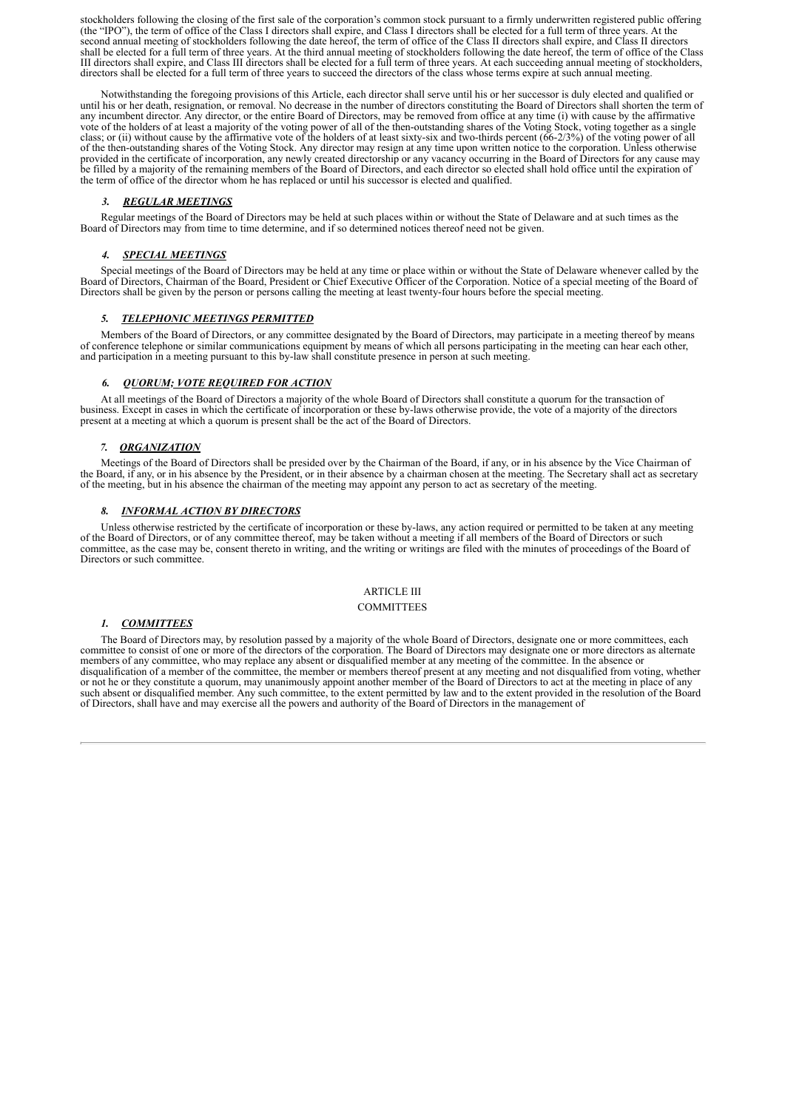stockholders following the closing of the first sale of the corporation's common stock pursuant to a firmly underwritten registered public offering (the "IPO"), the term of office of the Class I directors shall expire, and Class I directors shall be elected for a full term of three years. At the second annual meeting of stockholders following the date hereof, the term of office of the Class II directors shall expire, and Class II directors shall be elected for a full term of three years. At the third annual meeting of stockholders following the date hereof, the term of office of the Class III directors shall expire, and Class III directors shall be elected for a full term of three years. At each succeeding annual meeting of stockholders, directors shall be elected for a full term of three years to succeed the directors of the class whose terms expire at such annual meeting.

Notwithstanding the foregoing provisions of this Article, each director shall serve until his or her successor is duly elected and qualified or until his or her death, resignation, or removal. No decrease in the number of directors constituting the Board of Directors shall shorten the term of any incumbent director. Any director, or the entire Board of Directors, may be removed from office at any time (i) with cause by the affirmative vote of the holders of at least a majority of the voting power of all of the then-outstanding shares of the Voting Stock, voting together as a single class; or (ii) without cause by the affirmative vote of the holders of at least sixty-six and two-thirds percent (66-2/3%) of the voting power of all of the then-outstanding shares of the Voting Stock. Any director may resign at any time upon written notice to the corporation. Unless otherwise provided in the certificate of incorporation, any newly created directorship or any vacancy occurring in the Board of Directors for any cause may be filled by a majority of the remaining members of the Board of Directors, and each director so elected shall hold office until the expiration of the term of office of the director whom he has replaced or until his successor is elected and qualified.

#### *3. REGULAR MEETINGS*

Regular meetings of the Board of Directors may be held at such places within or without the State of Delaware and at such times as the Board of Directors may from time to time determine, and if so determined notices thereof need not be given.

# *4. SPECIAL MEETINGS*

Special meetings of the Board of Directors may be held at any time or place within or without the State of Delaware whenever called by the Board of Directors, Chairman of the Board, President or Chief Executive Officer of the Corporation. Notice of a special meeting of the Board of Directors shall be given by the person or persons calling the meeting at least twenty-four hours before the special meeting.

# *5. TELEPHONIC MEETINGS PERMITTED*

Members of the Board of Directors, or any committee designated by the Board of Directors, may participate in a meeting thereof by means of conference telephone or similar communications equipment by means of which all persons participating in the meeting can hear each other, and participation in a meeting pursuant to this by-law shall constitute presence in person at such meeting.

#### *6. QUORUM; VOTE REQUIRED FOR ACTION*

At all meetings of the Board of Directors a majority of the whole Board of Directors shall constitute a quorum for the transaction of business. Except in cases in which the certificate of incorporation or these by-laws otherwise provide, the vote of a majority of the directors present at a meeting at which a quorum is present shall be the act of the Board of Directors.

# *7. ORGANIZATION*

Meetings of the Board of Directors shall be presided over by the Chairman of the Board, if any, or in his absence by the Vice Chairman of the Board, if any, or in his absence by the President, or in their absence by a chairman chosen at the meeting. The Secretary shall act as secretary of the meeting, but in his absence the chairman of the meeting may appoint any person to act as secretary of the meeting.

#### *8. INFORMAL ACTION BY DIRECTORS*

Unless otherwise restricted by the certificate of incorporation or these by-laws, any action required or permitted to be taken at any meeting of the Board of Directors, or of any committee thereof, may be taken without a meeting if all members of the Board of Directors or such committee, as the case may be, consent thereto in writing, and the writing or writings are filed with the minutes of proceedings of the Board of Directors or such committee.

# ARTICLE III

# **COMMITTEES**

#### *1. COMMITTEES*

The Board of Directors may, by resolution passed by a majority of the whole Board of Directors, designate one or more committees, each committee to consist of one or more of the directors of the corporation. The Board of Directors may designate one or more directors as alternate members of any committee, who may replace any absent or disqualified member at any meeting of the committee. In the absence or disqualification of a member of the committee, the member or members thereof present at any meeting and not disqualified from voting, whether or not he or they constitute a quorum, may unanimously appoint another member of the Board of Directors to act at the meeting in place of any such absent or disqualified member. Any such committee, to the extent permitted by law and to the extent provided in the resolution of the Board of Directors, shall have and may exercise all the powers and authority of the Board of Directors in the management of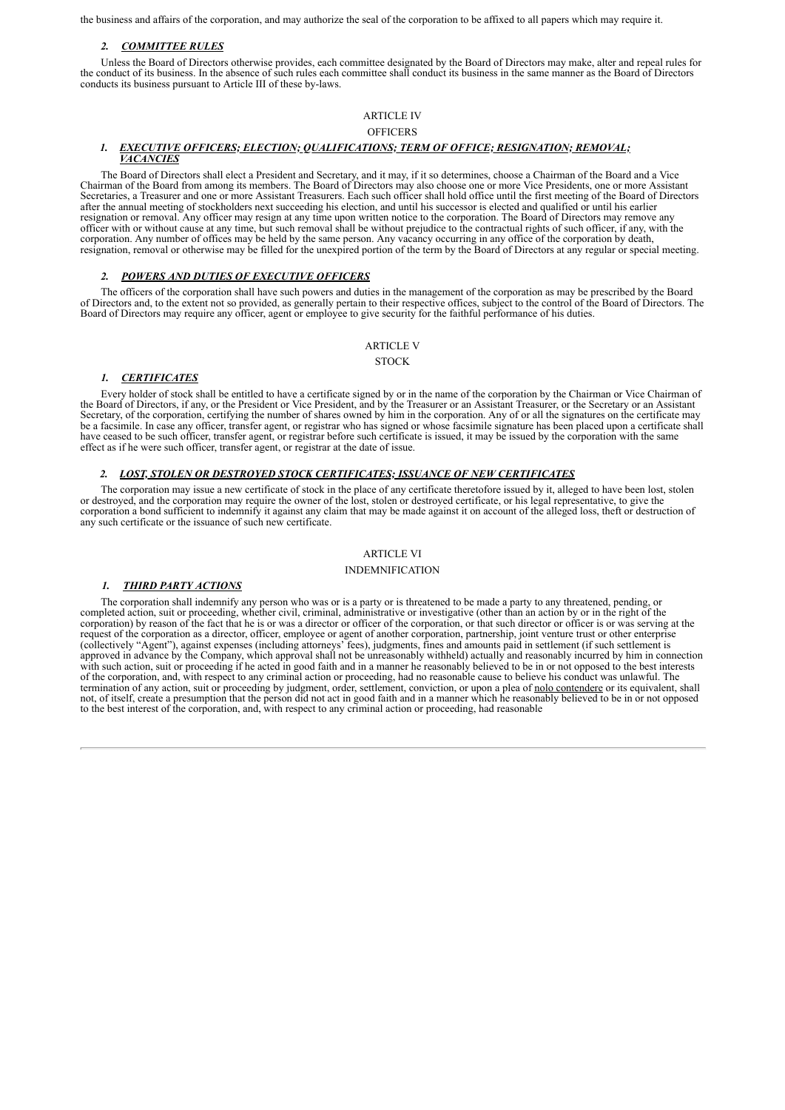the business and affairs of the corporation, and may authorize the seal of the corporation to be affixed to all papers which may require it.

# *2. COMMITTEE RULES*

Unless the Board of Directors otherwise provides, each committee designated by the Board of Directors may make, alter and repeal rules for the conduct of its business. In the absence of such rules each committee shall conduct its business in the same manner as the Board of Directors conducts its business pursuant to Article III of these by-laws.

#### ARTICLE IV **OFFICERS**

# *1. EXECUTIVE OFFICERS; ELECTION; QUALIFICATIONS; TERM OF OFFICE; RESIGNATION; REMOVAL; VACANCIES*

The Board of Directors shall elect a President and Secretary, and it may, if it so determines, choose a Chairman of the Board and a Vice Chairman of the Board from among its members. The Board of Directors may also choose one or more Vice Presidents, one or more Assistant Secretaries, a Treasurer and one or more Assistant Treasurers. Each such officer shall hold office until the first meeting of the Board of Directors after the annual meeting of stockholders next succeeding his election, and until his successor is elected and qualified or until his earlier resignation or removal. Any officer may resign at any time upon written notice to the corporation. The Board of Directors may remove any officer with or without cause at any time, but such removal shall be without prejudice to the contractual rights of such officer, if any, with the corporation. Any number of offices may be held by the same person. Any vacancy occurring in any office of the corporation by death, resignation, removal or otherwise may be filled for the unexpired portion of the term by the Board of Directors at any regular or special meeting.

#### *2. POWERS AND DUTIES OF EXECUTIVE OFFICERS*

The officers of the corporation shall have such powers and duties in the management of the corporation as may be prescribed by the Board of Directors and, to the extent not so provided, as generally pertain to their respective offices, subject to the control of the Board of Directors. The Board of Directors may require any officer, agent or employee to give security for the faithful performance of his duties.

# ARTICLE V **STOCK**

#### *1. CERTIFICATES*

Every holder of stock shall be entitled to have a certificate signed by or in the name of the corporation by the Chairman or Vice Chairman of the Board of Directors, if any, or the President or Vice President, and by the Treasurer or an Assistant Treasurer, or the Secretary or an Assistant Secretary, of the corporation, certifying the number of shares owned by him in the corporation. Any of or all the signatures on the certificate may be a facsimile. In case any officer, transfer agent, or registrar who has signed or whose facsimile signature has been placed upon a certificate shall have ceased to be such officer, transfer agent, or registrar before such certificate is issued, it may be issued by the corporation with the same effect as if he were such officer, transfer agent, or registrar at the date of issue.

#### *2. LOST, STOLEN OR DESTROYED STOCK CERTIFICATES; ISSUANCE OF NEW CERTIFICATES*

The corporation may issue a new certificate of stock in the place of any certificate theretofore issued by it, alleged to have been lost, stolen or destroyed, and the corporation may require the owner of the lost, stolen or destroyed certificate, or his legal representative, to give the corporation a bond sufficient to indemnify it against any claim that may be made against it on account of the alleged loss, theft or destruction of any such certificate or the issuance of such new certificate.

# ARTICLE VI

# INDEMNIFICATION

#### *1. THIRD PARTY ACTIONS*

The corporation shall indemnify any person who was or is a party or is threatened to be made a party to any threatened, pending, or completed action, suit or proceeding, whether civil, criminal, administrative or investigative (other than an action by or in the right of the corporation) by reason of the fact that he is or was a director or officer of the corporation, or that such director or officer is or was serving at the request of the corporation as a director, officer, employee or agent of another corporation, partnership, joint venture trust or other enterprise (collectively "Agent"), against expenses (including attorneys' fees), judgments, fines and amounts paid in settlement (if such settlement is approved in advance by the Company, which approval shall not be unreasonably withheld) actually and reasonably incurred by him in connection with such action, suit or proceeding if he acted in good faith and in a manner he reasonably believed to be in or not opposed to the best interests of the corporation, and, with respect to any criminal action or proceeding, had no reasonable cause to believe his conduct was unlawful. The termination of any action, suit or proceeding by judgment, order, settlement, conviction, or upon a plea of nolo contendere or its equivalent, shall not, of itself, create a presumption that the person did not act in good faith and in a manner which he reasonably believed to be in or not opposed to the best interest of the corporation, and, with respect to any criminal action or proceeding, had reasonable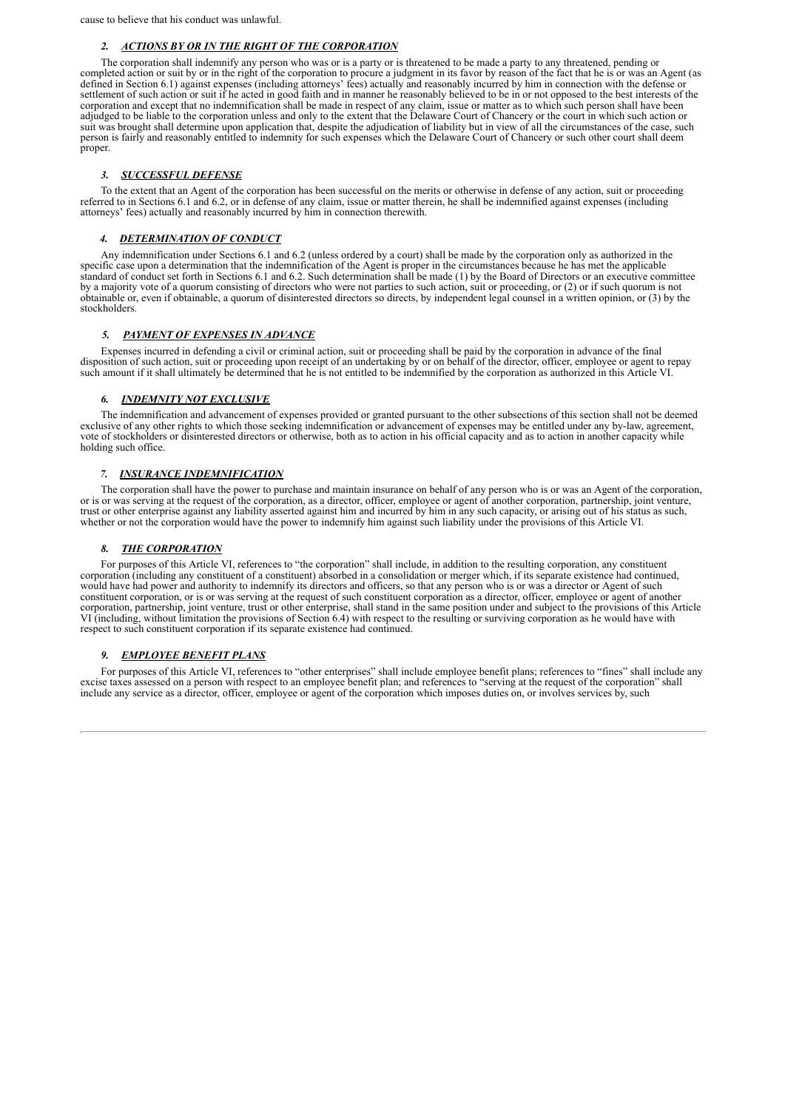cause to believe that his conduct was unlawful.

# *2. ACTIONS BY OR IN THE RIGHT OF THE CORPORATION*

The corporation shall indemnify any person who was or is a party or is threatened to be made a party to any threatened, pending or completed action or suit by or in the right of the corporation to procure a judgment in its favor by reason of the fact that he is or was an Agent (as defined in Section 6.1) against expenses (including attorneys' fees) actually and reasonably incurred by him in connection with the defense or settlement of such action or suit if he acted in good faith and in manner he reasonably believed to be in or not opposed to the best interests of the corporation and except that no indemnification shall be made in respect of any claim, issue or matter as to which such person shall have been adjudged to be liable to the corporation unless and only to the extent that the Delaware Court of Chancery or the court in which such action or suit was brought shall determine upon application that, despite the adjudication of liability but in view of all the circumstances of the case, such person is fairly and reasonably entitled to indemnity for such expenses which the Delaware Court of Chancery or such other court shall deem *<u>nroper</u>* 

# *3. SUCCESSFUL DEFENSE*

To the extent that an Agent of the corporation has been successful on the merits or otherwise in defense of any action, suit or proceeding referred to in Sections 6.1 and 6.2, or in defense of any claim, issue or matter therein, he shall be indemnified against expenses (including attorneys' fees) actually and reasonably incurred by him in connection therewith.

#### *4. DETERMINATION OF CONDUCT*

Any indemnification under Sections 6.1 and 6.2 (unless ordered by a court) shall be made by the corporation only as authorized in the specific case upon a determination that the indemnification of the Agent is proper in the circumstances because he has met the applicable standard of conduct set forth in Sections 6.1 and 6.2. Such determination shall be made (1) by the Board of Directors or an executive committee by a majority vote of a quorum consisting of directors who were not parties to such action, suit or proceeding, or (2) or if such quorum is not obtainable or, even if obtainable, a quorum of disinterested directors so directs, by independent legal counsel in a written opinion, or (3) by the stockholders.

#### *5. PAYMENT OF EXPENSES IN ADVANCE*

Expenses incurred in defending a civil or criminal action, suit or proceeding shall be paid by the corporation in advance of the final disposition of such action, suit or proceeding upon receipt of an undertaking by or on behalf of the director, officer, employee or agent to repay such amount if it shall ultimately be determined that he is not entitled to be indemnified by the corporation as authorized in this Article VI.

#### *6. INDEMNITY NOT EXCLUSIVE*

The indemnification and advancement of expenses provided or granted pursuant to the other subsections of this section shall not be deemed exclusive of any other rights to which those seeking indemnification or advancement of expenses may be entitled under any by-law, agreement, vote of stockholders or disinterested directors or otherwise, both as to action in his official capacity and as to action in another capacity while holding such office.

#### *7. INSURANCE INDEMNIFICATION*

The corporation shall have the power to purchase and maintain insurance on behalf of any person who is or was an Agent of the corporation, or is or was serving at the request of the corporation, as a director, officer, employee or agent of another corporation, partnership, joint venture, trust or other enterprise against any liability asserted against him and incurred by him in any such capacity, or arising out of his status as such, whether or not the corporation would have the power to indemnify him against such liability under the provisions of this Article VI.

# *8. THE CORPORATION*

For purposes of this Article VI, references to "the corporation" shall include, in addition to the resulting corporation, any constituent corporation (including any constituent of a constituent) absorbed in a consolidation or merger which, if its separate existence had continued, would have had power and authority to indemnify its directors and officers, so that any person who is or was a director or Agent of such constituent corporation, or is or was serving at the request of such constituent corporation as a director, officer, employee or agent of another corporation, partnership, joint venture, trust or other enterprise, shall stand in the same position under and subject to the provisions of this Article VI (including, without limitation the provisions of Section 6.4) with respect to the resulting or surviving corporation as he would have with respect to such constituent corporation if its separate existence had continued.

#### *9. EMPLOYEE BENEFIT PLANS*

For purposes of this Article VI, references to "other enterprises" shall include employee benefit plans; references to "fines" shall include any excise taxes assessed on a person with respect to an employee benefit plan; and references to "serving at the request of the corporation" shall include any service as a director, officer, employee or agent of the corporation which imposes duties on, or involves services by, such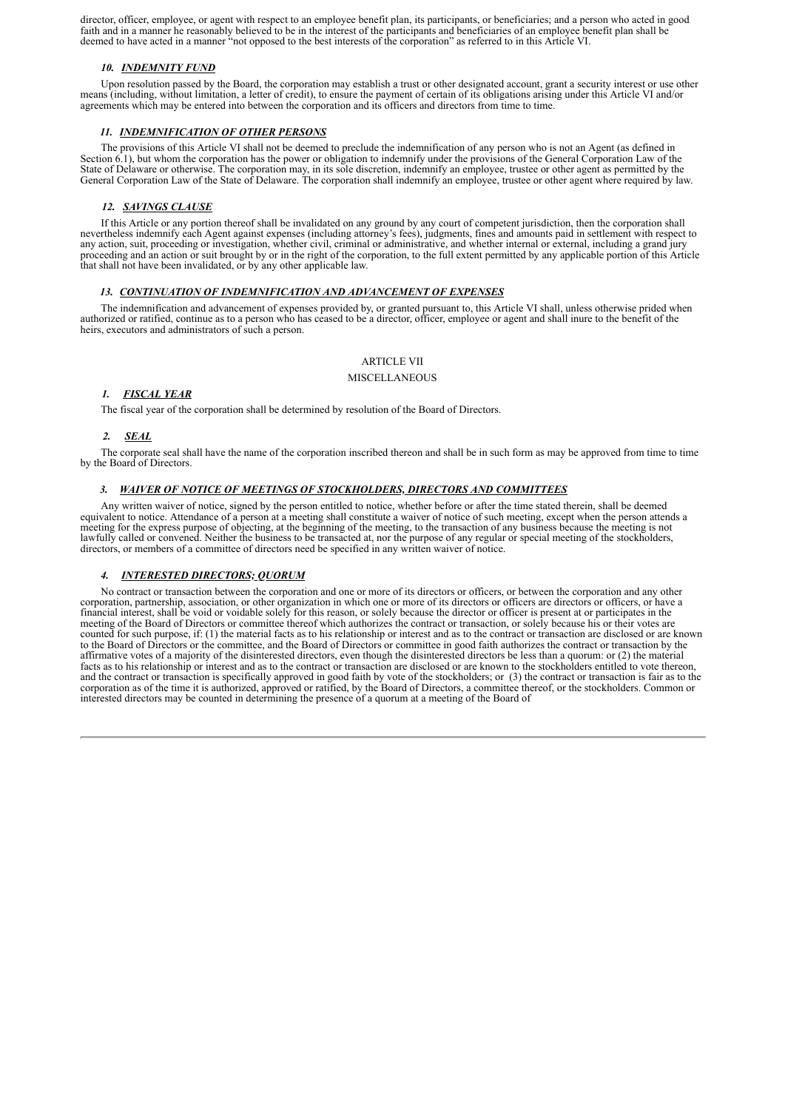director, officer, employee, or agent with respect to an employee benefit plan, its participants, or beneficiaries; and a person who acted in good faith and in a manner he reasonably believed to be in the interest of the participants and beneficiaries of an employee benefit plan shall be deemed to have acted in a manner "not opposed to the best interests of the corporation" as referred to in this Article VI.

# *10. INDEMNITY FUND*

Upon resolution passed by the Board, the corporation may establish a trust or other designated account, grant a security interest or use other means (including, without limitation, a letter of credit), to ensure the payment of certain of its obligations arising under this Article VI and/or agreements which may be entered into between the corporation and its officers and directors from time to time.

# *11. INDEMNIFICATION OF OTHER PERSONS*

The provisions of this Article VI shall not be deemed to preclude the indemnification of any person who is not an Agent (as defined in Section 6.1), but whom the corporation has the power or obligation to indemnify under the provisions of the General Corporation Law of the State of Delaware or otherwise. The corporation may, in its sole discretion, indemnify an employee, trustee or other agent as permitted by the General Corporation Law of the State of Delaware. The corporation shall indemnify an employee, trustee or other agent where required by law.

# *12. SAVINGS CLAUSE*

If this Article or any portion thereof shall be invalidated on any ground by any court of competent jurisdiction, then the corporation shall nevertheless indemnify each Agent against expenses (including attorney's fees), judgments, fines and amounts paid in settlement with respect to any action, suit, proceeding or investigation, whether civil, criminal or administrative, and whether internal or external, including a grand jury proceeding and an action or suit brought by or in the right of the corporation, to the full extent permitted by any applicable portion of this Article that shall not have been invalidated, or by any other applicable law.

#### *13. CONTINUATION OF INDEMNIFICATION AND ADVANCEMENT OF EXPENSES*

The indemnification and advancement of expenses provided by, or granted pursuant to, this Article VI shall, unless otherwise prided when authorized or ratified, continue as to a person who has ceased to be a director, officer, employee or agent and shall inure to the benefit of the heirs, executors and administrators of such a person.

# ARTICLE VII

# **MISCELLANEOUS**

# *1. FISCAL YEAR*

The fiscal year of the corporation shall be determined by resolution of the Board of Directors.

# *2. SEAL*

The corporate seal shall have the name of the corporation inscribed thereon and shall be in such form as may be approved from time to time by the Board of Directors.

#### *3. WAIVER OF NOTICE OF MEETINGS OF STOCKHOLDERS, DIRECTORS AND COMMITTEES*

Any written waiver of notice, signed by the person entitled to notice, whether before or after the time stated therein, shall be deemed equivalent to notice. Attendance of a person at a meeting shall constitute a waiver of notice of such meeting, except when the person attends a meeting for the express purpose of objecting, at the beginning of the meeting, to the transaction of any business because the meeting is not lawfully called or convened. Neither the business to be transacted at, nor the purpose of any regular or special meeting of the stockholders, directors, or members of a committee of directors need be specified in any written waiver of notice.

#### *4. INTERESTED DIRECTORS; QUORUM*

No contract or transaction between the corporation and one or more of its directors or officers, or between the corporation and any other corporation, partnership, association, or other organization in which one or more of its directors or officers are directors or officers, or have a financial interest, shall be void or voidable solely for this reason, or solely because the director or officer is present at or participates in the meeting of the Board of Directors or committee thereof which authorizes the contract or transaction, or solely because his or their votes are counted for such purpose, if: (1) the material facts as to his relationship or interest and as to the contract or transaction are disclosed or are known to the Board of Directors or the committee, and the Board of Directors or committee in good faith authorizes the contract or transaction by the affirmative votes of a majority of the disinterested directors, even though the disinterested directors be less than a quorum: or (2) the material facts as to his relationship or interest and as to the contract or transaction are disclosed or are known to the stockholders entitled to vote thereon, and the contract or transaction is specifically approved in good faith by vote of the stockholders; or (3) the contract or transaction is fair as to the corporation as of the time it is authorized, approved or ratified, by the Board of Directors, a committee thereof, or the stockholders. Common or interested directors may be counted in determining the presence of a quorum at a meeting of the Board of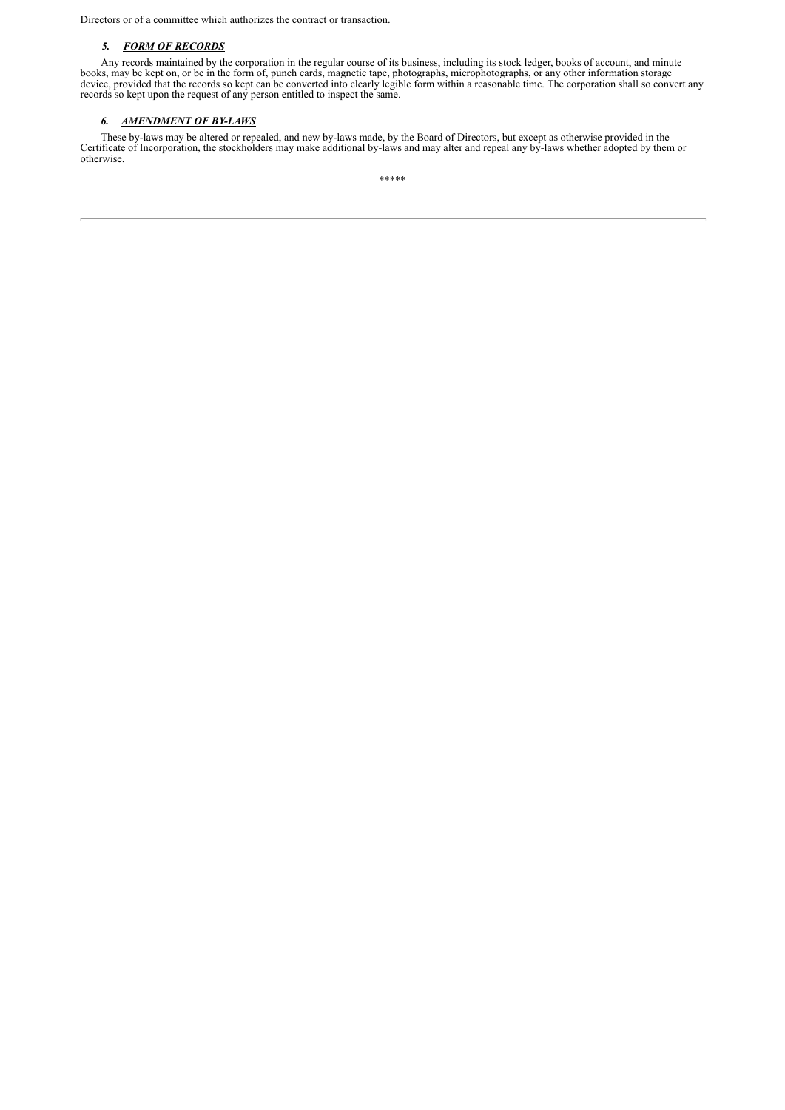Directors or of a committee which authorizes the contract or transaction.

# *5. FORM OF RECORDS*

Any records maintained by the corporation in the regular course of its business, including its stock ledger, books of account, and minute books, may be kept on, or be in the form of, punch cards, magnetic tape, photographs, microphotographs, or any other information storage device, provided that the records so kept can be converted into clearly legible form within a reasonable time. The corporation shall so convert any records so kept upon the request of any person entitled to inspect the same.

# *6. AMENDMENT OF BY-LAWS*

These by-laws may be altered or repealed, and new by-laws made, by the Board of Directors, but except as otherwise provided in the Certificate of Incorporation, the stockholders may make additional by-laws and may alter and repeal any by-laws whether adopted by them or otherwise.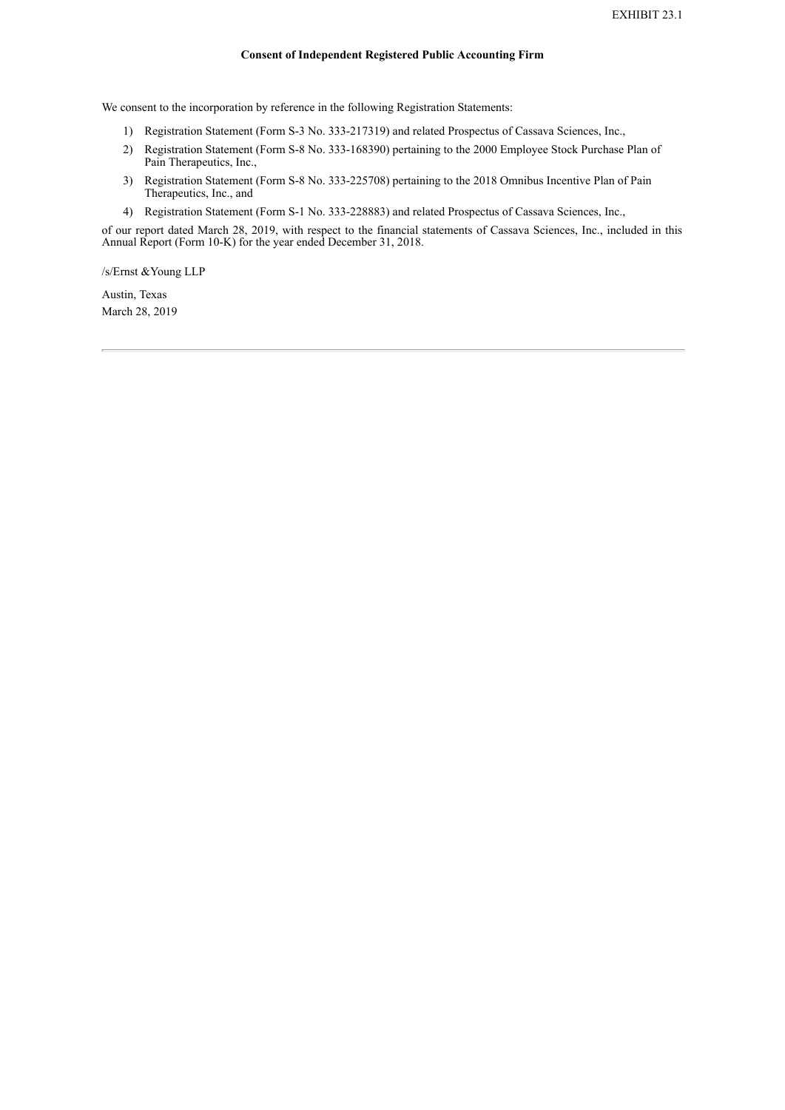# **Consent of Independent Registered Public Accounting Firm**

<span id="page-96-0"></span>We consent to the incorporation by reference in the following Registration Statements:

- 1) Registration Statement (Form S-3 No. 333-217319) and related Prospectus of Cassava Sciences, Inc.,
- 2) Registration Statement (Form S-8 No. 333-168390) pertaining to the 2000 Employee Stock Purchase Plan of Pain Therapeutics, Inc.,
- 3) Registration Statement (Form S-8 No. 333-225708) pertaining to the 2018 Omnibus Incentive Plan of Pain Therapeutics, Inc., and
- 4) Registration Statement (Form S-1 No. 333-228883) and related Prospectus of Cassava Sciences, Inc.,

of our report dated March 28, 2019, with respect to the financial statements of Cassava Sciences, Inc., included in this Annual Report (Form 10-K) for the year ended December 31, 2018.

/s/Ernst &Young LLP

Austin, Texas March 28, 2019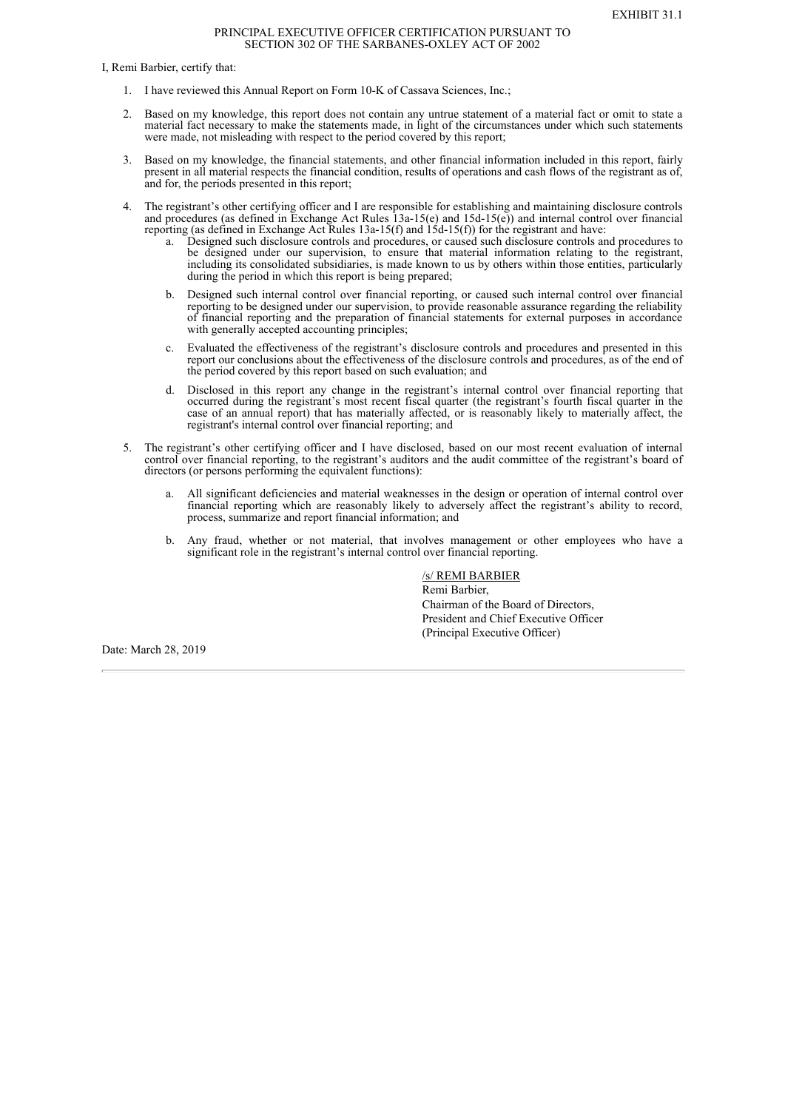#### PRINCIPAL EXECUTIVE OFFICER CERTIFICATION PURSUANT TO SECTION 302 OF THE SARBANES-OXLEY ACT OF 2002

#### <span id="page-97-0"></span>I, Remi Barbier, certify that:

- 1. I have reviewed this Annual Report on Form 10-K of Cassava Sciences, Inc.;
- 2. Based on my knowledge, this report does not contain any untrue statement of a material fact or omit to state a material fact necessary to make the statements made, in light of the circumstances under which such statements were made, not misleading with respect to the period covered by this report;
- 3. Based on my knowledge, the financial statements, and other financial information included in this report, fairly present in all material respects the financial condition, results of operations and cash flows of the registrant as of, and for, the periods presented in this report;
- The registrant's other certifying officer and I are responsible for establishing and maintaining disclosure controls and procedures (as defined in Exchange Act Rules 13a-15(e) and 15d-15(e)) and internal control over financial reporting (as defined in Exchange Act Rules 13a-15(f) and 15d-15(f)) for the registrant and have:
	- a. Designed such disclosure controls and procedures, or caused such disclosure controls and procedures to be designed under our supervision, to ensure that material information relating to the registrant, including its consolidated subsidiaries, is made known to us by others within those entities, particularly during the period in which this report is being prepared;
	- b. Designed such internal control over financial reporting, or caused such internal control over financial reporting to be designed under our supervision, to provide reasonable assurance regarding the reliability of financial reporting and the preparation of financial statements for external purposes in accordance with generally accepted accounting principles;
	- c. Evaluated the effectiveness of the registrant's disclosure controls and procedures and presented in this report our conclusions about the effectiveness of the disclosure controls and procedures, as of the end of the period covered by this report based on such evaluation; and
	- d. Disclosed in this report any change in the registrant's internal control over financial reporting that occurred during the registrant's most recent fiscal quarter (the registrant's fourth fiscal quarter in the case of an annual report) that has materially affected, or is reasonably likely to materially affect, the registrant's internal control over financial reporting; and
- 5. The registrant's other certifying officer and I have disclosed, based on our most recent evaluation of internal control over financial reporting, to the registrant's auditors and the audit committee of the registrant's board of directors (or persons performing the equivalent functions):
	- a. All significant deficiencies and material weaknesses in the design or operation of internal control over financial reporting which are reasonably likely to adversely affect the registrant's ability to record, process, summarize and report financial information; and
	- b. Any fraud, whether or not material, that involves management or other employees who have a significant role in the registrant's internal control over financial reporting.

/s/ REMI BARBIER Remi Barbier, Chairman of the Board of Directors, President and Chief Executive Officer (Principal Executive Officer)

Date: March 28, 2019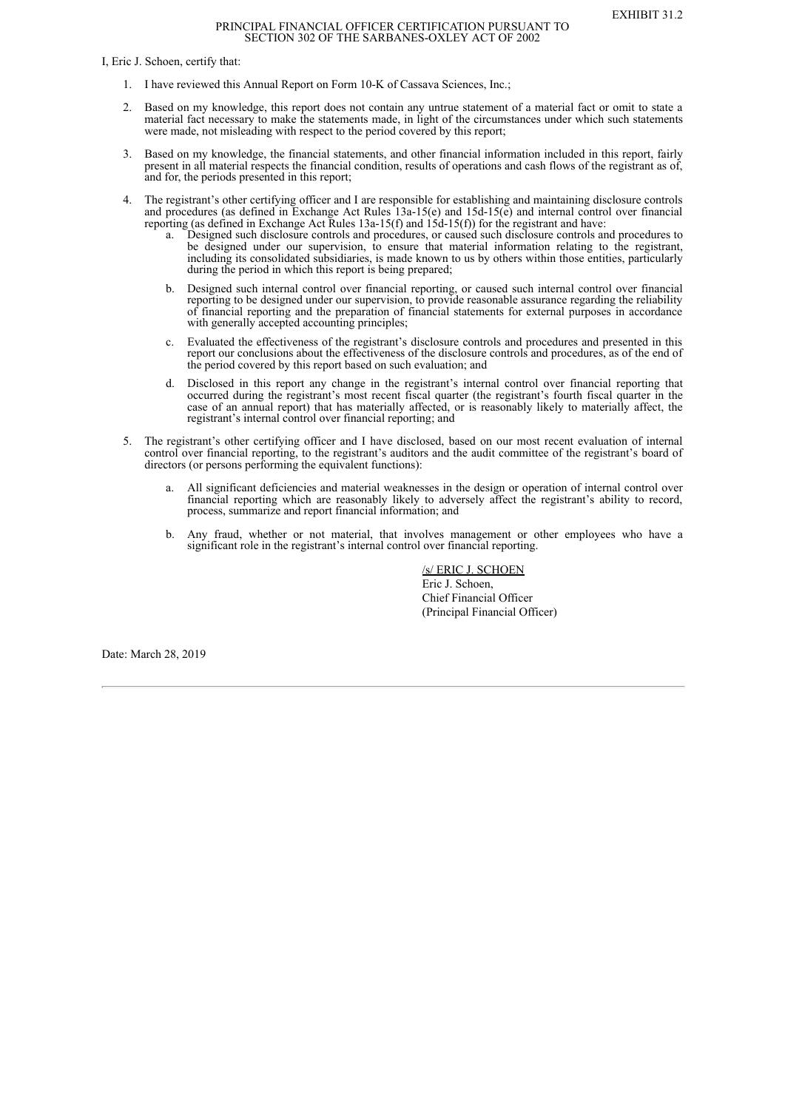#### PRINCIPAL FINANCIAL OFFICER CERTIFICATION PURSUANT TO SECTION 302 OF THE SARBANES-OXLEY ACT OF 2002

#### <span id="page-98-0"></span>I, Eric J. Schoen, certify that:

- 1. I have reviewed this Annual Report on Form 10-K of Cassava Sciences, Inc.;
- 2. Based on my knowledge, this report does not contain any untrue statement of a material fact or omit to state a material fact necessary to make the statements made, in light of the circumstances under which such statements were made, not misleading with respect to the period covered by this report;
- 3. Based on my knowledge, the financial statements, and other financial information included in this report, fairly present in all material respects the financial condition, results of operations and cash flows of the registrant as of, and for, the periods presented in this report;
- 4. The registrant's other certifying officer and I are responsible for establishing and maintaining disclosure controls and procedures (as defined in Exchange Act Rules 13a-15(e) and  $15d-15(\overline{e})$  and internal control over financial reporting (as defined in Exchange Act Rules 13a-15(f) and 15d-15(f)) for the registrant and have:
	- a. Designed such disclosure controls and procedures, or caused such disclosure controls and procedures to be designed under our supervision, to ensure that material information relating to the registrant, including its consolidated subsidiaries, is made known to us by others within those entities, particularly during the period in which this report is being prepared;
	- b. Designed such internal control over financial reporting, or caused such internal control over financial reporting to be designed under our supervision, to provide reasonable assurance regarding the reliability of financial reporting and the preparation of financial statements for external purposes in accordance with generally accepted accounting principles;
	- c. Evaluated the effectiveness of the registrant's disclosure controls and procedures and presented in this report our conclusions about the effectiveness of the disclosure controls and procedures, as of the end of the period covered by this report based on such evaluation; and
	- Disclosed in this report any change in the registrant's internal control over financial reporting that occurred during the registrant's most recent fiscal quarter (the registrant's fourth fiscal quarter in the case of an annual report) that has materially affected, or is reasonably likely to materially affect, the registrant's internal control over financial reporting; and
- 5. The registrant's other certifying officer and I have disclosed, based on our most recent evaluation of internal control over financial reporting, to the registrant's auditors and the audit committee of the registrant's board of directors (or persons performing the equivalent functions):
	- a. All significant deficiencies and material weaknesses in the design or operation of internal control over financial reporting which are reasonably likely to adversely affect the registrant's ability to record, process, summarize and report financial information; and
	- b. Any fraud, whether or not material, that involves management or other employees who have a significant role in the registrant's internal control over financial reporting.

/s/ ERIC J. SCHOEN Eric J. Schoen, Chief Financial Officer (Principal Financial Officer)

Date: March 28, 2019